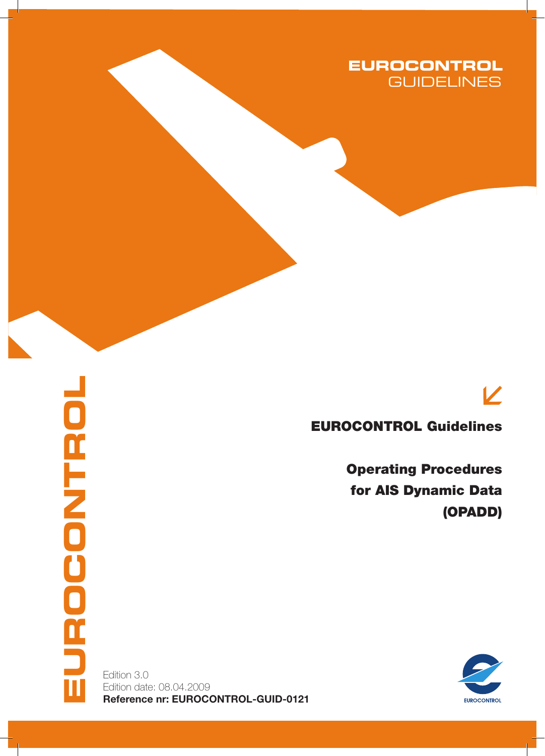

# **EUROCONTROL** EUROOMTROI

# EUROCONTROL Guidelines

Operating Procedures for AIS Dynamic Data (OPADD)

Edition 3.0 Edition date: 08.04.2009 Reference nr: EUROCONTROL-GUID-0121



 $\boldsymbol{V}$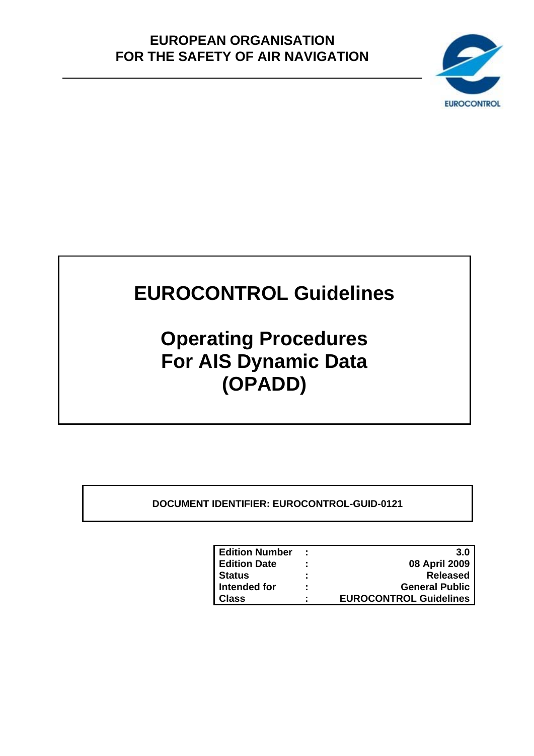# **EUROPEAN ORGANISATION FOR THE SAFETY OF AIR NAVIGATION**



# **EUROCONTROL Guidelines**

**Operating Procedures For AIS Dynamic Data (OPADD)**

### **DOCUMENT IDENTIFIER: EUROCONTROL-GUID-0121**

| <b>Edition Number</b> | ÷ | 3.0                           |
|-----------------------|---|-------------------------------|
| <b>Edition Date</b>   |   | 08 April 2009                 |
| <b>Status</b>         | ÷ | <b>Released</b>               |
| Intended for          | ÷ | <b>General Public</b>         |
| I Class               |   | <b>EUROCONTROL Guidelines</b> |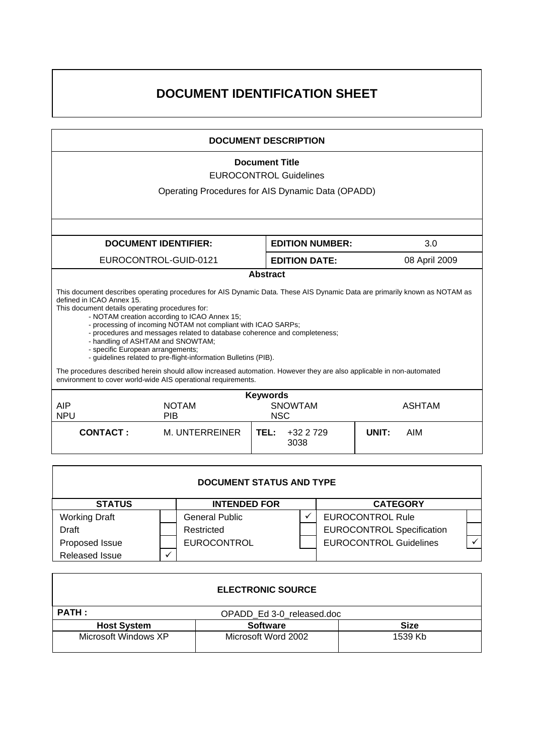## **DOCUMENT IDENTIFICATION SHEET**

<span id="page-3-0"></span>

| <b>DOCUMENT DESCRIPTION</b>                                                                                                                                                                                                                                                                                                                                                                                                                                                                                                                                                                                                                                                                                                                   |                             |                                                   |               |  |  |  |  |
|-----------------------------------------------------------------------------------------------------------------------------------------------------------------------------------------------------------------------------------------------------------------------------------------------------------------------------------------------------------------------------------------------------------------------------------------------------------------------------------------------------------------------------------------------------------------------------------------------------------------------------------------------------------------------------------------------------------------------------------------------|-----------------------------|---------------------------------------------------|---------------|--|--|--|--|
| <b>Document Title</b><br><b>EUROCONTROL Guidelines</b>                                                                                                                                                                                                                                                                                                                                                                                                                                                                                                                                                                                                                                                                                        |                             |                                                   |               |  |  |  |  |
|                                                                                                                                                                                                                                                                                                                                                                                                                                                                                                                                                                                                                                                                                                                                               |                             | Operating Procedures for AIS Dynamic Data (OPADD) |               |  |  |  |  |
|                                                                                                                                                                                                                                                                                                                                                                                                                                                                                                                                                                                                                                                                                                                                               |                             |                                                   |               |  |  |  |  |
|                                                                                                                                                                                                                                                                                                                                                                                                                                                                                                                                                                                                                                                                                                                                               | <b>DOCUMENT IDENTIFIER:</b> | <b>EDITION NUMBER:</b>                            | 3.0           |  |  |  |  |
|                                                                                                                                                                                                                                                                                                                                                                                                                                                                                                                                                                                                                                                                                                                                               | EUROCONTROL-GUID-0121       | <b>EDITION DATE:</b>                              | 08 April 2009 |  |  |  |  |
|                                                                                                                                                                                                                                                                                                                                                                                                                                                                                                                                                                                                                                                                                                                                               |                             | <b>Abstract</b>                                   |               |  |  |  |  |
| This document describes operating procedures for AIS Dynamic Data. These AIS Dynamic Data are primarily known as NOTAM as<br>defined in ICAO Annex 15.<br>This document details operating procedures for:<br>- NOTAM creation according to ICAO Annex 15;<br>- processing of incoming NOTAM not compliant with ICAO SARPs;<br>- procedures and messages related to database coherence and completeness;<br>- handling of ASHTAM and SNOWTAM;<br>- specific European arrangements;<br>- quidelines related to pre-flight-information Bulletins (PIB).<br>The procedures described herein should allow increased automation. However they are also applicable in non-automated<br>environment to cover world-wide AIS operational requirements. |                             |                                                   |               |  |  |  |  |
|                                                                                                                                                                                                                                                                                                                                                                                                                                                                                                                                                                                                                                                                                                                                               |                             | <b>Keywords</b>                                   |               |  |  |  |  |
| <b>AIP</b><br><b>NPU</b>                                                                                                                                                                                                                                                                                                                                                                                                                                                                                                                                                                                                                                                                                                                      | <b>NOTAM</b><br>PIB         | <b>SNOWTAM</b><br><b>NSC</b>                      | <b>ASHTAM</b> |  |  |  |  |
| <b>CONTACT:</b>                                                                                                                                                                                                                                                                                                                                                                                                                                                                                                                                                                                                                                                                                                                               | M. UNTERREINER              | TEL:<br>+32 2 7 2 9<br>3038                       | UNIT:<br>AIM  |  |  |  |  |

| <b>DOCUMENT STATUS AND TYPE</b> |              |                       |   |                                  |  |
|---------------------------------|--------------|-----------------------|---|----------------------------------|--|
| <b>STATUS</b>                   |              | <b>INTENDED FOR</b>   |   | <b>CATEGORY</b>                  |  |
| <b>Working Draft</b>            |              | <b>General Public</b> | v | <b>EUROCONTROL Rule</b>          |  |
| Draft                           |              | Restricted            |   | <b>EUROCONTROL Specification</b> |  |
| Proposed Issue                  |              | <b>EUROCONTROL</b>    |   | <b>EUROCONTROL Guidelines</b>    |  |
| Released Issue                  | $\checkmark$ |                       |   |                                  |  |
|                                 |              |                       |   |                                  |  |

 $\overline{\phantom{0}}$ 

 $\mathsf{r}$ 

|                      | <b>ELECTRONIC SOURCE</b>  |             |
|----------------------|---------------------------|-------------|
| <b>PATH:</b>         | OPADD Ed 3-0 released.doc |             |
| <b>Host System</b>   | <b>Software</b>           | <b>Size</b> |
| Microsoft Windows XP | Microsoft Word 2002       | 1539 Kb     |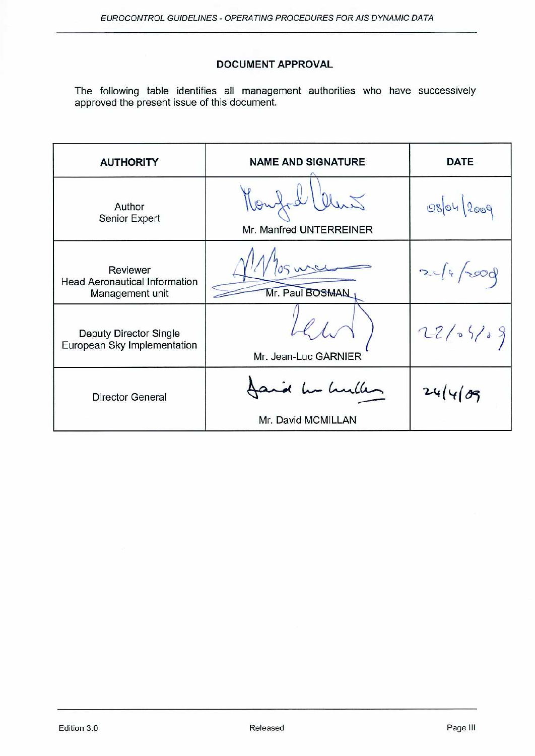#### **DOCUMENT APPROVAL**

The following table identifies all management authorities who have successively approved the present issue of this document.

| <b>AUTHORITY</b>                                             | <b>NAME AND SIGNATURE</b> | <b>DATE</b> |
|--------------------------------------------------------------|---------------------------|-------------|
| Author<br>Senior Expert                                      | Mr. Manfred UNTERREINER   | 08/04/2009  |
| Reviewer<br>Head Aeronautical Information<br>Management unit | Mr. Paul BOSMAN           | $2-(4/200)$ |
| Deputy Director Single<br>European Sky Implementation        | Mr. Jean-Luc GARNIER      | 22/09/09    |
| Director General                                             | Mr. David MCMILLAN        | 244409      |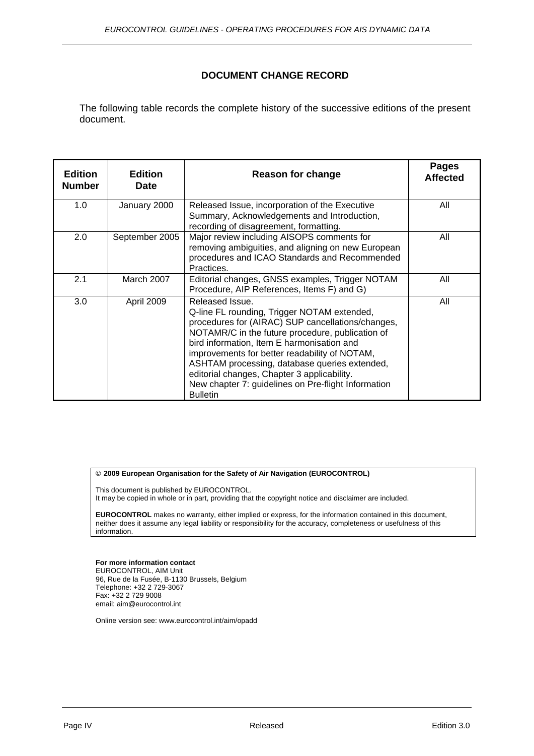#### **DOCUMENT CHANGE RECORD**

<span id="page-5-0"></span>The following table records the complete history of the successive editions of the present document.

| <b>Edition</b><br><b>Number</b> | <b>Edition</b><br><b>Date</b> | <b>Reason for change</b>                                                                                                                                                                                                                                                                                                                                                                                                                         | <b>Pages</b><br><b>Affected</b> |
|---------------------------------|-------------------------------|--------------------------------------------------------------------------------------------------------------------------------------------------------------------------------------------------------------------------------------------------------------------------------------------------------------------------------------------------------------------------------------------------------------------------------------------------|---------------------------------|
| 1.0                             | January 2000                  | Released Issue, incorporation of the Executive<br>Summary, Acknowledgements and Introduction,<br>recording of disagreement, formatting.                                                                                                                                                                                                                                                                                                          | All                             |
| 2.0                             | September 2005                | Major review including AISOPS comments for<br>removing ambiguities, and aligning on new European<br>procedures and ICAO Standards and Recommended<br>Practices.                                                                                                                                                                                                                                                                                  | All                             |
| 2.1                             | March 2007                    | Editorial changes, GNSS examples, Trigger NOTAM<br>Procedure, AIP References, Items F) and G)                                                                                                                                                                                                                                                                                                                                                    | All                             |
| 3.0                             | April 2009                    | Released Issue.<br>Q-line FL rounding, Trigger NOTAM extended,<br>procedures for (AIRAC) SUP cancellations/changes,<br>NOTAMR/C in the future procedure, publication of<br>bird information, Item E harmonisation and<br>improvements for better readability of NOTAM,<br>ASHTAM processing, database queries extended,<br>editorial changes, Chapter 3 applicability.<br>New chapter 7: guidelines on Pre-flight Information<br><b>Bulletin</b> | All                             |

#### © **2009 European Organisation for the Safety of Air Navigation (EUROCONTROL)**

This document is published by EUROCONTROL. It may be copied in whole or in part, providing that the copyright notice and disclaimer are included.

**EUROCONTROL** makes no warranty, either implied or express, for the information contained in this document, neither does it assume any legal liability or responsibility for the accuracy, completeness or usefulness of this information.

**For more information contact**  EUROCONTROL, AIM Unit 96, Rue de la Fusée, B-1130 Brussels, Belgium Telephone: +32 2 729-3067 Fax: +32 2 729 9008 email: aim@eurocontrol.int

Online version see: www.eurocontrol.int/aim/opadd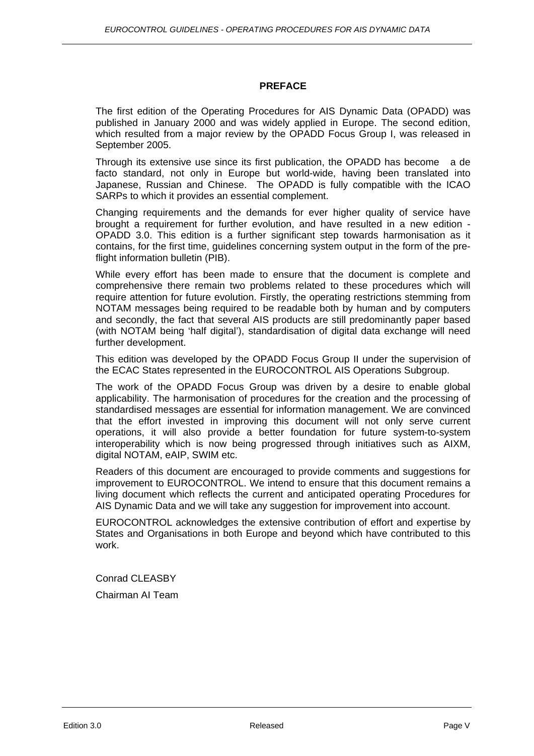#### **PREFACE**

The first edition of the Operating Procedures for AIS Dynamic Data (OPADD) was published in January 2000 and was widely applied in Europe. The second edition, which resulted from a major review by the OPADD Focus Group I, was released in September 2005.

Through its extensive use since its first publication, the OPADD has become a de facto standard, not only in Europe but world-wide, having been translated into Japanese, Russian and Chinese. The OPADD is fully compatible with the ICAO SARPs to which it provides an essential complement.

Changing requirements and the demands for ever higher quality of service have brought a requirement for further evolution, and have resulted in a new edition - OPADD 3.0. This edition is a further significant step towards harmonisation as it contains, for the first time, guidelines concerning system output in the form of the preflight information bulletin (PIB).

While every effort has been made to ensure that the document is complete and comprehensive there remain two problems related to these procedures which will require attention for future evolution. Firstly, the operating restrictions stemming from NOTAM messages being required to be readable both by human and by computers and secondly, the fact that several AIS products are still predominantly paper based (with NOTAM being 'half digital'), standardisation of digital data exchange will need further development.

This edition was developed by the OPADD Focus Group II under the supervision of the ECAC States represented in the EUROCONTROL AIS Operations Subgroup.

The work of the OPADD Focus Group was driven by a desire to enable global applicability. The harmonisation of procedures for the creation and the processing of standardised messages are essential for information management. We are convinced that the effort invested in improving this document will not only serve current operations, it will also provide a better foundation for future system-to-system interoperability which is now being progressed through initiatives such as AIXM, digital NOTAM, eAIP, SWIM etc.

Readers of this document are encouraged to provide comments and suggestions for improvement to EUROCONTROL. We intend to ensure that this document remains a living document which reflects the current and anticipated operating Procedures for AIS Dynamic Data and we will take any suggestion for improvement into account.

EUROCONTROL acknowledges the extensive contribution of effort and expertise by States and Organisations in both Europe and beyond which have contributed to this work.

Conrad CLEASBY Chairman AI Team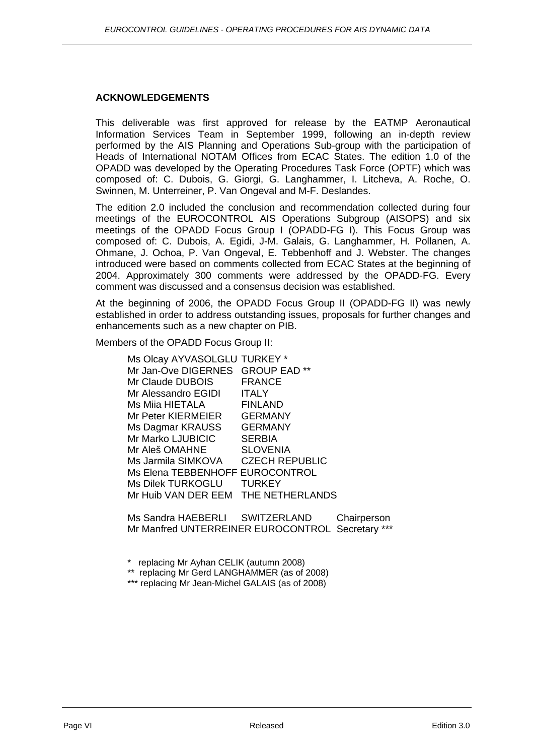#### <span id="page-7-0"></span>**ACKNOWLEDGEMENTS**

This deliverable was first approved for release by the EATMP Aeronautical Information Services Team in September 1999, following an in-depth review performed by the AIS Planning and Operations Sub-group with the participation of Heads of International NOTAM Offices from ECAC States. The edition 1.0 of the OPADD was developed by the Operating Procedures Task Force (OPTF) which was composed of: C. Dubois, G. Giorgi, G. Langhammer, I. Litcheva, A. Roche, O. Swinnen, M. Unterreiner, P. Van Ongeval and M-F. Deslandes.

The edition 2.0 included the conclusion and recommendation collected during four meetings of the EUROCONTROL AIS Operations Subgroup (AISOPS) and six meetings of the OPADD Focus Group I (OPADD-FG I). This Focus Group was composed of: C. Dubois, A. Egidi, J-M. Galais, G. Langhammer, H. Pollanen, A. Ohmane, J. Ochoa, P. Van Ongeval, E. Tebbenhoff and J. Webster. The changes introduced were based on comments collected from ECAC States at the beginning of 2004. Approximately 300 comments were addressed by the OPADD-FG. Every comment was discussed and a consensus decision was established.

At the beginning of 2006, the OPADD Focus Group II (OPADD-FG II) was newly established in order to address outstanding issues, proposals for further changes and enhancements such as a new chapter on PIB.

Members of the OPADD Focus Group II:

| Ms Olcay AYVASOLGLU TURKEY *        |                  |
|-------------------------------------|------------------|
| Mr Jan-Ove DIGERNES                 | <b>GROUP EAD</b> |
| Mr Claude DUBOIS                    | <b>FRANCE</b>    |
| Mr Alessandro EGIDI                 | <b>ITALY</b>     |
| Ms Miia HIETALA                     | FINLAND          |
| Mr Peter KIERMEIER                  | <b>GERMANY</b>   |
| Ms Dagmar KRAUSS                    | GERMANY          |
| Mr Marko LJUBICIC                   | <b>SERBIA</b>    |
| Mr Aleš OMAHNE                      | <b>SLOVENIA</b>  |
| Ms Jarmila SIMKOVA                  | CZECH REPUBLIC   |
| Ms Elena TEBBENHOFF EUROCONTROL     |                  |
| <b>Ms Dilek TURKOGLU</b>            | <b>TURKEY</b>    |
| Mr Huib VAN DER EEM THE NETHERLANDS |                  |

Ms Sandra HAEBERLI SWITZERLAND Chairperson Mr Manfred UNTERREINER EUROCONTROL Secretary \*\*\*

\* replacing Mr Ayhan CELIK (autumn 2008)

\*\* replacing Mr Gerd LANGHAMMER (as of 2008)

\*\*\* replacing Mr Jean-Michel GALAIS (as of 2008)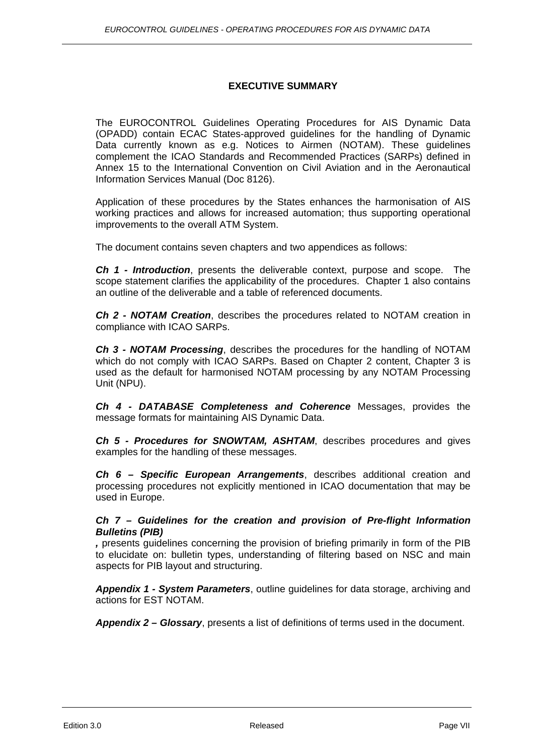#### **EXECUTIVE SUMMARY**

<span id="page-8-0"></span>The EUROCONTROL Guidelines Operating Procedures for AIS Dynamic Data (OPADD) contain ECAC States-approved guidelines for the handling of Dynamic Data currently known as e.g. Notices to Airmen (NOTAM). These guidelines complement the ICAO Standards and Recommended Practices (SARPs) defined in Annex 15 to the International Convention on Civil Aviation and in the Aeronautical Information Services Manual (Doc 8126).

Application of these procedures by the States enhances the harmonisation of AIS working practices and allows for increased automation; thus supporting operational improvements to the overall ATM System.

The document contains seven chapters and two appendices as follows:

*Ch [1](#page-16-0) - [Introduction](#page-16-0)*, presents the deliverable context, purpose and scope. The scope statement clarifies the applicability of the procedures. Chapter 1 also contains an outline of the deliverable and a table of referenced documents.

*Ch [2](#page-20-0) - [NOTAM Creation](#page-20-0)*, describes the procedures related to NOTAM creation in compliance with ICAO SARPs.

*Ch [3](#page-74-0) - [NOTAM Processing](#page-74-0)*, describes the procedures for the handling of NOTAM which do not comply with ICAO SARPs. Based on Chapter 2 content, Chapter 3 is used as the default for harmonised NOTAM processing by any NOTAM Processing Unit (NPU).

*Ch [4](#page-104-0) - [DATABASE Completeness and Coherence](#page-104-0)* Messages, provides the message formats for maintaining AIS Dynamic Data.

*Ch [5](#page-118-0) - [Procedures for SNOWTAM, ASHTAM](#page-118-0)*, describes procedures and gives examples for the handling of these messages.

*Ch [6](#page-126-0) – [Specific European Arrangements](#page-126-0)*, describes additional creation and processing procedures not explicitly mentioned in ICAO documentation that may be used in Europe.

#### *Ch [7](#page-130-0) – [Guidelines for the creation and provision of Pre-flight Information](#page-130-0)  [Bulletins \(PIB\)](#page-130-0)*

*,* presents guidelines concerning the provision of briefing primarily in form of the PIB to elucidate on: bulletin types, understanding of filtering based on NSC and main aspects for PIB layout and structuring.

*Appendix 1 - System Parameters*, outline guidelines for data storage, archiving and actions for EST NOTAM.

*Appendix 2 – Glossary*, presents a list of definitions of terms used in the document.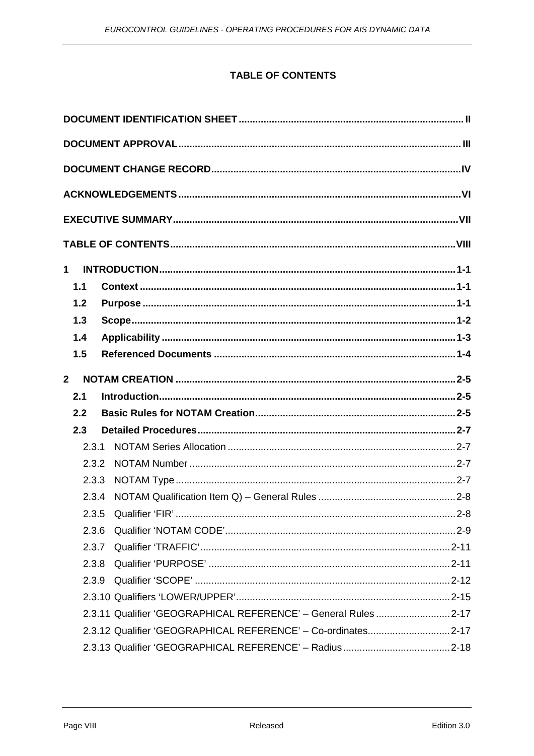#### **TABLE OF CONTENTS**

<span id="page-9-0"></span>

| 1.1                                                           |  |  |  |  |
|---------------------------------------------------------------|--|--|--|--|
| 1.2                                                           |  |  |  |  |
| 1.3                                                           |  |  |  |  |
| 1.4                                                           |  |  |  |  |
| 1.5                                                           |  |  |  |  |
|                                                               |  |  |  |  |
|                                                               |  |  |  |  |
| 2.1                                                           |  |  |  |  |
| 2.2                                                           |  |  |  |  |
| 2.3                                                           |  |  |  |  |
| 2.3.1                                                         |  |  |  |  |
| 2.3.2                                                         |  |  |  |  |
| 2.3.3                                                         |  |  |  |  |
| 2.3.4                                                         |  |  |  |  |
| 2.3.5 Qualifier 'FIR'<br>. 2-8                                |  |  |  |  |
| 2.3.6                                                         |  |  |  |  |
| 2.3.7                                                         |  |  |  |  |
|                                                               |  |  |  |  |
| 2.3.9                                                         |  |  |  |  |
|                                                               |  |  |  |  |
| 2.3.11 Qualifier 'GEOGRAPHICAL REFERENCE' - General Rules2-17 |  |  |  |  |
| 2.3.12 Qualifier 'GEOGRAPHICAL REFERENCE' - Co-ordinates2-17  |  |  |  |  |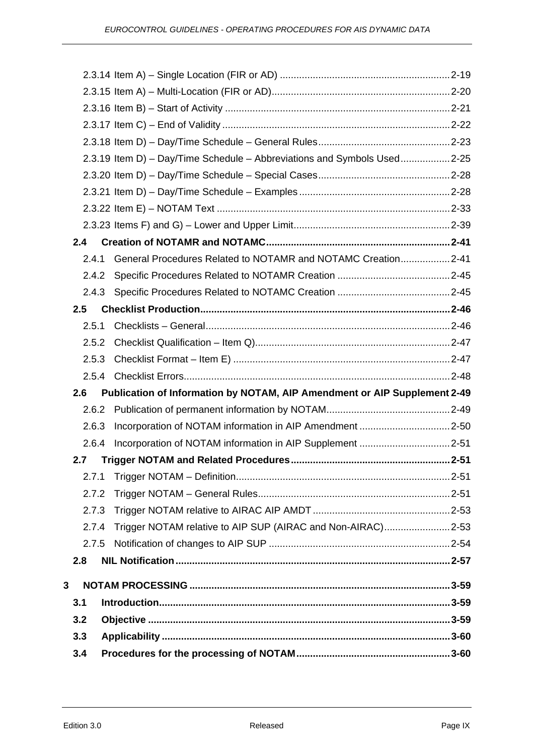|   |         | 2.3.19 Item D) – Day/Time Schedule – Abbreviations and Symbols Used2-25   |  |
|---|---------|---------------------------------------------------------------------------|--|
|   |         |                                                                           |  |
|   |         |                                                                           |  |
|   |         |                                                                           |  |
|   |         |                                                                           |  |
|   | 2.4     |                                                                           |  |
|   | 2.4.1   | General Procedures Related to NOTAMR and NOTAMC Creation2-41              |  |
|   |         |                                                                           |  |
|   |         |                                                                           |  |
|   | $2.5\,$ |                                                                           |  |
|   | 2.5.1   |                                                                           |  |
|   | 2.5.2   |                                                                           |  |
|   | 2.5.3   |                                                                           |  |
|   | 2.5.4   |                                                                           |  |
|   | 2.6     | Publication of Information by NOTAM, AIP Amendment or AIP Supplement 2-49 |  |
|   | 2.6.2   |                                                                           |  |
|   | 2.6.3   |                                                                           |  |
|   | 2.6.4   |                                                                           |  |
|   | 2.7     |                                                                           |  |
|   | 2.7.1   |                                                                           |  |
|   | 2.7.2   |                                                                           |  |
|   | 2.7.3   |                                                                           |  |
|   | 2.7.4   | Trigger NOTAM relative to AIP SUP (AIRAC and Non-AIRAC)2-53               |  |
|   | 2.7.5   |                                                                           |  |
|   | 2.8     |                                                                           |  |
| 3 |         |                                                                           |  |
|   | 3.1     |                                                                           |  |
|   | 3.2     |                                                                           |  |
|   | 3.3     |                                                                           |  |
|   | 3.4     |                                                                           |  |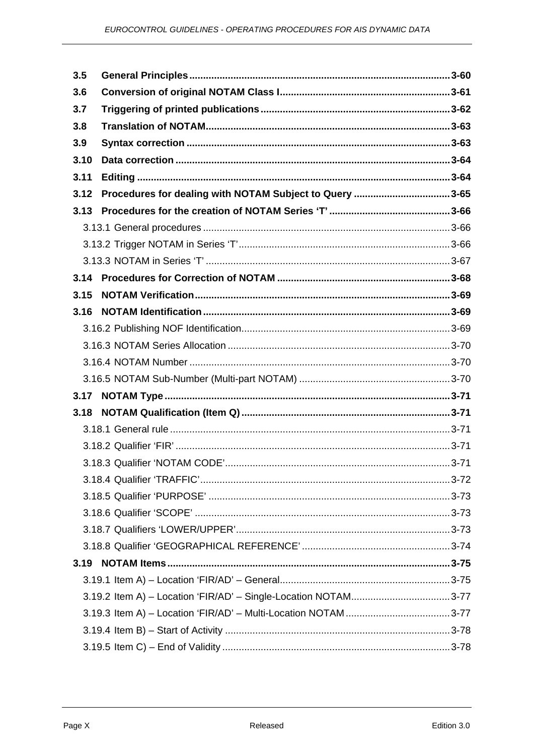| 3.5  |                                                                |  |
|------|----------------------------------------------------------------|--|
| 3.6  |                                                                |  |
| 3.7  |                                                                |  |
| 3.8  |                                                                |  |
| 3.9  |                                                                |  |
| 3.10 |                                                                |  |
| 3.11 |                                                                |  |
| 3.12 | Procedures for dealing with NOTAM Subject to Query 3-65        |  |
| 3.13 |                                                                |  |
|      |                                                                |  |
|      |                                                                |  |
|      |                                                                |  |
|      |                                                                |  |
| 3.15 |                                                                |  |
|      |                                                                |  |
|      |                                                                |  |
|      |                                                                |  |
|      |                                                                |  |
|      |                                                                |  |
|      |                                                                |  |
|      |                                                                |  |
|      |                                                                |  |
|      |                                                                |  |
|      |                                                                |  |
|      |                                                                |  |
|      |                                                                |  |
|      |                                                                |  |
|      |                                                                |  |
|      |                                                                |  |
|      |                                                                |  |
|      |                                                                |  |
|      | 3.19.2 Item A) - Location 'FIR/AD' - Single-Location NOTAM3-77 |  |
|      |                                                                |  |
|      |                                                                |  |
|      |                                                                |  |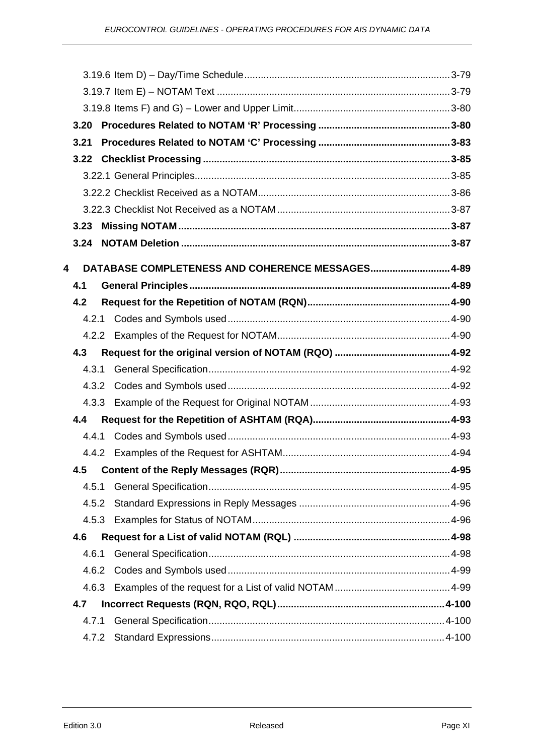|     | 3.20  |                                                   |  |
|-----|-------|---------------------------------------------------|--|
|     | 3.21  |                                                   |  |
|     |       |                                                   |  |
|     |       |                                                   |  |
|     |       |                                                   |  |
|     |       |                                                   |  |
|     | 3.23  |                                                   |  |
|     | 3.24  |                                                   |  |
| 4   |       | DATABASE COMPLETENESS AND COHERENCE MESSAGES 4-89 |  |
| 4.1 |       |                                                   |  |
| 4.2 |       |                                                   |  |
|     | 4.2.1 |                                                   |  |
|     |       |                                                   |  |
| 4.3 |       |                                                   |  |
|     | 4.3.1 |                                                   |  |
|     | 4.3.2 |                                                   |  |
|     |       |                                                   |  |
| 4.4 |       |                                                   |  |
|     | 4.4.1 |                                                   |  |
|     |       |                                                   |  |
|     |       |                                                   |  |
|     | 4.5.1 |                                                   |  |
|     | 4.5.2 |                                                   |  |
|     |       |                                                   |  |
| 4.6 |       |                                                   |  |
|     | 4.6.1 |                                                   |  |
|     | 4.6.2 |                                                   |  |
|     | 4.6.3 |                                                   |  |
| 4.7 |       |                                                   |  |
|     | 4.7.1 |                                                   |  |
|     | 4.7.2 |                                                   |  |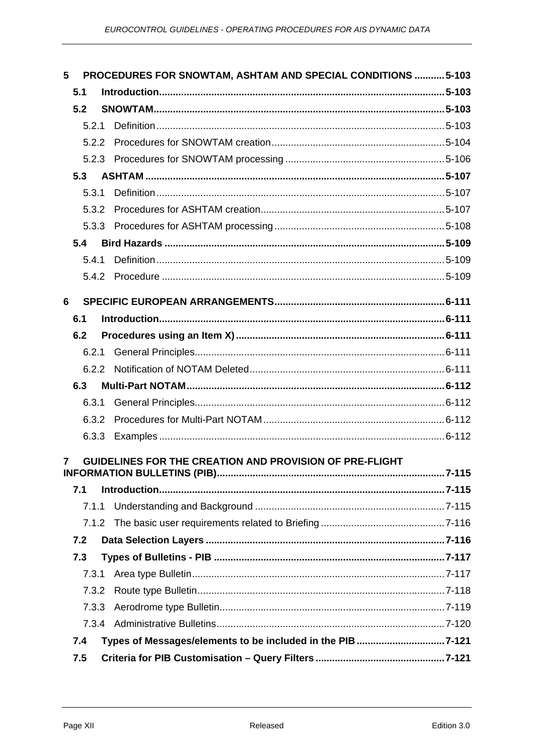| 5     | PROCEDURES FOR SNOWTAM, ASHTAM AND SPECIAL CONDITIONS  5-103 |  |
|-------|--------------------------------------------------------------|--|
| 5.1   |                                                              |  |
| 5.2   |                                                              |  |
| 5.2.1 |                                                              |  |
| 5.2.2 |                                                              |  |
|       |                                                              |  |
| 5.3   |                                                              |  |
| 5.3.1 |                                                              |  |
| 5.3.2 |                                                              |  |
|       |                                                              |  |
| 5.4   |                                                              |  |
| 5.4.1 |                                                              |  |
|       |                                                              |  |
| 6     |                                                              |  |
| 6.1   |                                                              |  |
| 6.2   |                                                              |  |
|       |                                                              |  |
| 6.2.2 |                                                              |  |
| 6.3   |                                                              |  |
| 6.3.1 |                                                              |  |
| 6.3.2 |                                                              |  |
| 6.3.3 |                                                              |  |
| 7     | GUIDELINES FOR THE CREATION AND PROVISION OF PRE-FLIGHT      |  |
|       |                                                              |  |
| 7.1   |                                                              |  |
| 7.1.1 |                                                              |  |
|       |                                                              |  |
| 7.2   |                                                              |  |
| 7.3   |                                                              |  |
| 7.3.1 |                                                              |  |
| 7.3.2 |                                                              |  |
| 7.3.3 |                                                              |  |
|       |                                                              |  |
| 7.4   | Types of Messages/elements to be included in the PIB 7-121   |  |
| 7.5   |                                                              |  |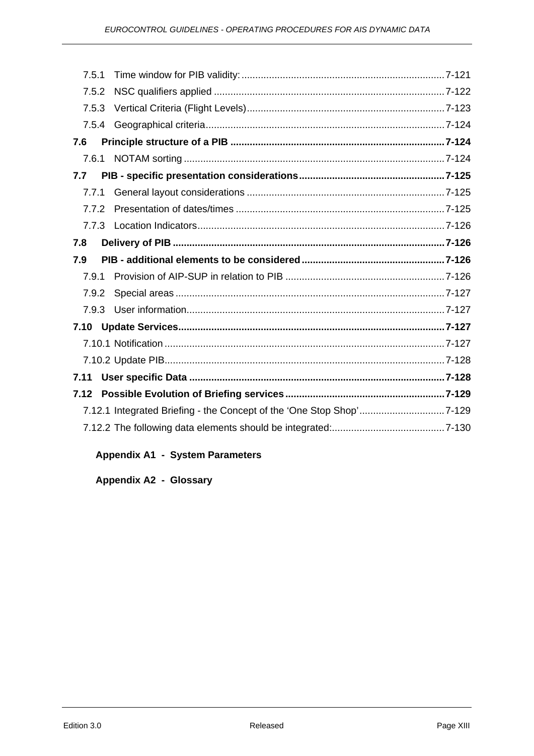| 7.5.1 |                                                                      |  |
|-------|----------------------------------------------------------------------|--|
| 7.5.2 |                                                                      |  |
| 7.5.3 |                                                                      |  |
| 7.5.4 |                                                                      |  |
| 7.6   |                                                                      |  |
|       |                                                                      |  |
| 7.7   |                                                                      |  |
| 7.7.1 |                                                                      |  |
| 7.7.2 |                                                                      |  |
| 7.7.3 |                                                                      |  |
| 7.8   |                                                                      |  |
|       |                                                                      |  |
| 7.9   |                                                                      |  |
| 7.9.1 |                                                                      |  |
| 7.9.2 |                                                                      |  |
| 7.9.3 |                                                                      |  |
|       |                                                                      |  |
|       |                                                                      |  |
|       |                                                                      |  |
| 7.11  |                                                                      |  |
| 7.12  |                                                                      |  |
|       | 7.12.1 Integrated Briefing - the Concept of the 'One Stop Shop'7-129 |  |

#### **Appendix A1 - System Parameters**

**Appendix A2 - Glossary**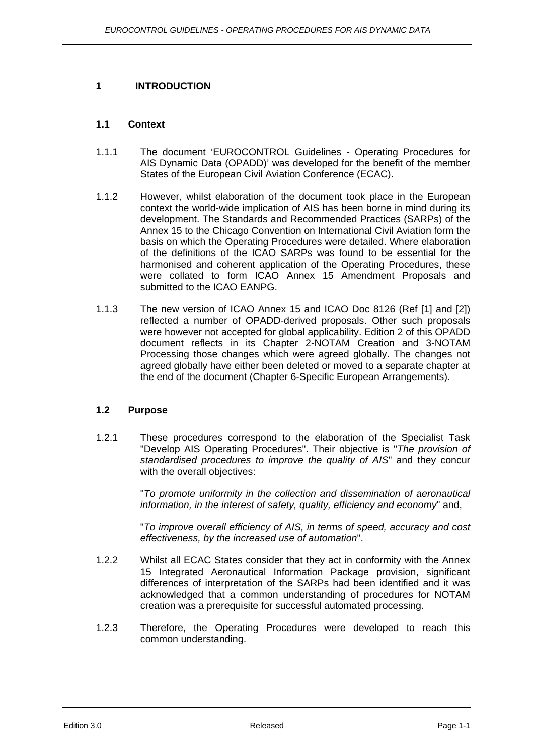#### <span id="page-16-1"></span><span id="page-16-0"></span>**1 INTRODUCTION**

#### **1.1 Context**

- 1.1.1 The document 'EUROCONTROL Guidelines Operating Procedures for AIS Dynamic Data (OPADD)' was developed for the benefit of the member States of the European Civil Aviation Conference (ECAC).
- 1.1.2 However, whilst elaboration of the document took place in the European context the world-wide implication of AIS has been borne in mind during its development. The Standards and Recommended Practices (SARPs) of the Annex 15 to the Chicago Convention on International Civil Aviation form the basis on which the Operating Procedures were detailed. Where elaboration of the definitions of the ICAO SARPs was found to be essential for the harmonised and coherent application of the Operating Procedures, these were collated to form ICAO Annex 15 Amendment Proposals and submitted to the ICAO EANPG.
- 1.1.3 The new version of ICAO Annex 15 and ICAO Doc 8126 (Ref [[1\]](#page-19-1) and [[2\]](#page-19-2)) reflected a number of OPADD-derived proposals. Other such proposals were however not accepted for global applicability. Edition 2 of this OPADD document reflects in its Chapter [2-NOTAM Creation](#page-20-0) and [3](#page-74-0)-[NOTAM](#page-74-0)  [Processing](#page-74-0) those changes which were agreed globally. The changes not agreed globally have either been deleted or moved to a separate chapter at the end of the document (Chapter [6](#page-126-0)-[Specific European Arrangements](#page-126-0)).

#### **1.2 Purpose**

1.2.1 These procedures correspond to the elaboration of the Specialist Task "Develop AIS Operating Procedures". Their objective is "*The provision of standardised procedures to improve the quality of AIS*" and they concur with the overall objectives:

> "*To promote uniformity in the collection and dissemination of aeronautical information, in the interest of safety, quality, efficiency and economy*" and,

> "*To improve overall efficiency of AIS, in terms of speed, accuracy and cost effectiveness, by the increased use of automation*".

- 1.2.2 Whilst all ECAC States consider that they act in conformity with the Annex 15 Integrated Aeronautical Information Package provision, significant differences of interpretation of the SARPs had been identified and it was acknowledged that a common understanding of procedures for NOTAM creation was a prerequisite for successful automated processing.
- 1.2.3 Therefore, the Operating Procedures were developed to reach this common understanding.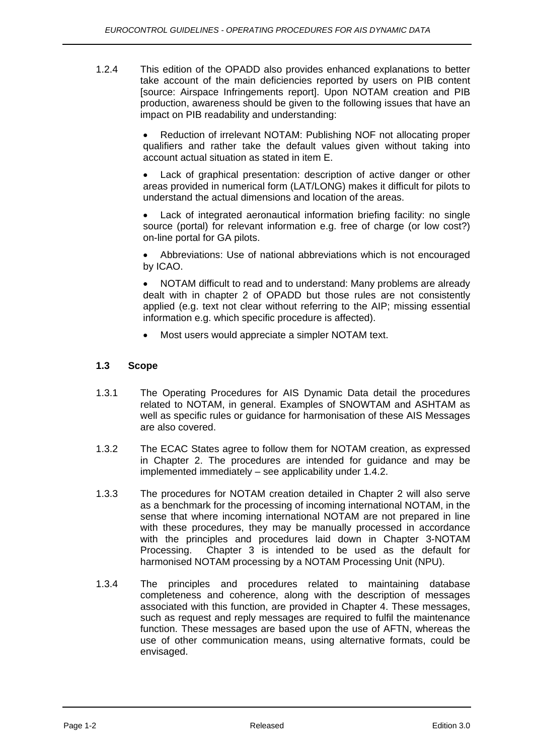<span id="page-17-0"></span>1.2.4 This edition of the OPADD also provides enhanced explanations to better take account of the main deficiencies reported by users on PIB content [source: Airspace Infringements report]. Upon NOTAM creation and PIB production, awareness should be given to the following issues that have an impact on PIB readability and understanding:

> Reduction of irrelevant NOTAM: Publishing NOF not allocating proper qualifiers and rather take the default values given without taking into account actual situation as stated in item E.

> Lack of graphical presentation: description of active danger or other areas provided in numerical form (LAT/LONG) makes it difficult for pilots to understand the actual dimensions and location of the areas.

> Lack of integrated aeronautical information briefing facility: no single source (portal) for relevant information e.g. free of charge (or low cost?) on-line portal for GA pilots.

> • Abbreviations: Use of national abbreviations which is not encouraged by ICAO.

> • NOTAM difficult to read and to understand: Many problems are already dealt with in chapter 2 of OPADD but those rules are not consistently applied (e.g. text not clear without referring to the AIP; missing essential information e.g. which specific procedure is affected).

Most users would appreciate a simpler NOTAM text.

#### **1.3 Scope**

- 1.3.1 The Operating Procedures for AIS Dynamic Data detail the procedures related to NOTAM, in general. Examples of SNOWTAM and ASHTAM as well as specific rules or guidance for harmonisation of these AIS Messages are also covered.
- 1.3.2 The ECAC States agree to follow them for NOTAM creation, as expressed in Chapter [2](#page-20-0). The procedures are intended for guidance and may be implemented immediately – see applicability under [1.4.2.](#page-18-1)
- 1.3.3 The procedures for NOTAM creation detailed in Chapter [2](#page-20-0) will also serve as a benchmark for the processing of incoming international NOTAM, in the sense that where incoming international NOTAM are not prepared in line with these procedures, they may be manually processed in accordance with the principles and procedures laid down in Chapter [3](#page-74-0)-[NOTAM](#page-74-0)  [Processing](#page-74-0). Chapter [3](#page-74-0) is intended to be used as the default for harmonised NOTAM processing by a NOTAM Processing Unit (NPU).
- 1.3.4 The principles and procedures related to maintaining database completeness and coherence, along with the description of messages associated with this function, are provided in Chapter [4](#page-104-0). These messages, such as request and reply messages are required to fulfil the maintenance function. These messages are based upon the use of AFTN, whereas the use of other communication means, using alternative formats, could be envisaged.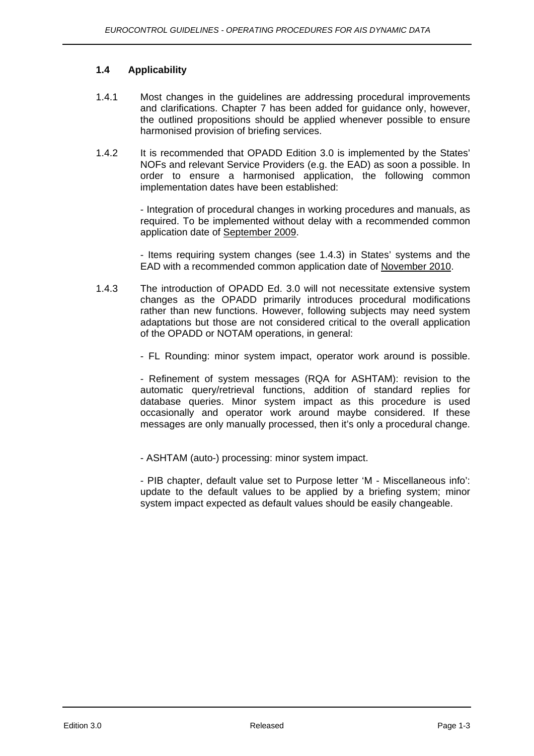#### <span id="page-18-0"></span>**1.4 Applicability**

- 1.4.1 Most changes in the guidelines are addressing procedural improvements and clarifications. Chapter 7 has been added for guidance only, however, the outlined propositions should be applied whenever possible to ensure harmonised provision of briefing services.
- <span id="page-18-1"></span>1.4.2 It is recommended that OPADD Edition 3.0 is implemented by the States' NOFs and relevant Service Providers (e.g. the EAD) as soon a possible. In order to ensure a harmonised application, the following common implementation dates have been established:

- Integration of procedural changes in working procedures and manuals, as required. To be implemented without delay with a recommended common application date of September 2009.

- Items requiring system changes (see [1.4.3\)](#page-18-2) in States' systems and the EAD with a recommended common application date of November 2010.

<span id="page-18-2"></span>1.4.3 The introduction of OPADD Ed. 3.0 will not necessitate extensive system changes as the OPADD primarily introduces procedural modifications rather than new functions. However, following subjects may need system adaptations but those are not considered critical to the overall application of the OPADD or NOTAM operations, in general:

- FL Rounding: minor system impact, operator work around is possible.

- Refinement of system messages (RQA for ASHTAM): revision to the automatic query/retrieval functions, addition of standard replies for database queries. Minor system impact as this procedure is used occasionally and operator work around maybe considered. If these messages are only manually processed, then it's only a procedural change.

- ASHTAM (auto-) processing: minor system impact.

- PIB chapter, default value set to Purpose letter 'M - Miscellaneous info': update to the default values to be applied by a briefing system; minor system impact expected as default values should be easily changeable.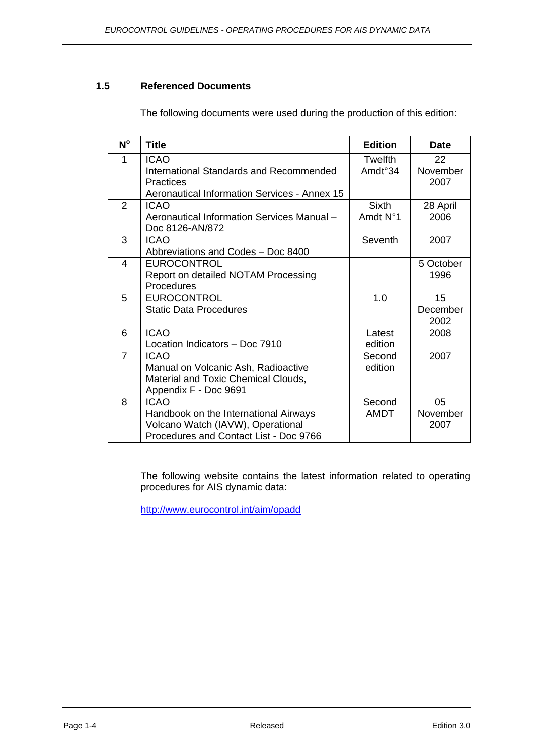#### <span id="page-19-0"></span>**1.5 Referenced Documents**

<span id="page-19-2"></span><span id="page-19-1"></span>

| $N^{\circ}$    | <b>Title</b>                                                                                                                        | <b>Edition</b>            | <b>Date</b>            |
|----------------|-------------------------------------------------------------------------------------------------------------------------------------|---------------------------|------------------------|
| 1              | <b>ICAO</b><br>International Standards and Recommended<br>Practices<br>Aeronautical Information Services - Annex 15                 | <b>Twelfth</b><br>Amdt°34 | 22<br>November<br>2007 |
| 2              | <b>ICAO</b><br>Aeronautical Information Services Manual -<br>Doc 8126-AN/872                                                        | <b>Sixth</b><br>Amdt N°1  | 28 April<br>2006       |
| 3              | <b>ICAO</b><br>Abbreviations and Codes - Doc 8400                                                                                   | Seventh                   | 2007                   |
| $\overline{4}$ | <b>EUROCONTROL</b><br>Report on detailed NOTAM Processing<br>Procedures                                                             |                           | 5 October<br>1996      |
| 5              | <b>EUROCONTROL</b><br><b>Static Data Procedures</b>                                                                                 | 1.0                       | 15<br>December<br>2002 |
| 6              | <b>ICAO</b><br>Location Indicators - Doc 7910                                                                                       | Latest<br>edition         | 2008                   |
| $\overline{7}$ | <b>ICAO</b><br>Manual on Volcanic Ash, Radioactive<br>Material and Toxic Chemical Clouds,<br>Appendix F - Doc 9691                  | Second<br>edition         | 2007                   |
| 8              | <b>ICAO</b><br>Handbook on the International Airways<br>Volcano Watch (IAVW), Operational<br>Procedures and Contact List - Doc 9766 | Second<br><b>AMDT</b>     | 05<br>November<br>2007 |

The following documents were used during the production of this edition:

<span id="page-19-3"></span> The following website contains the latest information related to operating procedures for AIS dynamic data:

<http://www.eurocontrol.int/aim/opadd>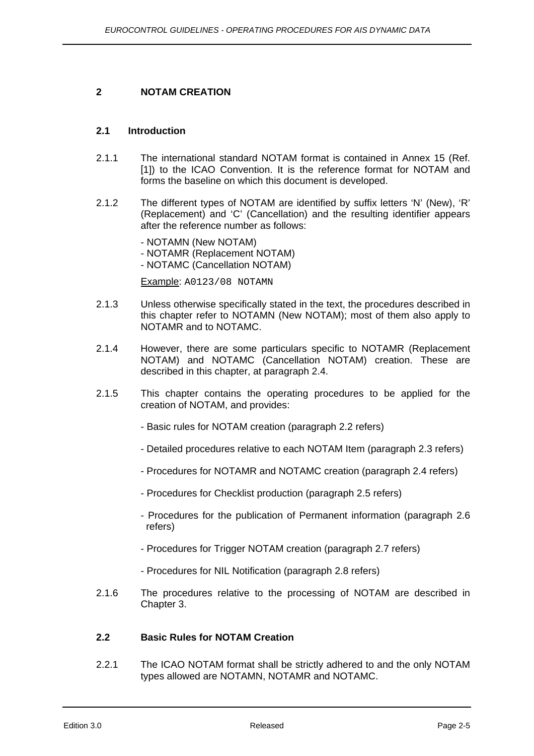#### <span id="page-20-1"></span><span id="page-20-0"></span>**2 NOTAM CREATION**

#### **2.1 Introduction**

- 2.1.1 The international standard NOTAM format is contained in Annex 15 (Ref. [[1](#page-19-1)]) to the ICAO Convention. It is the reference format for NOTAM and forms the baseline on which this document is developed.
- 2.1.2 The different types of NOTAM are identified by suffix letters 'N' (New), 'R' (Replacement) and 'C' (Cancellation) and the resulting identifier appears after the reference number as follows:
	- NOTAMN (New NOTAM) - NOTAMR (Replacement NOTAM) - NOTAMC (Cancellation NOTAM)

Example: A0123/08 NOTAMN

- 2.1.3 Unless otherwise specifically stated in the text, the procedures described in this chapter refer to NOTAMN (New NOTAM); most of them also apply to NOTAMR and to NOTAMC.
- 2.1.4 However, there are some particulars specific to NOTAMR (Replacement NOTAM) and NOTAMC (Cancellation NOTAM) creation. These are described in this chapter, at paragraph [2.4](#page-56-1).
- 2.1.5 This chapter contains the operating procedures to be applied for the creation of NOTAM, and provides:
	- Basic rules for NOTAM creation (paragraph [2.2](#page-20-2) refers)
	- Detailed procedures relative to each NOTAM Item (paragraph [2.3](#page-22-1) refers)
	- Procedures for NOTAMR and NOTAMC creation (paragraph [2.4](#page-56-1) refers)
	- Procedures for Checklist production (paragraph [2.5](#page-61-1) refers)
	- Procedures for the publication of Permanent information (paragraph [2.6](#page-64-1) refers)
	- Procedures for Trigger NOTAM creation (paragraph [2.7](#page-66-1) refers)
	- Procedures for NIL Notification (paragraph [2.8](#page-72-1) refers)
- 2.1.6 The procedures relative to the processing of NOTAM are described in Chapter [3](#page-74-0).

#### <span id="page-20-2"></span>**2.2 Basic Rules for NOTAM Creation**

2.2.1 The ICAO NOTAM format shall be strictly adhered to and the only NOTAM types allowed are NOTAMN, NOTAMR and NOTAMC.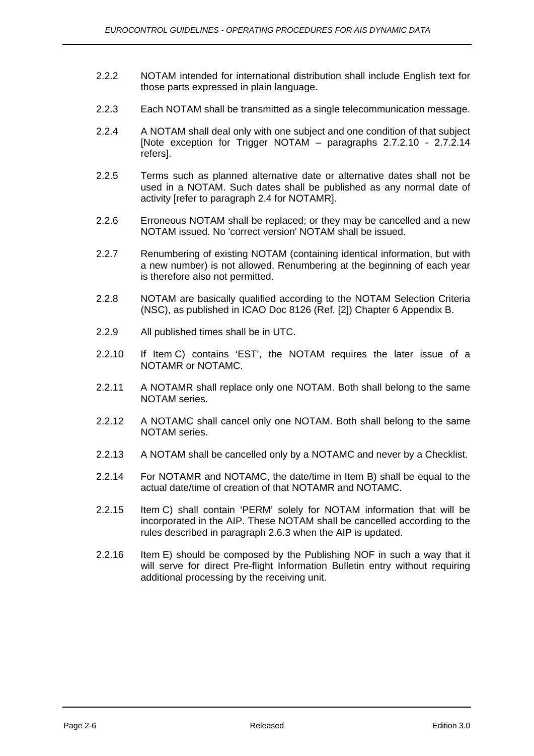- 2.2.2 NOTAM intended for international distribution shall include English text for those parts expressed in plain language.
- 2.2.3 Each NOTAM shall be transmitted as a single telecommunication message.
- 2.2.4 A NOTAM shall deal only with one subject and one condition of that subject [Note exception for Trigger NOTAM – paragraphs [2.7.2.10](#page-67-0) - [2.7.2.14](#page-68-1) refers].
- 2.2.5 Terms such as planned alternative date or alternative dates shall not be used in a NOTAM. Such dates shall be published as any normal date of activity [refer to paragraph [2.4](#page-56-1) for NOTAMR].
- 2.2.6 Erroneous NOTAM shall be replaced; or they may be cancelled and a new NOTAM issued. No 'correct version' NOTAM shall be issued.
- 2.2.7 Renumbering of existing NOTAM (containing identical information, but with a new number) is not allowed. Renumbering at the beginning of each year is therefore also not permitted.
- 2.2.8 NOTAM are basically qualified according to the NOTAM Selection Criteria (NSC), as published in ICAO Doc 8126 (Ref. [\[2](#page-19-2)]) Chapter 6 Appendix B.
- 2.2.9 All published times shall be in UTC.
- 2.2.10 If Item C) contains 'EST', the NOTAM requires the later issue of a NOTAMR or NOTAMC.
- 2.2.11 A NOTAMR shall replace only one NOTAM. Both shall belong to the same NOTAM series.
- 2.2.12 A NOTAMC shall cancel only one NOTAM. Both shall belong to the same NOTAM series.
- 2.2.13 A NOTAM shall be cancelled only by a NOTAMC and never by a Checklist.
- 2.2.14 For NOTAMR and NOTAMC, the date/time in Item B) shall be equal to the actual date/time of creation of that NOTAMR and NOTAMC.
- 2.2.15 Item C) shall contain 'PERM' solely for NOTAM information that will be incorporated in the AIP. These NOTAM shall be cancelled according to the rules described in paragraph [2.6.3](#page-65-1) when the AIP is updated.
- 2.2.16 Item E) should be composed by the Publishing NOF in such a way that it will serve for direct Pre-flight Information Bulletin entry without requiring additional processing by the receiving unit.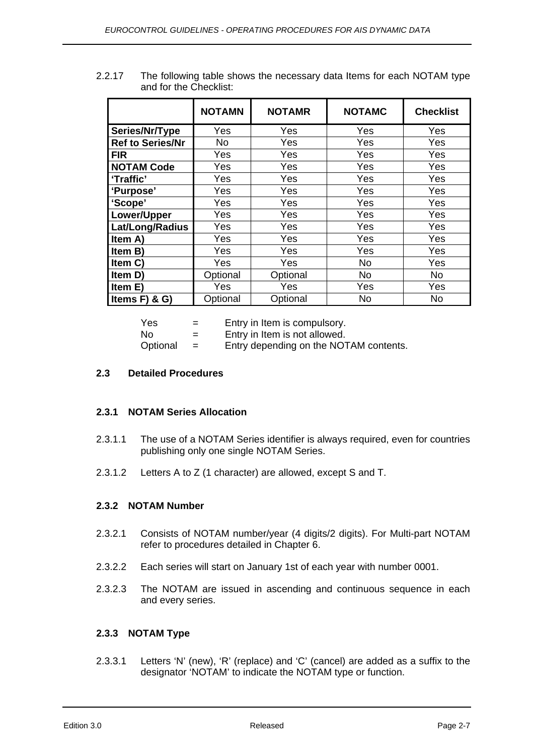|                         | <b>NOTAMN</b> | <b>NOTAMR</b> | <b>NOTAMC</b> | <b>Checklist</b> |
|-------------------------|---------------|---------------|---------------|------------------|
| Series/Nr/Type          | Yes           | Yes           | Yes           | Yes              |
| <b>Ref to Series/Nr</b> | <b>No</b>     | Yes           | Yes           | Yes              |
| <b>FIR</b>              | Yes           | Yes           | Yes           | Yes              |
| <b>NOTAM Code</b>       | Yes           | Yes           | Yes           | Yes              |
| 'Traffic'               | Yes           | Yes           | Yes           | Yes              |
| 'Purpose'               | Yes           | Yes           | Yes           | Yes              |
| 'Scope'                 | Yes           | Yes           | Yes           | Yes              |
| Lower/Upper             | Yes           | Yes           | Yes           | Yes              |
| Lat/Long/Radius         | Yes           | Yes           | Yes           | Yes              |
| Item A)                 | Yes           | Yes           | Yes           | Yes              |
| Item B)                 | Yes           | Yes           | Yes           | Yes              |
| Item C)                 | Yes           | Yes           | <b>No</b>     | Yes              |
| Item D)                 | Optional      | Optional      | <b>No</b>     | <b>No</b>        |
| Item E)                 | Yes           | Yes           | Yes           | Yes              |
| Items $F$ ) & $G$ )     | Optional      | Optional      | No            | <b>No</b>        |

<span id="page-22-0"></span>2.2.17 The following table shows the necessary data Items for each NOTAM type and for the Checklist:

| Yes      | =   | Entry in Item is compulsory.           |
|----------|-----|----------------------------------------|
| No       | $=$ | Entry in Item is not allowed.          |
| Optional | $=$ | Entry depending on the NOTAM contents. |

#### <span id="page-22-1"></span>**2.3 Detailed Procedures**

#### **2.3.1 NOTAM Series Allocation**

- 2.3.1.1 The use of a NOTAM Series identifier is always required, even for countries publishing only one single NOTAM Series.
- 2.3.1.2 Letters A to Z (1 character) are allowed, except S and T.

#### **2.3.2 NOTAM Number**

- 2.3.2.1 Consists of NOTAM number/year (4 digits/2 digits). For Multi-part NOTAM refer to procedures detailed in Chapter [6.](#page-126-0)
- 2.3.2.2 Each series will start on January 1st of each year with number 0001.
- 2.3.2.3 The NOTAM are issued in ascending and continuous sequence in each and every series.

#### **2.3.3 NOTAM Type**

2.3.3.1 Letters 'N' (new), 'R' (replace) and 'C' (cancel) are added as a suffix to the designator 'NOTAM' to indicate the NOTAM type or function.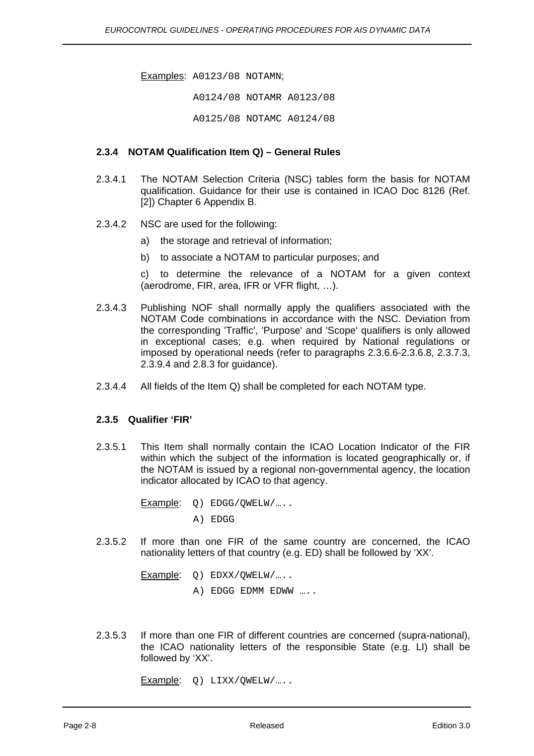<span id="page-23-0"></span>Examples: A0123/08 NOTAMN;

A0124/08 NOTAMR A0123/08

A0125/08 NOTAMC A0124/08

#### **2.3.4 NOTAM Qualification Item Q) – General Rules**

- 2.3.4.1 The NOTAM Selection Criteria (NSC) tables form the basis for NOTAM qualification. Guidance for their use is contained in ICAO Doc 8126 (Ref. [[2](#page-19-2)]) Chapter 6 Appendix B.
- 2.3.4.2 NSC are used for the following:
	- a) the storage and retrieval of information;
	- b) to associate a NOTAM to particular purposes; and

c) to determine the relevance of a NOTAM for a given context (aerodrome, FIR, area, IFR or VFR flight, …).

- 2.3.4.3 Publishing NOF shall normally apply the qualifiers associated with the NOTAM Code combinations in accordance with the NSC. Deviation from the corresponding 'Traffic', 'Purpose' and 'Scope' qualifiers is only allowed in exceptional cases; e.g. when required by National regulations or imposed by operational needs (refer to paragraphs [2.3.6.6-](#page-24-1)[2.3.6.8](#page-25-0), [2.3.7.3](#page-26-1), [2.3.9.4](#page-29-0) and [2.8.3](#page-72-2) for guidance).
- 2.3.4.4 All fields of the Item Q) shall be completed for each NOTAM type.

#### <span id="page-23-2"></span>**2.3.5 Qualifier 'FIR'**

- 2.3.5.1 This Item shall normally contain the ICAO Location Indicator of the FIR within which the subject of the information is located geographically or, if the NOTAM is issued by a regional non-governmental agency, the location indicator allocated by ICAO to that agency.
	- Example: Q) EDGG/QWELW/….. A) EDGG
- 2.3.5.2 If more than one FIR of the same country are concerned, the ICAO nationality letters of that country (e.g. ED) shall be followed by 'XX'.

Example: 0) EDXX/OWELW/....

- A) EDGG EDMM EDWW …..
- <span id="page-23-1"></span>2.3.5.3 If more than one FIR of different countries are concerned (supra-national), the ICAO nationality letters of the responsible State (e.g. LI) shall be followed by 'XX'.

Example: Q) LIXX/QWELW/…..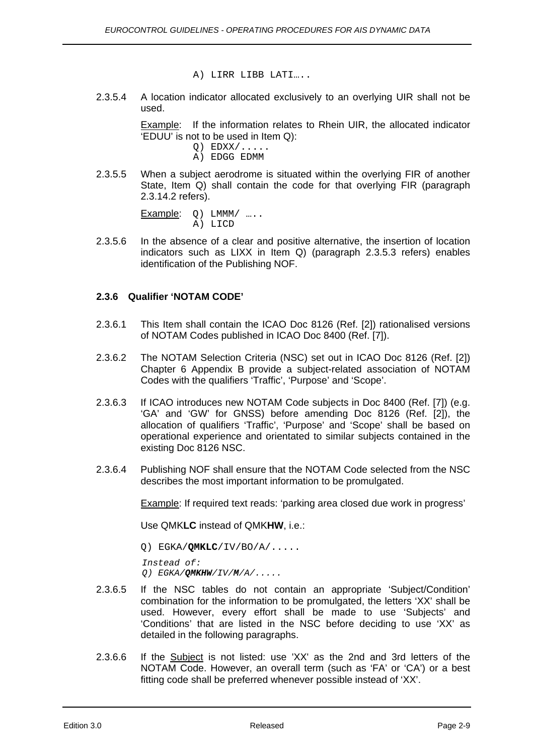A) LIRR LIBB LATI…..

<span id="page-24-0"></span>2.3.5.4 A location indicator allocated exclusively to an overlying UIR shall not be used.

> Example: If the information relates to Rhein UIR, the allocated indicator 'EDUU' is not to be used in Item Q):

- Q) EDXX/.....
- A) EDGG EDMM
- 2.3.5.5 When a subject aerodrome is situated within the overlying FIR of another State, Item Q) shall contain the code for that overlying FIR (paragraph [2.3.14.2](#page-34-1) refers).

Example: 0) LMMM/ .... A) LICD

2.3.5.6 In the absence of a clear and positive alternative, the insertion of location indicators such as LIXX in Item Q) (paragraph [2.3.5.3](#page-23-1) refers) enables identification of the Publishing NOF.

#### **2.3.6 Qualifier 'NOTAM CODE'**

- 2.3.6.1 This Item shall contain the ICAO Doc 8126 (Ref. [\[2](#page-19-2)]) rationalised versions of NOTAM Codes published in ICAO Doc 8400 (Ref. [\[7\]](#page-19-3)).
- 2.3.6.2 The NOTAM Selection Criteria (NSC) set out in ICAO Doc 8126 (Ref. [[2\]](#page-19-2)) Chapter 6 Appendix B provide a subject-related association of NOTAM Codes with the qualifiers 'Traffic', 'Purpose' and 'Scope'.
- 2.3.6.3 If ICAO introduces new NOTAM Code subjects in Doc 8400 (Ref. [\[7](#page-19-3)]) (e.g. 'GA' and 'GW' for GNSS) before amending Doc 8126 (Ref. [\[2\]](#page-19-2)), the allocation of qualifiers 'Traffic', 'Purpose' and 'Scope' shall be based on operational experience and orientated to similar subjects contained in the existing Doc 8126 NSC.
- 2.3.6.4 Publishing NOF shall ensure that the NOTAM Code selected from the NSC describes the most important information to be promulgated.

Example: If required text reads: 'parking area closed due work in progress'

Use QMK**LC** instead of QMK**HW**, i.e.:

Q) EGKA/**QMKLC**/IV/BO/A/.....

*Instead of: Q) EGKA/QMKHW/IV/M/A/.....* 

- 2.3.6.5 If the NSC tables do not contain an appropriate 'Subject/Condition' combination for the information to be promulgated, the letters 'XX' shall be used. However, every effort shall be made to use 'Subjects' and 'Conditions' that are listed in the NSC before deciding to use 'XX' as detailed in the following paragraphs.
- <span id="page-24-1"></span>2.3.6.6 If the Subject is not listed: use 'XX' as the 2nd and 3rd letters of the NOTAM Code. However, an overall term (such as 'FA' or 'CA') or a best fitting code shall be preferred whenever possible instead of 'XX'.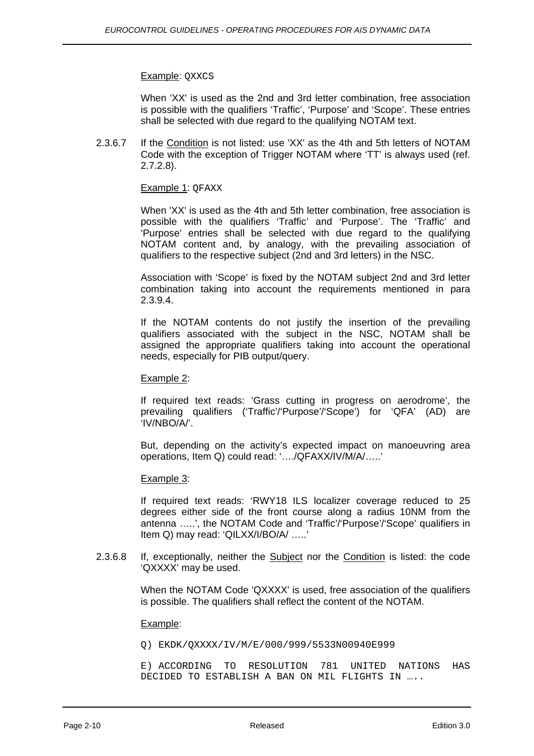#### Example: QXXCS

 When 'XX' is used as the 2nd and 3rd letter combination, free association is possible with the qualifiers 'Traffic', 'Purpose' and 'Scope'. These entries shall be selected with due regard to the qualifying NOTAM text.

2.3.6.7 If the Condition is not listed: use 'XX' as the 4th and 5th letters of NOTAM Code with the exception of Trigger NOTAM where 'TT' is always used (ref. [2.7.2.8\)](#page-67-1).

#### Example 1: QFAXX

 When 'XX' is used as the 4th and 5th letter combination, free association is possible with the qualifiers 'Traffic' and 'Purpose'. The 'Traffic' and 'Purpose' entries shall be selected with due regard to the qualifying NOTAM content and, by analogy, with the prevailing association of qualifiers to the respective subject (2nd and 3rd letters) in the NSC.

 Association with 'Scope' is fixed by the NOTAM subject 2nd and 3rd letter combination taking into account the requirements mentioned in para [2.3.9.4.](#page-29-0)

 If the NOTAM contents do not justify the insertion of the prevailing qualifiers associated with the subject in the NSC, NOTAM shall be assigned the appropriate qualifiers taking into account the operational needs, especially for PIB output/query.

#### Example 2:

 If required text reads: 'Grass cutting in progress on aerodrome', the prevailing qualifiers ('Traffic'/'Purpose'/'Scope') for 'QFA' (AD) are 'IV/NBO/A/'.

 But, depending on the activity's expected impact on manoeuvring area operations, Item Q) could read: '…./QFAXX/IV/M/A/…..'

#### Example 3:

 If required text reads: 'RWY18 ILS localizer coverage reduced to 25 degrees either side of the front course along a radius 10NM from the antenna …..', the NOTAM Code and 'Traffic'/'Purpose'/'Scope' qualifiers in Item Q) may read: 'QILXX/I/BO/A/ …..'

<span id="page-25-0"></span>2.3.6.8 If, exceptionally, neither the Subject nor the Condition is listed: the code 'QXXXX' may be used.

> When the NOTAM Code 'QXXXX' is used, free association of the qualifiers is possible. The qualifiers shall reflect the content of the NOTAM.

#### Example:

Q) EKDK/QXXXX/IV/M/E/000/999/5533N00940E999

 E) ACCORDING TO RESOLUTION 781 UNITED NATIONS HAS DECIDED TO ESTABLISH A BAN ON MIL FLIGHTS IN …..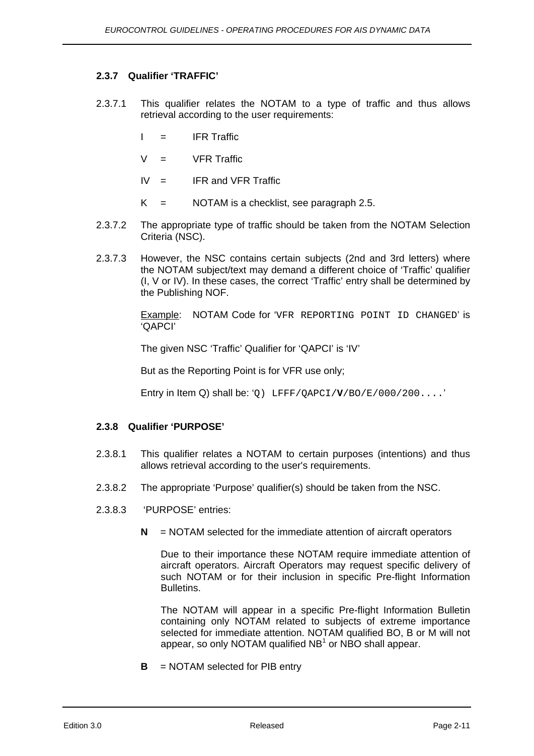#### <span id="page-26-0"></span>**2.3.7 Qualifier 'TRAFFIC'**

- 2.3.7.1 This qualifier relates the NOTAM to a type of traffic and thus allows retrieval according to the user requirements:
	- $I = IFR$  Traffic
	- $V = VFR$  Traffic
	- $IV = IFR$  and VFR Traffic
	- $K = NOTAM$  is a checklist, see paragraph [2.5.](#page-61-1)
- 2.3.7.2 The appropriate type of traffic should be taken from the NOTAM Selection Criteria (NSC).
- <span id="page-26-1"></span>2.3.7.3 However, the NSC contains certain subjects (2nd and 3rd letters) where the NOTAM subject/text may demand a different choice of 'Traffic' qualifier (I, V or IV). In these cases, the correct 'Traffic' entry shall be determined by the Publishing NOF.

 Example: NOTAM Code for 'VFR REPORTING POINT ID CHANGED' is 'QAPCI'

The given NSC 'Traffic' Qualifier for 'QAPCI' is 'IV'

But as the Reporting Point is for VFR use only;

Entry in Item Q) shall be: 'Q) LFFF/QAPCI/**V**/BO/E/000/200....'

#### **2.3.8 Qualifier 'PURPOSE'**

- 2.3.8.1 This qualifier relates a NOTAM to certain purposes (intentions) and thus allows retrieval according to the user's requirements.
- 2.3.8.2 The appropriate 'Purpose' qualifier(s) should be taken from the NSC.
- 2.3.8.3 'PURPOSE' entries:
	- **N** = NOTAM selected for the immediate attention of aircraft operators

Due to their importance these NOTAM require immediate attention of aircraft operators. Aircraft Operators may request specific delivery of such NOTAM or for their inclusion in specific Pre-flight Information Bulletins.

The NOTAM will appear in a specific Pre-flight Information Bulletin containing only NOTAM related to subjects of extreme importance selected for immediate attention. NOTAM qualified BO, B or M will not appear, so only NOTAM qualified  $NB<sup>1</sup>$  or NBO shall appear.

**B** = NOTAM selected for PIB entry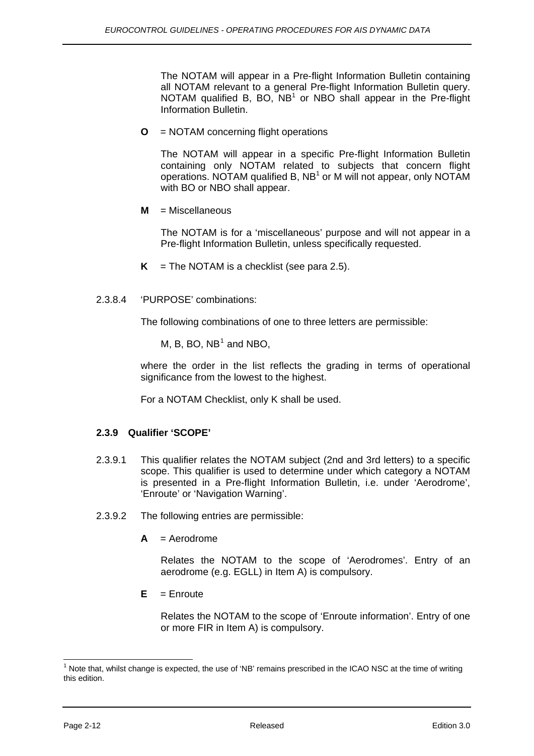<span id="page-27-0"></span>The NOTAM will appear in a Pre-flight Information Bulletin containing all NOTAM relevant to a general Pre-flight Information Bulletin query. NOTAM qualified B, BO, NB<sup>1</sup> or NBO shall appear in the Pre-flight Information Bulletin.

**O** = NOTAM concerning flight operations

The NOTAM will appear in a specific Pre-flight Information Bulletin containing only NOTAM related to subjects that concern flight operations. NOTAM qualified B, NB<sup>1</sup> or M will not appear, only NOTAM with BO or NBO shall appear.

**M** = Miscellaneous

The NOTAM is for a 'miscellaneous' purpose and will not appear in a Pre-flight Information Bulletin, unless specifically requested.

- $K =$  The NOTAM is a checklist (see para [2.5\)](#page-61-1).
- 2.3.8.4 'PURPOSE' combinations:

The following combinations of one to three letters are permissible:

 $M$ , B, BO, NB<sup>[1](#page-27-1)</sup> and NBO,

 where the order in the list reflects the grading in terms of operational significance from the lowest to the highest.

For a NOTAM Checklist, only K shall be used.

#### **2.3.9 Qualifier 'SCOPE'**

- 2.3.9.1 This qualifier relates the NOTAM subject (2nd and 3rd letters) to a specific scope. This qualifier is used to determine under which category a NOTAM is presented in a Pre-flight Information Bulletin, i.e. under 'Aerodrome', 'Enroute' or 'Navigation Warning'.
- 2.3.9.2 The following entries are permissible:
	- **A** = Aerodrome

Relates the NOTAM to the scope of 'Aerodromes'. Entry of an aerodrome (e.g. EGLL) in Item A) is compulsory.

 $E = Enroute$ 

Relates the NOTAM to the scope of 'Enroute information'. Entry of one or more FIR in Item A) is compulsory.

<span id="page-27-1"></span> $\overline{1}$  $1$  Note that, whilst change is expected, the use of 'NB' remains prescribed in the ICAO NSC at the time of writing this edition.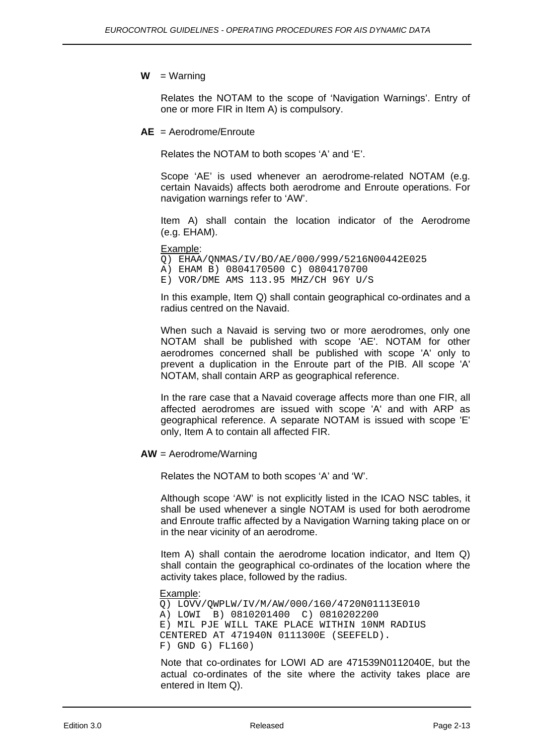#### **W** = Warning

Relates the NOTAM to the scope of 'Navigation Warnings'. Entry of one or more FIR in Item A) is compulsory.

**AE** = Aerodrome/Enroute

Relates the NOTAM to both scopes 'A' and 'E'.

Scope 'AE' is used whenever an aerodrome-related NOTAM (e.g. certain Navaids) affects both aerodrome and Enroute operations. For navigation warnings refer to 'AW'.

Item A) shall contain the location indicator of the Aerodrome (e.g. EHAM).

#### Example:

Q) EHAA/QNMAS/IV/BO/AE/000/999/5216N00442E025

A) EHAM B) 0804170500 C) 0804170700

E) VOR/DME AMS 113.95 MHZ/CH 96Y U/S

In this example, Item Q) shall contain geographical co-ordinates and a radius centred on the Navaid.

When such a Navaid is serving two or more aerodromes, only one NOTAM shall be published with scope 'AE'. NOTAM for other aerodromes concerned shall be published with scope 'A' only to prevent a duplication in the Enroute part of the PIB. All scope 'A' NOTAM, shall contain ARP as geographical reference.

In the rare case that a Navaid coverage affects more than one FIR, all affected aerodromes are issued with scope 'A' and with ARP as geographical reference. A separate NOTAM is issued with scope 'E' only, Item A to contain all affected FIR.

 **AW** = Aerodrome/Warning

Relates the NOTAM to both scopes 'A' and 'W'.

Although scope 'AW' is not explicitly listed in the ICAO NSC tables, it shall be used whenever a single NOTAM is used for both aerodrome and Enroute traffic affected by a Navigation Warning taking place on or in the near vicinity of an aerodrome.

Item A) shall contain the aerodrome location indicator, and Item Q) shall contain the geographical co-ordinates of the location where the activity takes place, followed by the radius.

#### Example:

Q) LOVV/QWPLW/IV/M/AW/000/160/4720N01113E010 A) LOWI B) 0810201400 C) 0810202200 E) MIL PJE WILL TAKE PLACE WITHIN 10NM RADIUS CENTERED AT 471940N 0111300E (SEEFELD). F) GND G) FL160)

Note that co-ordinates for LOWI AD are 471539N0112040E, but the actual co-ordinates of the site where the activity takes place are entered in Item Q).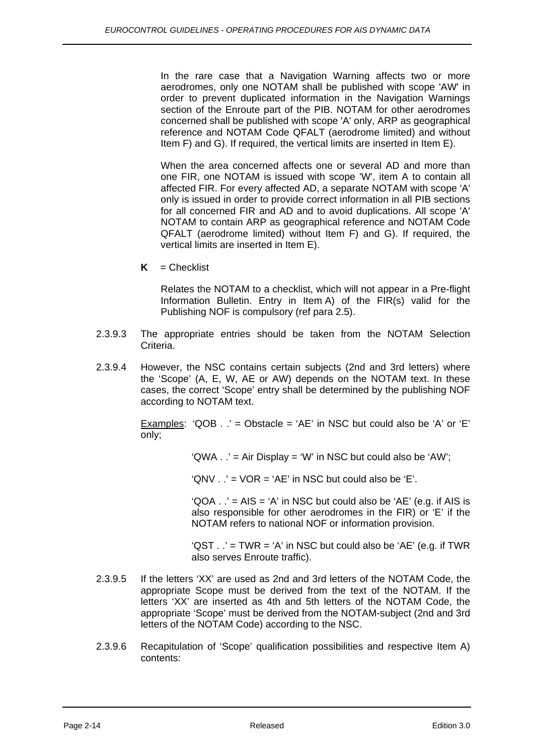In the rare case that a Navigation Warning affects two or more aerodromes, only one NOTAM shall be published with scope 'AW' in order to prevent duplicated information in the Navigation Warnings section of the Enroute part of the PIB. NOTAM for other aerodromes concerned shall be published with scope 'A' only, ARP as geographical reference and NOTAM Code QFALT (aerodrome limited) and without Item F) and G). If required, the vertical limits are inserted in Item E).

When the area concerned affects one or several AD and more than one FIR, one NOTAM is issued with scope 'W', item A to contain all affected FIR. For every affected AD, a separate NOTAM with scope 'A' only is issued in order to provide correct information in all PIB sections for all concerned FIR and AD and to avoid duplications. All scope 'A' NOTAM to contain ARP as geographical reference and NOTAM Code QFALT (aerodrome limited) without Item F) and G). If required, the vertical limits are inserted in Item E).

 $K =$ Checklist

Relates the NOTAM to a checklist, which will not appear in a Pre-flight Information Bulletin. Entry in Item A) of the FIR(s) valid for the Publishing NOF is compulsory (ref para [2.5\)](#page-61-1).

- 2.3.9.3 The appropriate entries should be taken from the NOTAM Selection Criteria.
- <span id="page-29-0"></span>2.3.9.4 However, the NSC contains certain subjects (2nd and 3rd letters) where the 'Scope' (A, E, W, AE or AW) depends on the NOTAM text. In these cases, the correct 'Scope' entry shall be determined by the publishing NOF according to NOTAM text.

Examples: ' $QOB$  . .' = Obstacle = 'AE' in NSC but could also be 'A' or 'E' only;

'QWA  $\cdot$   $\cdot$  = Air Display = 'W' in NSC but could also be 'AW';

'ONV  $\therefore$  = VOR = 'AE' in NSC but could also be 'E'.

 $'QOA$  .  $' = AIS = 'A'$  in NSC but could also be 'AE' (e.g. if AIS is also responsible for other aerodromes in the FIR) or 'E' if the NOTAM refers to national NOF or information provision.

'QST  $\therefore$  = TWR = 'A' in NSC but could also be 'AE' (e.g. if TWR also serves Enroute traffic).

- 2.3.9.5 If the letters 'XX' are used as 2nd and 3rd letters of the NOTAM Code, the appropriate Scope must be derived from the text of the NOTAM. If the letters 'XX' are inserted as 4th and 5th letters of the NOTAM Code, the appropriate 'Scope' must be derived from the NOTAM-subject (2nd and 3rd letters of the NOTAM Code) according to the NSC.
- 2.3.9.6 Recapitulation of 'Scope' qualification possibilities and respective Item A) contents: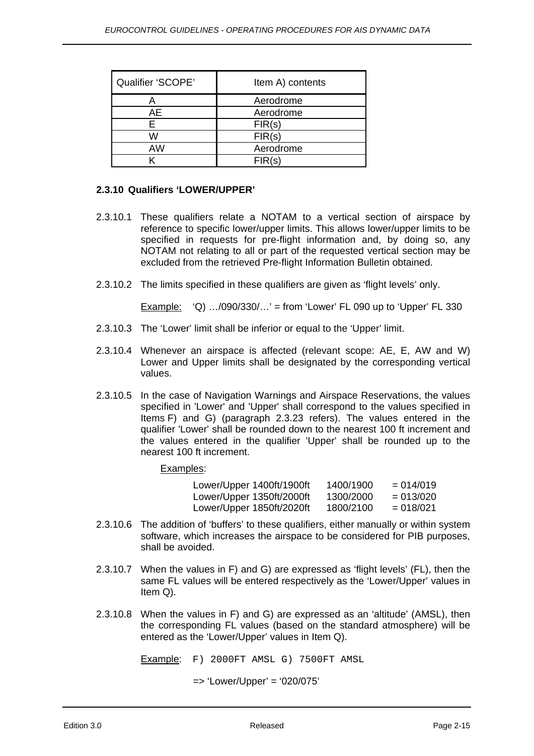<span id="page-30-0"></span>

| Qualifier 'SCOPE' | Item A) contents |
|-------------------|------------------|
|                   | Aerodrome        |
| AE.               | Aerodrome        |
|                   | FIR(s)           |
|                   | FIR(s)           |
| AW                | Aerodrome        |
|                   | FIR(s)           |

#### **2.3.10 Qualifiers 'LOWER/UPPER'**

- 2.3.10.1 These qualifiers relate a NOTAM to a vertical section of airspace by reference to specific lower/upper limits. This allows lower/upper limits to be specified in requests for pre-flight information and, by doing so, any NOTAM not relating to all or part of the requested vertical section may be excluded from the retrieved Pre-flight Information Bulletin obtained.
- 2.3.10.2 The limits specified in these qualifiers are given as 'flight levels' only.

Example:  $(Q)$  .../090/330/...' = from 'Lower' FL 090 up to 'Upper' FL 330

- 2.3.10.3 The 'Lower' limit shall be inferior or equal to the 'Upper' limit.
- 2.3.10.4 Whenever an airspace is affected (relevant scope: AE, E, AW and W) Lower and Upper limits shall be designated by the corresponding vertical values.
- 2.3.10.5 In the case of Navigation Warnings and Airspace Reservations, the values specified in 'Lower' and 'Upper' shall correspond to the values specified in Items F) and G) (paragraph [2.3.23](#page-54-1) refers). The values entered in the qualifier 'Lower' shall be rounded down to the nearest 100 ft increment and the values entered in the qualifier 'Upper' shall be rounded up to the nearest 100 ft increment.

Examples:

| Lower/Upper 1400ft/1900ft | 1400/1900 | $= 014/019$ |
|---------------------------|-----------|-------------|
| Lower/Upper 1350ft/2000ft | 1300/2000 | $= 013/020$ |
| Lower/Upper 1850ft/2020ft | 1800/2100 | $= 018/021$ |

- 2.3.10.6 The addition of 'buffers' to these qualifiers, either manually or within system software, which increases the airspace to be considered for PIB purposes, shall be avoided.
- 2.3.10.7 When the values in F) and G) are expressed as 'flight levels' (FL), then the same FL values will be entered respectively as the 'Lower/Upper' values in Item Q).
- 2.3.10.8 When the values in F) and G) are expressed as an 'altitude' (AMSL), then the corresponding FL values (based on the standard atmosphere) will be entered as the 'Lower/Upper' values in Item Q).

Example: F) 2000FT AMSL G) 7500FT AMSL

=> 'Lower/Upper' = '020/075'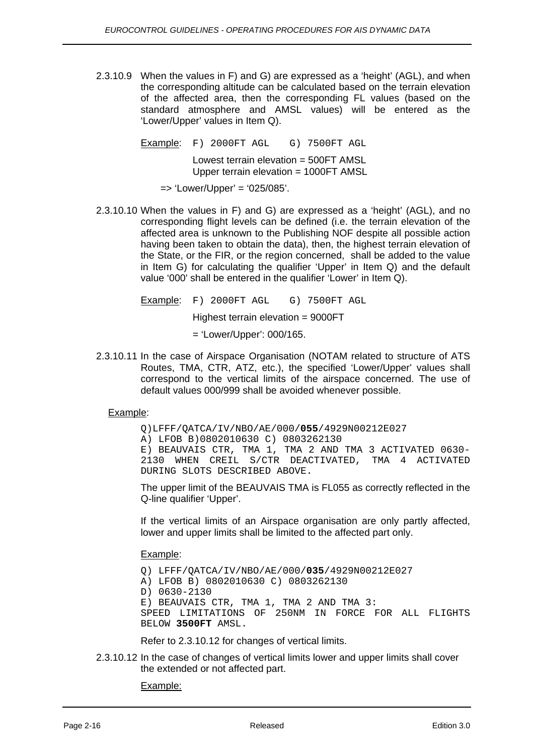2.3.10.9 When the values in F) and G) are expressed as a 'height' (AGL), and when the corresponding altitude can be calculated based on the terrain elevation of the affected area, then the corresponding FL values (based on the standard atmosphere and AMSL values) will be entered as the 'Lower/Upper' values in Item Q).

> Example: F) 2000FT AGL G) 7500FT AGL Lowest terrain elevation = 500FT AMSL Upper terrain elevation = 1000FT AMSL

=> 'Lower/Upper' = '025/085'.

2.3.10.10 When the values in F) and G) are expressed as a 'height' (AGL), and no corresponding flight levels can be defined (i.e. the terrain elevation of the affected area is unknown to the Publishing NOF despite all possible action having been taken to obtain the data), then, the highest terrain elevation of the State, or the FIR, or the region concerned, shall be added to the value in Item G) for calculating the qualifier 'Upper' in Item Q) and the default value '000' shall be entered in the qualifier 'Lower' in Item Q).

Example: F) 2000FT AGL G) 7500FT AGL

Highest terrain elevation = 9000FT

= 'Lower/Upper': 000/165.

2.3.10.11 In the case of Airspace Organisation (NOTAM related to structure of ATS Routes, TMA, CTR, ATZ, etc.), the specified 'Lower/Upper' values shall correspond to the vertical limits of the airspace concerned. The use of default values 000/999 shall be avoided whenever possible.

#### Example:

Q)LFFF/QATCA/IV/NBO/AE/000/**055**/4929N00212E027

A) LFOB B)0802010630 C) 0803262130

E) BEAUVAIS CTR, TMA 1, TMA 2 AND TMA 3 ACTIVATED 0630- 2130 WHEN CREIL S/CTR DEACTIVATED, TMA 4 ACTIVATED DURING SLOTS DESCRIBED ABOVE.

 The upper limit of the BEAUVAIS TMA is FL055 as correctly reflected in the Q-line qualifier 'Upper'.

 If the vertical limits of an Airspace organisation are only partly affected, lower and upper limits shall be limited to the affected part only.

#### Example:

 Q) LFFF/QATCA/IV/NBO/AE/000/**035**/4929N00212E027 A) LFOB B) 0802010630 C) 0803262130 D) 0630-2130 E) BEAUVAIS CTR, TMA 1, TMA 2 AND TMA 3: SPEED LIMITATIONS OF 250NM IN FORCE FOR ALL FLIGHTS BELOW **3500FT** AMSL.

Refer to [2.3.10.12](#page-31-0) for changes of vertical limits.

<span id="page-31-0"></span>2.3.10.12 In the case of changes of vertical limits lower and upper limits shall cover the extended or not affected part.

Example: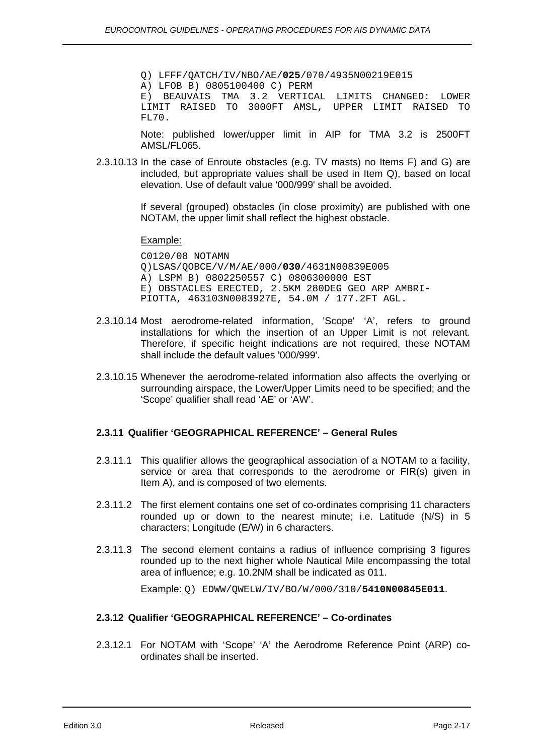<span id="page-32-0"></span>Q) LFFF/QATCH/IV/NBO/AE/**025**/070/4935N00219E015

A) LFOB B) 0805100400 C) PERM

E) BEAUVAIS TMA 3.2 VERTICAL LIMITS CHANGED: LOWER LIMIT RAISED TO 3000FT AMSL, UPPER LIMIT RAISED TO FL70.

 Note: published lower/upper limit in AIP for TMA 3.2 is 2500FT AMSL/FL065.

2.3.10.13 In the case of Enroute obstacles (e.g. TV masts) no Items F) and G) are included, but appropriate values shall be used in Item Q), based on local elevation. Use of default value '000/999' shall be avoided.

> If several (grouped) obstacles (in close proximity) are published with one NOTAM, the upper limit shall reflect the highest obstacle.

Example:

C0120/08 NOTAMN Q)LSAS/QOBCE/V/M/AE/000/**030**/4631N00839E005 A) LSPM B) 0802250557 C) 0806300000 EST E) OBSTACLES ERECTED, 2.5KM 280DEG GEO ARP AMBRI-PIOTTA, 463103N0083927E, 54.0M / 177.2FT AGL.

- 2.3.10.14 Most aerodrome-related information, 'Scope' 'A', refers to ground installations for which the insertion of an Upper Limit is not relevant. Therefore, if specific height indications are not required, these NOTAM shall include the default values '000/999'.
- 2.3.10.15 Whenever the aerodrome-related information also affects the overlying or surrounding airspace, the Lower/Upper Limits need to be specified; and the 'Scope' qualifier shall read 'AE' or 'AW'.

#### **2.3.11 Qualifier 'GEOGRAPHICAL REFERENCE' – General Rules**

- 2.3.11.1 This qualifier allows the geographical association of a NOTAM to a facility, service or area that corresponds to the aerodrome or FIR(s) given in Item A), and is composed of two elements.
- 2.3.11.2 The first element contains one set of co-ordinates comprising 11 characters rounded up or down to the nearest minute; i.e. Latitude (N/S) in 5 characters; Longitude (E/W) in 6 characters.
- 2.3.11.3 The second element contains a radius of influence comprising 3 figures rounded up to the next higher whole Nautical Mile encompassing the total area of influence; e.g. 10.2NM shall be indicated as 011.

Example: Q) EDWW/QWELW/IV/BO/W/000/310/**5410N00845E011**.

#### **2.3.12 Qualifier 'GEOGRAPHICAL REFERENCE' – Co-ordinates**

2.3.12.1 For NOTAM with 'Scope' 'A' the Aerodrome Reference Point (ARP) coordinates shall be inserted.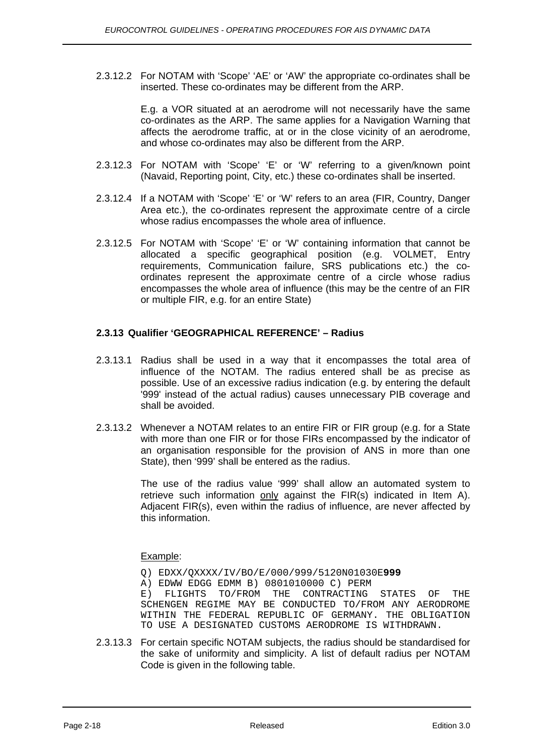<span id="page-33-0"></span>2.3.12.2 For NOTAM with 'Scope' 'AE' or 'AW' the appropriate co-ordinates shall be inserted. These co-ordinates may be different from the ARP.

> E.g. a VOR situated at an aerodrome will not necessarily have the same co-ordinates as the ARP. The same applies for a Navigation Warning that affects the aerodrome traffic, at or in the close vicinity of an aerodrome, and whose co-ordinates may also be different from the ARP.

- 2.3.12.3 For NOTAM with 'Scope' 'E' or 'W' referring to a given/known point (Navaid, Reporting point, City, etc.) these co-ordinates shall be inserted.
- 2.3.12.4 If a NOTAM with 'Scope' 'E' or 'W' refers to an area (FIR, Country, Danger Area etc.), the co-ordinates represent the approximate centre of a circle whose radius encompasses the whole area of influence.
- 2.3.12.5 For NOTAM with 'Scope' 'E' or 'W' containing information that cannot be allocated a specific geographical position (e.g. VOLMET, Entry requirements, Communication failure, SRS publications etc.) the coordinates represent the approximate centre of a circle whose radius encompasses the whole area of influence (this may be the centre of an FIR or multiple FIR, e.g. for an entire State)

#### **2.3.13 Qualifier 'GEOGRAPHICAL REFERENCE' – Radius**

- 2.3.13.1 Radius shall be used in a way that it encompasses the total area of influence of the NOTAM. The radius entered shall be as precise as possible. Use of an excessive radius indication (e.g. by entering the default '999' instead of the actual radius) causes unnecessary PIB coverage and shall be avoided.
- 2.3.13.2 Whenever a NOTAM relates to an entire FIR or FIR group (e.g. for a State with more than one FIR or for those FIRs encompassed by the indicator of an organisation responsible for the provision of ANS in more than one State), then '999' shall be entered as the radius.

 The use of the radius value '999' shall allow an automated system to retrieve such information only against the FIR(s) indicated in Item A). Adjacent FIR(s), even within the radius of influence, are never affected by this information.

Example:

Q) EDXX/QXXXX/IV/BO/E/000/999/5120N01030E**999**

A) EDWW EDGG EDMM B) 0801010000 C) PERM

E) FLIGHTS TO/FROM THE CONTRACTING STATES OF THE SCHENGEN REGIME MAY BE CONDUCTED TO/FROM ANY AERODROME WITHIN THE FEDERAL REPUBLIC OF GERMANY. THE OBLIGATION TO USE A DESIGNATED CUSTOMS AERODROME IS WITHDRAWN.

2.3.13.3 For certain specific NOTAM subjects, the radius should be standardised for the sake of uniformity and simplicity. A list of default radius per NOTAM Code is given in the following table.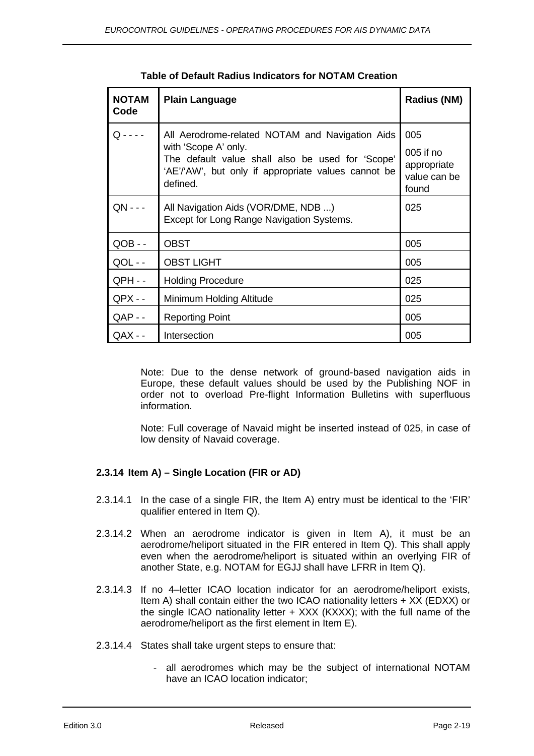<span id="page-34-0"></span>

| <b>NOTAM</b><br>Code | <b>Plain Language</b>                                                                                                                                                                          | Radius (NM)                                              |
|----------------------|------------------------------------------------------------------------------------------------------------------------------------------------------------------------------------------------|----------------------------------------------------------|
| Q                    | All Aerodrome-related NOTAM and Navigation Aids<br>with 'Scope A' only.<br>The default value shall also be used for 'Scope'<br>'AE'/'AW', but only if appropriate values cannot be<br>defined. | 005<br>005 if no<br>appropriate<br>value can be<br>found |
| QN - - -             | All Navigation Aids (VOR/DME, NDB )<br>Except for Long Range Navigation Systems.                                                                                                               | 025                                                      |
| $QOB - -$            | <b>OBST</b>                                                                                                                                                                                    | 005                                                      |
| $QOL - -$            | <b>OBST LIGHT</b>                                                                                                                                                                              | 005                                                      |
| QPH--                | <b>Holding Procedure</b>                                                                                                                                                                       | 025                                                      |
| $QPX - -$            | Minimum Holding Altitude                                                                                                                                                                       | 025                                                      |
| $QAP -$              | <b>Reporting Point</b>                                                                                                                                                                         | 005                                                      |
| QAX - -              | Intersection                                                                                                                                                                                   | 005                                                      |

**Table of Default Radius Indicators for NOTAM Creation** 

 Note: Due to the dense network of ground-based navigation aids in Europe, these default values should be used by the Publishing NOF in order not to overload Pre-flight Information Bulletins with superfluous information.

 Note: Full coverage of Navaid might be inserted instead of 025, in case of low density of Navaid coverage.

#### **2.3.14 Item A) – Single Location (FIR or AD)**

- 2.3.14.1 In the case of a single FIR, the Item A) entry must be identical to the 'FIR' qualifier entered in Item Q).
- <span id="page-34-1"></span>2.3.14.2 When an aerodrome indicator is given in Item A), it must be an aerodrome/heliport situated in the FIR entered in Item Q). This shall apply even when the aerodrome/heliport is situated within an overlying FIR of another State, e.g. NOTAM for EGJJ shall have LFRR in Item Q).
- 2.3.14.3 If no 4–letter ICAO location indicator for an aerodrome/heliport exists, Item A) shall contain either the two ICAO nationality letters + XX (EDXX) or the single ICAO nationality letter + XXX (KXXX); with the full name of the aerodrome/heliport as the first element in Item E).
- 2.3.14.4 States shall take urgent steps to ensure that:
	- all aerodromes which may be the subject of international NOTAM have an ICAO location indicator;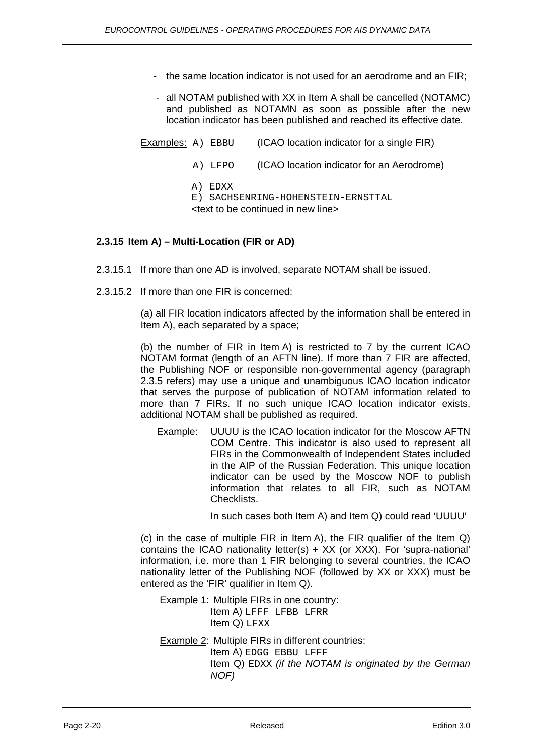- <span id="page-35-0"></span>- the same location indicator is not used for an aerodrome and an FIR;
- all NOTAM published with XX in Item A shall be cancelled (NOTAMC) and published as NOTAMN as soon as possible after the new location indicator has been published and reached its effective date.
- Examples: A) EBBU (ICAO location indicator for a single FIR)
	- A) LFPO (ICAO location indicator for an Aerodrome)
	- A) EDXX
	- E) SACHSENRING-HOHENSTEIN-ERNSTTAL

<text to be continued in new line>

#### **2.3.15 Item A) – Multi-Location (FIR or AD)**

- 2.3.15.1 If more than one AD is involved, separate NOTAM shall be issued.
- 2.3.15.2 If more than one FIR is concerned:

(a) all FIR location indicators affected by the information shall be entered in Item A), each separated by a space;

(b) the number of FIR in Item A) is restricted to 7 by the current ICAO NOTAM format (length of an AFTN line). If more than 7 FIR are affected, the Publishing NOF or responsible non-governmental agency (paragraph [2.3.5](#page-23-2) refers) may use a unique and unambiguous ICAO location indicator that serves the purpose of publication of NOTAM information related to more than 7 FIRs. If no such unique ICAO location indicator exists, additional NOTAM shall be published as required.

Example: UUUU is the ICAO location indicator for the Moscow AFTN COM Centre. This indicator is also used to represent all FIRs in the Commonwealth of Independent States included in the AIP of the Russian Federation. This unique location indicator can be used by the Moscow NOF to publish information that relates to all FIR, such as NOTAM Checklists.

In such cases both Item A) and Item Q) could read 'UUUU'

(c) in the case of multiple FIR in Item A), the FIR qualifier of the Item Q) contains the ICAO nationality letter(s) + XX (or XXX). For 'supra-national' information, i.e. more than 1 FIR belonging to several countries, the ICAO nationality letter of the Publishing NOF (followed by XX or XXX) must be entered as the 'FIR' qualifier in Item Q).

Example 1: Multiple FIRs in one country: Item A) LFFF LFBB LFRR Item Q) LFXX

Example 2: Multiple FIRs in different countries: Item A) EDGG EBBU LFFF

Item Q) EDXX *(if the NOTAM is originated by the German NOF)*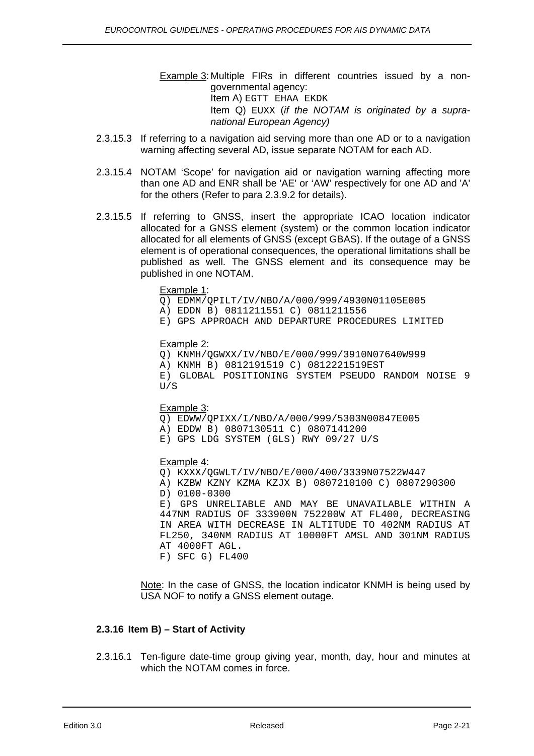**Example 3: Multiple FIRs in different countries issued by a non**governmental agency: Item A) EGTT EHAA EKDK Item Q) EUXX (*if the NOTAM is originated by a supranational European Agency)*

- 2.3.15.3 If referring to a navigation aid serving more than one AD or to a navigation warning affecting several AD, issue separate NOTAM for each AD.
- 2.3.15.4 NOTAM 'Scope' for navigation aid or navigation warning affecting more than one AD and ENR shall be 'AE' or 'AW' respectively for one AD and 'A' for the others (Refer to para [2.3.9.2](#page-27-0) for details).
- 2.3.15.5 If referring to GNSS, insert the appropriate ICAO location indicator allocated for a GNSS element (system) or the common location indicator allocated for all elements of GNSS (except GBAS). If the outage of a GNSS element is of operational consequences, the operational limitations shall be published as well. The GNSS element and its consequence may be published in one NOTAM.

#### Example 1:

- Q) EDMM/QPILT/IV/NBO/A/000/999/4930N01105E005
- A) EDDN B) 0811211551 C) 0811211556
- E) GPS APPROACH AND DEPARTURE PROCEDURES LIMITED

#### Example 2:

- Q) KNMH/QGWXX/IV/NBO/E/000/999/3910N07640W999
- A) KNMH B) 0812191519 C) 0812221519EST
- E) GLOBAL POSITIONING SYSTEM PSEUDO RANDOM NOISE 9 U/S

#### Example 3:

- Q) EDWW/QPIXX/I/NBO/A/000/999/5303N00847E005
- A) EDDW B) 0807130511 C) 0807141200
- E) GPS LDG SYSTEM (GLS) RWY 09/27 U/S

#### Example 4:

- Q) KXXX/QGWLT/IV/NBO/E/000/400/3339N07522W447
- A) KZBW KZNY KZMA KZJX B) 0807210100 C) 0807290300
- D) 0100-0300 E) GPS UNRELIABLE AND MAY BE UNAVAILABLE WITHIN A 447NM RADIUS OF 333900N 752200W AT FL400, DECREASING IN AREA WITH DECREASE IN ALTITUDE TO 402NM RADIUS AT FL250, 340NM RADIUS AT 10000FT AMSL AND 301NM RADIUS AT 4000FT AGL.
- F) SFC G) FL400

 Note: In the case of GNSS, the location indicator KNMH is being used by USA NOF to notify a GNSS element outage.

#### **2.3.16 Item B) – Start of Activity**

2.3.16.1 Ten-figure date-time group giving year, month, day, hour and minutes at which the NOTAM comes in force.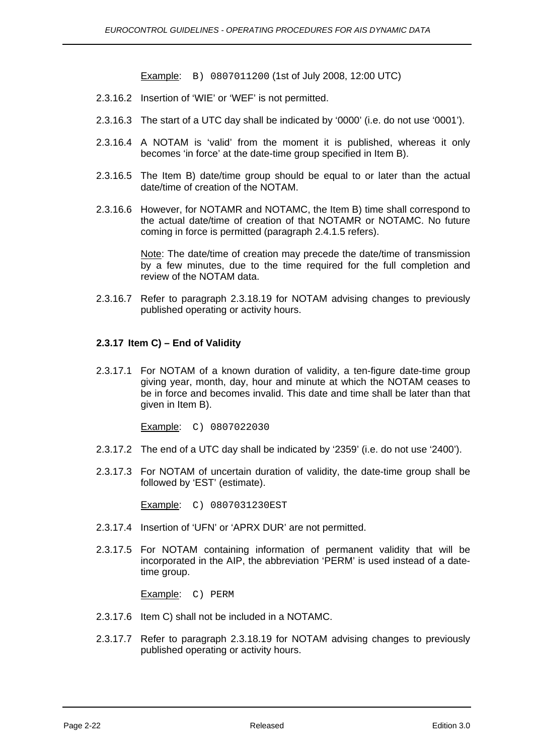Example: B) 0807011200 (1st of July 2008, 12:00 UTC)

- 2.3.16.2 Insertion of 'WIE' or 'WEF' is not permitted.
- 2.3.16.3 The start of a UTC day shall be indicated by '0000' (i.e. do not use '0001').
- 2.3.16.4 A NOTAM is 'valid' from the moment it is published, whereas it only becomes 'in force' at the date-time group specified in Item B).
- 2.3.16.5 The Item B) date/time group should be equal to or later than the actual date/time of creation of the NOTAM.
- 2.3.16.6 However, for NOTAMR and NOTAMC, the Item B) time shall correspond to the actual date/time of creation of that NOTAMR or NOTAMC. No future coming in force is permitted (paragraph [2.4.1.5](#page-56-0) refers).

 Note: The date/time of creation may precede the date/time of transmission by a few minutes, due to the time required for the full completion and review of the NOTAM data.

2.3.16.7 Refer to paragraph [2.3.18.19](#page-40-0) for NOTAM advising changes to previously published operating or activity hours.

## **2.3.17 Item C) – End of Validity**

2.3.17.1 For NOTAM of a known duration of validity, a ten-figure date-time group giving year, month, day, hour and minute at which the NOTAM ceases to be in force and becomes invalid. This date and time shall be later than that given in Item B).

Example: C) 0807022030

- 2.3.17.2 The end of a UTC day shall be indicated by '2359' (i.e. do not use '2400').
- 2.3.17.3 For NOTAM of uncertain duration of validity, the date-time group shall be followed by 'EST' (estimate).

Example: C) 0807031230EST

- 2.3.17.4 Insertion of 'UFN' or 'APRX DUR' are not permitted.
- 2.3.17.5 For NOTAM containing information of permanent validity that will be incorporated in the AIP, the abbreviation 'PERM' is used instead of a datetime group.

Example: C) PERM

- 2.3.17.6 Item C) shall not be included in a NOTAMC.
- 2.3.17.7 Refer to paragraph [2.3.18.19](#page-40-0) for NOTAM advising changes to previously published operating or activity hours.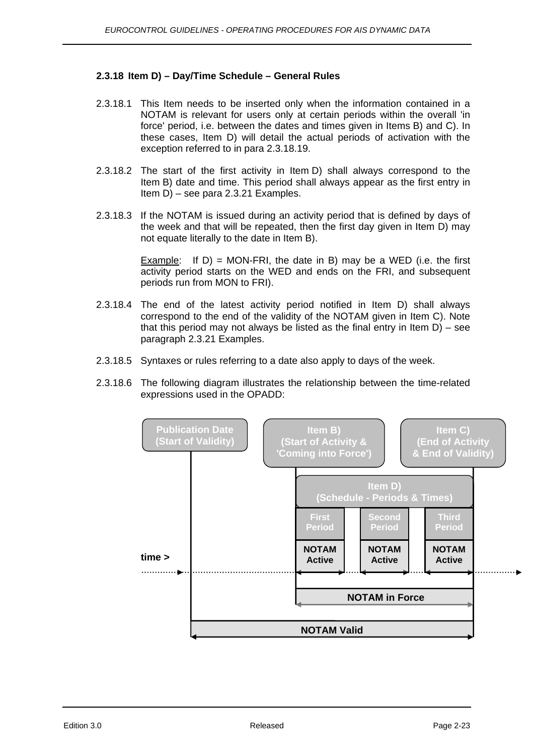## **2.3.18 Item D) – Day/Time Schedule – General Rules**

- 2.3.18.1 This Item needs to be inserted only when the information contained in a NOTAM is relevant for users only at certain periods within the overall 'in force' period, i.e. between the dates and times given in Items B) and C). In these cases, Item D) will detail the actual periods of activation with the exception referred to in para [2.3.18.19](#page-40-0).
- 2.3.18.2 The start of the first activity in Item D) shall always correspond to the Item B) date and time. This period shall always appear as the first entry in Item D) – see para [2.3.21](#page-43-0) Examples.
- 2.3.18.3 If the NOTAM is issued during an activity period that is defined by days of the week and that will be repeated, then the first day given in Item D) may not equate literally to the date in Item B).

Example: If  $D$ ) = MON-FRI, the date in B) may be a WED (i.e. the first activity period starts on the WED and ends on the FRI, and subsequent periods run from MON to FRI).

- 2.3.18.4 The end of the latest activity period notified in Item D) shall always correspond to the end of the validity of the NOTAM given in Item C). Note that this period may not always be listed as the final entry in Item  $D$ ) – see paragraph [2.3.21](#page-43-0) Examples.
- 2.3.18.5 Syntaxes or rules referring to a date also apply to days of the week.
- 2.3.18.6 The following diagram illustrates the relationship between the time-related expressions used in the OPADD:

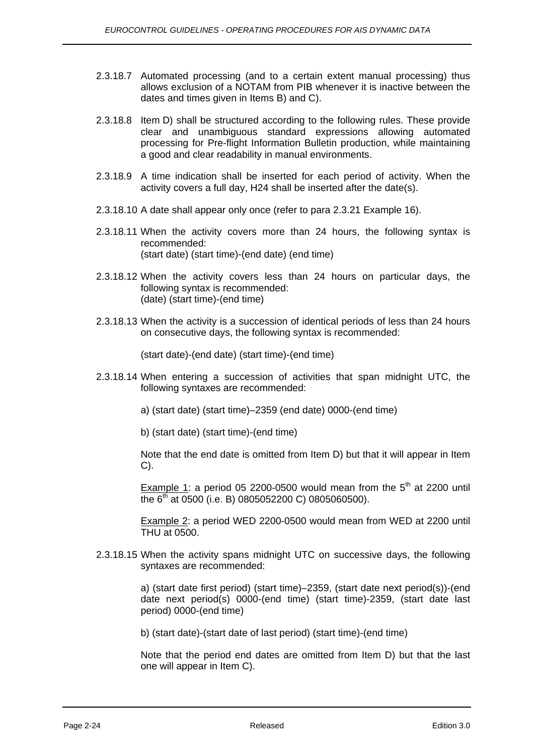- 2.3.18.7 Automated processing (and to a certain extent manual processing) thus allows exclusion of a NOTAM from PIB whenever it is inactive between the dates and times given in Items B) and C).
- 2.3.18.8 Item D) shall be structured according to the following rules. These provide clear and unambiguous standard expressions allowing automated processing for Pre-flight Information Bulletin production, while maintaining a good and clear readability in manual environments.
- 2.3.18.9 A time indication shall be inserted for each period of activity. When the activity covers a full day, H24 shall be inserted after the date(s).
- 2.3.18.10 A date shall appear only once (refer to para [2.3.21](#page-43-0) Example 16).
- 2.3.18.11 When the activity covers more than 24 hours, the following syntax is recommended: (start date) (start time)-(end date) (end time)
- 2.3.18.12 When the activity covers less than 24 hours on particular days, the following syntax is recommended: (date) (start time)-(end time)
- 2.3.18.13 When the activity is a succession of identical periods of less than 24 hours on consecutive days, the following syntax is recommended:

(start date)-(end date) (start time)-(end time)

- 2.3.18.14 When entering a succession of activities that span midnight UTC, the following syntaxes are recommended:
	- a) (start date) (start time)–2359 (end date) 0000-(end time)
	- b) (start date) (start time)-(end time)

 Note that the end date is omitted from Item D) but that it will appear in Item C).

Example 1: a period 05 2200-0500 would mean from the  $5<sup>th</sup>$  at 2200 until the  $6<sup>th</sup>$  at 0500 (i.e. B) 0805052200 C) 0805060500).

 Example 2: a period WED 2200-0500 would mean from WED at 2200 until THU at 0500.

2.3.18.15 When the activity spans midnight UTC on successive days, the following syntaxes are recommended:

> a) (start date first period) (start time)–2359, (start date next period(s))-(end date next period(s) 0000-(end time) (start time)-2359, (start date last period) 0000-(end time)

b) (start date)-(start date of last period) (start time)-(end time)

 Note that the period end dates are omitted from Item D) but that the last one will appear in Item C).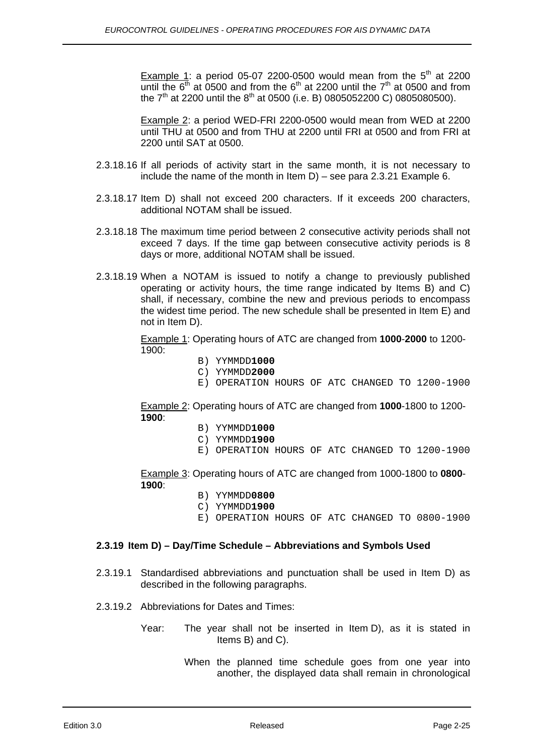Example 1: a period 05-07 2200-0500 would mean from the  $5<sup>th</sup>$  at 2200 until the  $6<sup>th</sup>$  at 0500 and from the  $6<sup>th</sup>$  at 2200 until the  $7<sup>th</sup>$  at 0500 and from the  $7<sup>th</sup>$  at 2200 until the  $8<sup>th</sup>$  at 0500 (i.e. B) 0805052200 C) 0805080500).

 Example 2: a period WED-FRI 2200-0500 would mean from WED at 2200 until THU at 0500 and from THU at 2200 until FRI at 0500 and from FRI at 2200 until SAT at 0500.

- 2.3.18.16 If all periods of activity start in the same month, it is not necessary to include the name of the month in Item D) – see para [2.3.21](#page-43-0) Example 6.
- 2.3.18.17 Item D) shall not exceed 200 characters. If it exceeds 200 characters, additional NOTAM shall be issued.
- 2.3.18.18 The maximum time period between 2 consecutive activity periods shall not exceed 7 days. If the time gap between consecutive activity periods is 8 days or more, additional NOTAM shall be issued.
- <span id="page-40-0"></span>2.3.18.19 When a NOTAM is issued to notify a change to previously published operating or activity hours, the time range indicated by Items B) and C) shall, if necessary, combine the new and previous periods to encompass the widest time period. The new schedule shall be presented in Item E) and not in Item D).

Example 1: Operating hours of ATC are changed from **1000**-**2000** to 1200- 1900:

- B) YYMMDD**1000**
- C) YYMMDD**2000**
- E) OPERATION HOURS OF ATC CHANGED TO 1200-1900

Example 2: Operating hours of ATC are changed from **1000**-1800 to 1200- **1900**:

- B) YYMMDD**1000**
- C) YYMMDD**1900**
- E) OPERATION HOURS OF ATC CHANGED TO 1200-1900

Example 3: Operating hours of ATC are changed from 1000-1800 to **0800**- **1900**:

- B) YYMMDD**0800**
- C) YYMMDD**1900**
- E) OPERATION HOURS OF ATC CHANGED TO 0800-1900

### **2.3.19 Item D) – Day/Time Schedule – Abbreviations and Symbols Used**

- 2.3.19.1 Standardised abbreviations and punctuation shall be used in Item D) as described in the following paragraphs.
- 2.3.19.2 Abbreviations for Dates and Times:
	- Year: The year shall not be inserted in Item D), as it is stated in Items B) and C).
		- When the planned time schedule goes from one year into another, the displayed data shall remain in chronological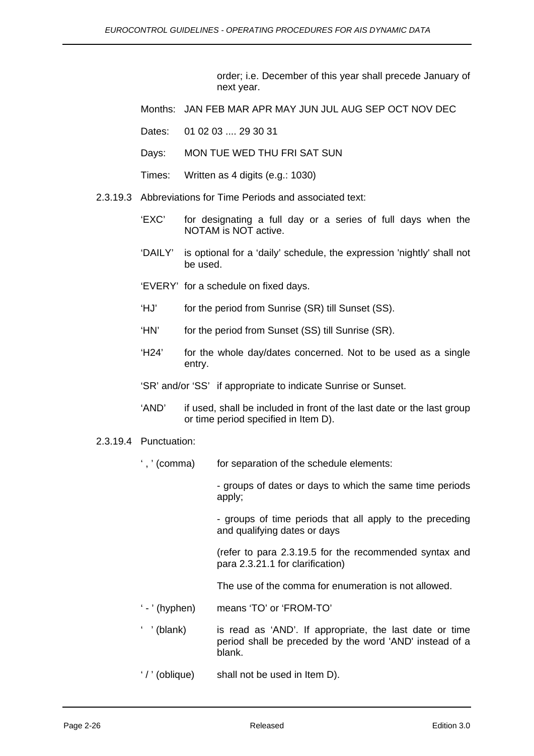order; i.e. December of this year shall precede January of next year.

- Months: JAN FEB MAR APR MAY JUN JUL AUG SEP OCT NOV DEC
- Dates: 01 02 03 .... 29 30 31
- Days: MON TUE WED THU FRI SAT SUN
- Times: Written as 4 digits (e.g.: 1030)
- 2.3.19.3 Abbreviations for Time Periods and associated text:
	- 'EXC' for designating a full day or a series of full days when the NOTAM is NOT active.
	- 'DAILY' is optional for a 'daily' schedule, the expression 'nightly' shall not be used.
	- 'EVERY' for a schedule on fixed days.
	- 'HJ' for the period from Sunrise (SR) till Sunset (SS).
	- 'HN' for the period from Sunset (SS) till Sunrise (SR).
	- 'H24' for the whole day/dates concerned. Not to be used as a single entry.
	- 'SR' and/or 'SS' if appropriate to indicate Sunrise or Sunset.
	- 'AND' if used, shall be included in front of the last date or the last group or time period specified in Item D).
- 2.3.19.4 Punctuation:
	- ',' (comma) for separation of the schedule elements:

- groups of dates or days to which the same time periods apply;

- groups of time periods that all apply to the preceding and qualifying dates or days

 (refer to para [2.3.19.5](#page-42-0) for the recommended syntax and para [2.3.21.1](#page-43-1) for clarification)

The use of the comma for enumeration is not allowed.

- ' ' (hyphen) means 'TO' or 'FROM-TO'
- ' ' (blank) is read as 'AND'. If appropriate, the last date or time period shall be preceded by the word 'AND' instead of a blank.
- '/' (oblique) shall not be used in Item D).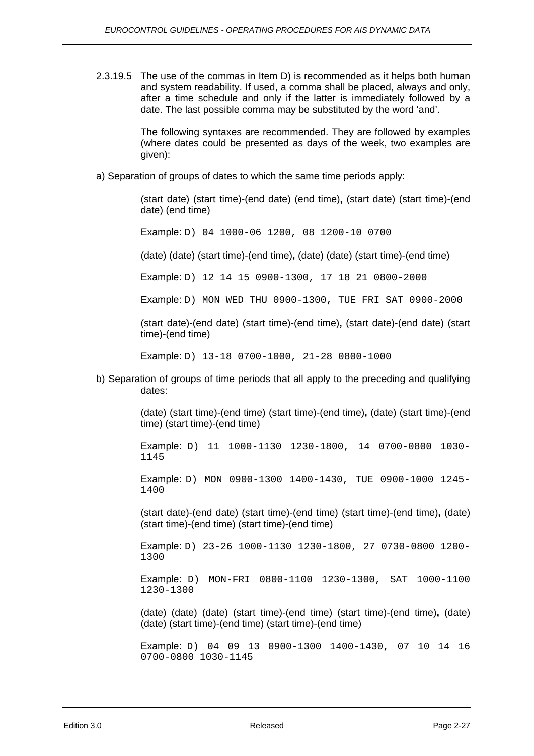<span id="page-42-0"></span>2.3.19.5 The use of the commas in Item D) is recommended as it helps both human and system readability. If used, a comma shall be placed, always and only, after a time schedule and only if the latter is immediately followed by a date. The last possible comma may be substituted by the word 'and'.

> The following syntaxes are recommended. They are followed by examples (where dates could be presented as days of the week, two examples are given):

a) Separation of groups of dates to which the same time periods apply:

 (start date) (start time)-(end date) (end time)**,** (start date) (start time)-(end date) (end time)

Example: D) 04 1000-06 1200, 08 1200-10 0700

(date) (date) (start time)-(end time)**,** (date) (date) (start time)-(end time)

Example: D) 12 14 15 0900-1300, 17 18 21 0800-2000

Example: D) MON WED THU 0900-1300, TUE FRI SAT 0900-2000

 (start date)-(end date) (start time)-(end time)**,** (start date)-(end date) (start time)-(end time)

Example: D) 13-18 0700-1000, 21-28 0800-1000

b) Separation of groups of time periods that all apply to the preceding and qualifying dates:

> (date) (start time)-(end time) (start time)-(end time)**,** (date) (start time)-(end time) (start time)-(end time)

> Example: D) 11 1000-1130 1230-1800, 14 0700-0800 1030- 1145

> Example: D) MON 0900-1300 1400-1430, TUE 0900-1000 1245- 1400

> (start date)-(end date) (start time)-(end time) (start time)-(end time)**,** (date) (start time)-(end time) (start time)-(end time)

> Example: D) 23-26 1000-1130 1230-1800, 27 0730-0800 1200- 1300

> Example: D) MON-FRI 0800-1100 1230-1300, SAT 1000-1100 1230-1300

> (date) (date) (date) (start time)-(end time) (start time)-(end time)**,** (date) (date) (start time)-(end time) (start time)-(end time)

> Example: D) 04 09 13 0900-1300 1400-1430, 07 10 14 16 0700-0800 1030-1145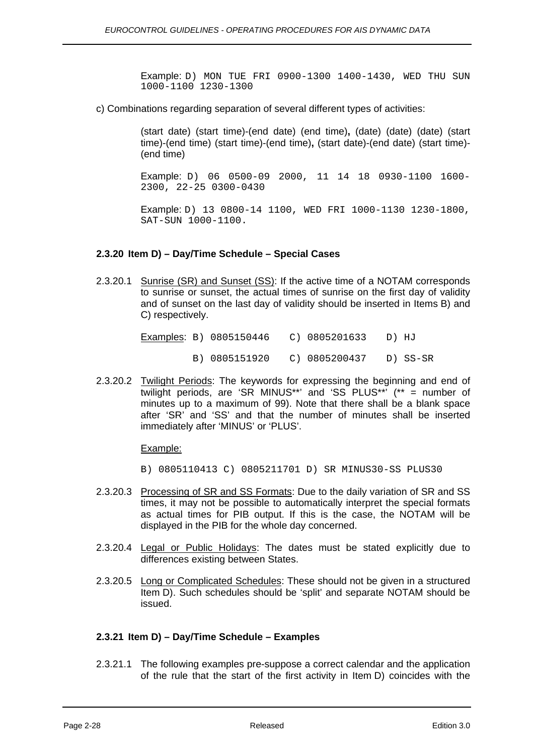Example: D) MON TUE FRI 0900-1300 1400-1430, WED THU SUN 1000-1100 1230-1300

c) Combinations regarding separation of several different types of activities:

 (start date) (start time)-(end date) (end time)**,** (date) (date) (date) (start time)-(end time) (start time)-(end time)**,** (start date)-(end date) (start time)- (end time)

 Example: D) 06 0500-09 2000, 11 14 18 0930-1100 1600- 2300, 22-25 0300-0430

 Example: D) 13 0800-14 1100, WED FRI 1000-1130 1230-1800, SAT-SUN 1000-1100.

### **2.3.20 Item D) – Day/Time Schedule – Special Cases**

2.3.20.1 Sunrise (SR) and Sunset (SS): If the active time of a NOTAM corresponds to sunrise or sunset, the actual times of sunrise on the first day of validity and of sunset on the last day of validity should be inserted in Items B) and C) respectively.

> Examples: B) 0805150446 C) 0805201633 D) HJ B) 0805151920 C) 0805200437 D) SS-SR

2.3.20.2 Twilight Periods: The keywords for expressing the beginning and end of twilight periods, are 'SR MINUS\*\*' and 'SS PLUS\*\*' (\*\* = number of minutes up to a maximum of 99). Note that there shall be a blank space after 'SR' and 'SS' and that the number of minutes shall be inserted immediately after 'MINUS' or 'PLUS'.

#### Example:

B) 0805110413 C) 0805211701 D) SR MINUS30-SS PLUS30

- 2.3.20.3 Processing of SR and SS Formats: Due to the daily variation of SR and SS times, it may not be possible to automatically interpret the special formats as actual times for PIB output. If this is the case, the NOTAM will be displayed in the PIB for the whole day concerned.
- 2.3.20.4 Legal or Public Holidays: The dates must be stated explicitly due to differences existing between States.
- 2.3.20.5 Long or Complicated Schedules: These should not be given in a structured Item D). Such schedules should be 'split' and separate NOTAM should be issued.

### <span id="page-43-0"></span>**2.3.21 Item D) – Day/Time Schedule – Examples**

<span id="page-43-1"></span>2.3.21.1 The following examples pre-suppose a correct calendar and the application of the rule that the start of the first activity in Item D) coincides with the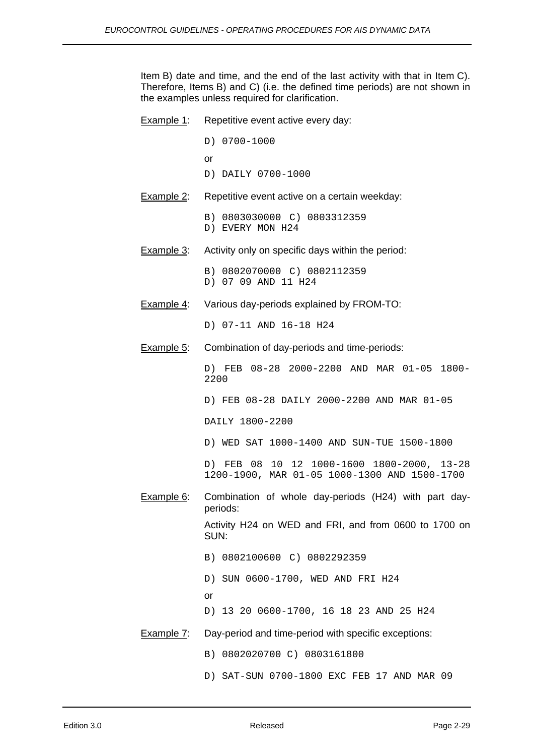Item B) date and time, and the end of the last activity with that in Item C). Therefore, Items B) and C) (i.e. the defined time periods) are not shown in the examples unless required for clarification.

- Example 1: Repetitive event active every day:
	- D) 0700-1000
		- or
		- D) DAILY 0700-1000
- **Example 2:** Repetitive event active on a certain weekday:
	- B) 0803030000 C) 0803312359 D) EVERY MON H24
- Example 3: Activity only on specific days within the period:

B) 0802070000 C) 0802112359 D) 07 09 AND 11 H24

Example 4: Various day-periods explained by FROM-TO:

D) 07-11 AND 16-18 H24

Example 5: Combination of day-periods and time-periods:

D) FEB 08-28 2000-2200 AND MAR 01-05 1800- 2200

- D) FEB 08-28 DAILY 2000-2200 AND MAR 01-05
- DAILY 1800-2200
- D) WED SAT 1000-1400 AND SUN-TUE 1500-1800

D) FEB 08 10 12 1000-1600 1800-2000, 13-28 1200-1900, MAR 01-05 1000-1300 AND 1500-1700

Example 6: Combination of whole day-periods (H24) with part dayperiods:

> Activity H24 on WED and FRI, and from 0600 to 1700 on SUN:

- B) 0802100600 C) 0802292359
- D) SUN 0600-1700, WED AND FRI H24
- or
- D) 13 20 0600-1700, 16 18 23 AND 25 H24

### Example 7: Day-period and time-period with specific exceptions:

- B) 0802020700 C) 0803161800
- D) SAT-SUN 0700-1800 EXC FEB 17 AND MAR 09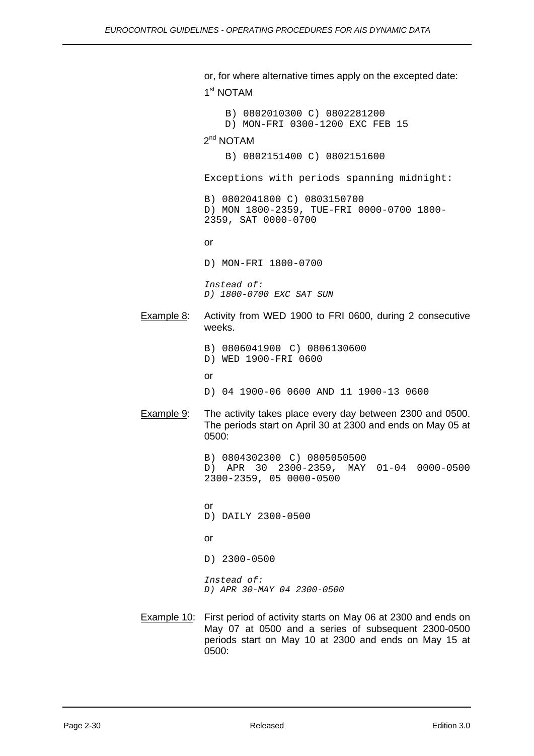or, for where alternative times apply on the excepted date: 1<sup>st</sup> NOTAM B) 0802010300 C) 0802281200 D) MON-FRI 0300-1200 EXC FEB 15 2<sup>nd</sup> NOTAM B) 0802151400 C) 0802151600 Exceptions with periods spanning midnight: B) 0802041800 C) 0803150700 D) MON 1800-2359, TUE-FRI 0000-0700 1800- 2359, SAT 0000-0700 or D) MON-FRI 1800-0700 *Instead of: D) 1800-0700 EXC SAT SUN* **Example 8:** Activity from WED 1900 to FRI 0600, during 2 consecutive weeks. B) 0806041900 C) 0806130600 D) WED 1900-FRI 0600 or D) 04 1900-06 0600 AND 11 1900-13 0600 **Example 9:** The activity takes place every day between 2300 and 0500. The periods start on April 30 at 2300 and ends on May 05 at 0500: B) 0804302300 C) 0805050500 D) APR 30 2300-2359, MAY 01-04 0000-0500 2300-2359, 05 0000-0500 or D) DAILY 2300-0500 or D) 2300-0500 *Instead of: D) APR 30-MAY 04 2300-0500*  Example 10: First period of activity starts on May 06 at 2300 and ends on

May 07 at 0500 and a series of subsequent 2300-0500 periods start on May 10 at 2300 and ends on May 15 at 0500: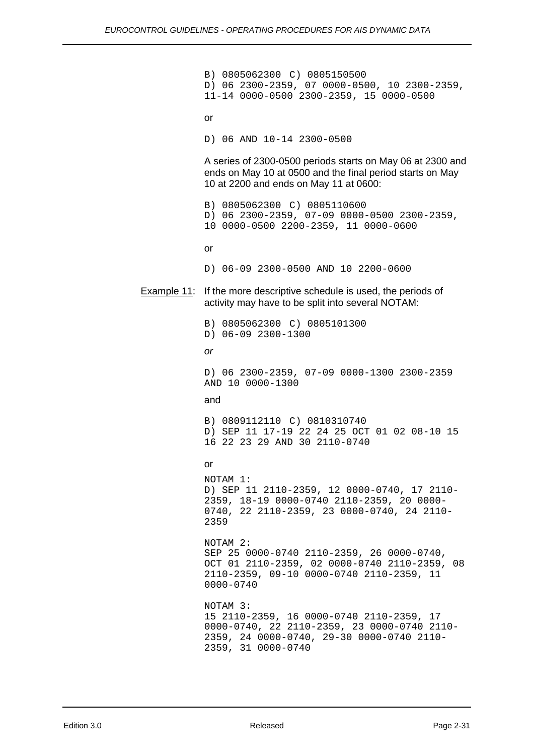B) 0805062300 C) 0805150500 D) 06 2300-2359, 07 0000-0500, 10 2300-2359, 11-14 0000-0500 2300-2359, 15 0000-0500 or D) 06 AND 10-14 2300-0500 A series of 2300-0500 periods starts on May 06 at 2300 and ends on May 10 at 0500 and the final period starts on May 10 at 2200 and ends on May 11 at 0600: B) 0805062300 C) 0805110600 D) 06 2300-2359, 07-09 0000-0500 2300-2359, 10 0000-0500 2200-2359, 11 0000-0600 or D) 06-09 2300-0500 AND 10 2200-0600 Example 11: If the more descriptive schedule is used, the periods of activity may have to be split into several NOTAM: B) 0805062300 C) 0805101300 D) 06-09 2300-1300 *or*  D) 06 2300-2359, 07-09 0000-1300 2300-2359 AND 10 0000-1300 and B) 0809112110 C) 0810310740 D) SEP 11 17-19 22 24 25 OCT 01 02 08-10 15 16 22 23 29 AND 30 2110-0740 or NOTAM 1: D) SEP 11 2110-2359, 12 0000-0740, 17 2110- 2359, 18-19 0000-0740 2110-2359, 20 0000- 0740, 22 2110-2359, 23 0000-0740, 24 2110- 2359 NOTAM 2: SEP 25 0000-0740 2110-2359, 26 0000-0740, OCT 01 2110-2359, 02 0000-0740 2110-2359, 08 2110-2359, 09-10 0000-0740 2110-2359, 11

> NOTAM 3: 15 2110-2359, 16 0000-0740 2110-2359, 17 0000-0740, 22 2110-2359, 23 0000-0740 2110- 2359, 24 0000-0740, 29-30 0000-0740 2110- 2359, 31 0000-0740

0000-0740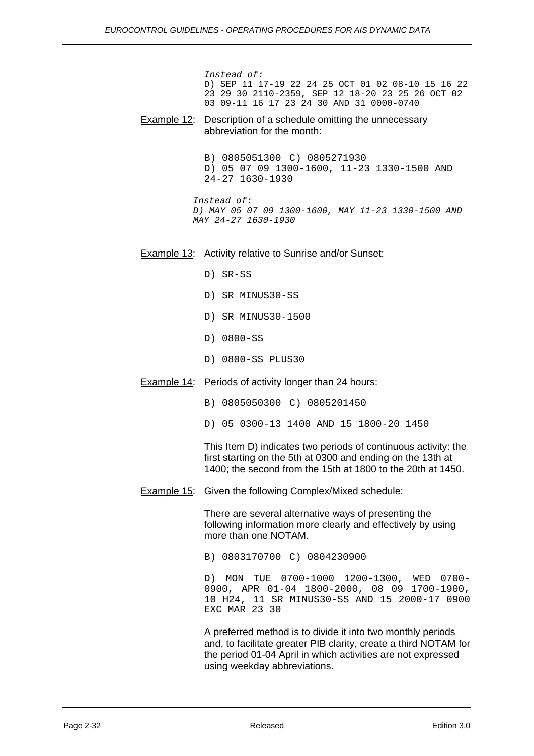*Instead of:*  D) SEP 11 17-19 22 24 25 OCT 01 02 08-10 15 16 22 23 29 30 2110-2359, SEP 12 18-20 23 25 26 OCT 02 03 09-11 16 17 23 24 30 AND 31 0000-0740

Example 12: Description of a schedule omitting the unnecessary abbreviation for the month:

> B) 0805051300 C) 0805271930 D) 05 07 09 1300-1600, 11-23 1330-1500 AND 24-27 1630-1930

*Instead of: D) MAY 05 07 09 1300-1600, MAY 11-23 1330-1500 AND MAY 24-27 1630-1930* 

- Example 13: Activity relative to Sunrise and/or Sunset:
	- D) SR-SS
	- D) SR MINUS30-SS
	- D) SR MINUS30-1500
	- D) 0800-SS
	- D) 0800-SS PLUS30

### **Example 14:** Periods of activity longer than 24 hours:

- B) 0805050300 C) 0805201450
- D) 05 0300-13 1400 AND 15 1800-20 1450

This Item D) indicates two periods of continuous activity: the first starting on the 5th at 0300 and ending on the 13th at 1400; the second from the 15th at 1800 to the 20th at 1450.

Example 15: Given the following Complex/Mixed schedule:

There are several alternative ways of presenting the following information more clearly and effectively by using more than one NOTAM.

B) 0803170700 C) 0804230900

D) MON TUE 0700-1000 1200-1300, WED 0700- 0900, APR 01-04 1800-2000, 08 09 1700-1900, 10 H24, 11 SR MINUS30-SS AND 15 2000-17 0900  $EXC$  MAR 23 30

A preferred method is to divide it into two monthly periods and, to facilitate greater PIB clarity, create a third NOTAM for the period 01-04 April in which activities are not expressed using weekday abbreviations.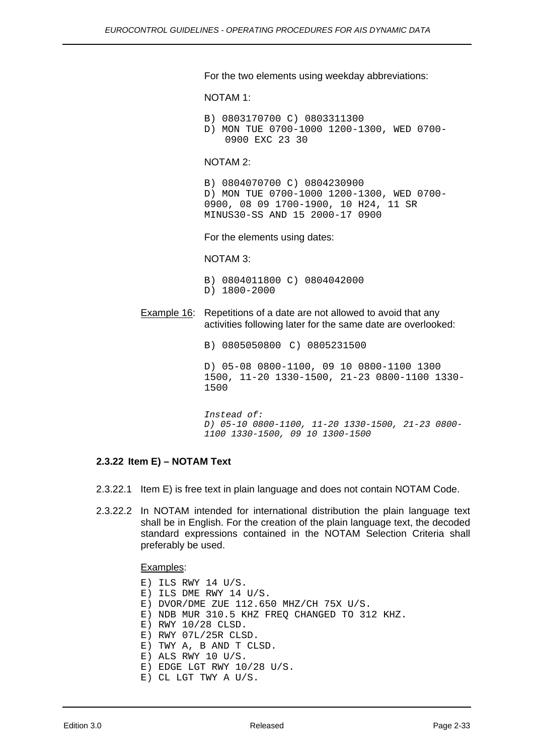For the two elements using weekday abbreviations:

### NOTAM 1:

- B) 0803170700 C) 0803311300
- D) MON TUE 0700-1000 1200-1300, WED 0700- 0900 EXC 23 30

### NOTAM 2:

B) 0804070700 C) 0804230900 D) MON TUE 0700-1000 1200-1300, WED 0700- 0900, 08 09 1700-1900, 10 H24, 11 SR MINUS30-SS AND 15 2000-17 0900

For the elements using dates:

#### NOTAM 3:

B) 0804011800 C) 0804042000 D) 1800-2000

Example 16: Repetitions of a date are not allowed to avoid that any activities following later for the same date are overlooked:

B) 0805050800 C) 0805231500

D) 05-08 0800-1100, 09 10 0800-1100 1300 1500, 11-20 1330-1500, 21-23 0800-1100 1330- 1500

*Instead of: D) 05-10 0800-1100, 11-20 1330-1500, 21-23 0800- 1100 1330-1500, 09 10 1300-1500*

## **2.3.22 Item E) – NOTAM Text**

- 2.3.22.1 Item E) is free text in plain language and does not contain NOTAM Code.
- 2.3.22.2 In NOTAM intended for international distribution the plain language text shall be in English. For the creation of the plain language text, the decoded standard expressions contained in the NOTAM Selection Criteria shall preferably be used.

#### Examples:

 E) ILS RWY 14 U/S. E) ILS DME RWY 14 U/S. E) DVOR/DME ZUE 112.650 MHZ/CH 75X U/S. E) NDB MUR 310.5 KHZ FREQ CHANGED TO 312 KHZ. E) RWY 10/28 CLSD. E) RWY 07L/25R CLSD. E) TWY A, B AND T CLSD. E) ALS RWY 10 U/S. E) EDGE LGT RWY 10/28 U/S. E) CL LGT TWY A U/S.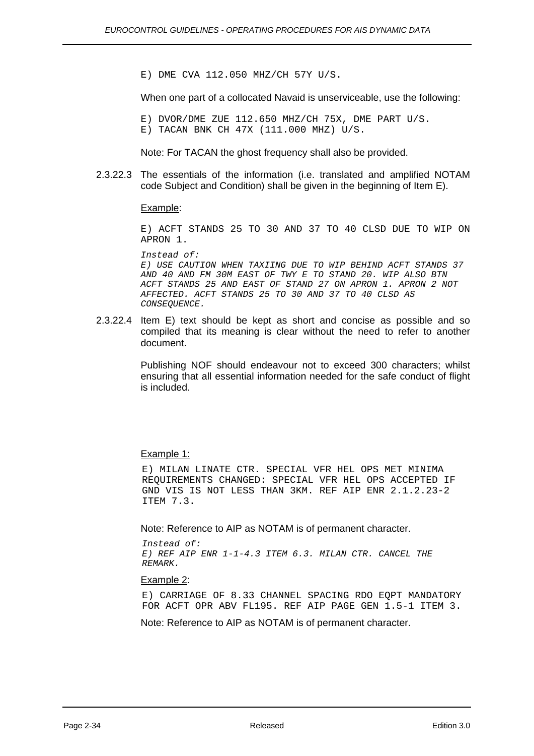E) DME CVA 112.050 MHZ/CH 57Y U/S.

When one part of a collocated Navaid is unserviceable, use the following:

E) DVOR/DME ZUE 112.650 MHZ/CH 75X, DME PART U/S. E) TACAN BNK CH 47X (111.000 MHZ) U/S.

Note: For TACAN the ghost frequency shall also be provided.

2.3.22.3 The essentials of the information (i.e. translated and amplified NOTAM code Subject and Condition) shall be given in the beginning of Item E).

#### Example:

 E) ACFT STANDS 25 TO 30 AND 37 TO 40 CLSD DUE TO WIP ON APRON 1.

*Instead of:* 

*E) USE CAUTION WHEN TAXIING DUE TO WIP BEHIND ACFT STANDS 37 AND 40 AND FM 30M EAST OF TWY E TO STAND 20. WIP ALSO BTN ACFT STANDS 25 AND EAST OF STAND 27 ON APRON 1. APRON 2 NOT AFFECTED. ACFT STANDS 25 TO 30 AND 37 TO 40 CLSD AS CONSEQUENCE.* 

<span id="page-49-0"></span>2.3.22.4 Item E) text should be kept as short and concise as possible and so compiled that its meaning is clear without the need to refer to another document.

> Publishing NOF should endeavour not to exceed 300 characters; whilst ensuring that all essential information needed for the safe conduct of flight is included.

#### Example 1:

E) MILAN LINATE CTR. SPECIAL VFR HEL OPS MET MINIMA REQUIREMENTS CHANGED: SPECIAL VFR HEL OPS ACCEPTED IF GND VIS IS NOT LESS THAN 3KM. REF AIP ENR 2.1.2.23-2 ITEM 7.3.

Note: Reference to AIP as NOTAM is of permanent character.

*Instead of: E) REF AIP ENR 1-1-4.3 ITEM 6.3. MILAN CTR. CANCEL THE REMARK.* 

### Example 2:

E) CARRIAGE OF 8.33 CHANNEL SPACING RDO EQPT MANDATORY FOR ACFT OPR ABV FL195. REF AIP PAGE GEN 1.5-1 ITEM 3.

Note: Reference to AIP as NOTAM is of permanent character.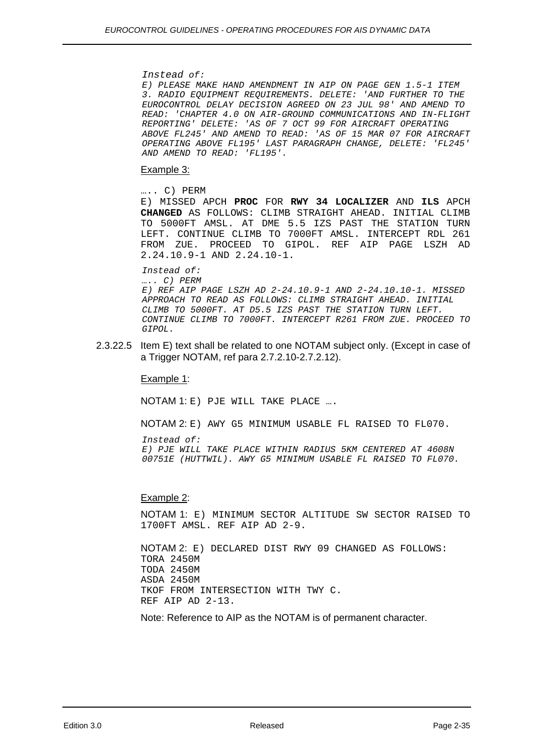#### *Instead of:*

*E) PLEASE MAKE HAND AMENDMENT IN AIP ON PAGE GEN 1.5-1 ITEM 3. RADIO EQUIPMENT REQUIREMENTS. DELETE: 'AND FURTHER TO THE EUROCONTROL DELAY DECISION AGREED ON 23 JUL 98' AND AMEND TO READ: 'CHAPTER 4.0 ON AIR-GROUND COMMUNICATIONS AND IN-FLIGHT REPORTING' DELETE: 'AS OF 7 OCT 99 FOR AIRCRAFT OPERATING ABOVE FL245' AND AMEND TO READ: 'AS OF 15 MAR 07 FOR AIRCRAFT OPERATING ABOVE FL195' LAST PARAGRAPH CHANGE, DELETE: 'FL245' AND AMEND TO READ: 'FL195'.* 

#### Example 3:

#### ….. C) PERM

E) MISSED APCH **PROC** FOR **RWY 34 LOCALIZER** AND **ILS** APCH **CHANGED** AS FOLLOWS: CLIMB STRAIGHT AHEAD. INITIAL CLIMB TO 5000FT AMSL. AT DME 5.5 IZS PAST THE STATION TURN LEFT. CONTINUE CLIMB TO 7000FT AMSL. INTERCEPT RDL 261 FROM ZUE. PROCEED TO GIPOL. REF AIP PAGE LSZH AD 2.24.10.9-1 AND 2.24.10-1.

*Instead of:* 

*….. C) PERM* 

*E) REF AIP PAGE LSZH AD 2-24.10.9-1 AND 2-24.10.10-1. MISSED APPROACH TO READ AS FOLLOWS: CLIMB STRAIGHT AHEAD. INITIAL CLIMB TO 5000FT. AT D5.5 IZS PAST THE STATION TURN LEFT. CONTINUE CLIMB TO 7000FT. INTERCEPT R261 FROM ZUE. PROCEED TO GIPOL.* 

<span id="page-50-0"></span>2.3.22.5 Item E) text shall be related to one NOTAM subject only. (Except in case of a Trigger NOTAM, ref para [2.7.2.10](#page-67-0)[-2.7.2.12\)](#page-67-1).

Example 1:

NOTAM 1: E) PJE WILL TAKE PLACE ….

NOTAM 2: E) AWY G5 MINIMUM USABLE FL RAISED TO FL070.

*Instead of:* 

*E) PJE WILL TAKE PLACE WITHIN RADIUS 5KM CENTERED AT 4608N 00751E (HUTTWIL). AWY G5 MINIMUM USABLE FL RAISED TO FL070.* 

#### Example 2:

NOTAM 1: E) MINIMUM SECTOR ALTITUDE SW SECTOR RAISED TO 1700FT AMSL. REF AIP AD 2-9.

NOTAM 2: E) DECLARED DIST RWY 09 CHANGED AS FOLLOWS: TORA 2450M TODA 2450M ASDA 2450M TKOF FROM INTERSECTION WITH TWY C. REF AIP AD 2-13.

Note: Reference to AIP as the NOTAM is of permanent character.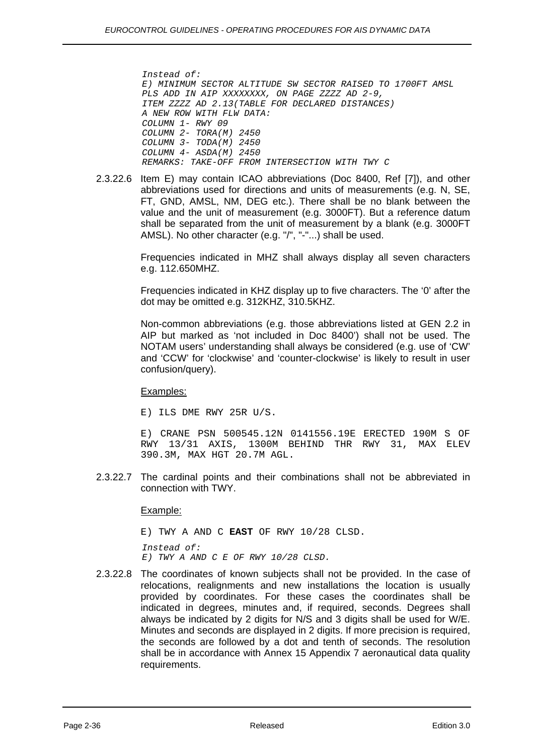*Instead of: E) MINIMUM SECTOR ALTITUDE SW SECTOR RAISED TO 1700FT AMSL PLS ADD IN AIP XXXXXXXX, ON PAGE ZZZZ AD 2-9, ITEM ZZZZ AD 2.13(TABLE FOR DECLARED DISTANCES) A NEW ROW WITH FLW DATA: COLUMN 1- RWY 09 COLUMN 2- TORA(M) 2450 COLUMN 3- TODA(M) 2450 COLUMN 4- ASDA(M) 2450 REMARKS: TAKE-OFF FROM INTERSECTION WITH TWY C* 

2.3.22.6 Item E) may contain ICAO abbreviations (Doc 8400, Ref [[7](#page-19-0)]), and other abbreviations used for directions and units of measurements (e.g. N, SE, FT, GND, AMSL, NM, DEG etc.). There shall be no blank between the value and the unit of measurement (e.g. 3000FT). But a reference datum shall be separated from the unit of measurement by a blank (e.g. 3000FT AMSL). No other character (e.g. "/", "-"...) shall be used.

> Frequencies indicated in MHZ shall always display all seven characters e.g. 112.650MHZ.

> Frequencies indicated in KHZ display up to five characters. The '0' after the dot may be omitted e.g. 312KHZ, 310.5KHZ.

> Non-common abbreviations (e.g. those abbreviations listed at GEN 2.2 in AIP but marked as 'not included in Doc 8400') shall not be used. The NOTAM users' understanding shall always be considered (e.g. use of 'CW' and 'CCW' for 'clockwise' and 'counter-clockwise' is likely to result in user confusion/query).

## Examples:

E) ILS DME RWY 25R U/S.

 E) CRANE PSN 500545.12N 0141556.19E ERECTED 190M S OF RWY 13/31 AXIS, 1300M BEHIND THR RWY 31, MAX ELEV 390.3M, MAX HGT 20.7M AGL.

2.3.22.7 The cardinal points and their combinations shall not be abbreviated in connection with TWY.

## Example:

E) TWY A AND C **EAST** OF RWY 10/28 CLSD.

*Instead of: E) TWY A AND C E OF RWY 10/28 CLSD.* 

2.3.22.8 The coordinates of known subjects shall not be provided. In the case of relocations, realignments and new installations the location is usually provided by coordinates. For these cases the coordinates shall be indicated in degrees, minutes and, if required, seconds. Degrees shall always be indicated by 2 digits for N/S and 3 digits shall be used for W/E. Minutes and seconds are displayed in 2 digits. If more precision is required, the seconds are followed by a dot and tenth of seconds. The resolution shall be in accordance with Annex 15 Appendix 7 aeronautical data quality requirements.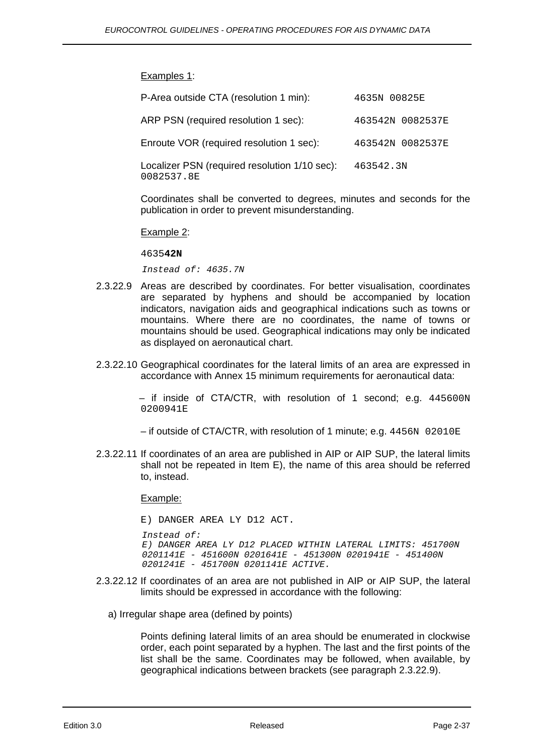Examples 1:

| P-Area outside CTA (resolution 1 min):                      | 4635N 00825E     |
|-------------------------------------------------------------|------------------|
| ARP PSN (required resolution 1 sec):                        | 463542N 0082537E |
| Enroute VOR (required resolution 1 sec):                    | 463542N 0082537E |
| Localizer PSN (required resolution 1/10 sec):<br>0082537.8E | 463542.3N        |

 Coordinates shall be converted to degrees, minutes and seconds for the publication in order to prevent misunderstanding.

Example 2:

4635**42N**

*Instead of: 4635.7N* 

- <span id="page-52-0"></span>2.3.22.9 Areas are described by coordinates. For better visualisation, coordinates are separated by hyphens and should be accompanied by location indicators, navigation aids and geographical indications such as towns or mountains. Where there are no coordinates, the name of towns or mountains should be used. Geographical indications may only be indicated as displayed on aeronautical chart.
- 2.3.22.10 Geographical coordinates for the lateral limits of an area are expressed in accordance with Annex 15 minimum requirements for aeronautical data:

– if inside of CTA/CTR, with resolution of 1 second; e.g. 445600N 0200941E

– if outside of CTA/CTR, with resolution of 1 minute; e.g. 4456N 02010E

2.3.22.11 If coordinates of an area are published in AIP or AIP SUP, the lateral limits shall not be repeated in Item E), the name of this area should be referred to, instead.

Example:

E) DANGER AREA LY D12 ACT.

*Instead of:* 

```
E) DANGER AREA LY D12 PLACED WITHIN LATERAL LIMITS: 451700N 
0201141E - 451600N 0201641E - 451300N 0201941E - 451400N 
0201241E - 451700N 0201141E ACTIVE.
```
- 2.3.22.12 If coordinates of an area are not published in AIP or AIP SUP, the lateral limits should be expressed in accordance with the following:
	- a) Irregular shape area (defined by points)

 Points defining lateral limits of an area should be enumerated in clockwise order, each point separated by a hyphen. The last and the first points of the list shall be the same. Coordinates may be followed, when available, by geographical indications between brackets (see paragraph [2.3.22.9\)](#page-52-0).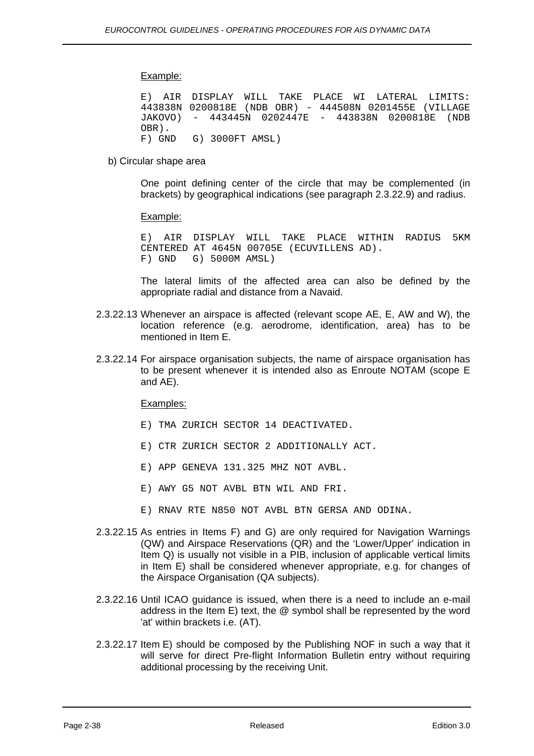### Example:

 E) AIR DISPLAY WILL TAKE PLACE WI LATERAL LIMITS: 443838N 0200818E (NDB OBR) - 444508N 0201455E (VILLAGE JAKOVO) - 443445N 0202447E - 443838N 0200818E (NDB OBR). F) GND G) 3000FT AMSL)

b) Circular shape area

 One point defining center of the circle that may be complemented (in brackets) by geographical indications (see paragraph 2.3.22.9) and radius.

#### Example:

 E) AIR DISPLAY WILL TAKE PLACE WITHIN RADIUS 5KM CENTERED AT 4645N 00705E (ECUVILLENS AD). F) GND G) 5000M AMSL)

 The lateral limits of the affected area can also be defined by the appropriate radial and distance from a Navaid.

- 2.3.22.13 Whenever an airspace is affected (relevant scope AE, E, AW and W), the location reference (e.g. aerodrome, identification, area) has to be mentioned in Item E.
- 2.3.22.14 For airspace organisation subjects, the name of airspace organisation has to be present whenever it is intended also as Enroute NOTAM (scope E and AE).

#### Examples:

- E) TMA ZURICH SECTOR 14 DEACTIVATED.
- E) CTR ZURICH SECTOR 2 ADDITIONALLY ACT.
- E) APP GENEVA 131.325 MHZ NOT AVBL.
- E) AWY G5 NOT AVBL BTN WIL AND FRI.
- E) RNAV RTE N850 NOT AVBL BTN GERSA AND ODINA.
- 2.3.22.15 As entries in Items F) and G) are only required for Navigation Warnings (QW) and Airspace Reservations (QR) and the 'Lower/Upper' indication in Item Q) is usually not visible in a PIB, inclusion of applicable vertical limits in Item E) shall be considered whenever appropriate, e.g. for changes of the Airspace Organisation (QA subjects).
- 2.3.22.16 Until ICAO guidance is issued, when there is a need to include an e-mail address in the Item E) text, the @ symbol shall be represented by the word 'at' within brackets i.e. (AT).
- 2.3.22.17 Item E) should be composed by the Publishing NOF in such a way that it will serve for direct Pre-flight Information Bulletin entry without requiring additional processing by the receiving Unit.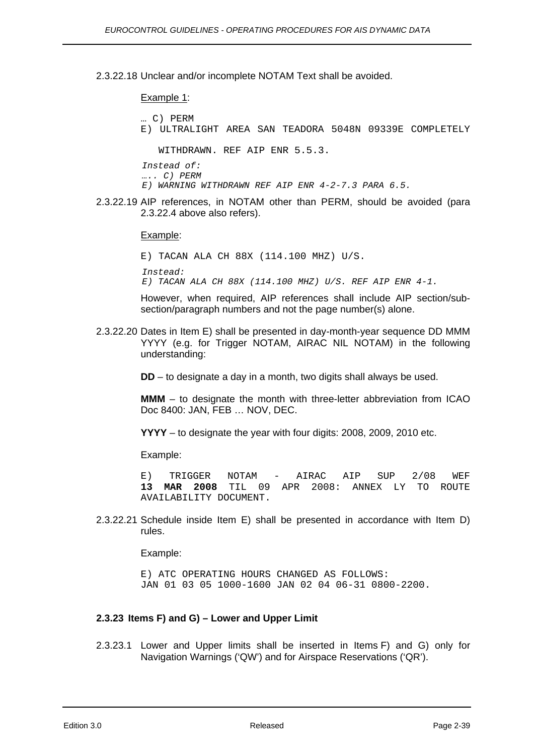<span id="page-54-1"></span>2.3.22.18 Unclear and/or incomplete NOTAM Text shall be avoided.

### Example 1:

- … C) PERM
- E) ULTRALIGHT AREA SAN TEADORA 5048N 09339E COMPLETELY

WITHDRAWN. REF AIP ENR 5.5.3.

```
Instead of: 
….. C) PERM 
E) WARNING WITHDRAWN REF AIP ENR 4-2-7.3 PARA 6.5.
```
<span id="page-54-2"></span>2.3.22.19 AIP references, in NOTAM other than PERM, should be avoided (para [2.3.22.4](#page-49-0) above also refers).

### Example:

 E) TACAN ALA CH 88X (114.100 MHZ) U/S. *Instead: E) TACAN ALA CH 88X (114.100 MHZ) U/S. REF AIP ENR 4-1.* 

 However, when required, AIP references shall include AIP section/subsection/paragraph numbers and not the page number(s) alone.

2.3.22.20 Dates in Item E) shall be presented in day-month-year sequence DD MMM YYYY (e.g. for Trigger NOTAM, AIRAC NIL NOTAM) in the following understanding:

**DD** – to designate a day in a month, two digits shall always be used.

 **MMM** – to designate the month with three-letter abbreviation from ICAO Doc 8400: JAN, FEB … NOV, DEC.

**YYYY** – to designate the year with four digits: 2008, 2009, 2010 etc.

Example:

 E) TRIGGER NOTAM - AIRAC AIP SUP 2/08 WEF **13 MAR 2008** TIL 09 APR 2008: ANNEX LY TO ROUTE AVAILABILITY DOCUMENT.

2.3.22.21 Schedule inside Item E) shall be presented in accordance with Item D) rules.

Example:

 E) ATC OPERATING HOURS CHANGED AS FOLLOWS: JAN 01 03 05 1000-1600 JAN 02 04 06-31 0800-2200.

## **2.3.23 Items F) and G) – Lower and Upper Limit**

<span id="page-54-0"></span>2.3.23.1 Lower and Upper limits shall be inserted in Items F) and G) only for Navigation Warnings ('QW') and for Airspace Reservations ('QR').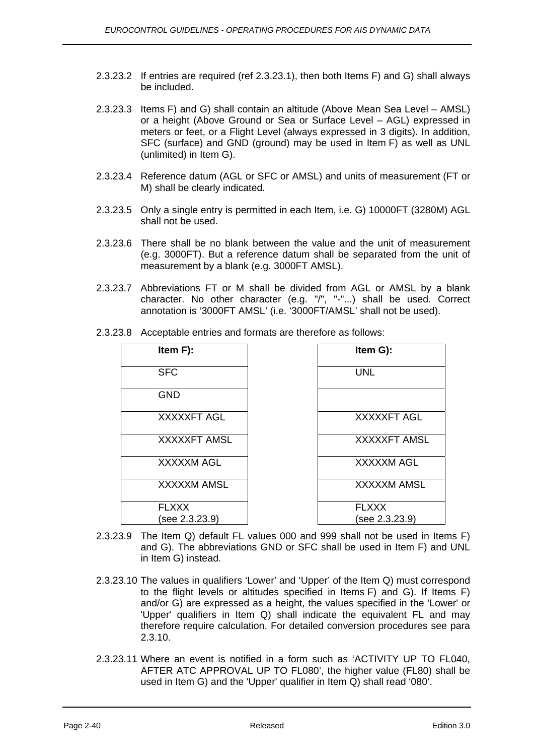- 2.3.23.2 If entries are required (ref [2.3.23.1](#page-54-0)), then both Items F) and G) shall always be included.
- 2.3.23.3 Items F) and G) shall contain an altitude (Above Mean Sea Level AMSL) or a height (Above Ground or Sea or Surface Level – AGL) expressed in meters or feet, or a Flight Level (always expressed in 3 digits). In addition, SFC (surface) and GND (ground) may be used in Item F) as well as UNL (unlimited) in Item G).
- 2.3.23.4 Reference datum (AGL or SFC or AMSL) and units of measurement (FT or M) shall be clearly indicated.
- 2.3.23.5 Only a single entry is permitted in each Item, i.e. G) 10000FT (3280M) AGL shall not be used.
- 2.3.23.6 There shall be no blank between the value and the unit of measurement (e.g. 3000FT). But a reference datum shall be separated from the unit of measurement by a blank (e.g. 3000FT AMSL).
- 2.3.23.7 Abbreviations FT or M shall be divided from AGL or AMSL by a blank character. No other character (e.g. "/", "-"...) shall be used. Correct annotation is '3000FT AMSL' (i.e. '3000FT/AMSL' shall not be used).

| 2.3.23.8 Acceptable entries and formats are therefore as follows: |                     |
|-------------------------------------------------------------------|---------------------|
| Item F):                                                          | Item G):            |
| <b>SFC</b>                                                        | <b>UNL</b>          |
| <b>GND</b>                                                        |                     |
| <b>XXXXXFT AGL</b>                                                | <b>XXXXXFT AGL</b>  |
| <b>XXXXXFT AMSL</b>                                               | <b>XXXXXFT AMSL</b> |

FI XXX

(see [2.3.23.9\)](#page-55-0)

<span id="page-55-0"></span>2.3.23.9 The Item Q) default FL values 000 and 999 shall not be used in Items F) and G). The abbreviations GND or SFC shall be used in Item F) and UNL in Item G) instead.

XXXXXM AGL XXXXXM AGL

XXXXXM AMSL XXXXXM AMSL

FI XXX

(see [2.3.23.9\)](#page-55-0)

- 2.3.23.10 The values in qualifiers 'Lower' and 'Upper' of the Item Q) must correspond to the flight levels or altitudes specified in Items F) and G). If Items F) and/or G) are expressed as a height, the values specified in the 'Lower' or 'Upper' qualifiers in Item Q) shall indicate the equivalent FL and may therefore require calculation. For detailed conversion procedures see para [2.3.10](#page-30-0).
- 2.3.23.11 Where an event is notified in a form such as 'ACTIVITY UP TO FL040, AFTER ATC APPROVAL UP TO FL080', the higher value (FL80) shall be used in Item G) and the 'Upper' qualifier in Item Q) shall read '080'.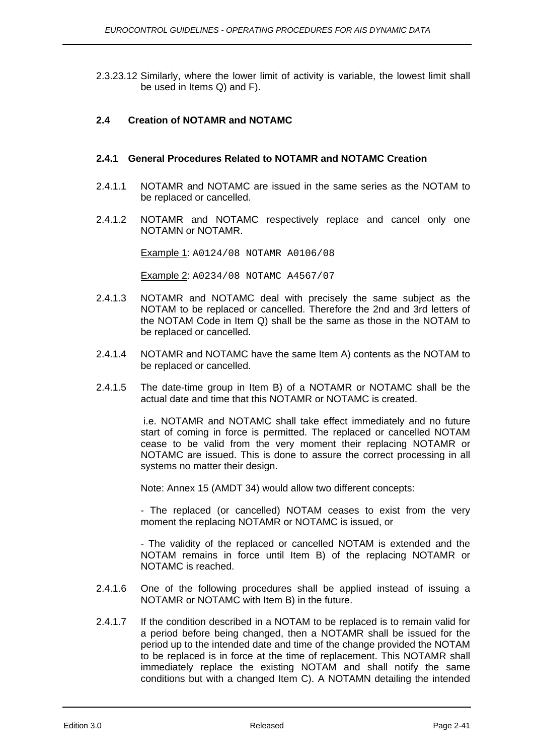2.3.23.12 Similarly, where the lower limit of activity is variable, the lowest limit shall be used in Items Q) and F).

## **2.4 Creation of NOTAMR and NOTAMC**

### **2.4.1 General Procedures Related to NOTAMR and NOTAMC Creation**

- 2.4.1.1 NOTAMR and NOTAMC are issued in the same series as the NOTAM to be replaced or cancelled.
- 2.4.1.2 NOTAMR and NOTAMC respectively replace and cancel only one NOTAMN or NOTAMR.

Example 1: A0124/08 NOTAMR A0106/08

Example 2: A0234/08 NOTAMC A4567/07

- <span id="page-56-1"></span>2.4.1.3 NOTAMR and NOTAMC deal with precisely the same subject as the NOTAM to be replaced or cancelled. Therefore the 2nd and 3rd letters of the NOTAM Code in Item Q) shall be the same as those in the NOTAM to be replaced or cancelled.
- 2.4.1.4 NOTAMR and NOTAMC have the same Item A) contents as the NOTAM to be replaced or cancelled.
- <span id="page-56-0"></span>2.4.1.5 The date-time group in Item B) of a NOTAMR or NOTAMC shall be the actual date and time that this NOTAMR or NOTAMC is created.

 i.e. NOTAMR and NOTAMC shall take effect immediately and no future start of coming in force is permitted. The replaced or cancelled NOTAM cease to be valid from the very moment their replacing NOTAMR or NOTAMC are issued. This is done to assure the correct processing in all systems no matter their design.

Note: Annex 15 (AMDT 34) would allow two different concepts:

 - The replaced (or cancelled) NOTAM ceases to exist from the very moment the replacing NOTAMR or NOTAMC is issued, or

 - The validity of the replaced or cancelled NOTAM is extended and the NOTAM remains in force until Item B) of the replacing NOTAMR or NOTAMC is reached.

- 2.4.1.6 One of the following procedures shall be applied instead of issuing a NOTAMR or NOTAMC with Item B) in the future.
- 2.4.1.7 If the condition described in a NOTAM to be replaced is to remain valid for a period before being changed, then a NOTAMR shall be issued for the period up to the intended date and time of the change provided the NOTAM to be replaced is in force at the time of replacement. This NOTAMR shall immediately replace the existing NOTAM and shall notify the same conditions but with a changed Item C). A NOTAMN detailing the intended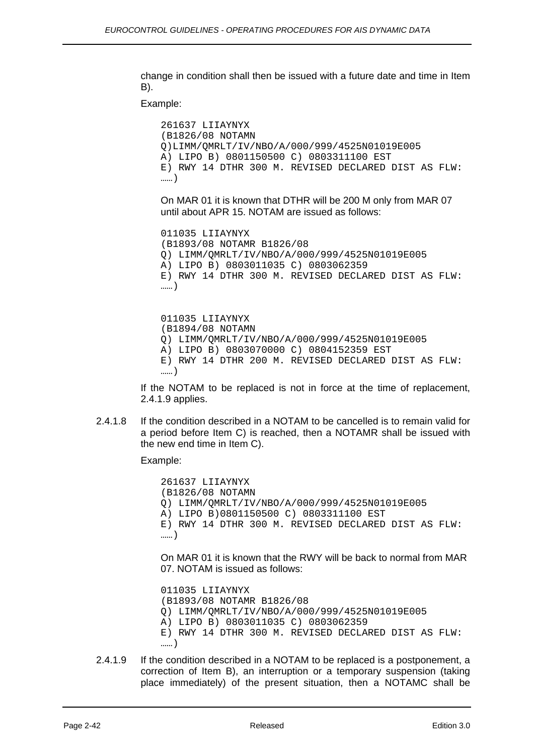change in condition shall then be issued with a future date and time in Item B).

Example:

261637 LIIAYNYX (B1826/08 NOTAMN Q)LIMM/QMRLT/IV/NBO/A/000/999/4525N01019E005 A) LIPO B) 0801150500 C) 0803311100 EST E) RWY 14 DTHR 300 M. REVISED DECLARED DIST AS FLW: ……)

On MAR 01 it is known that DTHR will be 200 M only from MAR 07 until about APR 15. NOTAM are issued as follows:

011035 LIIAYNYX (B1893/08 NOTAMR B1826/08 Q) LIMM/QMRLT/IV/NBO/A/000/999/4525N01019E005 A) LIPO B) 0803011035 C) 0803062359 E) RWY 14 DTHR 300 M. REVISED DECLARED DIST AS FLW: ……)

011035 LIIAYNYX (B1894/08 NOTAMN Q) LIMM/QMRLT/IV/NBO/A/000/999/4525N01019E005 A) LIPO B) 0803070000 C) 0804152359 EST E) RWY 14 DTHR 200 M. REVISED DECLARED DIST AS FLW: ……)

 If the NOTAM to be replaced is not in force at the time of replacement, 2.4.1.9 applies.

2.4.1.8 If the condition described in a NOTAM to be cancelled is to remain valid for a period before Item C) is reached, then a NOTAMR shall be issued with the new end time in Item C).

Example:

261637 LIIAYNYX (B1826/08 NOTAMN Q) LIMM/QMRLT/IV/NBO/A/000/999/4525N01019E005 A) LIPO B)0801150500 C) 0803311100 EST E) RWY 14 DTHR 300 M. REVISED DECLARED DIST AS FLW: ……)

On MAR 01 it is known that the RWY will be back to normal from MAR 07. NOTAM is issued as follows:

011035 LIIAYNYX (B1893/08 NOTAMR B1826/08 Q) LIMM/QMRLT/IV/NBO/A/000/999/4525N01019E005 A) LIPO B) 0803011035 C) 0803062359 E) RWY 14 DTHR 300 M. REVISED DECLARED DIST AS FLW: ……)

2.4.1.9 If the condition described in a NOTAM to be replaced is a postponement, a correction of Item B), an interruption or a temporary suspension (taking place immediately) of the present situation, then a NOTAMC shall be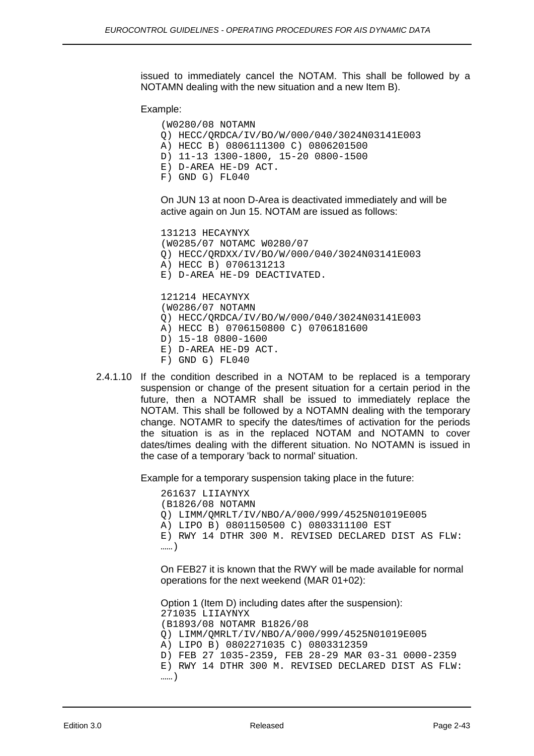issued to immediately cancel the NOTAM. This shall be followed by a NOTAMN dealing with the new situation and a new Item B).

Example:

(W0280/08 NOTAMN

- Q) HECC/QRDCA/IV/BO/W/000/040/3024N03141E003
- A) HECC B) 0806111300 C) 0806201500
- D) 11-13 1300-1800, 15-20 0800-1500
- E) D-AREA HE-D9 ACT.
- F) GND G) FL040

On JUN 13 at noon D-Area is deactivated immediately and will be active again on Jun 15. NOTAM are issued as follows:

131213 HECAYNYX (W0285/07 NOTAMC W0280/07 Q) HECC/QRDXX/IV/BO/W/000/040/3024N03141E003 A) HECC B) 0706131213 E) D-AREA HE-D9 DEACTIVATED. 121214 HECAYNYX (W0286/07 NOTAMN Q) HECC/QRDCA/IV/BO/W/000/040/3024N03141E003 A) HECC B) 0706150800 C) 0706181600 D) 15-18 0800-1600 E) D-AREA HE-D9 ACT. F) GND G) FL040

2.4.1.10 If the condition described in a NOTAM to be replaced is a temporary suspension or change of the present situation for a certain period in the future, then a NOTAMR shall be issued to immediately replace the NOTAM. This shall be followed by a NOTAMN dealing with the temporary change. NOTAMR to specify the dates/times of activation for the periods the situation is as in the replaced NOTAM and NOTAMN to cover dates/times dealing with the different situation. No NOTAMN is issued in the case of a temporary 'back to normal' situation.

Example for a temporary suspension taking place in the future:

261637 LIIAYNYX (B1826/08 NOTAMN Q) LIMM/QMRLT/IV/NBO/A/000/999/4525N01019E005 A) LIPO B) 0801150500 C) 0803311100 EST E) RWY 14 DTHR 300 M. REVISED DECLARED DIST AS FLW: ……)

On FEB27 it is known that the RWY will be made available for normal operations for the next weekend (MAR 01+02):

Option 1 (Item D) including dates after the suspension): 271035 LIIAYNYX (B1893/08 NOTAMR B1826/08 Q) LIMM/QMRLT/IV/NBO/A/000/999/4525N01019E005 A) LIPO B) 0802271035 C) 0803312359 D) FEB 27 1035-2359, FEB 28-29 MAR 03-31 0000-2359 E) RWY 14 DTHR 300 M. REVISED DECLARED DIST AS FLW: ……)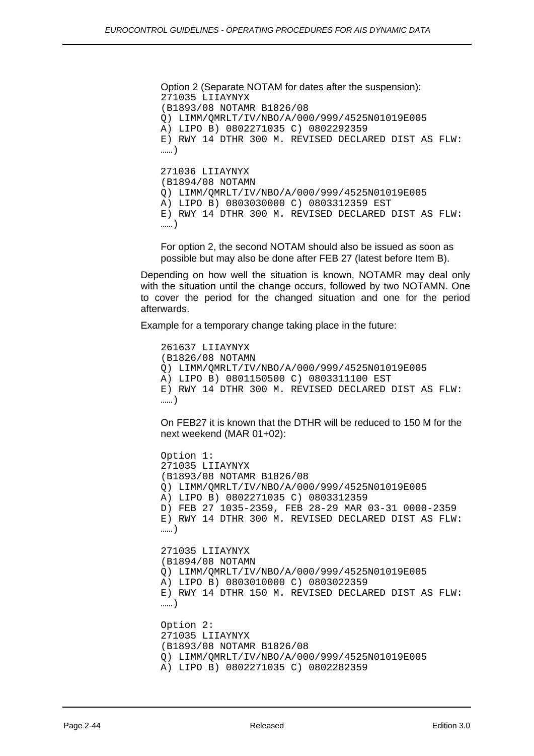Option 2 (Separate NOTAM for dates after the suspension): 271035 LIIAYNYX (B1893/08 NOTAMR B1826/08 Q) LIMM/QMRLT/IV/NBO/A/000/999/4525N01019E005 A) LIPO B) 0802271035 C) 0802292359 E) RWY 14 DTHR 300 M. REVISED DECLARED DIST AS FLW: ……) 271036 LIIAYNYX (B1894/08 NOTAMN Q) LIMM/QMRLT/IV/NBO/A/000/999/4525N01019E005 A) LIPO B) 0803030000 C) 0803312359 EST E) RWY 14 DTHR 300 M. REVISED DECLARED DIST AS FLW: ……)

For option 2, the second NOTAM should also be issued as soon as possible but may also be done after FEB 27 (latest before Item B).

 Depending on how well the situation is known, NOTAMR may deal only with the situation until the change occurs, followed by two NOTAMN. One to cover the period for the changed situation and one for the period afterwards.

Example for a temporary change taking place in the future:

261637 LIIAYNYX (B1826/08 NOTAMN Q) LIMM/QMRLT/IV/NBO/A/000/999/4525N01019E005 A) LIPO B) 0801150500 C) 0803311100 EST E) RWY 14 DTHR 300 M. REVISED DECLARED DIST AS FLW: ……)

On FEB27 it is known that the DTHR will be reduced to 150 M for the next weekend (MAR 01+02):

Option 1: 271035 LIIAYNYX (B1893/08 NOTAMR B1826/08 Q) LIMM/QMRLT/IV/NBO/A/000/999/4525N01019E005 A) LIPO B) 0802271035 C) 0803312359 D) FEB 27 1035-2359, FEB 28-29 MAR 03-31 0000-2359 E) RWY 14 DTHR 300 M. REVISED DECLARED DIST AS FLW: ……) 271035 LIIAYNYX (B1894/08 NOTAMN Q) LIMM/QMRLT/IV/NBO/A/000/999/4525N01019E005 A) LIPO B) 0803010000 C) 0803022359 E) RWY 14 DTHR 150 M. REVISED DECLARED DIST AS FLW: ……) Option 2: 271035 LIIAYNYX (B1893/08 NOTAMR B1826/08

Q) LIMM/QMRLT/IV/NBO/A/000/999/4525N01019E005

A) LIPO B) 0802271035 C) 0802282359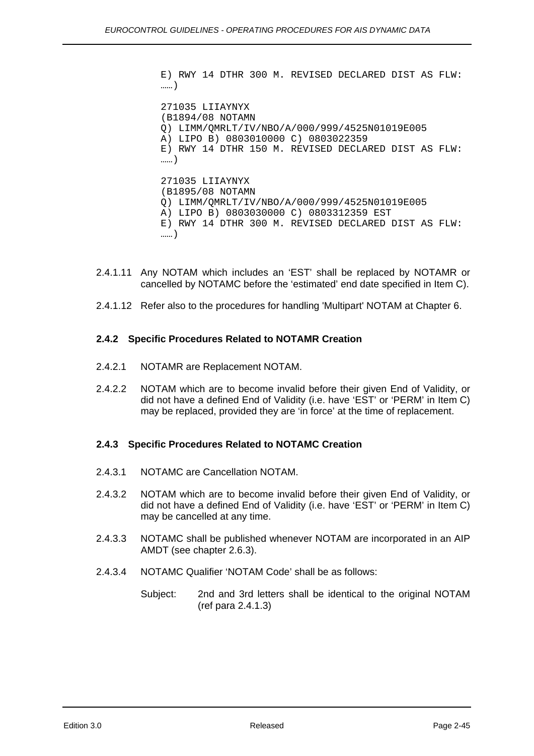E) RWY 14 DTHR 300 M. REVISED DECLARED DIST AS FLW: ……)

271035 LIIAYNYX (B1894/08 NOTAMN Q) LIMM/QMRLT/IV/NBO/A/000/999/4525N01019E005 A) LIPO B) 0803010000 C) 0803022359 E) RWY 14 DTHR 150 M. REVISED DECLARED DIST AS FLW: ……) 271035 LIIAYNYX (B1895/08 NOTAMN Q) LIMM/QMRLT/IV/NBO/A/000/999/4525N01019E005 A) LIPO B) 0803030000 C) 0803312359 EST E) RWY 14 DTHR 300 M. REVISED DECLARED DIST AS FLW: ……)

- 2.4.1.11 Any NOTAM which includes an 'EST' shall be replaced by NOTAMR or cancelled by NOTAMC before the 'estimated' end date specified in Item C).
- 2.4.1.12 Refer also to the procedures for handling 'Multipart' NOTAM at Chapter [6](#page-126-0).

### **2.4.2 Specific Procedures Related to NOTAMR Creation**

- 2.4.2.1 NOTAMR are Replacement NOTAM.
- 2.4.2.2 NOTAM which are to become invalid before their given End of Validity, or did not have a defined End of Validity (i.e. have 'EST' or 'PERM' in Item C) may be replaced, provided they are 'in force' at the time of replacement.

### **2.4.3 Specific Procedures Related to NOTAMC Creation**

- 2.4.3.1 NOTAMC are Cancellation NOTAM.
- 2.4.3.2 NOTAM which are to become invalid before their given End of Validity, or did not have a defined End of Validity (i.e. have 'EST' or 'PERM' in Item C) may be cancelled at any time.
- <span id="page-60-0"></span>2.4.3.3 NOTAMC shall be published whenever NOTAM are incorporated in an AIP AMDT (see chapter [2.6.3\)](#page-65-0).
- 2.4.3.4 NOTAMC Qualifier 'NOTAM Code' shall be as follows:
	- Subject: 2nd and 3rd letters shall be identical to the original NOTAM (ref para [2.4.1.3](#page-56-1))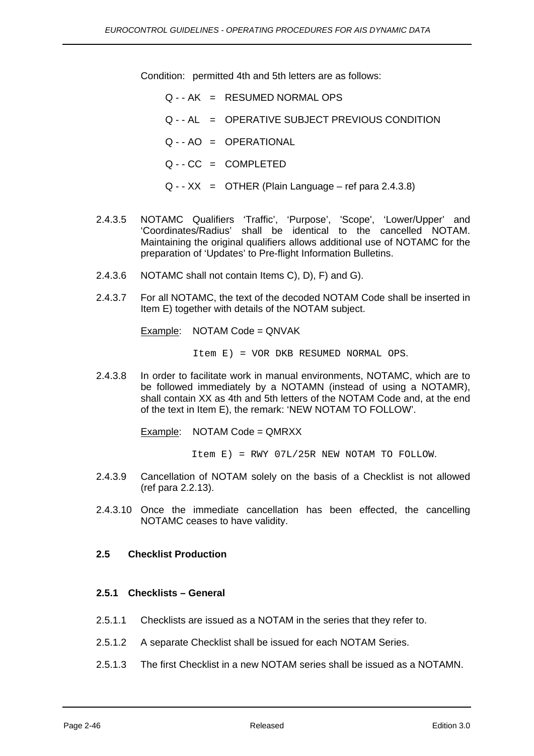Condition: permitted 4th and 5th letters are as follows:

- $Q AK = RESULT MED NORMAL OPS$ Q - - AL = OPERATIVE SUBJECT PREVIOUS CONDITION Q - - AO = OPERATIONAL  $Q - C = COMPLETED$  $Q - XX = OTHER (Plain Language - ref para 2.4.3.8)$  $Q - XX = OTHER (Plain Language - ref para 2.4.3.8)$  $Q - XX = OTHER (Plain Language - ref para 2.4.3.8)$
- 2.4.3.5 NOTAMC Qualifiers 'Traffic', 'Purpose', 'Scope', 'Lower/Upper' and 'Coordinates/Radius' shall be identical to the cancelled NOTAM. Maintaining the original qualifiers allows additional use of NOTAMC for the preparation of 'Updates' to Pre-flight Information Bulletins.
- 2.4.3.6 NOTAMC shall not contain Items C), D), F) and G).
- 2.4.3.7 For all NOTAMC, the text of the decoded NOTAM Code shall be inserted in Item E) together with details of the NOTAM subject.

Example: NOTAM Code = QNVAK

Item E) = VOR DKB RESUMED NORMAL OPS.

<span id="page-61-0"></span>2.4.3.8 In order to facilitate work in manual environments, NOTAMC, which are to be followed immediately by a NOTAMN (instead of using a NOTAMR), shall contain XX as 4th and 5th letters of the NOTAM Code and, at the end of the text in Item E), the remark: 'NEW NOTAM TO FOLLOW'.

Example: NOTAM Code = QMRXX

Item E) = RWY 07L/25R NEW NOTAM TO FOLLOW.

- 2.4.3.9 Cancellation of NOTAM solely on the basis of a Checklist is not allowed (ref para [2.2.13](#page-21-0)).
- 2.4.3.10 Once the immediate cancellation has been effected, the cancelling NOTAMC ceases to have validity.

# **2.5 Checklist Production**

## **2.5.1 Checklists – General**

- 2.5.1.1 Checklists are issued as a NOTAM in the series that they refer to.
- 2.5.1.2 A separate Checklist shall be issued for each NOTAM Series.
- 2.5.1.3 The first Checklist in a new NOTAM series shall be issued as a NOTAMN.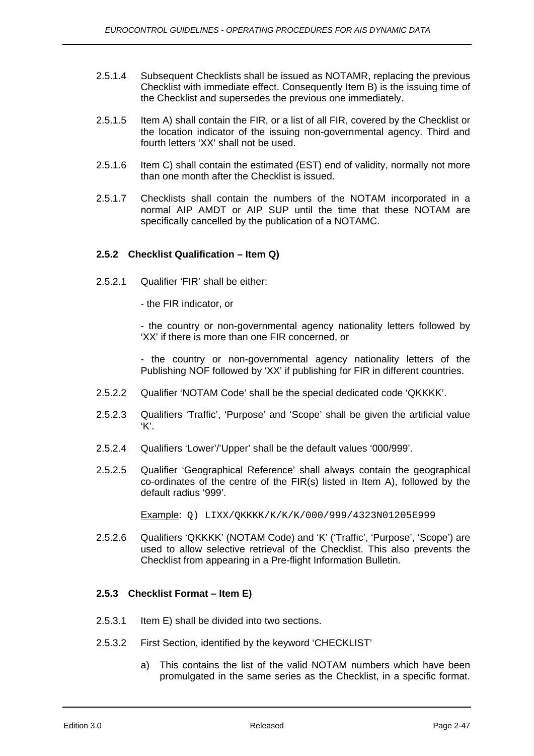- 2.5.1.4 Subsequent Checklists shall be issued as NOTAMR, replacing the previous Checklist with immediate effect. Consequently Item B) is the issuing time of the Checklist and supersedes the previous one immediately.
- 2.5.1.5 Item A) shall contain the FIR, or a list of all FIR, covered by the Checklist or the location indicator of the issuing non-governmental agency. Third and fourth letters 'XX' shall not be used.
- 2.5.1.6 Item C) shall contain the estimated (EST) end of validity, normally not more than one month after the Checklist is issued.
- 2.5.1.7 Checklists shall contain the numbers of the NOTAM incorporated in a normal AIP AMDT or AIP SUP until the time that these NOTAM are specifically cancelled by the publication of a NOTAMC.

## **2.5.2 Checklist Qualification – Item Q)**

- 2.5.2.1 Qualifier 'FIR' shall be either:
	- the FIR indicator, or

 - the country or non-governmental agency nationality letters followed by 'XX' if there is more than one FIR concerned, or

 - the country or non-governmental agency nationality letters of the Publishing NOF followed by 'XX' if publishing for FIR in different countries.

- 2.5.2.2 Qualifier 'NOTAM Code' shall be the special dedicated code 'QKKKK'.
- 2.5.2.3 Qualifiers 'Traffic', 'Purpose' and 'Scope' shall be given the artificial value 'K'.
- 2.5.2.4 Qualifiers 'Lower'/'Upper' shall be the default values '000/999'.
- 2.5.2.5 Qualifier 'Geographical Reference' shall always contain the geographical co-ordinates of the centre of the FIR(s) listed in Item A), followed by the default radius '999'.

Example: Q) LIXX/QKKKK/K/K/K/000/999/4323N01205E999

2.5.2.6 Qualifiers 'QKKKK' (NOTAM Code) and 'K' ('Traffic', 'Purpose', 'Scope') are used to allow selective retrieval of the Checklist. This also prevents the Checklist from appearing in a Pre-flight Information Bulletin.

# **2.5.3 Checklist Format – Item E)**

- 2.5.3.1 Item E) shall be divided into two sections.
- 2.5.3.2 First Section, identified by the keyword 'CHECKLIST'
	- a) This contains the list of the valid NOTAM numbers which have been promulgated in the same series as the Checklist, in a specific format.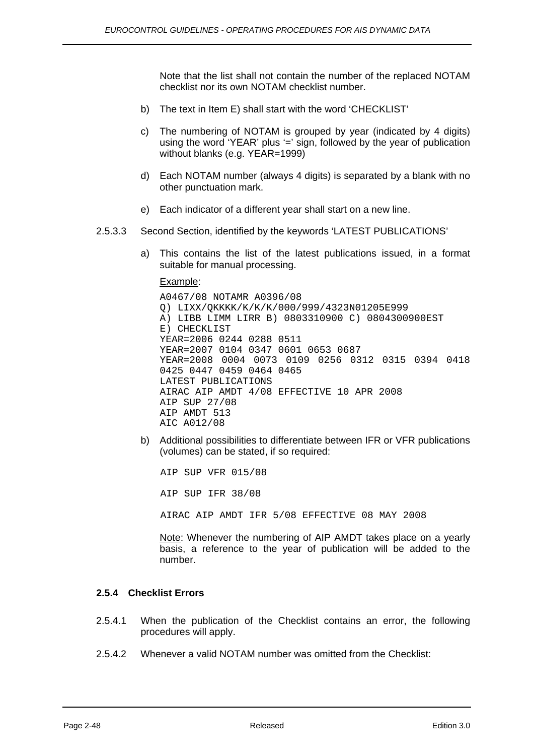Note that the list shall not contain the number of the replaced NOTAM checklist nor its own NOTAM checklist number.

- b) The text in Item E) shall start with the word 'CHECKLIST'
- c) The numbering of NOTAM is grouped by year (indicated by 4 digits) using the word 'YEAR' plus '=' sign, followed by the year of publication without blanks (e.g. YEAR=1999)
- d) Each NOTAM number (always 4 digits) is separated by a blank with no other punctuation mark.
- e) Each indicator of a different year shall start on a new line.
- 2.5.3.3 Second Section, identified by the keywords 'LATEST PUBLICATIONS'
	- a) This contains the list of the latest publications issued, in a format suitable for manual processing.

Example:

A0467/08 NOTAMR A0396/08 Q) LIXX/QKKKK/K/K/K/000/999/4323N01205E999 A) LIBB LIMM LIRR B) 0803310900 C) 0804300900EST E) CHECKLIST YEAR=2006 0244 0288 0511 YEAR=2007 0104 0347 0601 0653 0687 YEAR=2008 0004 0073 0109 0256 0312 0315 0394 0418 0425 0447 0459 0464 0465 LATEST PUBLICATIONS AIRAC AIP AMDT 4/08 EFFECTIVE 10 APR 2008 AIP SUP 27/08 AIP AMDT 513 AIC A012/08

b) Additional possibilities to differentiate between IFR or VFR publications (volumes) can be stated, if so required:

 AIP SUP VFR 015/08 AIP SUP IFR 38/08 AIRAC AIP AMDT IFR 5/08 EFFECTIVE 08 MAY 2008

Note: Whenever the numbering of AIP AMDT takes place on a yearly basis, a reference to the year of publication will be added to the number.

## **2.5.4 Checklist Errors**

- 2.5.4.1 When the publication of the Checklist contains an error, the following procedures will apply.
- 2.5.4.2 Whenever a valid NOTAM number was omitted from the Checklist: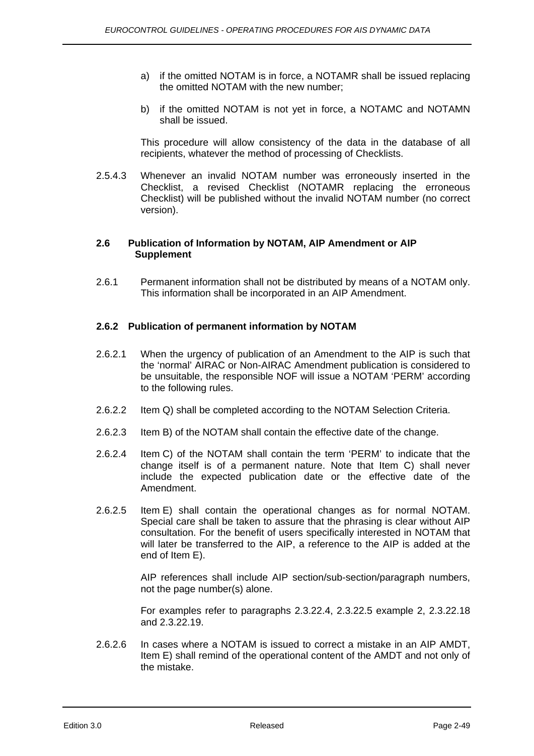- a) if the omitted NOTAM is in force, a NOTAMR shall be issued replacing the omitted NOTAM with the new number;
- b) if the omitted NOTAM is not yet in force, a NOTAMC and NOTAMN shall be issued.

 This procedure will allow consistency of the data in the database of all recipients, whatever the method of processing of Checklists.

2.5.4.3 Whenever an invalid NOTAM number was erroneously inserted in the Checklist, a revised Checklist (NOTAMR replacing the erroneous Checklist) will be published without the invalid NOTAM number (no correct version).

## **2.6 Publication of Information by NOTAM, AIP Amendment or AIP Supplement**

2.6.1 Permanent information shall not be distributed by means of a NOTAM only. This information shall be incorporated in an AIP Amendment.

## **2.6.2 Publication of permanent information by NOTAM**

- 2.6.2.1 When the urgency of publication of an Amendment to the AIP is such that the 'normal' AIRAC or Non-AIRAC Amendment publication is considered to be unsuitable, the responsible NOF will issue a NOTAM 'PERM' according to the following rules.
- 2.6.2.2 Item Q) shall be completed according to the NOTAM Selection Criteria.
- 2.6.2.3 Item B) of the NOTAM shall contain the effective date of the change.
- 2.6.2.4 Item C) of the NOTAM shall contain the term 'PERM' to indicate that the change itself is of a permanent nature. Note that Item C) shall never include the expected publication date or the effective date of the Amendment.
- 2.6.2.5 Item E) shall contain the operational changes as for normal NOTAM. Special care shall be taken to assure that the phrasing is clear without AIP consultation. For the benefit of users specifically interested in NOTAM that will later be transferred to the AIP, a reference to the AIP is added at the end of Item E).

 AIP references shall include AIP section/sub-section/paragraph numbers, not the page number(s) alone.

 For examples refer to paragraphs [2.3.22.4](#page-49-0), [2.3.22.5](#page-50-0) example 2, [2.3.22.18](#page-54-1) and [2.3.22.19](#page-54-2).

2.6.2.6 In cases where a NOTAM is issued to correct a mistake in an AIP AMDT, Item E) shall remind of the operational content of the AMDT and not only of the mistake.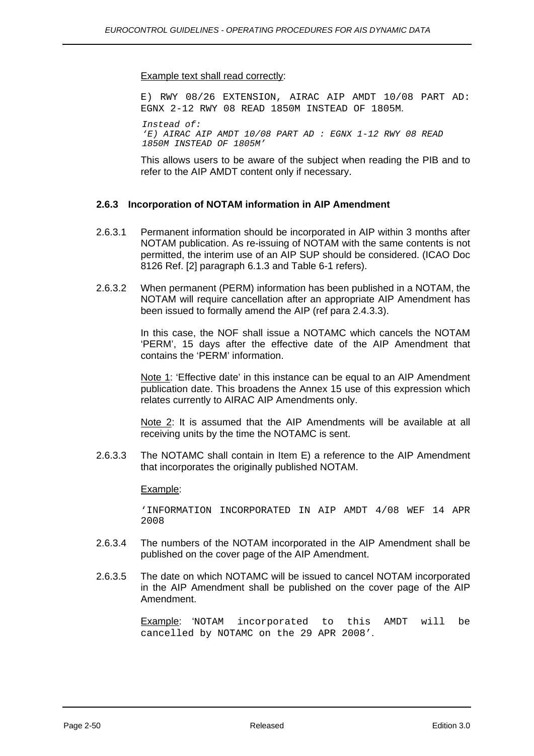### Example text shall read correctly:

 E) RWY 08/26 EXTENSION, AIRAC AIP AMDT 10/08 PART AD: EGNX 2-12 RWY 08 READ 1850M INSTEAD OF 1805M. *Instead of: 'E) AIRAC AIP AMDT 10/08 PART AD : EGNX 1-12 RWY 08 READ 1850M INSTEAD OF 1805M'* 

 This allows users to be aware of the subject when reading the PIB and to refer to the AIP AMDT content only if necessary.

### <span id="page-65-0"></span>**2.6.3 Incorporation of NOTAM information in AIP Amendment**

- 2.6.3.1 Permanent information should be incorporated in AIP within 3 months after NOTAM publication. As re-issuing of NOTAM with the same contents is not permitted, the interim use of an AIP SUP should be considered. (ICAO Doc 8126 Ref. [[2\]](#page-19-1) paragraph 6.1.3 and Table 6-1 refers).
- 2.6.3.2 When permanent (PERM) information has been published in a NOTAM, the NOTAM will require cancellation after an appropriate AIP Amendment has been issued to formally amend the AIP (ref para [2.4.3.3](#page-60-0)).

 In this case, the NOF shall issue a NOTAMC which cancels the NOTAM 'PERM', 15 days after the effective date of the AIP Amendment that contains the 'PERM' information.

 Note 1: 'Effective date' in this instance can be equal to an AIP Amendment publication date. This broadens the Annex 15 use of this expression which relates currently to AIRAC AIP Amendments only.

 Note 2: It is assumed that the AIP Amendments will be available at all receiving units by the time the NOTAMC is sent.

2.6.3.3 The NOTAMC shall contain in Item E) a reference to the AIP Amendment that incorporates the originally published NOTAM.

#### Example:

 'INFORMATION INCORPORATED IN AIP AMDT 4/08 WEF 14 APR 2008

- 2.6.3.4 The numbers of the NOTAM incorporated in the AIP Amendment shall be published on the cover page of the AIP Amendment.
- 2.6.3.5 The date on which NOTAMC will be issued to cancel NOTAM incorporated in the AIP Amendment shall be published on the cover page of the AIP Amendment.

**Example**: 'NOTAM incorporated to this AMDT will be cancelled by NOTAMC on the 29 APR 2008'.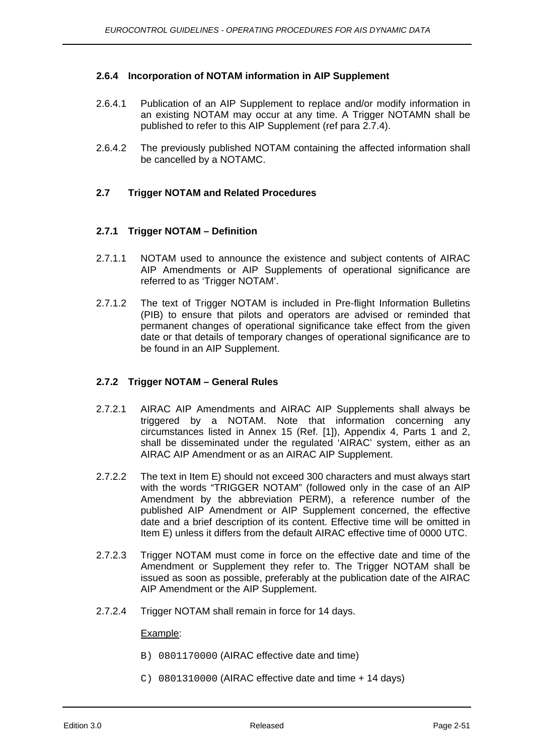## **2.6.4 Incorporation of NOTAM information in AIP Supplement**

- 2.6.4.1 Publication of an AIP Supplement to replace and/or modify information in an existing NOTAM may occur at any time. A Trigger NOTAMN shall be published to refer to this AIP Supplement (ref para [2.7.4](#page-68-0)).
- 2.6.4.2 The previously published NOTAM containing the affected information shall be cancelled by a NOTAMC.

# **2.7 Trigger NOTAM and Related Procedures**

## **2.7.1 Trigger NOTAM – Definition**

- 2.7.1.1 NOTAM used to announce the existence and subject contents of AIRAC AIP Amendments or AIP Supplements of operational significance are referred to as 'Trigger NOTAM'.
- 2.7.1.2 The text of Trigger NOTAM is included in Pre-flight Information Bulletins (PIB) to ensure that pilots and operators are advised or reminded that permanent changes of operational significance take effect from the given date or that details of temporary changes of operational significance are to be found in an AIP Supplement.

## **2.7.2 Trigger NOTAM – General Rules**

- 2.7.2.1 AIRAC AIP Amendments and AIRAC AIP Supplements shall always be triggered by a NOTAM. Note that information concerning any circumstances listed in Annex 15 (Ref. [\[1](#page-19-2)]), Appendix 4, Parts 1 and 2, shall be disseminated under the regulated 'AIRAC' system, either as an AIRAC AIP Amendment or as an AIRAC AIP Supplement.
- 2.7.2.2 The text in Item E) should not exceed 300 characters and must always start with the words "TRIGGER NOTAM" (followed only in the case of an AIP Amendment by the abbreviation PERM), a reference number of the published AIP Amendment or AIP Supplement concerned, the effective date and a brief description of its content. Effective time will be omitted in Item E) unless it differs from the default AIRAC effective time of 0000 UTC.
- 2.7.2.3 Trigger NOTAM must come in force on the effective date and time of the Amendment or Supplement they refer to. The Trigger NOTAM shall be issued as soon as possible, preferably at the publication date of the AIRAC AIP Amendment or the AIP Supplement.
- <span id="page-66-0"></span>2.7.2.4 Trigger NOTAM shall remain in force for 14 days.

### Example:

- B) 0801170000 (AIRAC effective date and time)
- $C)$  0801310000 (AIRAC effective date and time  $+$  14 days)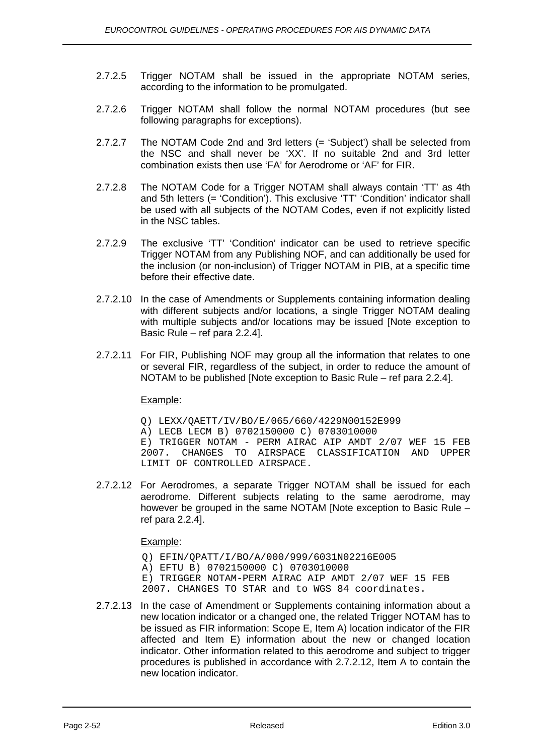- 2.7.2.5 Trigger NOTAM shall be issued in the appropriate NOTAM series, according to the information to be promulgated.
- 2.7.2.6 Trigger NOTAM shall follow the normal NOTAM procedures (but see following paragraphs for exceptions).
- 2.7.2.7 The NOTAM Code 2nd and 3rd letters (= 'Subject') shall be selected from the NSC and shall never be 'XX'. If no suitable 2nd and 3rd letter combination exists then use 'FA' for Aerodrome or 'AF' for FIR.
- 2.7.2.8 The NOTAM Code for a Trigger NOTAM shall always contain 'TT' as 4th and 5th letters (= 'Condition'). This exclusive 'TT' 'Condition' indicator shall be used with all subjects of the NOTAM Codes, even if not explicitly listed in the NSC tables.
- 2.7.2.9 The exclusive 'TT' 'Condition' indicator can be used to retrieve specific Trigger NOTAM from any Publishing NOF, and can additionally be used for the inclusion (or non-inclusion) of Trigger NOTAM in PIB, at a specific time before their effective date.
- <span id="page-67-0"></span>2.7.2.10 In the case of Amendments or Supplements containing information dealing with different subjects and/or locations, a single Trigger NOTAM dealing with multiple subjects and/or locations may be issued [Note exception to Basic Rule – ref para [2.2.4](#page-21-1)].
- 2.7.2.11 For FIR, Publishing NOF may group all the information that relates to one or several FIR, regardless of the subject, in order to reduce the amount of NOTAM to be published [Note exception to Basic Rule – ref para [2.2.4](#page-21-1)].

## Example:

Q) LEXX/QAETT/IV/BO/E/065/660/4229N00152E999 A) LECB LECM B) 0702150000 C) 0703010000 E) TRIGGER NOTAM - PERM AIRAC AIP AMDT 2/07 WEF 15 FEB 2007. CHANGES TO AIRSPACE CLASSIFICATION AND UPPER LIMIT OF CONTROLLED AIRSPACE.

<span id="page-67-1"></span>2.7.2.12 For Aerodromes, a separate Trigger NOTAM shall be issued for each aerodrome. Different subjects relating to the same aerodrome, may however be grouped in the same NOTAM [Note exception to Basic Rule – ref para [2.2.4](#page-21-1)].

## Example:

- Q) EFIN/QPATT/I/BO/A/000/999/6031N02216E005
- A) EFTU B) 0702150000 C) 0703010000
- E) TRIGGER NOTAM-PERM AIRAC AIP AMDT 2/07 WEF 15 FEB
- 2007. CHANGES TO STAR and to WGS 84 coordinates.
- 2.7.2.13 In the case of Amendment or Supplements containing information about a new location indicator or a changed one, the related Trigger NOTAM has to be issued as FIR information: Scope E, Item A) location indicator of the FIR affected and Item E) information about the new or changed location indicator. Other information related to this aerodrome and subject to trigger procedures is published in accordance with [2.7.2.12](#page-67-1), Item A to contain the new location indicator.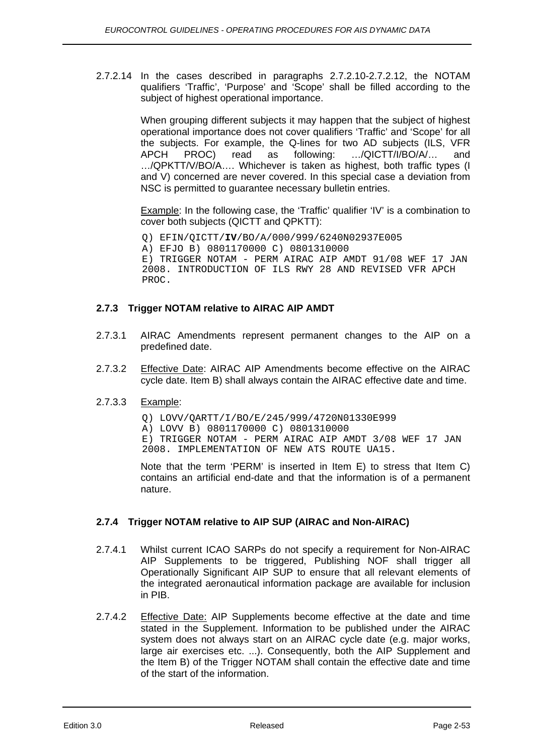2.7.2.14 In the cases described in paragraphs [2.7.2.10](#page-67-0)[-2.7.2.12](#page-67-1), the NOTAM qualifiers 'Traffic', 'Purpose' and 'Scope' shall be filled according to the subject of highest operational importance.

> When grouping different subjects it may happen that the subject of highest operational importance does not cover qualifiers 'Traffic' and 'Scope' for all the subjects. For example, the Q-lines for two AD subjects (ILS, VFR APCH PROC) read as following: …/QICTT/I/BO/A/… and …/QPKTT/V/BO/A…. Whichever is taken as highest, both traffic types (I and V) concerned are never covered. In this special case a deviation from NSC is permitted to guarantee necessary bulletin entries.

> Example: In the following case, the 'Traffic' qualifier 'IV' is a combination to cover both subjects (QICTT and QPKTT):

Q) EFIN/QICTT/**IV**/BO/A/000/999/6240N02937E005

A) EFJO B) 0801170000 C) 0801310000

E) TRIGGER NOTAM - PERM AIRAC AIP AMDT 91/08 WEF 17 JAN 2008. INTRODUCTION OF ILS RWY 28 AND REVISED VFR APCH PROC.

# **2.7.3 Trigger NOTAM relative to AIRAC AIP AMDT**

- 2.7.3.1 AIRAC Amendments represent permanent changes to the AIP on a predefined date.
- 2.7.3.2 Effective Date: AIRAC AIP Amendments become effective on the AIRAC cycle date. Item B) shall always contain the AIRAC effective date and time.

## 2.7.3.3 Example:

- Q) LOVV/QARTT/I/BO/E/245/999/4720N01330E999
- A) LOVV B) 0801170000 C) 0801310000

E) TRIGGER NOTAM - PERM AIRAC AIP AMDT 3/08 WEF 17 JAN 2008. IMPLEMENTATION OF NEW ATS ROUTE UA15.

 Note that the term 'PERM' is inserted in Item E) to stress that Item C) contains an artificial end-date and that the information is of a permanent nature.

## <span id="page-68-0"></span>**2.7.4 Trigger NOTAM relative to AIP SUP (AIRAC and Non-AIRAC)**

- 2.7.4.1 Whilst current ICAO SARPs do not specify a requirement for Non-AIRAC AIP Supplements to be triggered, Publishing NOF shall trigger all Operationally Significant AIP SUP to ensure that all relevant elements of the integrated aeronautical information package are available for inclusion in PIB.
- 2.7.4.2 Effective Date: AIP Supplements become effective at the date and time stated in the Supplement. Information to be published under the AIRAC system does not always start on an AIRAC cycle date (e.g. major works, large air exercises etc. ...). Consequently, both the AIP Supplement and the Item B) of the Trigger NOTAM shall contain the effective date and time of the start of the information.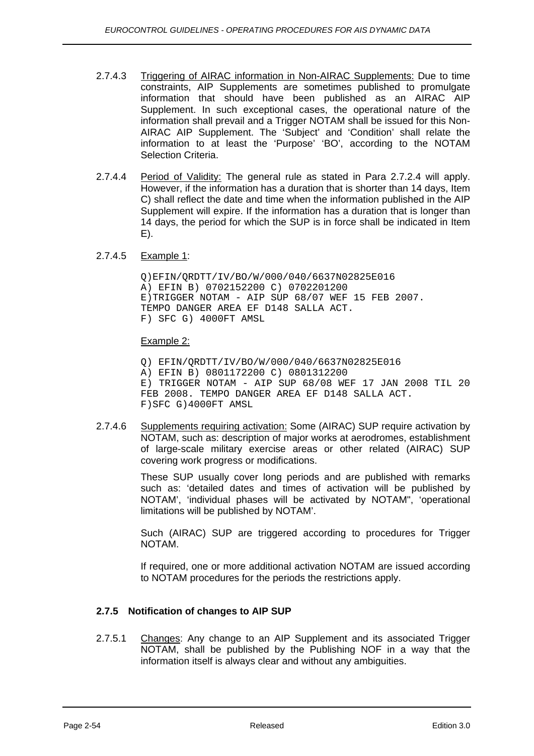- 2.7.4.3 Triggering of AIRAC information in Non-AIRAC Supplements: Due to time constraints, AIP Supplements are sometimes published to promulgate information that should have been published as an AIRAC AIP Supplement. In such exceptional cases, the operational nature of the information shall prevail and a Trigger NOTAM shall be issued for this Non-AIRAC AIP Supplement. The 'Subject' and 'Condition' shall relate the information to at least the 'Purpose' 'BO', according to the NOTAM Selection Criteria.
- 2.7.4.4 Period of Validity: The general rule as stated in Para [2.7.2.4](#page-66-0) will apply. However, if the information has a duration that is shorter than 14 days, Item C) shall reflect the date and time when the information published in the AIP Supplement will expire. If the information has a duration that is longer than 14 days, the period for which the SUP is in force shall be indicated in Item  $E$ ).
- 2.7.4.5 Example 1:

 Q)EFIN/QRDTT/IV/BO/W/000/040/6637N02825E016 A) EFIN B) 0702152200 C) 0702201200 E)TRIGGER NOTAM - AIP SUP 68/07 WEF 15 FEB 2007. TEMPO DANGER AREA EF D148 SALLA ACT. F) SFC G) 4000FT AMSL

## Example 2:

 Q) EFIN/QRDTT/IV/BO/W/000/040/6637N02825E016 A) EFIN B) 0801172200 C) 0801312200 E) TRIGGER NOTAM - AIP SUP 68/08 WEF 17 JAN 2008 TIL 20 FEB 2008. TEMPO DANGER AREA EF D148 SALLA ACT. F)SFC G)4000FT AMSL

2.7.4.6 Supplements requiring activation: Some (AIRAC) SUP require activation by NOTAM, such as: description of major works at aerodromes, establishment of large-scale military exercise areas or other related (AIRAC) SUP covering work progress or modifications.

> These SUP usually cover long periods and are published with remarks such as: 'detailed dates and times of activation will be published by NOTAM', 'individual phases will be activated by NOTAM", 'operational limitations will be published by NOTAM'.

> Such (AIRAC) SUP are triggered according to procedures for Trigger NOTAM.

> If required, one or more additional activation NOTAM are issued according to NOTAM procedures for the periods the restrictions apply.

# **2.7.5 Notification of changes to AIP SUP**

<span id="page-69-0"></span>2.7.5.1 Changes: Any change to an AIP Supplement and its associated Trigger NOTAM, shall be published by the Publishing NOF in a way that the information itself is always clear and without any ambiguities.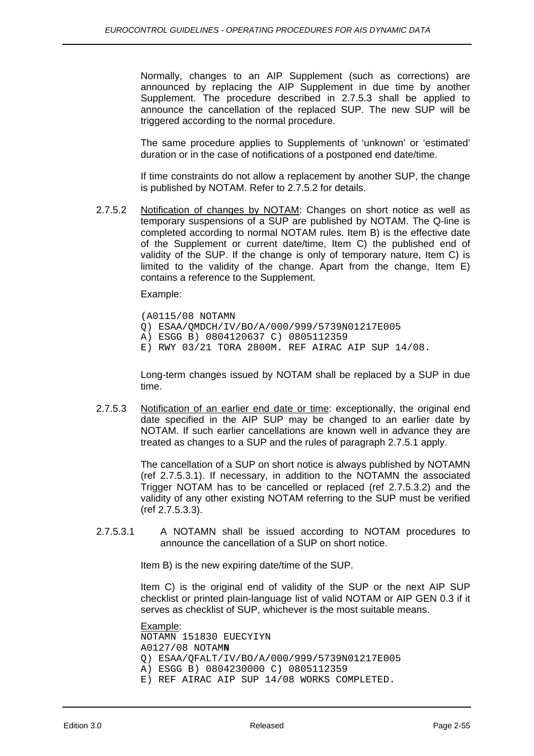Normally, changes to an AIP Supplement (such as corrections) are announced by replacing the AIP Supplement in due time by another Supplement. The procedure described in [2.7.5.3](#page-70-0) shall be applied to announce the cancellation of the replaced SUP. The new SUP will be triggered according to the normal procedure.

 The same procedure applies to Supplements of 'unknown' or 'estimated' duration or in the case of notifications of a postponed end date/time.

 If time constraints do not allow a replacement by another SUP, the change is published by NOTAM. Refer to [2.7.5.2](#page-70-1) for details.

<span id="page-70-1"></span>2.7.5.2 Notification of changes by NOTAM: Changes on short notice as well as temporary suspensions of a SUP are published by NOTAM. The Q-line is completed according to normal NOTAM rules. Item B) is the effective date of the Supplement or current date/time, Item C) the published end of validity of the SUP. If the change is only of temporary nature, Item C) is limited to the validity of the change. Apart from the change, Item E) contains a reference to the Supplement.

Example:

(A0115/08 NOTAMN Q) ESAA/QMDCH/IV/BO/A/000/999/5739N01217E005 A) ESGG B) 0804120637 C) 0805112359 E) RWY 03/21 TORA 2800M. REF AIRAC AIP SUP 14/08.

 Long-term changes issued by NOTAM shall be replaced by a SUP in due time.

<span id="page-70-0"></span>2.7.5.3 Notification of an earlier end date or time: exceptionally, the original end date specified in the AIP SUP may be changed to an earlier date by NOTAM. If such earlier cancellations are known well in advance they are treated as changes to a SUP and the rules of paragraph [2.7.5.1](#page-69-0) apply.

> The cancellation of a SUP on short notice is always published by NOTAMN (ref [2.7.5.3.1\)](#page-70-2). If necessary, in addition to the NOTAMN the associated Trigger NOTAM has to be cancelled or replaced (ref [2.7.5.3.2\)](#page-71-0) and the validity of any other existing NOTAM referring to the SUP must be verified (ref [2.7.5.3.3](#page-71-1)).

<span id="page-70-2"></span>2.7.5.3.1 A NOTAMN shall be issued according to NOTAM procedures to announce the cancellation of a SUP on short notice.

Item B) is the new expiring date/time of the SUP.

 Item C) is the original end of validity of the SUP or the next AIP SUP checklist or printed plain-language list of valid NOTAM or AIP GEN 0.3 if it serves as checklist of SUP, whichever is the most suitable means.

Example:

NOTAMN 151830 EUECYIYN A0127/08 NOTAM**N** Q) ESAA/QFALT/IV/BO/A/000/999/5739N01217E005 A) ESGG B) 0804230000 C) 0805112359 E) REF AIRAC AIP SUP 14/08 WORKS COMPLETED.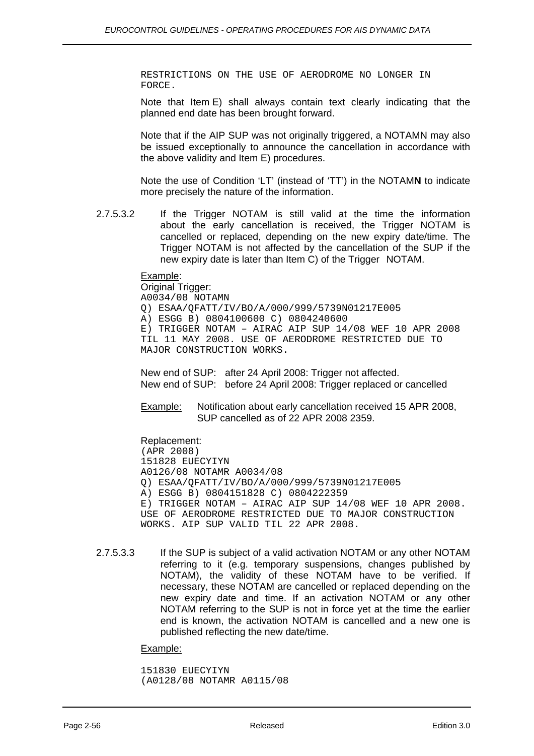RESTRICTIONS ON THE USE OF AERODROME NO LONGER IN FORCE.

 Note that Item E) shall always contain text clearly indicating that the planned end date has been brought forward.

 Note that if the AIP SUP was not originally triggered, a NOTAMN may also be issued exceptionally to announce the cancellation in accordance with the above validity and Item E) procedures.

 Note the use of Condition 'LT' (instead of 'TT') in the NOTAM**N** to indicate more precisely the nature of the information.

<span id="page-71-0"></span>2.7.5.3.2 If the Trigger NOTAM is still valid at the time the information about the early cancellation is received, the Trigger NOTAM is cancelled or replaced, depending on the new expiry date/time. The Trigger NOTAM is not affected by the cancellation of the SUP if the new expiry date is later than Item C) of the Trigger NOTAM.

#### Example:

Original Trigger: A0034/08 NOTAMN Q) ESAA/QFATT/IV/BO/A/000/999/5739N01217E005 A) ESGG B) 0804100600 C) 0804240600 E) TRIGGER NOTAM – AIRAC AIP SUP 14/08 WEF 10 APR 2008 TIL 11 MAY 2008. USE OF AERODROME RESTRICTED DUE TO MAJOR CONSTRUCTION WORKS.

New end of SUP: after 24 April 2008: Trigger not affected. New end of SUP: before 24 April 2008: Trigger replaced or cancelled

Example: Notification about early cancellation received 15 APR 2008, SUP cancelled as of 22 APR 2008 2359.

Replacement: (APR 2008) 151828 EUECYIYN A0126/08 NOTAMR A0034/08 Q) ESAA/QFATT/IV/BO/A/000/999/5739N01217E005 A) ESGG B) 0804151828 C) 0804222359 E) TRIGGER NOTAM – AIRAC AIP SUP 14/08 WEF 10 APR 2008. USE OF AERODROME RESTRICTED DUE TO MAJOR CONSTRUCTION WORKS. AIP SUP VALID TIL 22 APR 2008.

<span id="page-71-1"></span>2.7.5.3.3 If the SUP is subject of a valid activation NOTAM or any other NOTAM referring to it (e.g. temporary suspensions, changes published by NOTAM), the validity of these NOTAM have to be verified. If necessary, these NOTAM are cancelled or replaced depending on the new expiry date and time. If an activation NOTAM or any other NOTAM referring to the SUP is not in force yet at the time the earlier end is known, the activation NOTAM is cancelled and a new one is published reflecting the new date/time.

# Example:

151830 EUECYIYN (A0128/08 NOTAMR A0115/08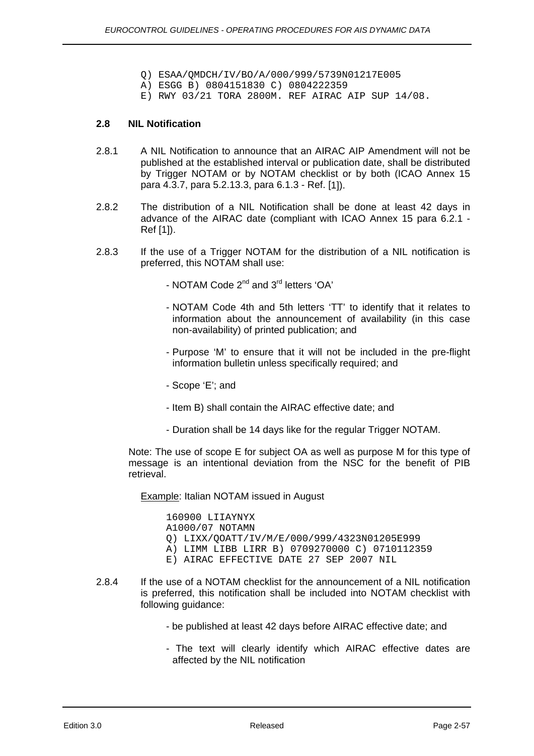- Q) ESAA/QMDCH/IV/BO/A/000/999/5739N01217E005
- A) ESGG B) 0804151830 C) 0804222359
- E) RWY 03/21 TORA 2800M. REF AIRAC AIP SUP 14/08.

#### **2.8 NIL Notification**

- 2.8.1 A NIL Notification to announce that an AIRAC AIP Amendment will not be published at the established interval or publication date, shall be distributed by Trigger NOTAM or by NOTAM checklist or by both (ICAO Annex 15 para 4.3.7, para 5.2.13.3, para 6.1.3 - Ref. [\[1](#page-19-0)]).
- 2.8.2 The distribution of a NIL Notification shall be done at least 42 days in advance of the AIRAC date (compliant with ICAO Annex 15 para 6.2.1 - Ref [\[1](#page-19-0)]).
- 2.8.3 If the use of a Trigger NOTAM for the distribution of a NIL notification is preferred, this NOTAM shall use:
	- NOTAM Code 2nd and 3rd letters 'OA'
	- NOTAM Code 4th and 5th letters 'TT' to identify that it relates to information about the announcement of availability (in this case non-availability) of printed publication; and
	- Purpose 'M' to ensure that it will not be included in the pre-flight information bulletin unless specifically required; and
	- Scope 'E'; and
	- Item B) shall contain the AIRAC effective date; and
	- Duration shall be 14 days like for the regular Trigger NOTAM.

Note: The use of scope E for subject OA as well as purpose M for this type of message is an intentional deviation from the NSC for the benefit of PIB retrieval.

Example: Italian NOTAM issued in August

160900 LIIAYNYX

- A1000/07 NOTAMN
- Q) LIXX/QOATT/IV/M/E/000/999/4323N01205E999
- A) LIMM LIBB LIRR B) 0709270000 C) 0710112359
- E) AIRAC EFFECTIVE DATE 27 SEP 2007 NIL
- 2.8.4 If the use of a NOTAM checklist for the announcement of a NIL notification is preferred, this notification shall be included into NOTAM checklist with following guidance:
	- be published at least 42 days before AIRAC effective date; and
	- The text will clearly identify which AIRAC effective dates are affected by the NIL notification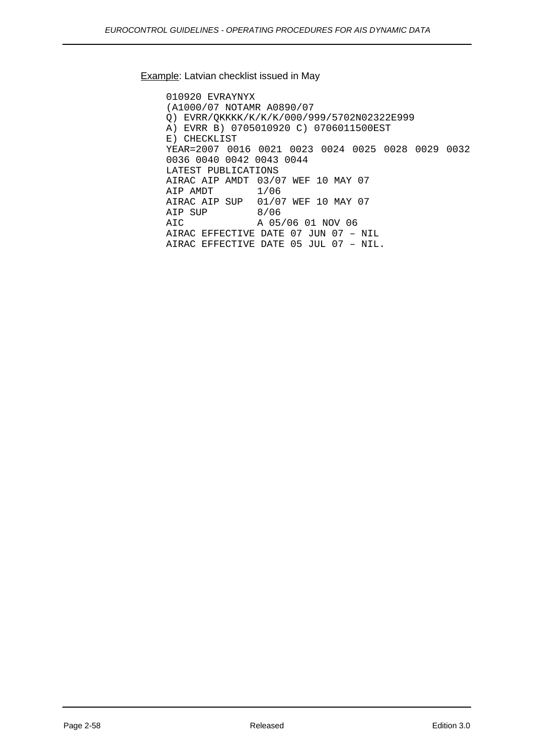#### Example: Latvian checklist issued in May

010920 EVRAYNYX (A1000/07 NOTAMR A0890/07 Q) EVRR/QKKKK/K/K/K/000/999/5702N02322E999 A) EVRR B) 0705010920 C) 0706011500EST E) CHECKLIST YEAR=2007 0016 0021 0023 0024 0025 0028 0029 0032 0036 0040 0042 0043 0044 LATEST PUBLICATIONS AIRAC AIP AMDT 03/07 WEF 10 MAY 07<br>AIP AMDT 1/06 AIP AMDT<br>AIRAC AIP SUP 01/07 WEF 10 MAY 07<br>8/06 AIP SUP AIC A 05/06 01 NOV 06 AIRAC EFFECTIVE DATE 07 JUN 07 – NIL AIRAC EFFECTIVE DATE 05 JUL 07 – NIL.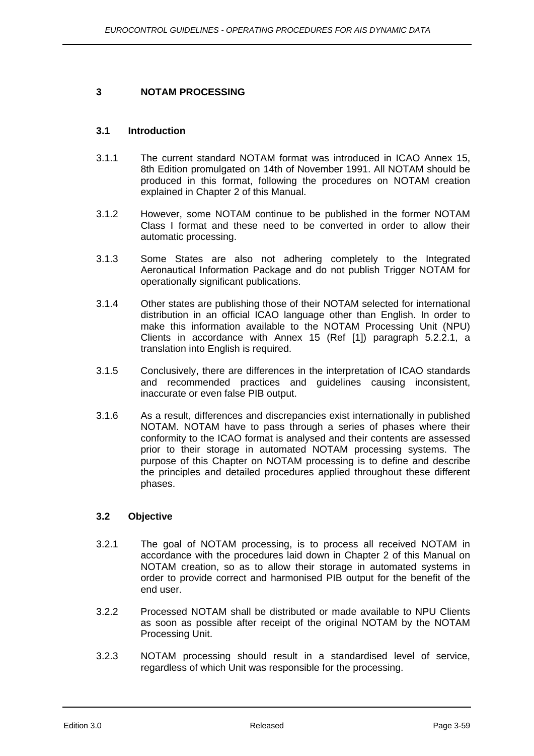# **3 NOTAM PROCESSING**

#### **3.1 Introduction**

- 3.1.1 The current standard NOTAM format was introduced in ICAO Annex 15, 8th Edition promulgated on 14th of November 1991. All NOTAM should be produced in this format, following the procedures on NOTAM creation explained in Chapter [2](#page-20-0) of this Manual.
- 3.1.2 However, some NOTAM continue to be published in the former NOTAM Class I format and these need to be converted in order to allow their automatic processing.
- 3.1.3 Some States are also not adhering completely to the Integrated Aeronautical Information Package and do not publish Trigger NOTAM for operationally significant publications.
- 3.1.4 Other states are publishing those of their NOTAM selected for international distribution in an official ICAO language other than English. In order to make this information available to the NOTAM Processing Unit (NPU) Clients in accordance with Annex 15 (Ref [[1](#page-19-0)]) paragraph 5.2.2.1, a translation into English is required.
- 3.1.5 Conclusively, there are differences in the interpretation of ICAO standards and recommended practices and guidelines causing inconsistent, inaccurate or even false PIB output.
- 3.1.6 As a result, differences and discrepancies exist internationally in published NOTAM. NOTAM have to pass through a series of phases where their conformity to the ICAO format is analysed and their contents are assessed prior to their storage in automated NOTAM processing systems. The purpose of this Chapter on NOTAM processing is to define and describe the principles and detailed procedures applied throughout these different phases.

### **3.2 Objective**

- 3.2.1 The goal of NOTAM processing, is to process all received NOTAM in accordance with the procedures laid down in Chapter [2](#page-20-0) of this Manual on NOTAM creation, so as to allow their storage in automated systems in order to provide correct and harmonised PIB output for the benefit of the end user.
- 3.2.2 Processed NOTAM shall be distributed or made available to NPU Clients as soon as possible after receipt of the original NOTAM by the NOTAM Processing Unit.
- 3.2.3 NOTAM processing should result in a standardised level of service, regardless of which Unit was responsible for the processing.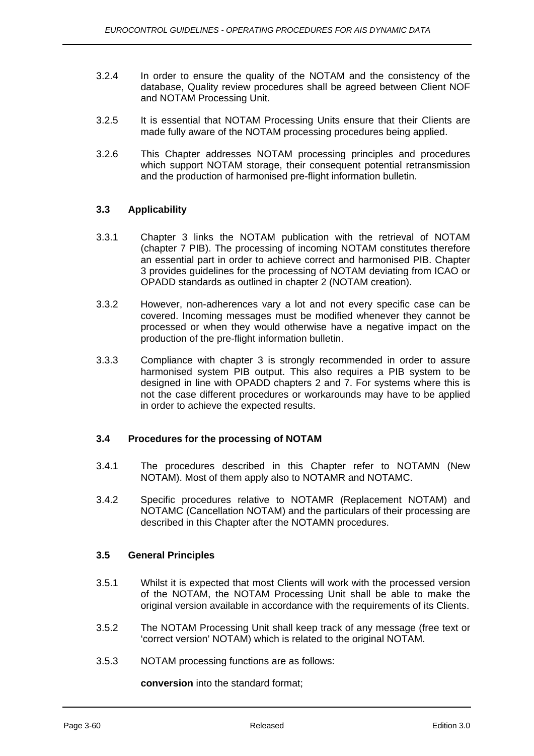- 3.2.4 In order to ensure the quality of the NOTAM and the consistency of the database, Quality review procedures shall be agreed between Client NOF and NOTAM Processing Unit.
- 3.2.5 It is essential that NOTAM Processing Units ensure that their Clients are made fully aware of the NOTAM processing procedures being applied.
- 3.2.6 This Chapter addresses NOTAM processing principles and procedures which support NOTAM storage, their consequent potential retransmission and the production of harmonised pre-flight information bulletin.

# **3.3 Applicability**

- 3.3.1 Chapter 3 links the NOTAM publication with the retrieval of NOTAM (chapter 7 PIB). The processing of incoming NOTAM constitutes therefore an essential part in order to achieve correct and harmonised PIB. Chapter 3 provides guidelines for the processing of NOTAM deviating from ICAO or OPADD standards as outlined in chapter 2 (NOTAM creation).
- 3.3.2 However, non-adherences vary a lot and not every specific case can be covered. Incoming messages must be modified whenever they cannot be processed or when they would otherwise have a negative impact on the production of the pre-flight information bulletin.
- 3.3.3 Compliance with chapter 3 is strongly recommended in order to assure harmonised system PIB output. This also requires a PIB system to be designed in line with OPADD chapters 2 and 7. For systems where this is not the case different procedures or workarounds may have to be applied in order to achieve the expected results.

# **3.4 Procedures for the processing of NOTAM**

- 3.4.1 The procedures described in this Chapter refer to NOTAMN (New NOTAM). Most of them apply also to NOTAMR and NOTAMC.
- 3.4.2 Specific procedures relative to NOTAMR (Replacement NOTAM) and NOTAMC (Cancellation NOTAM) and the particulars of their processing are described in this Chapter after the NOTAMN procedures.

# **3.5 General Principles**

- 3.5.1 Whilst it is expected that most Clients will work with the processed version of the NOTAM, the NOTAM Processing Unit shall be able to make the original version available in accordance with the requirements of its Clients.
- 3.5.2 The NOTAM Processing Unit shall keep track of any message (free text or 'correct version' NOTAM) which is related to the original NOTAM.
- 3.5.3 NOTAM processing functions are as follows:

**conversion** into the standard format;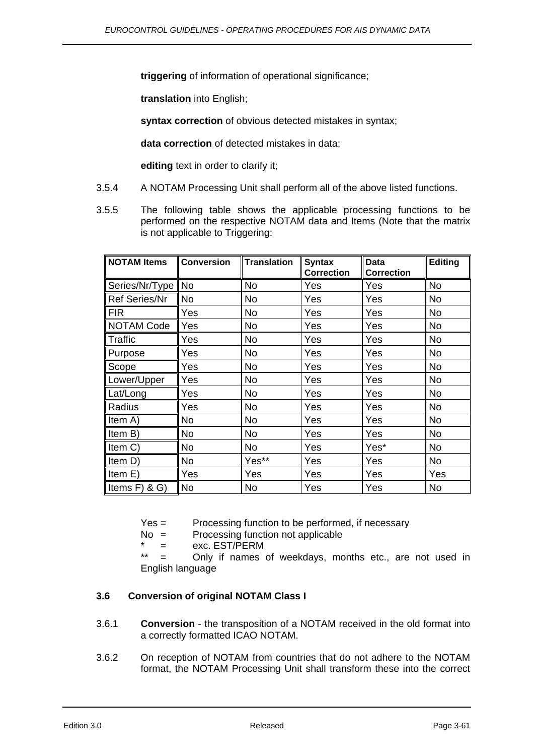**triggering** of information of operational significance;

**translation** into English;

**syntax correction** of obvious detected mistakes in syntax;

**data correction** of detected mistakes in data;

**editing** text in order to clarify it;

- 3.5.4 A NOTAM Processing Unit shall perform all of the above listed functions.
- 3.5.5 The following table shows the applicable processing functions to be performed on the respective NOTAM data and Items (Note that the matrix is not applicable to Triggering:

| NOTAM Items          | <b>Conversion</b> | <b>Translation</b> | <b>Syntax</b><br><b>Correction</b> | <b>Data</b><br><b>Correction</b> | <b>Editing</b> |
|----------------------|-------------------|--------------------|------------------------------------|----------------------------------|----------------|
| Series/Nr/Type   No  |                   | No                 | Yes                                | Yes                              | No             |
| <b>Ref Series/Nr</b> | <b>No</b>         | <b>No</b>          | Yes                                | Yes                              | <b>No</b>      |
| <b>FIR</b>           | Yes               | No                 | Yes                                | Yes                              | No             |
| NOTAM Code           | Yes               | No                 | Yes                                | Yes                              | No             |
| $\ $ Traffic         | Yes               | No                 | Yes                                | Yes                              | <b>No</b>      |
| Purpose              | Yes               | No                 | Yes                                | Yes                              | No             |
| Scope                | Yes               | No.                | Yes                                | Yes                              | No             |
| Lower/Upper          | Yes               | No                 | Yes                                | Yes                              | No             |
| Lat/Long             | Yes               | No                 | Yes                                | Yes                              | No             |
| Radius               | Yes               | No                 | Yes                                | Yes                              | No             |
| Item A)              | No                | No                 | Yes                                | Yes                              | No             |
| Item B)              | N <sub>o</sub>    | No                 | Yes                                | Yes                              | No             |
| Item C)              | No                | N <sub>o</sub>     | Yes                                | Yes*                             | No             |
| Item D)              | <b>No</b>         | Yes**              | Yes                                | Yes                              | <b>No</b>      |
| Item E)              | Yes               | Yes                | Yes                                | Yes                              | Yes            |
| Items F) & G)        | No                | <b>No</b>          | Yes                                | Yes                              | No             |

Yes = Processing function to be performed, if necessary

- $No =$  Processing function not applicable
- $\alpha^*$  = exc. EST/PERM<br> $\alpha^*$  = Only if names
- = Only if names of weekdays, months etc., are not used in English language

# **3.6 Conversion of original NOTAM Class I**

- 3.6.1 **Conversion** the transposition of a NOTAM received in the old format into a correctly formatted ICAO NOTAM.
- 3.6.2 On reception of NOTAM from countries that do not adhere to the NOTAM format, the NOTAM Processing Unit shall transform these into the correct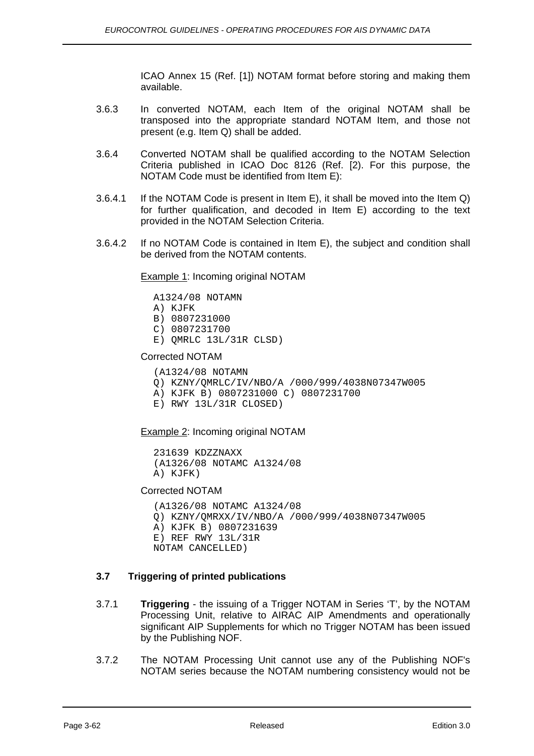ICAO Annex 15 (Ref. [\[1](#page-19-0)]) NOTAM format before storing and making them available.

- 3.6.3 In converted NOTAM, each Item of the original NOTAM shall be transposed into the appropriate standard NOTAM Item, and those not present (e.g. Item Q) shall be added.
- 3.6.4 Converted NOTAM shall be qualified according to the NOTAM Selection Criteria published in ICAO Doc 8126 (Ref. [[2](#page-19-1)). For this purpose, the NOTAM Code must be identified from Item E):
- 3.6.4.1 If the NOTAM Code is present in Item E), it shall be moved into the Item Q) for further qualification, and decoded in Item E) according to the text provided in the NOTAM Selection Criteria.
- 3.6.4.2 If no NOTAM Code is contained in Item E), the subject and condition shall be derived from the NOTAM contents.

Example 1: Incoming original NOTAM

- A1324/08 NOTAMN
- A) KJFK
- B) 0807231000
- C) 0807231700
- E) QMRLC 13L/31R CLSD)

### Corrected NOTAM

- (A1324/08 NOTAMN
- Q) KZNY/QMRLC/IV/NBO/A /000/999/4038N07347W005
- A) KJFK B) 0807231000 C) 0807231700
- E) RWY 13L/31R CLOSED)

Example 2: Incoming original NOTAM

231639 KDZZNAXX (A1326/08 NOTAMC A1324/08 A) KJFK)

Corrected NOTAM

(A1326/08 NOTAMC A1324/08 Q) KZNY/QMRXX/IV/NBO/A /000/999/4038N07347W005 A) KJFK B) 0807231639 E) REF RWY 13L/31R NOTAM CANCELLED)

# **3.7 Triggering of printed publications**

- 3.7.1 **Triggering** the issuing of a Trigger NOTAM in Series 'T', by the NOTAM Processing Unit, relative to AIRAC AIP Amendments and operationally significant AIP Supplements for which no Trigger NOTAM has been issued by the Publishing NOF.
- 3.7.2 The NOTAM Processing Unit cannot use any of the Publishing NOF's NOTAM series because the NOTAM numbering consistency would not be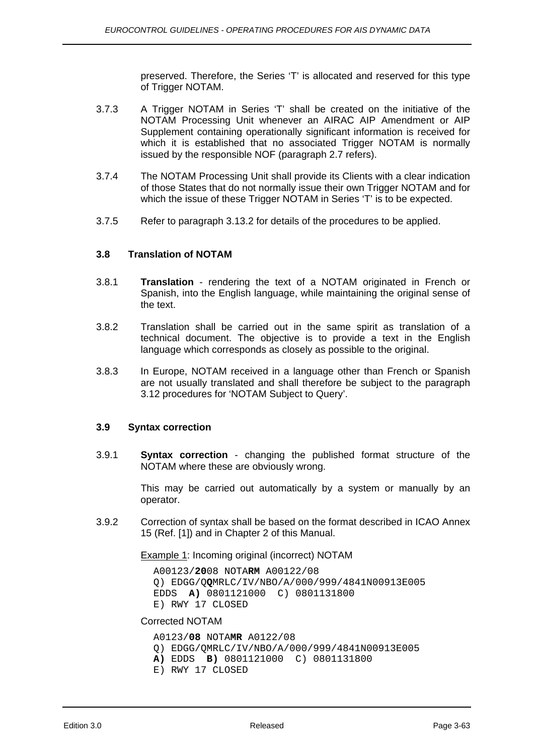preserved. Therefore, the Series 'T' is allocated and reserved for this type of Trigger NOTAM.

- 3.7.3 A Trigger NOTAM in Series 'T' shall be created on the initiative of the NOTAM Processing Unit whenever an AIRAC AIP Amendment or AIP Supplement containing operationally significant information is received for which it is established that no associated Trigger NOTAM is normally issued by the responsible NOF (paragraph [2.7](#page-66-0) refers).
- 3.7.4 The NOTAM Processing Unit shall provide its Clients with a clear indication of those States that do not normally issue their own Trigger NOTAM and for which the issue of these Trigger NOTAM in Series 'T' is to be expected.
- 3.7.5 Refer to paragraph [3.13.2](#page-81-0) for details of the procedures to be applied.

# **3.8 Translation of NOTAM**

- 3.8.1 **Translation** rendering the text of a NOTAM originated in French or Spanish, into the English language, while maintaining the original sense of the text.
- 3.8.2 Translation shall be carried out in the same spirit as translation of a technical document. The objective is to provide a text in the English language which corresponds as closely as possible to the original.
- 3.8.3 In Europe, NOTAM received in a language other than French or Spanish are not usually translated and shall therefore be subject to the paragraph [3.12](#page-80-0) procedures for 'NOTAM Subject to Query'.

# **3.9 Syntax correction**

3.9.1 **Syntax correction** - changing the published format structure of the NOTAM where these are obviously wrong.

> This may be carried out automatically by a system or manually by an operator.

3.9.2 Correction of syntax shall be based on the format described in ICAO Annex 15 (Ref. [\[1](#page-19-0)]) and in Chapter [2](#page-20-0) of this Manual.

Example 1: Incoming original (incorrect) NOTAM

```
A00123/2008 NOTARM A00122/08 
Q) EDGG/QQMRLC/IV/NBO/A/000/999/4841N00913E005 
EDDS A) 0801121000 C) 0801131800 
E) RWY 17 CLOSED
```
Corrected NOTAM

A0123/**08** NOTA**MR** A0122/08

- Q) EDGG/QMRLC/IV/NBO/A/000/999/4841N00913E005
- **A)** EDDS **B)** 0801121000 C) 0801131800
- E) RWY 17 CLOSED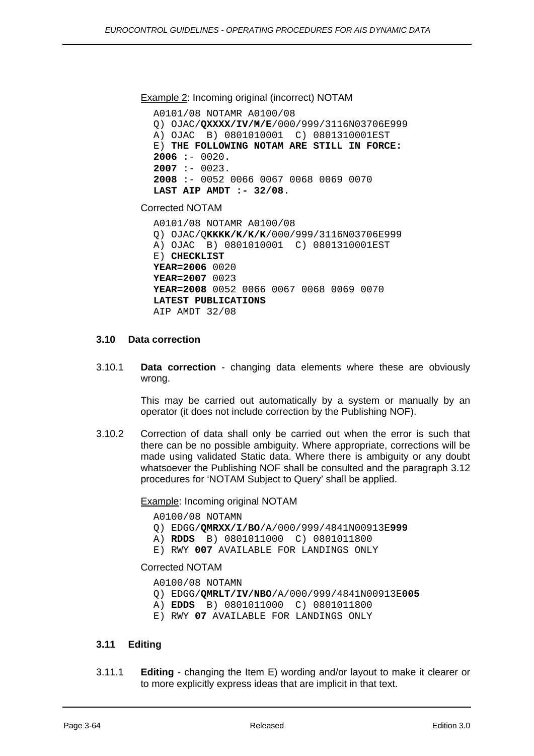Example 2: Incoming original (incorrect) NOTAM

A0101/08 NOTAMR A0100/08 Q) OJAC/**QXXXX/IV/M/E**/000/999/3116N03706E999 A) OJAC B) 0801010001 C) 0801310001EST E) **THE FOLLOWING NOTAM ARE STILL IN FORCE: 2006** :- 0020. **2007** :- 0023. **2008** :- 0052 0066 0067 0068 0069 0070 **LAST AIP AMDT :- 32/08**.

#### Corrected NOTAM

A0101/08 NOTAMR A0100/08 Q) OJAC/Q**KKKK/K/K/K**/000/999/3116N03706E999 A) OJAC B) 0801010001 C) 0801310001EST E) **CHECKLIST YEAR=2006** 0020 **YEAR=2007** 0023 **YEAR=2008** 0052 0066 0067 0068 0069 0070 **LATEST PUBLICATIONS**  AIP AMDT 32/08

# **3.10 Data correction**

3.10.1 **Data correction** - changing data elements where these are obviously wrong.

> This may be carried out automatically by a system or manually by an operator (it does not include correction by the Publishing NOF).

3.10.2 Correction of data shall only be carried out when the error is such that there can be no possible ambiguity. Where appropriate, corrections will be made using validated Static data. Where there is ambiguity or any doubt whatsoever the Publishing NOF shall be consulted and the paragraph [3.12](#page-80-0) procedures for 'NOTAM Subject to Query' shall be applied.

### Example: Incoming original NOTAM

A0100/08 NOTAMN

- Q) EDGG/**QMRXX/I/BO**/A/000/999/4841N00913E**999**
- A) **RDDS** B) 0801011000 C) 0801011800
- E) RWY **007** AVAILABLE FOR LANDINGS ONLY

# Corrected NOTAM

A0100/08 NOTAMN

- Q) EDGG/**QMRLT/IV/NBO**/A/000/999/4841N00913E**005**
- A) **EDDS** B) 0801011000 C) 0801011800
- E) RWY **07** AVAILABLE FOR LANDINGS ONLY

## **3.11 Editing**

3.11.1 **Editing** - changing the Item E) wording and/or layout to make it clearer or to more explicitly express ideas that are implicit in that text.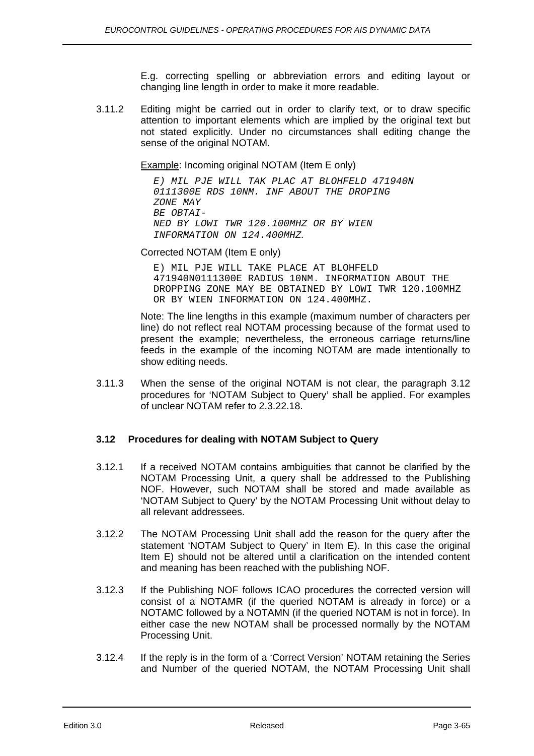E.g. correcting spelling or abbreviation errors and editing layout or changing line length in order to make it more readable.

3.11.2 Editing might be carried out in order to clarify text, or to draw specific attention to important elements which are implied by the original text but not stated explicitly. Under no circumstances shall editing change the sense of the original NOTAM.

Example: Incoming original NOTAM (Item E only)

*E) MIL PJE WILL TAK PLAC AT BLOHFELD 471940N 0111300E RDS 10NM. INF ABOUT THE DROPING ZONE MAY BE OBTAI-NED BY LOWI TWR 120.100MHZ OR BY WIEN INFORMATION ON 124.400MHZ.* 

Corrected NOTAM (Item E only)

E) MIL PJE WILL TAKE PLACE AT BLOHFELD 471940N0111300E RADIUS 10NM. INFORMATION ABOUT THE DROPPING ZONE MAY BE OBTAINED BY LOWI TWR 120.100MHZ OR BY WIEN INFORMATION ON 124.400MHZ.

 Note: The line lengths in this example (maximum number of characters per line) do not reflect real NOTAM processing because of the format used to present the example; nevertheless, the erroneous carriage returns/line feeds in the example of the incoming NOTAM are made intentionally to show editing needs.

3.11.3 When the sense of the original NOTAM is not clear, the paragraph [3.12](#page-80-0) procedures for 'NOTAM Subject to Query' shall be applied. For examples of unclear NOTAM refer to [2.3.22.18.](#page-54-0)

# <span id="page-80-0"></span>**3.12 Procedures for dealing with NOTAM Subject to Query**

- 3.12.1 If a received NOTAM contains ambiguities that cannot be clarified by the NOTAM Processing Unit, a query shall be addressed to the Publishing NOF. However, such NOTAM shall be stored and made available as 'NOTAM Subject to Query' by the NOTAM Processing Unit without delay to all relevant addressees.
- 3.12.2 The NOTAM Processing Unit shall add the reason for the query after the statement 'NOTAM Subject to Query' in Item E). In this case the original Item E) should not be altered until a clarification on the intended content and meaning has been reached with the publishing NOF.
- 3.12.3 If the Publishing NOF follows ICAO procedures the corrected version will consist of a NOTAMR (if the queried NOTAM is already in force) or a NOTAMC followed by a NOTAMN (if the queried NOTAM is not in force). In either case the new NOTAM shall be processed normally by the NOTAM Processing Unit.
- 3.12.4 If the reply is in the form of a 'Correct Version' NOTAM retaining the Series and Number of the queried NOTAM, the NOTAM Processing Unit shall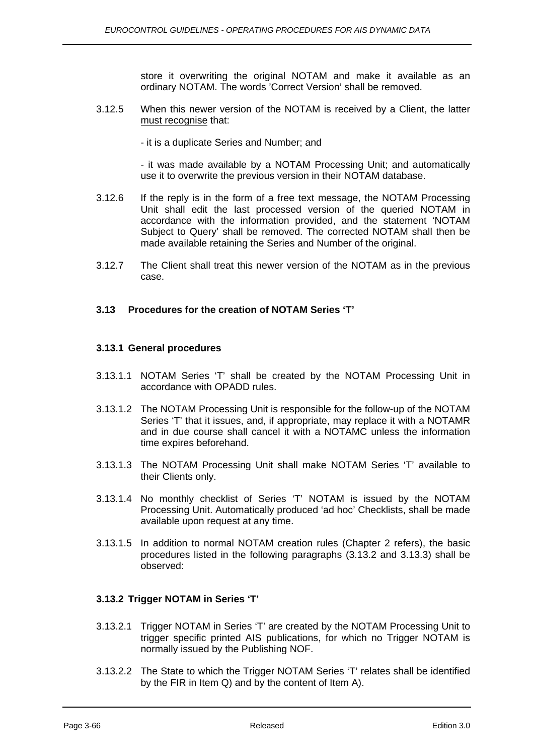store it overwriting the original NOTAM and make it available as an ordinary NOTAM. The words 'Correct Version' shall be removed.

- 3.12.5 When this newer version of the NOTAM is received by a Client, the latter must recognise that:
	- it is a duplicate Series and Number; and

 - it was made available by a NOTAM Processing Unit; and automatically use it to overwrite the previous version in their NOTAM database.

- 3.12.6 If the reply is in the form of a free text message, the NOTAM Processing Unit shall edit the last processed version of the queried NOTAM in accordance with the information provided, and the statement 'NOTAM Subject to Query' shall be removed. The corrected NOTAM shall then be made available retaining the Series and Number of the original.
- 3.12.7 The Client shall treat this newer version of the NOTAM as in the previous case.

### <span id="page-81-1"></span>**3.13 Procedures for the creation of NOTAM Series 'T'**

#### **3.13.1 General procedures**

- 3.13.1.1 NOTAM Series 'T' shall be created by the NOTAM Processing Unit in accordance with OPADD rules.
- 3.13.1.2 The NOTAM Processing Unit is responsible for the follow-up of the NOTAM Series 'T' that it issues, and, if appropriate, may replace it with a NOTAMR and in due course shall cancel it with a NOTAMC unless the information time expires beforehand.
- 3.13.1.3 The NOTAM Processing Unit shall make NOTAM Series 'T' available to their Clients only.
- 3.13.1.4 No monthly checklist of Series 'T' NOTAM is issued by the NOTAM Processing Unit. Automatically produced 'ad hoc' Checklists, shall be made available upon request at any time.
- 3.13.1.5 In addition to normal NOTAM creation rules (Chapter [2](#page-20-0) refers), the basic procedures listed in the following paragraphs [\(3.13.2](#page-81-0) and [3.13.3](#page-82-0)) shall be observed:

### <span id="page-81-0"></span>**3.13.2 Trigger NOTAM in Series 'T'**

- 3.13.2.1 Trigger NOTAM in Series 'T' are created by the NOTAM Processing Unit to trigger specific printed AIS publications, for which no Trigger NOTAM is normally issued by the Publishing NOF.
- 3.13.2.2 The State to which the Trigger NOTAM Series 'T' relates shall be identified by the FIR in Item Q) and by the content of Item A).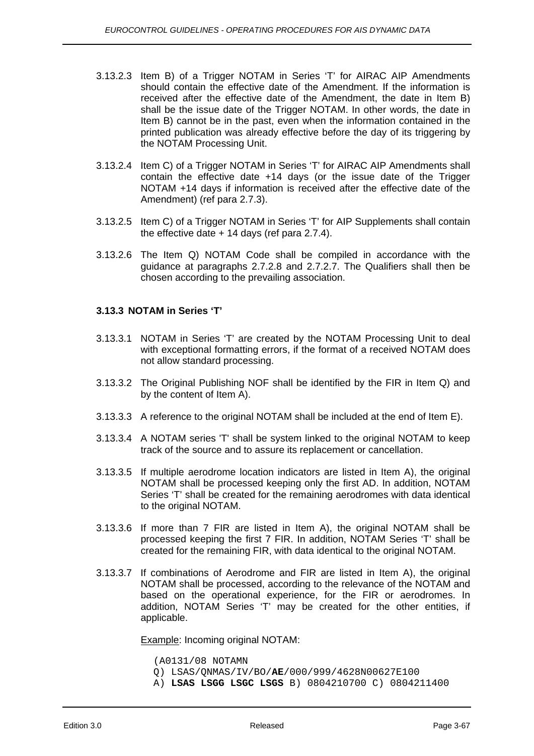- 3.13.2.3 Item B) of a Trigger NOTAM in Series 'T' for AIRAC AIP Amendments should contain the effective date of the Amendment. If the information is received after the effective date of the Amendment, the date in Item B) shall be the issue date of the Trigger NOTAM. In other words, the date in Item B) cannot be in the past, even when the information contained in the printed publication was already effective before the day of its triggering by the NOTAM Processing Unit.
- 3.13.2.4 Item C) of a Trigger NOTAM in Series 'T' for AIRAC AIP Amendments shall contain the effective date +14 days (or the issue date of the Trigger NOTAM +14 days if information is received after the effective date of the Amendment) (ref para [2.7.3\)](#page-68-0).
- 3.13.2.5 Item C) of a Trigger NOTAM in Series 'T' for AIP Supplements shall contain the effective date  $+$  14 days (ref para [2.7.4\)](#page-68-1).
- 3.13.2.6 The Item Q) NOTAM Code shall be compiled in accordance with the guidance at paragraphs [2.7.2.8](#page-67-0) and [2.7.2.7.](#page-67-1) The Qualifiers shall then be chosen according to the prevailing association.

# <span id="page-82-0"></span>**3.13.3 NOTAM in Series 'T'**

- 3.13.3.1 NOTAM in Series 'T' are created by the NOTAM Processing Unit to deal with exceptional formatting errors, if the format of a received NOTAM does not allow standard processing.
- 3.13.3.2 The Original Publishing NOF shall be identified by the FIR in Item Q) and by the content of Item A).
- 3.13.3.3 A reference to the original NOTAM shall be included at the end of Item E).
- 3.13.3.4 A NOTAM series 'T' shall be system linked to the original NOTAM to keep track of the source and to assure its replacement or cancellation.
- 3.13.3.5 If multiple aerodrome location indicators are listed in Item A), the original NOTAM shall be processed keeping only the first AD. In addition, NOTAM Series 'T' shall be created for the remaining aerodromes with data identical to the original NOTAM.
- 3.13.3.6 If more than 7 FIR are listed in Item A), the original NOTAM shall be processed keeping the first 7 FIR. In addition, NOTAM Series 'T' shall be created for the remaining FIR, with data identical to the original NOTAM.
- <span id="page-82-1"></span>3.13.3.7 If combinations of Aerodrome and FIR are listed in Item A), the original NOTAM shall be processed, according to the relevance of the NOTAM and based on the operational experience, for the FIR or aerodromes. In addition, NOTAM Series 'T' may be created for the other entities, if applicable.

Example: Incoming original NOTAM:

(A0131/08 NOTAMN

- Q) LSAS/QNMAS/IV/BO/**AE**/000/999/4628N00627E100
- A) **LSAS LSGG LSGC LSGS** B) 0804210700 C) 0804211400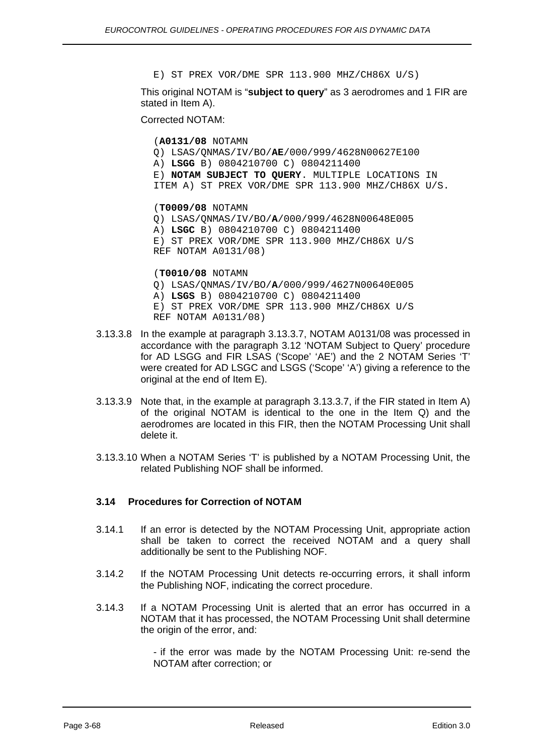E) ST PREX VOR/DME SPR 113.900 MHZ/CH86X U/S)

This original NOTAM is "**subject to query**" as 3 aerodromes and 1 FIR are stated in Item A).

Corrected NOTAM:

(**A0131/08** NOTAMN

Q) LSAS/QNMAS/IV/BO/**AE**/000/999/4628N00627E100 A) **LSGG** B) 0804210700 C) 0804211400 E) **NOTAM SUBJECT TO QUERY**. MULTIPLE LOCATIONS IN ITEM A) ST PREX VOR/DME SPR 113.900 MHZ/CH86X U/S.

(**T0009/08** NOTAMN

Q) LSAS/QNMAS/IV/BO/**A**/000/999/4628N00648E005 A) **LSGC** B) 0804210700 C) 0804211400 E) ST PREX VOR/DME SPR 113.900 MHZ/CH86X U/S REF NOTAM A0131/08)

(**T0010/08** NOTAMN

- Q) LSAS/QNMAS/IV/BO/**A**/000/999/4627N00640E005
- A) **LSGS** B) 0804210700 C) 0804211400
- E) ST PREX VOR/DME SPR 113.900 MHZ/CH86X U/S REF NOTAM A0131/08)
- 
- 3.13.3.8 In the example at paragraph [3.13.3.7,](#page-82-1) NOTAM A0131/08 was processed in accordance with the paragraph [3.12](#page-80-0) 'NOTAM Subject to Query' procedure for AD LSGG and FIR LSAS ('Scope' 'AE') and the 2 NOTAM Series 'T' were created for AD LSGC and LSGS ('Scope' 'A') giving a reference to the original at the end of Item E).
- 3.13.3.9 Note that, in the example at paragraph [3.13.3.7](#page-82-1), if the FIR stated in Item A) of the original NOTAM is identical to the one in the Item Q) and the aerodromes are located in this FIR, then the NOTAM Processing Unit shall delete it.
- 3.13.3.10 When a NOTAM Series 'T' is published by a NOTAM Processing Unit, the related Publishing NOF shall be informed.

# **3.14 Procedures for Correction of NOTAM**

- 3.14.1 If an error is detected by the NOTAM Processing Unit, appropriate action shall be taken to correct the received NOTAM and a query shall additionally be sent to the Publishing NOF.
- 3.14.2 If the NOTAM Processing Unit detects re-occurring errors, it shall inform the Publishing NOF, indicating the correct procedure.
- 3.14.3 If a NOTAM Processing Unit is alerted that an error has occurred in a NOTAM that it has processed, the NOTAM Processing Unit shall determine the origin of the error, and:

 - if the error was made by the NOTAM Processing Unit: re-send the NOTAM after correction; or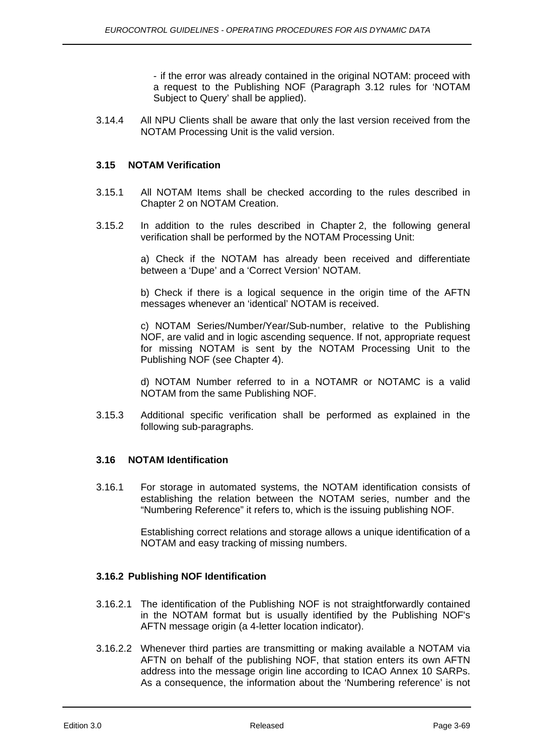- if the error was already contained in the original NOTAM: proceed with a request to the Publishing NOF (Paragraph [3.12](#page-80-0) rules for 'NOTAM Subject to Query' shall be applied).

3.14.4 All NPU Clients shall be aware that only the last version received from the NOTAM Processing Unit is the valid version.

# **3.15 NOTAM Verification**

- 3.15.1 All NOTAM Items shall be checked according to the rules described in Chapter [2](#page-20-0) on NOTAM Creation.
- 3.15.2 In addition to the rules described in Chapter [2,](#page-20-0) the following general verification shall be performed by the NOTAM Processing Unit:

 a) Check if the NOTAM has already been received and differentiate between a 'Dupe' and a 'Correct Version' NOTAM.

 b) Check if there is a logical sequence in the origin time of the AFTN messages whenever an 'identical' NOTAM is received.

 c) NOTAM Series/Number/Year/Sub-number, relative to the Publishing NOF, are valid and in logic ascending sequence. If not, appropriate request for missing NOTAM is sent by the NOTAM Processing Unit to the Publishing NOF (see Chapter [4\)](#page-104-0).

 d) NOTAM Number referred to in a NOTAMR or NOTAMC is a valid NOTAM from the same Publishing NOF.

3.15.3 Additional specific verification shall be performed as explained in the following sub-paragraphs.

### **3.16 NOTAM Identification**

3.16.1 For storage in automated systems, the NOTAM identification consists of establishing the relation between the NOTAM series, number and the "Numbering Reference" it refers to, which is the issuing publishing NOF.

> Establishing correct relations and storage allows a unique identification of a NOTAM and easy tracking of missing numbers.

#### **3.16.2 Publishing NOF Identification**

- 3.16.2.1 The identification of the Publishing NOF is not straightforwardly contained in the NOTAM format but is usually identified by the Publishing NOF's AFTN message origin (a 4-letter location indicator).
- 3.16.2.2 Whenever third parties are transmitting or making available a NOTAM via AFTN on behalf of the publishing NOF, that station enters its own AFTN address into the message origin line according to ICAO Annex 10 SARPs. As a consequence, the information about the 'Numbering reference' is not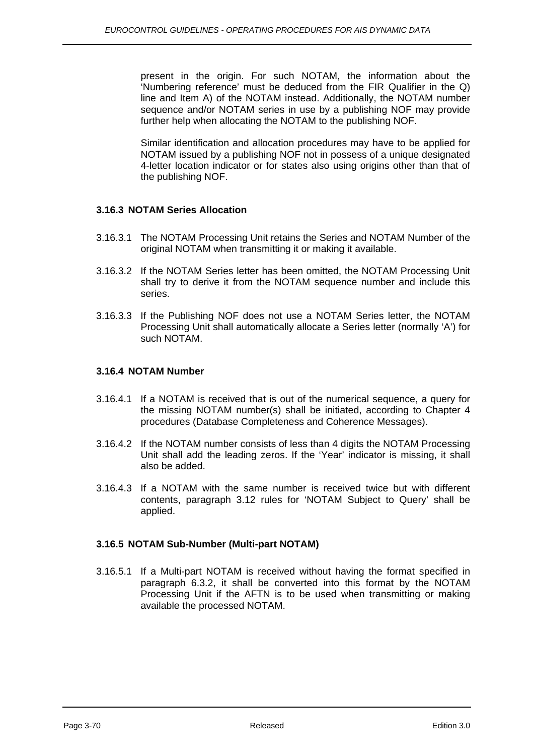present in the origin. For such NOTAM, the information about the 'Numbering reference' must be deduced from the FIR Qualifier in the Q) line and Item A) of the NOTAM instead. Additionally, the NOTAM number sequence and/or NOTAM series in use by a publishing NOF may provide further help when allocating the NOTAM to the publishing NOF.

 Similar identification and allocation procedures may have to be applied for NOTAM issued by a publishing NOF not in possess of a unique designated 4-letter location indicator or for states also using origins other than that of the publishing NOF.

# **3.16.3 NOTAM Series Allocation**

- 3.16.3.1 The NOTAM Processing Unit retains the Series and NOTAM Number of the original NOTAM when transmitting it or making it available.
- 3.16.3.2 If the NOTAM Series letter has been omitted, the NOTAM Processing Unit shall try to derive it from the NOTAM sequence number and include this series.
- 3.16.3.3 If the Publishing NOF does not use a NOTAM Series letter, the NOTAM Processing Unit shall automatically allocate a Series letter (normally 'A') for such NOTAM.

#### **3.16.4 NOTAM Number**

- 3.16.4.1 If a NOTAM is received that is out of the numerical sequence, a query for the missing NOTAM number(s) shall be initiated, according to Chapter [4](#page-104-0) procedures (Database Completeness and Coherence Messages).
- 3.16.4.2 If the NOTAM number consists of less than 4 digits the NOTAM Processing Unit shall add the leading zeros. If the 'Year' indicator is missing, it shall also be added.
- 3.16.4.3 If a NOTAM with the same number is received twice but with different contents, paragraph [3.12](#page-80-0) rules for 'NOTAM Subject to Query' shall be applied.

### **3.16.5 NOTAM Sub-Number (Multi-part NOTAM)**

3.16.5.1 If a Multi-part NOTAM is received without having the format specified in paragraph [6.3.2,](#page-127-0) it shall be converted into this format by the NOTAM Processing Unit if the AFTN is to be used when transmitting or making available the processed NOTAM.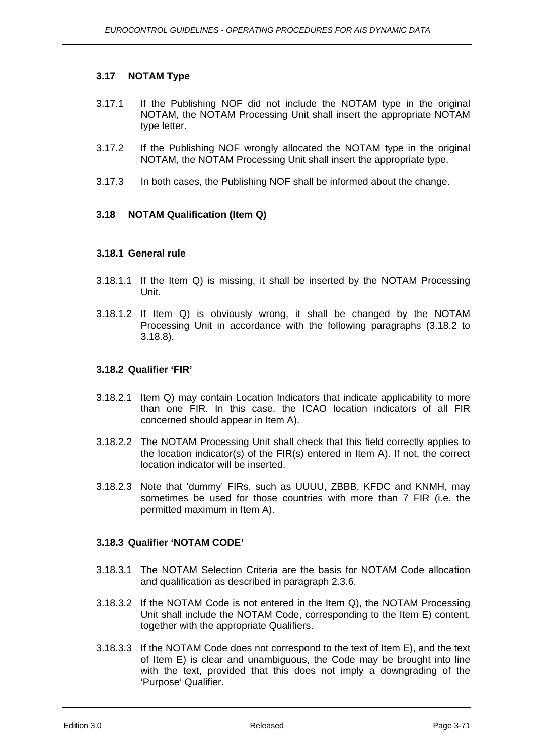# **3.17 NOTAM Type**

- 3.17.1 If the Publishing NOF did not include the NOTAM type in the original NOTAM, the NOTAM Processing Unit shall insert the appropriate NOTAM type letter.
- 3.17.2 If the Publishing NOF wrongly allocated the NOTAM type in the original NOTAM, the NOTAM Processing Unit shall insert the appropriate type.
- 3.17.3 In both cases, the Publishing NOF shall be informed about the change.

# **3.18 NOTAM Qualification (Item Q)**

### **3.18.1 General rule**

- 3.18.1.1 If the Item Q) is missing, it shall be inserted by the NOTAM Processing Unit.
- 3.18.1.2 If Item Q) is obviously wrong, it shall be changed by the NOTAM Processing Unit in accordance with the following paragraphs [\(3.18.2](#page-86-0) to [3.18.8](#page-89-0)).

#### <span id="page-86-0"></span>**3.18.2 Qualifier 'FIR'**

- 3.18.2.1 Item Q) may contain Location Indicators that indicate applicability to more than one FIR. In this case, the ICAO location indicators of all FIR concerned should appear in Item A).
- 3.18.2.2 The NOTAM Processing Unit shall check that this field correctly applies to the location indicator(s) of the FIR(s) entered in Item A). If not, the correct location indicator will be inserted.
- 3.18.2.3 Note that 'dummy' FIRs, such as UUUU, ZBBB, KFDC and KNMH, may sometimes be used for those countries with more than 7 FIR (i.e. the permitted maximum in Item A).

### **3.18.3 Qualifier 'NOTAM CODE'**

- 3.18.3.1 The NOTAM Selection Criteria are the basis for NOTAM Code allocation and qualification as described in paragraph [2.3.6](#page-24-0).
- 3.18.3.2 If the NOTAM Code is not entered in the Item Q), the NOTAM Processing Unit shall include the NOTAM Code, corresponding to the Item E) content, together with the appropriate Qualifiers.
- 3.18.3.3 If the NOTAM Code does not correspond to the text of Item E), and the text of Item E) is clear and unambiguous, the Code may be brought into line with the text, provided that this does not imply a downgrading of the 'Purpose' Qualifier.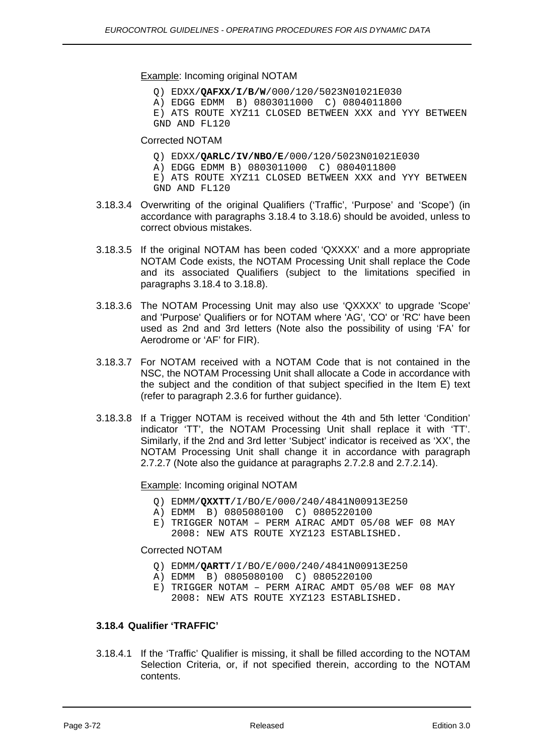#### Example: Incoming original NOTAM

- Q) EDXX/**QAFXX/I/B/W**/000/120/5023N01021E030
- A) EDGG EDMM B) 0803011000 C) 0804011800
- E) ATS ROUTE XYZ11 CLOSED BETWEEN XXX and YYY BETWEEN GND AND FL120

#### Corrected NOTAM

- Q) EDXX/**QARLC/IV/NBO/E**/000/120/5023N01021E030
- A) EDGG EDMM B) 0803011000 C) 0804011800
- E) ATS ROUTE XYZ11 CLOSED BETWEEN XXX and YYY BETWEEN GND AND FL120
- 3.18.3.4 Overwriting of the original Qualifiers ('Traffic', 'Purpose' and 'Scope') (in accordance with paragraphs [3.18.4](#page-87-0) to [3.18.6\)](#page-88-0) should be avoided, unless to correct obvious mistakes.
- 3.18.3.5 If the original NOTAM has been coded 'QXXXX' and a more appropriate NOTAM Code exists, the NOTAM Processing Unit shall replace the Code and its associated Qualifiers (subject to the limitations specified in paragraphs [3.18.4](#page-87-0) to [3.18.8](#page-89-0)).
- 3.18.3.6 The NOTAM Processing Unit may also use 'QXXXX' to upgrade 'Scope' and 'Purpose' Qualifiers or for NOTAM where 'AG', 'CO' or 'RC' have been used as 2nd and 3rd letters (Note also the possibility of using 'FA' for Aerodrome or 'AF' for FIR).
- 3.18.3.7 For NOTAM received with a NOTAM Code that is not contained in the NSC, the NOTAM Processing Unit shall allocate a Code in accordance with the subject and the condition of that subject specified in the Item E) text (refer to paragraph [2.3.6](#page-24-0) for further guidance).
- 3.18.3.8 If a Trigger NOTAM is received without the 4th and 5th letter 'Condition' indicator 'TT', the NOTAM Processing Unit shall replace it with 'TT'. Similarly, if the 2nd and 3rd letter 'Subject' indicator is received as 'XX', the NOTAM Processing Unit shall change it in accordance with paragraph [2.7.2.7](#page-67-1) (Note also the guidance at paragraphs [2.7.2.8](#page-67-0) and [2.7.2.14\)](#page-68-2).

### Example: Incoming original NOTAM

- Q) EDMM/**QXXTT**/I/BO/E/000/240/4841N00913E250
- A) EDMM B) 0805080100 C) 0805220100
- E) TRIGGER NOTAM PERM AIRAC AMDT 05/08 WEF 08 MAY 2008: NEW ATS ROUTE XYZ123 ESTABLISHED.

#### Corrected NOTAM

- Q) EDMM/**QARTT**/I/BO/E/000/240/4841N00913E250
- A) EDMM B) 0805080100 C) 0805220100
- E) TRIGGER NOTAM PERM AIRAC AMDT 05/08 WEF 08 MAY 2008: NEW ATS ROUTE XYZ123 ESTABLISHED.

# <span id="page-87-0"></span>**3.18.4 Qualifier 'TRAFFIC'**

3.18.4.1 If the 'Traffic' Qualifier is missing, it shall be filled according to the NOTAM Selection Criteria, or, if not specified therein, according to the NOTAM contents.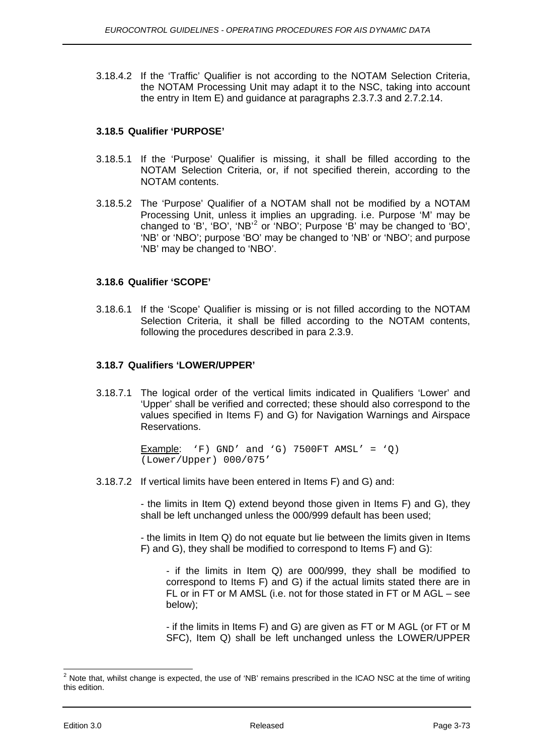3.18.4.2 If the 'Traffic' Qualifier is not according to the NOTAM Selection Criteria, the NOTAM Processing Unit may adapt it to the NSC, taking into account the entry in Item E) and guidance at paragraphs [2.3.7.3](#page-26-0) and [2.7.2.14.](#page-68-2)

# **3.18.5 Qualifier 'PURPOSE'**

- 3.18.5.1 If the 'Purpose' Qualifier is missing, it shall be filled according to the NOTAM Selection Criteria, or, if not specified therein, according to the NOTAM contents.
- 3.18.5.2 The 'Purpose' Qualifier of a NOTAM shall not be modified by a NOTAM Processing Unit, unless it implies an upgrading. i.e. Purpose 'M' may be changed to 'B', 'BO', 'NB'<sup>[2](#page-88-1)</sup> or 'NBO'; Purpose 'B' may be changed to 'BO', 'NB' or 'NBO'; purpose 'BO' may be changed to 'NB' or 'NBO'; and purpose 'NB' may be changed to 'NBO'.

# <span id="page-88-0"></span>**3.18.6 Qualifier 'SCOPE'**

3.18.6.1 If the 'Scope' Qualifier is missing or is not filled according to the NOTAM Selection Criteria, it shall be filled according to the NOTAM contents, following the procedures described in para [2.3.9](#page-27-0).

# **3.18.7 Qualifiers 'LOWER/UPPER'**

3.18.7.1 The logical order of the vertical limits indicated in Qualifiers 'Lower' and 'Upper' shall be verified and corrected; these should also correspond to the values specified in Items F) and G) for Navigation Warnings and Airspace Reservations.

> Example:  $'F$ ) GND' and 'G) 7500FT AMSL' = 'Q) (Lower/Upper) 000/075'

3.18.7.2 If vertical limits have been entered in Items F) and G) and:

 - the limits in Item Q) extend beyond those given in Items F) and G), they shall be left unchanged unless the 000/999 default has been used;

 - the limits in Item Q) do not equate but lie between the limits given in Items F) and G), they shall be modified to correspond to Items F) and G):

- if the limits in Item Q) are 000/999, they shall be modified to correspond to Items F) and G) if the actual limits stated there are in FL or in FT or M AMSL (i.e. not for those stated in FT or M AGL – see below);

- if the limits in Items F) and G) are given as FT or M AGL (or FT or M SFC), Item Q) shall be left unchanged unless the LOWER/UPPER

<span id="page-88-1"></span> 2 Note that, whilst change is expected, the use of 'NB' remains prescribed in the ICAO NSC at the time of writing this edition.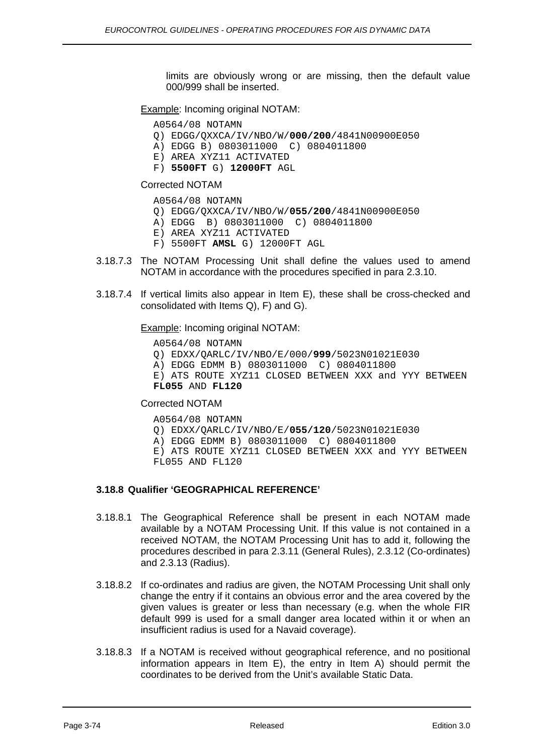limits are obviously wrong or are missing, then the default value 000/999 shall be inserted.

Example: Incoming original NOTAM:

A0564/08 NOTAMN

- Q) EDGG/QXXCA/IV/NBO/W/**000/200**/4841N00900E050
- A) EDGG B) 0803011000 C) 0804011800
- E) AREA XYZ11 ACTIVATED
- F) **5500FT** G) **12000FT** AGL

### Corrected NOTAM

A0564/08 NOTAMN

- Q) EDGG/QXXCA/IV/NBO/W/**055/200**/4841N00900E050
- A) EDGG B) 0803011000 C) 0804011800
- E) AREA XYZ11 ACTIVATED
- F) 5500FT **AMSL** G) 12000FT AGL
- 3.18.7.3 The NOTAM Processing Unit shall define the values used to amend NOTAM in accordance with the procedures specified in para [2.3.10](#page-30-0).
- 3.18.7.4 If vertical limits also appear in Item E), these shall be cross-checked and consolidated with Items Q), F) and G).

Example: Incoming original NOTAM:

- A0564/08 NOTAMN
- Q) EDXX/QARLC/IV/NBO/E/000/**999**/5023N01021E030
- A) EDGG EDMM B) 0803011000 C) 0804011800
- E) ATS ROUTE XYZ11 CLOSED BETWEEN XXX and YYY BETWEEN **FL055** AND **FL120**

#### Corrected NOTAM

A0564/08 NOTAMN

- Q) EDXX/QARLC/IV/NBO/E/**055/120**/5023N01021E030
- A) EDGG EDMM B) 0803011000 C) 0804011800

E) ATS ROUTE XYZ11 CLOSED BETWEEN XXX and YYY BETWEEN FL055 AND FL120

# <span id="page-89-0"></span>**3.18.8 Qualifier 'GEOGRAPHICAL REFERENCE'**

- 3.18.8.1 The Geographical Reference shall be present in each NOTAM made available by a NOTAM Processing Unit. If this value is not contained in a received NOTAM, the NOTAM Processing Unit has to add it, following the procedures described in para [2.3.11](#page-32-0) (General Rules), [2.3.12](#page-32-1) (Co-ordinates) and [2.3.13](#page-33-0) (Radius).
- 3.18.8.2 If co-ordinates and radius are given, the NOTAM Processing Unit shall only change the entry if it contains an obvious error and the area covered by the given values is greater or less than necessary (e.g. when the whole FIR default 999 is used for a small danger area located within it or when an insufficient radius is used for a Navaid coverage).
- 3.18.8.3 If a NOTAM is received without geographical reference, and no positional information appears in Item E), the entry in Item A) should permit the coordinates to be derived from the Unit's available Static Data.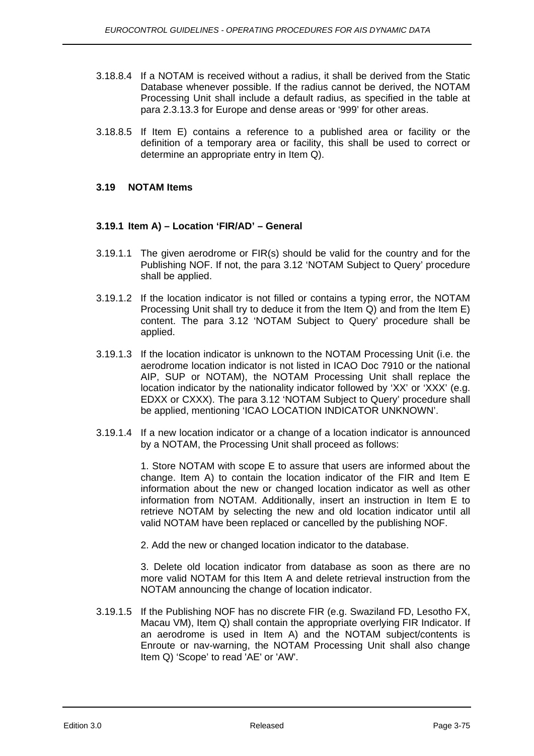- 3.18.8.4 If a NOTAM is received without a radius, it shall be derived from the Static Database whenever possible. If the radius cannot be derived, the NOTAM Processing Unit shall include a default radius, as specified in the table at para [2.3.13.3](#page-33-1) for Europe and dense areas or '999' for other areas.
- 3.18.8.5 If Item E) contains a reference to a published area or facility or the definition of a temporary area or facility, this shall be used to correct or determine an appropriate entry in Item Q).

### **3.19 NOTAM Items**

### **3.19.1 Item A) – Location 'FIR/AD' – General**

- 3.19.1.1 The given aerodrome or FIR(s) should be valid for the country and for the Publishing NOF. If not, the para [3.12](#page-80-0) 'NOTAM Subject to Query' procedure shall be applied.
- 3.19.1.2 If the location indicator is not filled or contains a typing error, the NOTAM Processing Unit shall try to deduce it from the Item Q) and from the Item E) content. The para [3.12](#page-80-0) 'NOTAM Subject to Query' procedure shall be applied.
- 3.19.1.3 If the location indicator is unknown to the NOTAM Processing Unit (i.e. the aerodrome location indicator is not listed in ICAO Doc 7910 or the national AIP, SUP or NOTAM), the NOTAM Processing Unit shall replace the location indicator by the nationality indicator followed by 'XX' or 'XXX' (e.g. EDXX or CXXX). The para [3.12](#page-80-0) 'NOTAM Subject to Query' procedure shall be applied, mentioning 'ICAO LOCATION INDICATOR UNKNOWN'.
- 3.19.1.4 If a new location indicator or a change of a location indicator is announced by a NOTAM, the Processing Unit shall proceed as follows:

 1. Store NOTAM with scope E to assure that users are informed about the change. Item A) to contain the location indicator of the FIR and Item E information about the new or changed location indicator as well as other information from NOTAM. Additionally, insert an instruction in Item E to retrieve NOTAM by selecting the new and old location indicator until all valid NOTAM have been replaced or cancelled by the publishing NOF.

2. Add the new or changed location indicator to the database.

 3. Delete old location indicator from database as soon as there are no more valid NOTAM for this Item A and delete retrieval instruction from the NOTAM announcing the change of location indicator.

3.19.1.5 If the Publishing NOF has no discrete FIR (e.g. Swaziland FD, Lesotho FX, Macau VM), Item Q) shall contain the appropriate overlying FIR Indicator. If an aerodrome is used in Item A) and the NOTAM subject/contents is Enroute or nav-warning, the NOTAM Processing Unit shall also change Item Q) 'Scope' to read 'AE' or 'AW'.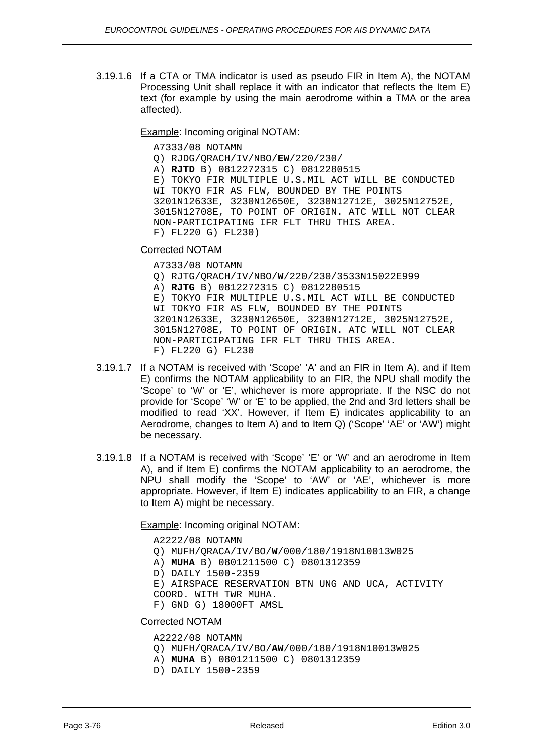3.19.1.6 If a CTA or TMA indicator is used as pseudo FIR in Item A), the NOTAM Processing Unit shall replace it with an indicator that reflects the Item E) text (for example by using the main aerodrome within a TMA or the area affected).

Example: Incoming original NOTAM:

A7333/08 NOTAMN

- Q) RJDG/QRACH/IV/NBO/**EW**/220/230/
- A) **RJTD** B) 0812272315 C) 0812280515
- E) TOKYO FIR MULTIPLE U.S.MIL ACT WILL BE CONDUCTED WI TOKYO FIR AS FLW, BOUNDED BY THE POINTS 3201N12633E, 3230N12650E, 3230N12712E, 3025N12752E,
- 3015N12708E, TO POINT OF ORIGIN. ATC WILL NOT CLEAR NON-PARTICIPATING IFR FLT THRU THIS AREA.
- F) FL220 G) FL230)
- Corrected NOTAM
	- A7333/08 NOTAMN
- Q) RJTG/QRACH/IV/NBO/**W**/220/230/3533N15022E999 A) **RJTG** B) 0812272315 C) 0812280515 E) TOKYO FIR MULTIPLE U.S.MIL ACT WILL BE CONDUCTED WI TOKYO FIR AS FLW, BOUNDED BY THE POINTS 3201N12633E, 3230N12650E, 3230N12712E, 3025N12752E, 3015N12708E, TO POINT OF ORIGIN. ATC WILL NOT CLEAR NON-PARTICIPATING IFR FLT THRU THIS AREA. F) FL220 G) FL230
- 3.19.1.7 If a NOTAM is received with 'Scope' 'A' and an FIR in Item A), and if Item E) confirms the NOTAM applicability to an FIR, the NPU shall modify the 'Scope' to 'W' or 'E', whichever is more appropriate. If the NSC do not provide for 'Scope' 'W' or 'E' to be applied, the 2nd and 3rd letters shall be modified to read 'XX'. However, if Item E) indicates applicability to an Aerodrome, changes to Item A) and to Item Q) ('Scope' 'AE' or 'AW') might be necessary.
- 3.19.1.8 If a NOTAM is received with 'Scope' 'E' or 'W' and an aerodrome in Item A), and if Item E) confirms the NOTAM applicability to an aerodrome, the NPU shall modify the 'Scope' to 'AW' or 'AE', whichever is more appropriate. However, if Item E) indicates applicability to an FIR, a change to Item A) might be necessary.

Example: Incoming original NOTAM:

A2222/08 NOTAMN

- Q) MUFH/QRACA/IV/BO/**W**/000/180/1918N10013W025
- A) **MUHA** B) 0801211500 C) 0801312359
- D) DAILY 1500-2359
- E) AIRSPACE RESERVATION BTN UNG AND UCA, ACTIVITY
- COORD. WITH TWR MUHA.
- F) GND G) 18000FT AMSL

#### Corrected NOTAM

A2222/08 NOTAMN

- Q) MUFH/QRACA/IV/BO/**AW**/000/180/1918N10013W025
- A) **MUHA** B) 0801211500 C) 0801312359
- D) DAILY 1500-2359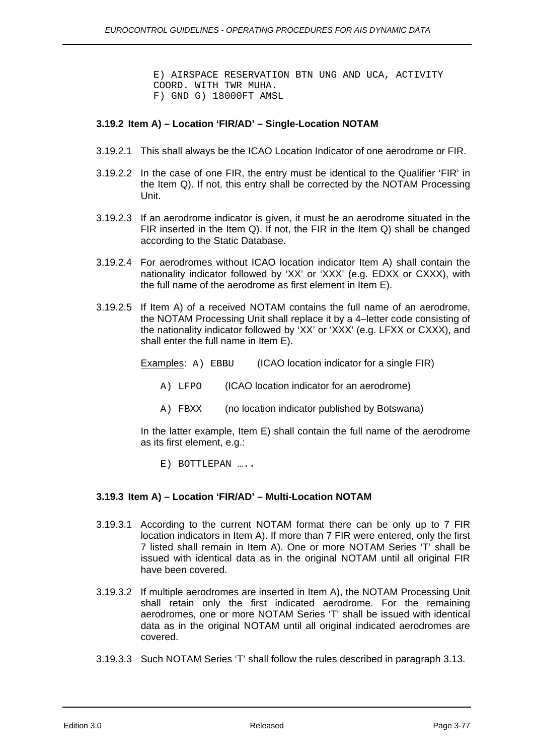E) AIRSPACE RESERVATION BTN UNG AND UCA, ACTIVITY COORD. WITH TWR MUHA. F) GND G) 18000FT AMSL

#### **3.19.2 Item A) – Location 'FIR/AD' – Single-Location NOTAM**

- 3.19.2.1 This shall always be the ICAO Location Indicator of one aerodrome or FIR.
- 3.19.2.2 In the case of one FIR, the entry must be identical to the Qualifier 'FIR' in the Item Q). If not, this entry shall be corrected by the NOTAM Processing Unit.
- 3.19.2.3 If an aerodrome indicator is given, it must be an aerodrome situated in the FIR inserted in the Item Q). If not, the FIR in the Item Q) shall be changed according to the Static Database.
- 3.19.2.4 For aerodromes without ICAO location indicator Item A) shall contain the nationality indicator followed by 'XX' or 'XXX' (e.g. EDXX or CXXX), with the full name of the aerodrome as first element in Item E).
- 3.19.2.5 If Item A) of a received NOTAM contains the full name of an aerodrome, the NOTAM Processing Unit shall replace it by a 4–letter code consisting of the nationality indicator followed by 'XX' or 'XXX' (e.g. LFXX or CXXX), and shall enter the full name in Item E).

#### Examples: A) EBBU (ICAO location indicator for a single FIR)

- A) LFPO (ICAO location indicator for an aerodrome)
- A) FBXX (no location indicator published by Botswana)

 In the latter example, Item E) shall contain the full name of the aerodrome as its first element, e.g.:

E) BOTTLEPAN ...

### **3.19.3 Item A) – Location 'FIR/AD' – Multi-Location NOTAM**

- 3.19.3.1 According to the current NOTAM format there can be only up to 7 FIR location indicators in Item A). If more than 7 FIR were entered, only the first 7 listed shall remain in Item A). One or more NOTAM Series 'T' shall be issued with identical data as in the original NOTAM until all original FIR have been covered.
- 3.19.3.2 If multiple aerodromes are inserted in Item A), the NOTAM Processing Unit shall retain only the first indicated aerodrome. For the remaining aerodromes, one or more NOTAM Series 'T' shall be issued with identical data as in the original NOTAM until all original indicated aerodromes are covered.
- 3.19.3.3 Such NOTAM Series 'T' shall follow the rules described in paragraph [3.13.](#page-81-1)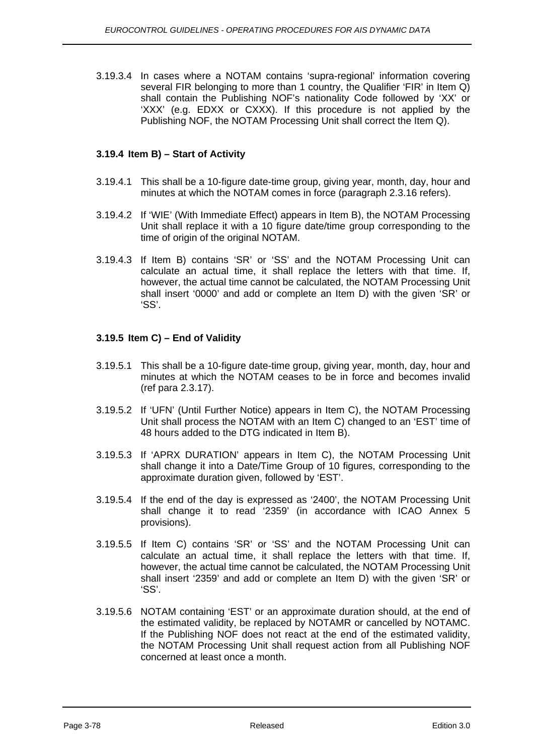3.19.3.4 In cases where a NOTAM contains 'supra-regional' information covering several FIR belonging to more than 1 country, the Qualifier 'FIR' in Item Q) shall contain the Publishing NOF's nationality Code followed by 'XX' or 'XXX' (e.g. EDXX or CXXX). If this procedure is not applied by the Publishing NOF, the NOTAM Processing Unit shall correct the Item Q).

# **3.19.4 Item B) – Start of Activity**

- 3.19.4.1 This shall be a 10-figure date-time group, giving year, month, day, hour and minutes at which the NOTAM comes in force (paragraph [2.3.16](#page-36-0) refers).
- 3.19.4.2 If 'WIE' (With Immediate Effect) appears in Item B), the NOTAM Processing Unit shall replace it with a 10 figure date/time group corresponding to the time of origin of the original NOTAM.
- 3.19.4.3 If Item B) contains 'SR' or 'SS' and the NOTAM Processing Unit can calculate an actual time, it shall replace the letters with that time. If, however, the actual time cannot be calculated, the NOTAM Processing Unit shall insert '0000' and add or complete an Item D) with the given 'SR' or 'SS'.

# **3.19.5 Item C) – End of Validity**

- 3.19.5.1 This shall be a 10-figure date-time group, giving year, month, day, hour and minutes at which the NOTAM ceases to be in force and becomes invalid (ref para [2.3.17](#page-37-0)).
- 3.19.5.2 If 'UFN' (Until Further Notice) appears in Item C), the NOTAM Processing Unit shall process the NOTAM with an Item C) changed to an 'EST' time of 48 hours added to the DTG indicated in Item B).
- 3.19.5.3 If 'APRX DURATION' appears in Item C), the NOTAM Processing Unit shall change it into a Date/Time Group of 10 figures, corresponding to the approximate duration given, followed by 'EST'.
- 3.19.5.4 If the end of the day is expressed as '2400', the NOTAM Processing Unit shall change it to read '2359' (in accordance with ICAO Annex 5 provisions).
- 3.19.5.5 If Item C) contains 'SR' or 'SS' and the NOTAM Processing Unit can calculate an actual time, it shall replace the letters with that time. If, however, the actual time cannot be calculated, the NOTAM Processing Unit shall insert '2359' and add or complete an Item D) with the given 'SR' or 'SS'.
- 3.19.5.6 NOTAM containing 'EST' or an approximate duration should, at the end of the estimated validity, be replaced by NOTAMR or cancelled by NOTAMC. If the Publishing NOF does not react at the end of the estimated validity, the NOTAM Processing Unit shall request action from all Publishing NOF concerned at least once a month.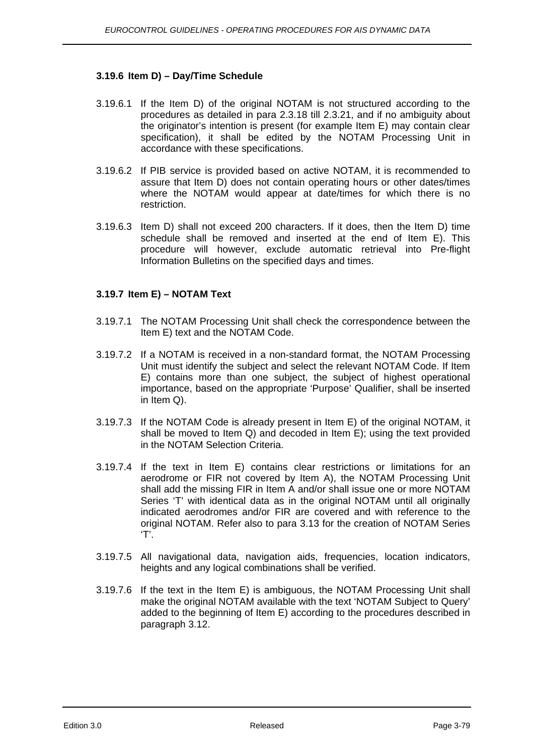# **3.19.6 Item D) – Day/Time Schedule**

- 3.19.6.1 If the Item D) of the original NOTAM is not structured according to the procedures as detailed in para [2.3.18](#page-38-0) till [2.3.21](#page-43-0), and if no ambiguity about the originator's intention is present (for example Item E) may contain clear specification), it shall be edited by the NOTAM Processing Unit in accordance with these specifications.
- 3.19.6.2 If PIB service is provided based on active NOTAM, it is recommended to assure that Item D) does not contain operating hours or other dates/times where the NOTAM would appear at date/times for which there is no restriction.
- 3.19.6.3 Item D) shall not exceed 200 characters. If it does, then the Item D) time schedule shall be removed and inserted at the end of Item E). This procedure will however, exclude automatic retrieval into Pre-flight Information Bulletins on the specified days and times.

# **3.19.7 Item E) – NOTAM Text**

- 3.19.7.1 The NOTAM Processing Unit shall check the correspondence between the Item E) text and the NOTAM Code.
- 3.19.7.2 If a NOTAM is received in a non-standard format, the NOTAM Processing Unit must identify the subject and select the relevant NOTAM Code. If Item E) contains more than one subject, the subject of highest operational importance, based on the appropriate 'Purpose' Qualifier, shall be inserted in Item Q).
- 3.19.7.3 If the NOTAM Code is already present in Item E) of the original NOTAM, it shall be moved to Item Q) and decoded in Item E); using the text provided in the NOTAM Selection Criteria.
- 3.19.7.4 If the text in Item E) contains clear restrictions or limitations for an aerodrome or FIR not covered by Item A), the NOTAM Processing Unit shall add the missing FIR in Item A and/or shall issue one or more NOTAM Series 'T' with identical data as in the original NOTAM until all originally indicated aerodromes and/or FIR are covered and with reference to the original NOTAM. Refer also to para [3.13](#page-81-1) for the creation of NOTAM Series  $T'$ .
- 3.19.7.5 All navigational data, navigation aids, frequencies, location indicators, heights and any logical combinations shall be verified.
- 3.19.7.6 If the text in the Item E) is ambiguous, the NOTAM Processing Unit shall make the original NOTAM available with the text 'NOTAM Subject to Query' added to the beginning of Item E) according to the procedures described in paragraph [3.12.](#page-80-0)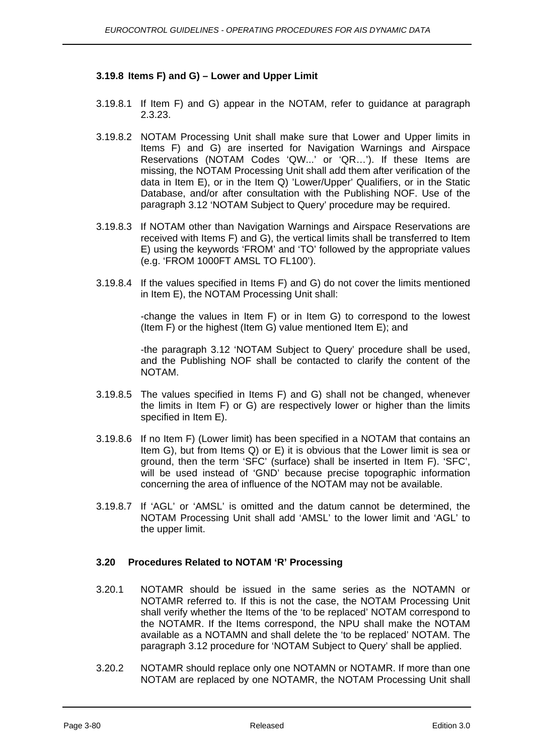# **3.19.8 Items F) and G) – Lower and Upper Limit**

- 3.19.8.1 If Item F) and G) appear in the NOTAM, refer to guidance at paragraph [2.3.23](#page-54-1).
- 3.19.8.2 NOTAM Processing Unit shall make sure that Lower and Upper limits in Items F) and G) are inserted for Navigation Warnings and Airspace Reservations (NOTAM Codes 'QW...' or 'QR…'). If these Items are missing, the NOTAM Processing Unit shall add them after verification of the data in Item E), or in the Item Q) 'Lower/Upper' Qualifiers, or in the Static Database, and/or after consultation with the Publishing NOF. Use of the paragraph [3.12](#page-80-0) 'NOTAM Subject to Query' procedure may be required.
- 3.19.8.3 If NOTAM other than Navigation Warnings and Airspace Reservations are received with Items F) and G), the vertical limits shall be transferred to Item E) using the keywords 'FROM' and 'TO' followed by the appropriate values (e.g. 'FROM 1000FT AMSL TO FL100').
- 3.19.8.4 If the values specified in Items F) and G) do not cover the limits mentioned in Item E), the NOTAM Processing Unit shall:

 -change the values in Item F) or in Item G) to correspond to the lowest (Item F) or the highest (Item G) value mentioned Item E); and

 -the paragraph [3.12](#page-80-0) 'NOTAM Subject to Query' procedure shall be used, and the Publishing NOF shall be contacted to clarify the content of the NOTAM.

- 3.19.8.5 The values specified in Items F) and G) shall not be changed, whenever the limits in Item F) or G) are respectively lower or higher than the limits specified in Item E).
- 3.19.8.6 If no Item F) (Lower limit) has been specified in a NOTAM that contains an Item G), but from Items Q) or E) it is obvious that the Lower limit is sea or ground, then the term 'SFC' (surface) shall be inserted in Item F). 'SFC', will be used instead of 'GND' because precise topographic information concerning the area of influence of the NOTAM may not be available.
- 3.19.8.7 If 'AGL' or 'AMSL' is omitted and the datum cannot be determined, the NOTAM Processing Unit shall add 'AMSL' to the lower limit and 'AGL' to the upper limit.

### **3.20 Procedures Related to NOTAM 'R' Processing**

- 3.20.1 NOTAMR should be issued in the same series as the NOTAMN or NOTAMR referred to. If this is not the case, the NOTAM Processing Unit shall verify whether the Items of the 'to be replaced' NOTAM correspond to the NOTAMR. If the Items correspond, the NPU shall make the NOTAM available as a NOTAMN and shall delete the 'to be replaced' NOTAM. The paragraph [3.12](#page-80-0) procedure for 'NOTAM Subject to Query' shall be applied.
- 3.20.2 NOTAMR should replace only one NOTAMN or NOTAMR. If more than one NOTAM are replaced by one NOTAMR, the NOTAM Processing Unit shall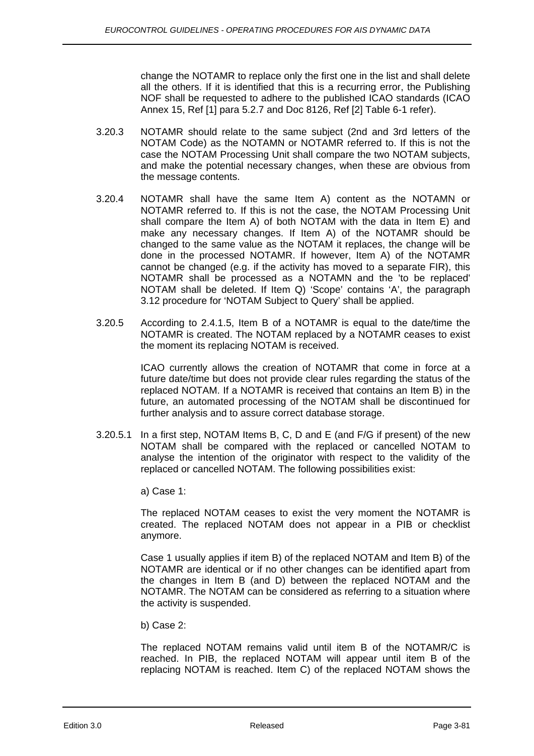change the NOTAMR to replace only the first one in the list and shall delete all the others. If it is identified that this is a recurring error, the Publishing NOF shall be requested to adhere to the published ICAO standards (ICAO Annex 15, Ref [[1\]](#page-19-0) para 5.2.7 and Doc 8126, Ref [\[2\]](#page-19-1) Table 6-1 refer).

- 3.20.3 NOTAMR should relate to the same subject (2nd and 3rd letters of the NOTAM Code) as the NOTAMN or NOTAMR referred to. If this is not the case the NOTAM Processing Unit shall compare the two NOTAM subjects, and make the potential necessary changes, when these are obvious from the message contents.
- 3.20.4 NOTAMR shall have the same Item A) content as the NOTAMN or NOTAMR referred to. If this is not the case, the NOTAM Processing Unit shall compare the Item A) of both NOTAM with the data in Item E) and make any necessary changes. If Item A) of the NOTAMR should be changed to the same value as the NOTAM it replaces, the change will be done in the processed NOTAMR. If however, Item A) of the NOTAMR cannot be changed (e.g. if the activity has moved to a separate FIR), this NOTAMR shall be processed as a NOTAMN and the 'to be replaced' NOTAM shall be deleted. If Item Q) 'Scope' contains 'A', the paragraph [3.12](#page-80-0) procedure for 'NOTAM Subject to Query' shall be applied.
- 3.20.5 According to [2.4.1.5](#page-56-0), Item B of a NOTAMR is equal to the date/time the NOTAMR is created. The NOTAM replaced by a NOTAMR ceases to exist the moment its replacing NOTAM is received.

 ICAO currently allows the creation of NOTAMR that come in force at a future date/time but does not provide clear rules regarding the status of the replaced NOTAM. If a NOTAMR is received that contains an Item B) in the future, an automated processing of the NOTAM shall be discontinued for further analysis and to assure correct database storage.

3.20.5.1 In a first step, NOTAM Items B, C, D and E (and F/G if present) of the new NOTAM shall be compared with the replaced or cancelled NOTAM to analyse the intention of the originator with respect to the validity of the replaced or cancelled NOTAM. The following possibilities exist:

a) Case 1:

 The replaced NOTAM ceases to exist the very moment the NOTAMR is created. The replaced NOTAM does not appear in a PIB or checklist anymore.

 Case 1 usually applies if item B) of the replaced NOTAM and Item B) of the NOTAMR are identical or if no other changes can be identified apart from the changes in Item B (and D) between the replaced NOTAM and the NOTAMR. The NOTAM can be considered as referring to a situation where the activity is suspended.

b) Case 2:

The replaced NOTAM remains valid until item B of the NOTAMR/C is reached. In PIB, the replaced NOTAM will appear until item B of the replacing NOTAM is reached. Item C) of the replaced NOTAM shows the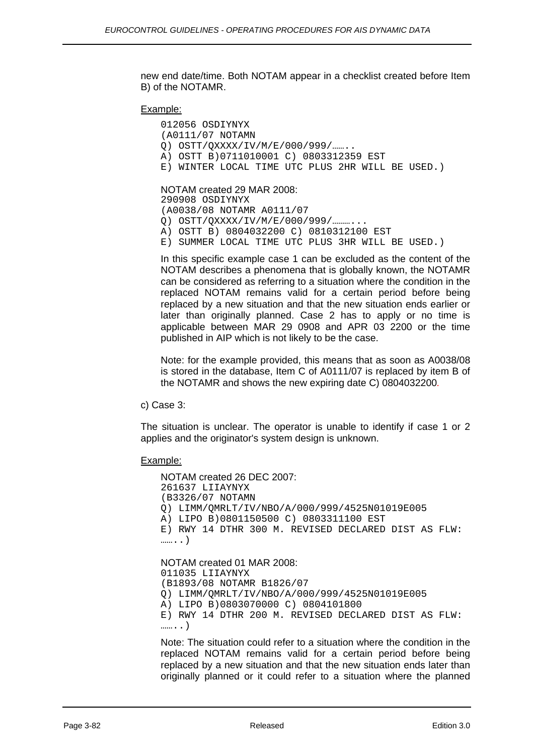new end date/time. Both NOTAM appear in a checklist created before Item B) of the NOTAMR.

#### Example:

012056 OSDIYNYX

- (A0111/07 NOTAMN
- Q) OSTT/QXXXX/IV/M/E/000/999/……..
- A) OSTT B)0711010001 C) 0803312359 EST
- E) WINTER LOCAL TIME UTC PLUS 2HR WILL BE USED.)

NOTAM created 29 MAR 2008:

290908 OSDIYNYX

- (A0038/08 NOTAMR A0111/07
- Q) OSTT/QXXXX/IV/M/E/000/999/………...
- A) OSTT B) 0804032200 C) 0810312100 EST
- E) SUMMER LOCAL TIME UTC PLUS 3HR WILL BE USED.)

In this specific example case 1 can be excluded as the content of the NOTAM describes a phenomena that is globally known, the NOTAMR can be considered as referring to a situation where the condition in the replaced NOTAM remains valid for a certain period before being replaced by a new situation and that the new situation ends earlier or later than originally planned. Case 2 has to apply or no time is applicable between MAR 29 0908 and APR 03 2200 or the time published in AIP which is not likely to be the case.

Note: for the example provided, this means that as soon as A0038/08 is stored in the database, Item C of A0111/07 is replaced by item B of the NOTAMR and shows the new expiring date C) 0804032200*.*

c) Case 3:

The situation is unclear. The operator is unable to identify if case 1 or 2 applies and the originator's system design is unknown.

Example:

NOTAM created 26 DEC 2007: 261637 LIIAYNYX (B3326/07 NOTAMN Q) LIMM/QMRLT/IV/NBO/A/000/999/4525N01019E005 A) LIPO B)0801150500 C) 0803311100 EST E) RWY 14 DTHR 300 M. REVISED DECLARED DIST AS FLW: ……..)

NOTAM created 01 MAR 2008: 011035 LIIAYNYX (B1893/08 NOTAMR B1826/07 Q) LIMM/QMRLT/IV/NBO/A/000/999/4525N01019E005 A) LIPO B)0803070000 C) 0804101800 E) RWY 14 DTHR 200 M. REVISED DECLARED DIST AS FLW: ……..)

Note: The situation could refer to a situation where the condition in the replaced NOTAM remains valid for a certain period before being replaced by a new situation and that the new situation ends later than originally planned or it could refer to a situation where the planned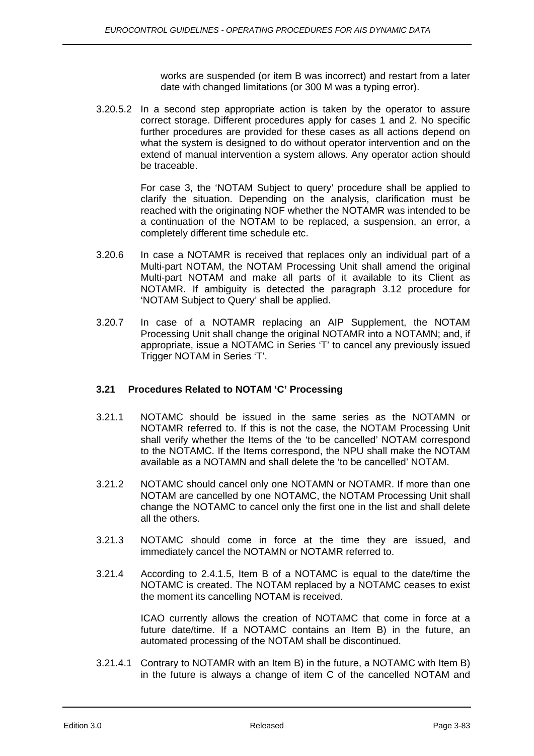works are suspended (or item B was incorrect) and restart from a later date with changed limitations (or 300 M was a typing error).

3.20.5.2 In a second step appropriate action is taken by the operator to assure correct storage. Different procedures apply for cases 1 and 2. No specific further procedures are provided for these cases as all actions depend on what the system is designed to do without operator intervention and on the extend of manual intervention a system allows. Any operator action should be traceable.

> For case 3, the 'NOTAM Subject to query' procedure shall be applied to clarify the situation. Depending on the analysis, clarification must be reached with the originating NOF whether the NOTAMR was intended to be a continuation of the NOTAM to be replaced, a suspension, an error, a completely different time schedule etc.

- 3.20.6 In case a NOTAMR is received that replaces only an individual part of a Multi-part NOTAM, the NOTAM Processing Unit shall amend the original Multi-part NOTAM and make all parts of it available to its Client as NOTAMR. If ambiguity is detected the paragraph [3.12](#page-80-0) procedure for 'NOTAM Subject to Query' shall be applied.
- 3.20.7 In case of a NOTAMR replacing an AIP Supplement, the NOTAM Processing Unit shall change the original NOTAMR into a NOTAMN; and, if appropriate, issue a NOTAMC in Series 'T' to cancel any previously issued Trigger NOTAM in Series 'T'.

# **3.21 Procedures Related to NOTAM 'C' Processing**

- 3.21.1 NOTAMC should be issued in the same series as the NOTAMN or NOTAMR referred to. If this is not the case, the NOTAM Processing Unit shall verify whether the Items of the 'to be cancelled' NOTAM correspond to the NOTAMC. If the Items correspond, the NPU shall make the NOTAM available as a NOTAMN and shall delete the 'to be cancelled' NOTAM.
- 3.21.2 NOTAMC should cancel only one NOTAMN or NOTAMR. If more than one NOTAM are cancelled by one NOTAMC, the NOTAM Processing Unit shall change the NOTAMC to cancel only the first one in the list and shall delete all the others.
- 3.21.3 NOTAMC should come in force at the time they are issued, and immediately cancel the NOTAMN or NOTAMR referred to.
- 3.21.4 According to [2.4.1.5](#page-56-0), Item B of a NOTAMC is equal to the date/time the NOTAMC is created. The NOTAM replaced by a NOTAMC ceases to exist the moment its cancelling NOTAM is received.

 ICAO currently allows the creation of NOTAMC that come in force at a future date/time. If a NOTAMC contains an Item B) in the future, an automated processing of the NOTAM shall be discontinued.

3.21.4.1 Contrary to NOTAMR with an Item B) in the future, a NOTAMC with Item B) in the future is always a change of item C of the cancelled NOTAM and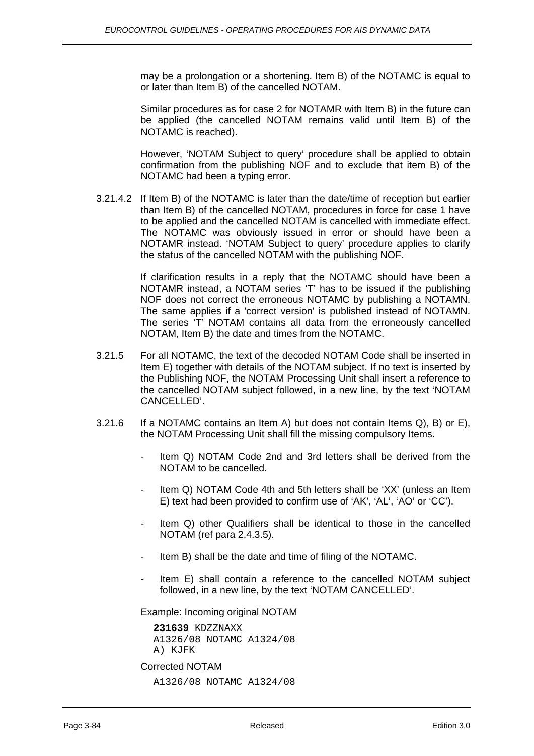may be a prolongation or a shortening. Item B) of the NOTAMC is equal to or later than Item B) of the cancelled NOTAM.

 Similar procedures as for case 2 for NOTAMR with Item B) in the future can be applied (the cancelled NOTAM remains valid until Item B) of the NOTAMC is reached).

 However, 'NOTAM Subject to query' procedure shall be applied to obtain confirmation from the publishing NOF and to exclude that item B) of the NOTAMC had been a typing error.

3.21.4.2 If Item B) of the NOTAMC is later than the date/time of reception but earlier than Item B) of the cancelled NOTAM, procedures in force for case 1 have to be applied and the cancelled NOTAM is cancelled with immediate effect. The NOTAMC was obviously issued in error or should have been a NOTAMR instead. 'NOTAM Subject to query' procedure applies to clarify the status of the cancelled NOTAM with the publishing NOF.

> If clarification results in a reply that the NOTAMC should have been a NOTAMR instead, a NOTAM series 'T' has to be issued if the publishing NOF does not correct the erroneous NOTAMC by publishing a NOTAMN. The same applies if a 'correct version' is published instead of NOTAMN. The series 'T' NOTAM contains all data from the erroneously cancelled NOTAM, Item B) the date and times from the NOTAMC.

- 3.21.5 For all NOTAMC, the text of the decoded NOTAM Code shall be inserted in Item E) together with details of the NOTAM subject. If no text is inserted by the Publishing NOF, the NOTAM Processing Unit shall insert a reference to the cancelled NOTAM subject followed, in a new line, by the text 'NOTAM CANCELLED'.
- 3.21.6 If a NOTAMC contains an Item A) but does not contain Items Q), B) or E), the NOTAM Processing Unit shall fill the missing compulsory Items.
	- Item Q) NOTAM Code 2nd and 3rd letters shall be derived from the NOTAM to be cancelled.
	- Item Q) NOTAM Code 4th and 5th letters shall be 'XX' (unless an Item E) text had been provided to confirm use of 'AK', 'AL', 'AO' or 'CC').
	- Item Q) other Qualifiers shall be identical to those in the cancelled NOTAM (ref para [2.4.3.5](#page-61-0)).
	- Item B) shall be the date and time of filing of the NOTAMC.
	- Item E) shall contain a reference to the cancelled NOTAM subject followed, in a new line, by the text 'NOTAM CANCELLED'.

Example: Incoming original NOTAM

**231639** KDZZNAXX A1326/08 NOTAMC A1324/08 A) KJFK

### Corrected NOTAM

A1326/08 NOTAMC A1324/08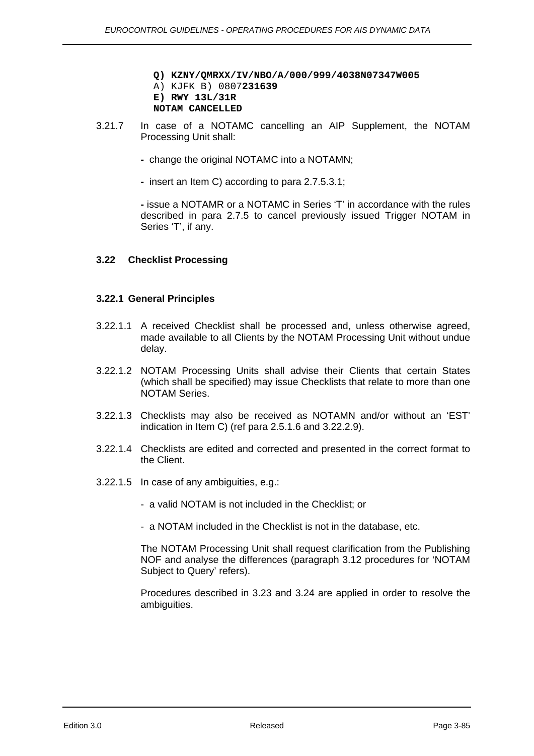**Q) KZNY/QMRXX/IV/NBO/A/000/999/4038N07347W005**  A) KJFK B) 0807**231639 E) RWY 13L/31R NOTAM CANCELLED**

- 3.21.7 In case of a NOTAMC cancelling an AIP Supplement, the NOTAM Processing Unit shall:
	- **-** change the original NOTAMC into a NOTAMN;
	- **-** insert an Item C) according to para [2.7.5.3.](#page-70-0)1;

 **-** issue a NOTAMR or a NOTAMC in Series 'T' in accordance with the rules described in para [2.7.5](#page-69-0) to cancel previously issued Trigger NOTAM in Series 'T', if any.

### **3.22 Checklist Processing**

#### **3.22.1 General Principles**

- 3.22.1.1 A received Checklist shall be processed and, unless otherwise agreed, made available to all Clients by the NOTAM Processing Unit without undue delay.
- 3.22.1.2 NOTAM Processing Units shall advise their Clients that certain States (which shall be specified) may issue Checklists that relate to more than one NOTAM Series.
- 3.22.1.3 Checklists may also be received as NOTAMN and/or without an 'EST' indication in Item C) (ref para [2.5.1.6](#page-62-0) and [3.22.2.9\)](#page-101-0).
- 3.22.1.4 Checklists are edited and corrected and presented in the correct format to the Client.
- 3.22.1.5 In case of any ambiguities, e.g.:
	- a valid NOTAM is not included in the Checklist; or
	- a NOTAM included in the Checklist is not in the database, etc.

 The NOTAM Processing Unit shall request clarification from the Publishing NOF and analyse the differences (paragraph [3.12](#page-80-0) procedures for 'NOTAM Subject to Query' refers).

 Procedures described in [3.23](#page-102-0) and [3.24](#page-102-1) are applied in order to resolve the ambiguities.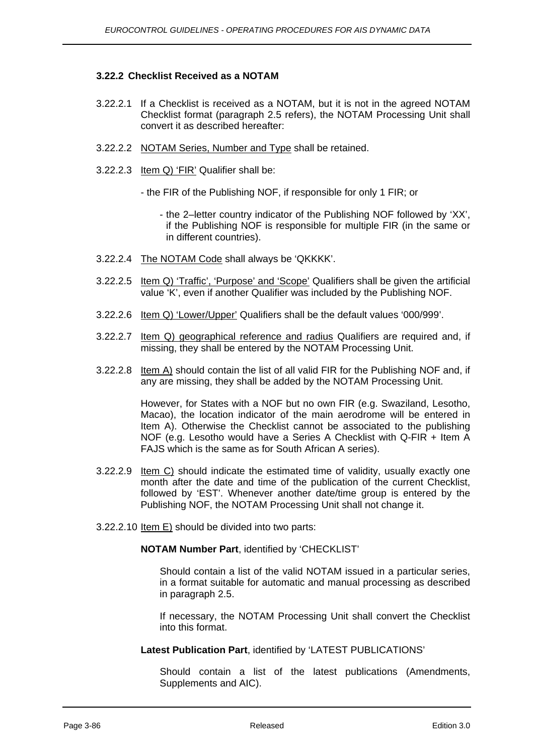# **3.22.2 Checklist Received as a NOTAM**

- 3.22.2.1 If a Checklist is received as a NOTAM, but it is not in the agreed NOTAM Checklist format (paragraph [2.5](#page-61-1) refers), the NOTAM Processing Unit shall convert it as described hereafter:
- 3.22.2.2 NOTAM Series, Number and Type shall be retained.
- 3.22.2.3 Item Q) 'FIR' Qualifier shall be:
	- the FIR of the Publishing NOF, if responsible for only 1 FIR; or
		- the 2–letter country indicator of the Publishing NOF followed by 'XX', if the Publishing NOF is responsible for multiple FIR (in the same or in different countries).
- 3.22.2.4 The NOTAM Code shall always be 'QKKKK'.
- 3.22.2.5 Item Q) 'Traffic', 'Purpose' and 'Scope' Qualifiers shall be given the artificial value 'K', even if another Qualifier was included by the Publishing NOF.
- 3.22.2.6 Item Q) 'Lower/Upper' Qualifiers shall be the default values '000/999'.
- 3.22.2.7 Item Q) geographical reference and radius Qualifiers are required and, if missing, they shall be entered by the NOTAM Processing Unit.
- 3.22.2.8 Item A) should contain the list of all valid FIR for the Publishing NOF and, if any are missing, they shall be added by the NOTAM Processing Unit.

 However, for States with a NOF but no own FIR (e.g. Swaziland, Lesotho, Macao), the location indicator of the main aerodrome will be entered in Item A). Otherwise the Checklist cannot be associated to the publishing NOF (e.g. Lesotho would have a Series A Checklist with Q-FIR + Item A FAJS which is the same as for South African A series).

- <span id="page-101-0"></span>3.22.2.9 Item C) should indicate the estimated time of validity, usually exactly one month after the date and time of the publication of the current Checklist, followed by 'EST'. Whenever another date/time group is entered by the Publishing NOF, the NOTAM Processing Unit shall not change it.
- 3.22.2.10 Item E) should be divided into two parts:

 **NOTAM Number Part**, identified by 'CHECKLIST'

Should contain a list of the valid NOTAM issued in a particular series, in a format suitable for automatic and manual processing as described in paragraph [2.5](#page-61-1).

If necessary, the NOTAM Processing Unit shall convert the Checklist into this format.

 **Latest Publication Part**, identified by 'LATEST PUBLICATIONS'

Should contain a list of the latest publications (Amendments, Supplements and AIC).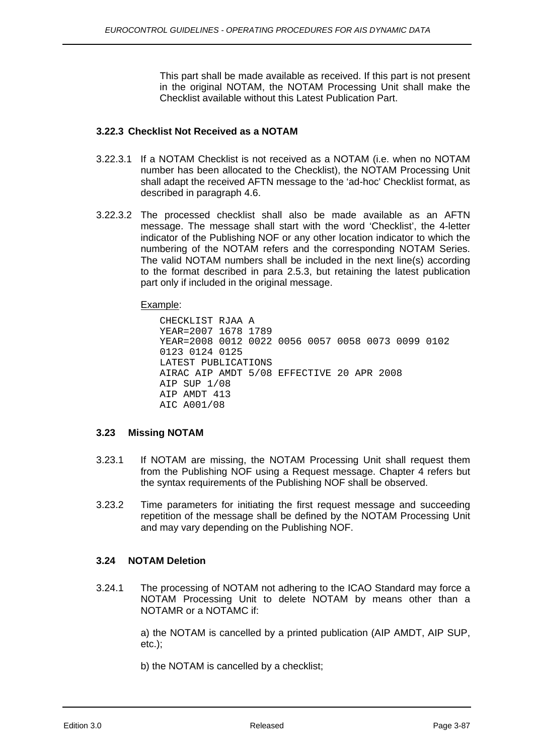This part shall be made available as received. If this part is not present in the original NOTAM, the NOTAM Processing Unit shall make the Checklist available without this Latest Publication Part.

# **3.22.3 Checklist Not Received as a NOTAM**

- 3.22.3.1 If a NOTAM Checklist is not received as a NOTAM (i.e. when no NOTAM number has been allocated to the Checklist), the NOTAM Processing Unit shall adapt the received AFTN message to the 'ad-hoc' Checklist format, as described in paragraph [4.6.](#page-113-0)
- 3.22.3.2 The processed checklist shall also be made available as an AFTN message. The message shall start with the word 'Checklist', the 4-letter indicator of the Publishing NOF or any other location indicator to which the numbering of the NOTAM refers and the corresponding NOTAM Series. The valid NOTAM numbers shall be included in the next line(s) according to the format described in para [2.5.3,](#page-62-1) but retaining the latest publication part only if included in the original message.

Example:

CHECKLIST RJAA A YEAR=2007 1678 1789 YEAR=2008 0012 0022 0056 0057 0058 0073 0099 0102 0123 0124 0125 LATEST PUBLICATIONS AIRAC AIP AMDT 5/08 EFFECTIVE 20 APR 2008 AIP SUP 1/08 AIP AMDT 413 AIC A001/08

### <span id="page-102-0"></span>**3.23 Missing NOTAM**

- 3.23.1 If NOTAM are missing, the NOTAM Processing Unit shall request them from the Publishing NOF using a Request message. Chapter [4](#page-104-0) refers but the syntax requirements of the Publishing NOF shall be observed.
- 3.23.2 Time parameters for initiating the first request message and succeeding repetition of the message shall be defined by the NOTAM Processing Unit and may vary depending on the Publishing NOF.

### <span id="page-102-1"></span>**3.24 NOTAM Deletion**

3.24.1 The processing of NOTAM not adhering to the ICAO Standard may force a NOTAM Processing Unit to delete NOTAM by means other than a NOTAMR or a NOTAMC if:

> a) the NOTAM is cancelled by a printed publication (AIP AMDT, AIP SUP, etc.);

b) the NOTAM is cancelled by a checklist;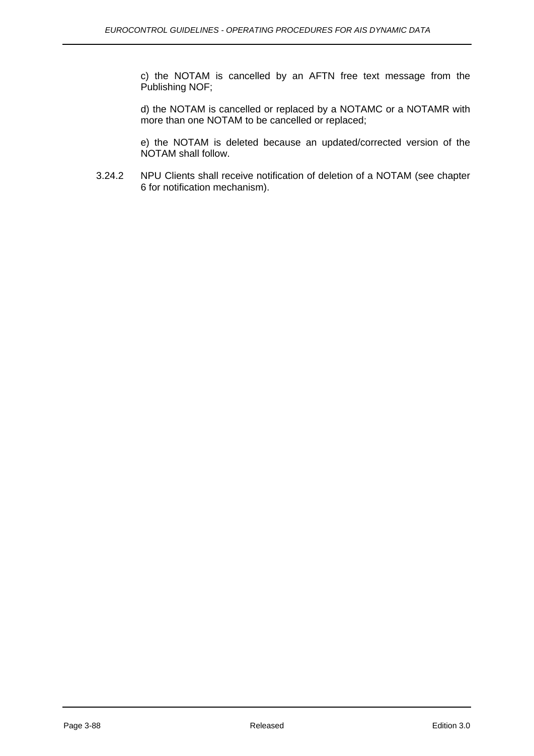c) the NOTAM is cancelled by an AFTN free text message from the Publishing NOF;

 d) the NOTAM is cancelled or replaced by a NOTAMC or a NOTAMR with more than one NOTAM to be cancelled or replaced;

 e) the NOTAM is deleted because an updated/corrected version of the NOTAM shall follow.

3.24.2 NPU Clients shall receive notification of deletion of a NOTAM (see chapter [6](#page-126-0) for notification mechanism).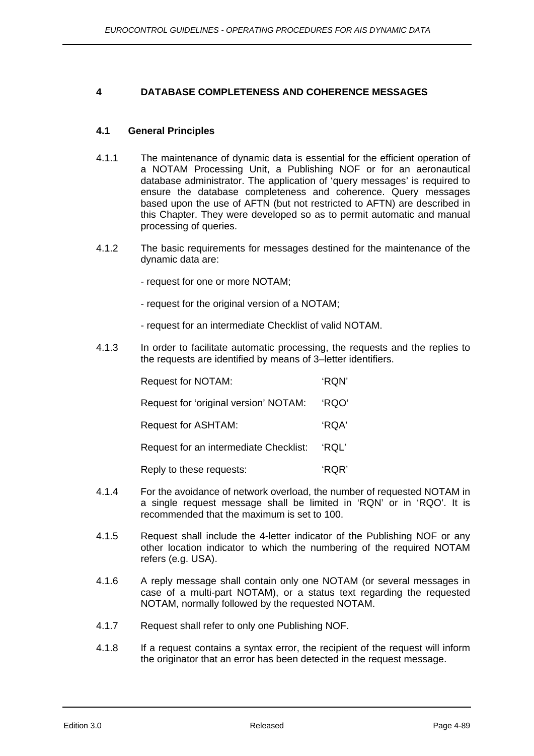# <span id="page-104-0"></span>**4 DATABASE COMPLETENESS AND COHERENCE MESSAGES**

# **4.1 General Principles**

- 4.1.1 The maintenance of dynamic data is essential for the efficient operation of a NOTAM Processing Unit, a Publishing NOF or for an aeronautical database administrator. The application of 'query messages' is required to ensure the database completeness and coherence. Query messages based upon the use of AFTN (but not restricted to AFTN) are described in this Chapter. They were developed so as to permit automatic and manual processing of queries.
- 4.1.2 The basic requirements for messages destined for the maintenance of the dynamic data are:
	- request for one or more NOTAM;
	- request for the original version of a NOTAM;
	- request for an intermediate Checklist of valid NOTAM.
- 4.1.3 In order to facilitate automatic processing, the requests and the replies to the requests are identified by means of 3–letter identifiers.

| <b>Request for NOTAM:</b>              | 'RQN' |
|----------------------------------------|-------|
| Request for 'original version' NOTAM:  | 'RQO' |
| <b>Request for ASHTAM:</b>             | 'RQA' |
| Request for an intermediate Checklist: | 'RQL' |
| Reply to these requests:               | 'ROR' |

- 4.1.4 For the avoidance of network overload, the number of requested NOTAM in a single request message shall be limited in 'RQN' or in 'RQO'. It is recommended that the maximum is set to 100.
- 4.1.5 Request shall include the 4-letter indicator of the Publishing NOF or any other location indicator to which the numbering of the required NOTAM refers (e.g. USA).
- 4.1.6 A reply message shall contain only one NOTAM (or several messages in case of a multi-part NOTAM), or a status text regarding the requested NOTAM, normally followed by the requested NOTAM.
- 4.1.7 Request shall refer to only one Publishing NOF.
- 4.1.8 If a request contains a syntax error, the recipient of the request will inform the originator that an error has been detected in the request message.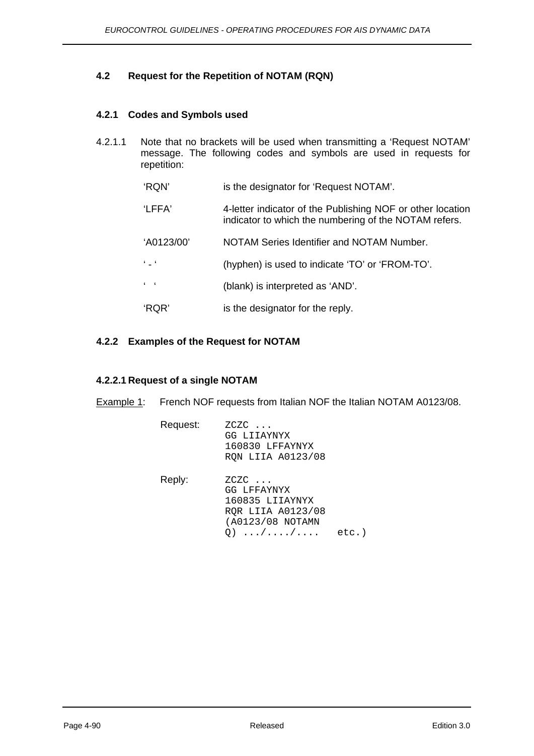# **4.2 Request for the Repetition of NOTAM (RQN)**

# **4.2.1 Codes and Symbols used**

4.2.1.1 Note that no brackets will be used when transmitting a 'Request NOTAM' message. The following codes and symbols are used in requests for repetition:

| 'RQN'          | is the designator for 'Request NOTAM'.                                                                              |
|----------------|---------------------------------------------------------------------------------------------------------------------|
| 'LFFA'         | 4-letter indicator of the Publishing NOF or other location<br>indicator to which the numbering of the NOTAM refers. |
| 'A0123/00'     | NOTAM Series Identifier and NOTAM Number.                                                                           |
| $\epsilon = 4$ | (hyphen) is used to indicate 'TO' or 'FROM-TO'.                                                                     |
| $\sqrt{6}$     | (blank) is interpreted as 'AND'.                                                                                    |
| 'RQR'          | is the designator for the reply.                                                                                    |

# **4.2.2 Examples of the Request for NOTAM**

# **4.2.2.1 Request of a single NOTAM**

Example 1: French NOF requests from Italian NOF the Italian NOTAM A0123/08.

| Request: | $ZCZC$<br>GG LIIAYNYX<br>160830 LFFAYNYX<br>RON LIIA A0123/08                                |          |
|----------|----------------------------------------------------------------------------------------------|----------|
| Reply:   | $ZCZC$<br>GG LFFAYNYX<br>160835 LIIAYNYX<br>ROR LIIA A0123/08<br>(A0123/08 NOTAMN<br>$Q)$ // | $etc.$ ) |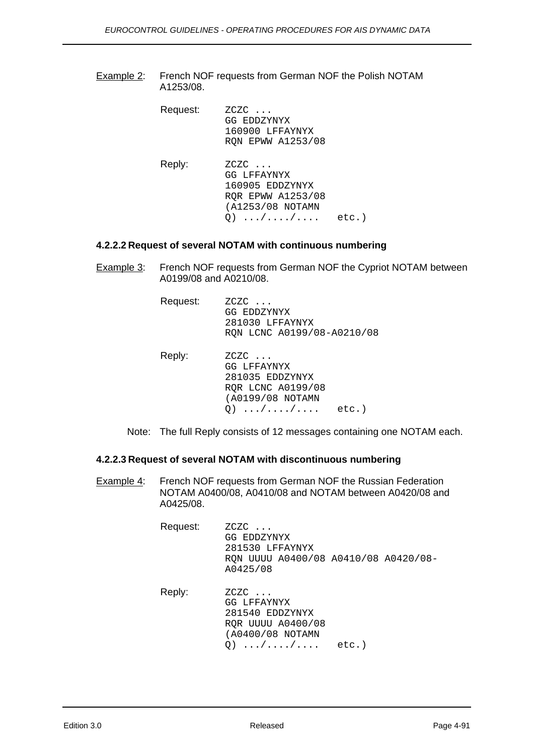- Example 2: French NOF requests from German NOF the Polish NOTAM A1253/08.
	- Request: **ZCZC** ... GG EDDZYNYX 160900 LFFAYNYX RQN EPWW A1253/08
	- Reply: **ZCZC** ... GG LFFAYNYX 160905 EDDZYNYX RQR EPWW A1253/08 (A1253/08 NOTAMN  $Q)$  .../..../.... etc.)

#### **4.2.2.2 Request of several NOTAM with continuous numbering**

- Example 3: French NOF requests from German NOF the Cypriot NOTAM between A0199/08 and A0210/08.
	- Request: **ZCZC** ... GG EDDZYNYX 281030 LFFAYNYX RQN LCNC A0199/08-A0210/08
	- Reply: **ZCZC** ... GG LFFAYNYX 281035 EDDZYNYX RQR LCNC A0199/08 (A0199/08 NOTAMN Q) .../..../.... etc.)
	- Note: The full Reply consists of 12 messages containing one NOTAM each.

### **4.2.2.3 Request of several NOTAM with discontinuous numbering**

- Example 4: French NOF requests from German NOF the Russian Federation NOTAM A0400/08, A0410/08 and NOTAM between A0420/08 and A0425/08.
	- Request: **ZCZC** ... GG EDDZYNYX 281530 LFFAYNYX RQN UUUU A0400/08 A0410/08 A0420/08- A0425/08 Reply:  $ZCZC...$  GG LFFAYNYX 281540 EDDZYNYX RQR UUUU A0400/08 (A0400/08 NOTAMN  $0)$  .../..../.... etc.)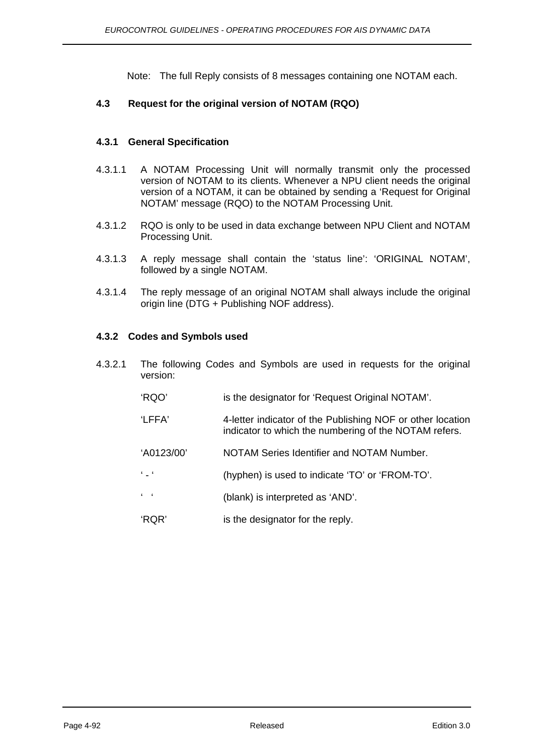Note: The full Reply consists of 8 messages containing one NOTAM each.

# **4.3 Request for the original version of NOTAM (RQO)**

### **4.3.1 General Specification**

- 4.3.1.1 A NOTAM Processing Unit will normally transmit only the processed version of NOTAM to its clients. Whenever a NPU client needs the original version of a NOTAM, it can be obtained by sending a 'Request for Original NOTAM' message (RQO) to the NOTAM Processing Unit.
- 4.3.1.2 RQO is only to be used in data exchange between NPU Client and NOTAM Processing Unit.
- 4.3.1.3 A reply message shall contain the 'status line': 'ORIGINAL NOTAM', followed by a single NOTAM.
- 4.3.1.4 The reply message of an original NOTAM shall always include the original origin line (DTG + Publishing NOF address).

#### **4.3.2 Codes and Symbols used**

- 4.3.2.1 The following Codes and Symbols are used in requests for the original version:
	- 'RQO' is the designator for 'Request Original NOTAM'.
	- 'LFFA' 4-letter indicator of the Publishing NOF or other location indicator to which the numbering of the NOTAM refers.
	- 'A0123/00' NOTAM Series Identifier and NOTAM Number.
	- ' ' (hyphen) is used to indicate 'TO' or 'FROM-TO'.
	- ' ' (blank) is interpreted as 'AND'.
	- 'RQR' is the designator for the reply.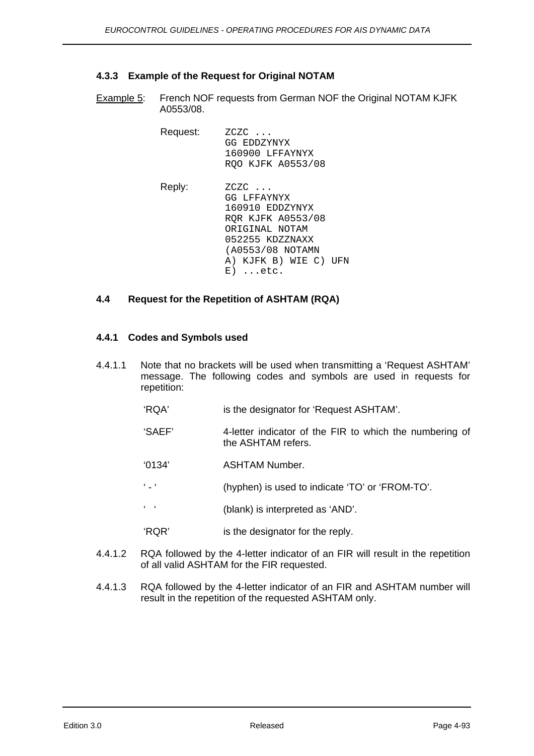### **4.3.3 Example of the Request for Original NOTAM**

Example 5: French NOF requests from German NOF the Original NOTAM KJFK A0553/08.

| Request: | $ZCZC$<br>GG EDDZYNYX<br>160900 LFFAYNYX<br>ROO KJFK A0553/08                                                                                                |
|----------|--------------------------------------------------------------------------------------------------------------------------------------------------------------|
| Reply:   | $ZCZC$<br>GG LFFAYNYX<br>160910 EDDZYNYX<br>ROR KJFK A0553/08<br>ORIGINAL NOTAM<br>052255 KDZZNAXX<br>(A0553/08 NOTAMN<br>A) KJFK B) WIE C) UFN<br>$E)$ etc. |

# **4.4 Request for the Repetition of ASHTAM (RQA)**

#### **4.4.1 Codes and Symbols used**

- 4.4.1.1 Note that no brackets will be used when transmitting a 'Request ASHTAM' message. The following codes and symbols are used in requests for repetition:
	- 'RQA' is the designator for 'Request ASHTAM'.
	- 'SAEF' 4-letter indicator of the FIR to which the numbering of the ASHTAM refers.
	- '0134' ASHTAM Number.
	- ' ' (hyphen) is used to indicate 'TO' or 'FROM-TO'.
	- ' ' (blank) is interpreted as 'AND'.
	- 'RQR' is the designator for the reply.
- 4.4.1.2 RQA followed by the 4-letter indicator of an FIR will result in the repetition of all valid ASHTAM for the FIR requested.
- 4.4.1.3 RQA followed by the 4-letter indicator of an FIR and ASHTAM number will result in the repetition of the requested ASHTAM only.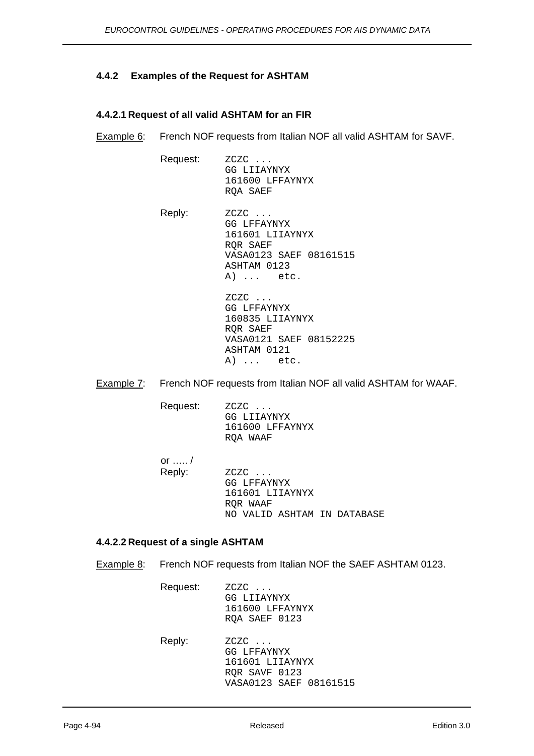### **4.4.2 Examples of the Request for ASHTAM**

#### **4.4.2.1 Request of all valid ASHTAM for an FIR**

Example 6: French NOF requests from Italian NOF all valid ASHTAM for SAVF.

Request: ZCZC ... GG LIIAYNYX 161600 LFFAYNYX RQA SAEF Reply:  $ZCZC...$  GG LFFAYNYX 161601 LIIAYNYX RQR SAEF VASA0123 SAEF 08161515 ASHTAM 0123 A) ... etc. ZCZC ... GG LFFAYNYX 160835 LIIAYNYX RQR SAEF VASA0121 SAEF 08152225 ASHTAM 0121

Example 7: French NOF requests from Italian NOF all valid ASHTAM for WAAF.

A) ... etc.

| Request:               | $ZCZC$<br>GG LIIAYNYX<br>161600 LFFAYNYX<br>ROA WAAF |
|------------------------|------------------------------------------------------|
| or $\dots$ /<br>Reply: | $ZCZC$                                               |

 GG LFFAYNYX 161601 LIIAYNYX RQR WAAF NO VALID ASHTAM IN DATABASE

#### **4.4.2.2 Request of a single ASHTAM**

Example 8: French NOF requests from Italian NOF the SAEF ASHTAM 0123.

Request: **ZCZC** ... GG LIIAYNYX 161600 LFFAYNYX RQA SAEF 0123

Reply: **ZCZC** ... GG LFFAYNYX 161601 LIIAYNYX RQR SAVF 0123 VASA0123 SAEF 08161515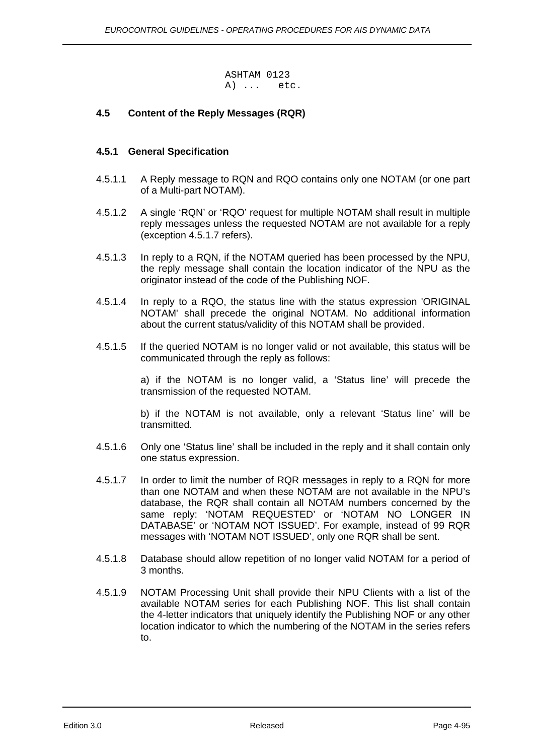ASHTAM 0123 A) ... etc.

# **4.5 Content of the Reply Messages (RQR)**

#### **4.5.1 General Specification**

- 4.5.1.1 A Reply message to RQN and RQO contains only one NOTAM (or one part of a Multi-part NOTAM).
- 4.5.1.2 A single 'RQN' or 'RQO' request for multiple NOTAM shall result in multiple reply messages unless the requested NOTAM are not available for a reply (exception [4.5.1.7](#page-110-0) refers).
- 4.5.1.3 In reply to a RQN, if the NOTAM queried has been processed by the NPU, the reply message shall contain the location indicator of the NPU as the originator instead of the code of the Publishing NOF.
- 4.5.1.4 In reply to a RQO, the status line with the status expression 'ORIGINAL NOTAM' shall precede the original NOTAM. No additional information about the current status/validity of this NOTAM shall be provided.
- 4.5.1.5 If the queried NOTAM is no longer valid or not available, this status will be communicated through the reply as follows:

 a) if the NOTAM is no longer valid, a 'Status line' will precede the transmission of the requested NOTAM.

 b) if the NOTAM is not available, only a relevant 'Status line' will be transmitted.

- 4.5.1.6 Only one 'Status line' shall be included in the reply and it shall contain only one status expression.
- <span id="page-110-0"></span>4.5.1.7 In order to limit the number of RQR messages in reply to a RQN for more than one NOTAM and when these NOTAM are not available in the NPU's database, the RQR shall contain all NOTAM numbers concerned by the same reply: 'NOTAM REQUESTED' or 'NOTAM NO LONGER IN DATABASE' or 'NOTAM NOT ISSUED'. For example, instead of 99 RQR messages with 'NOTAM NOT ISSUED', only one RQR shall be sent.
- 4.5.1.8 Database should allow repetition of no longer valid NOTAM for a period of 3 months.
- 4.5.1.9 NOTAM Processing Unit shall provide their NPU Clients with a list of the available NOTAM series for each Publishing NOF. This list shall contain the 4-letter indicators that uniquely identify the Publishing NOF or any other location indicator to which the numbering of the NOTAM in the series refers to.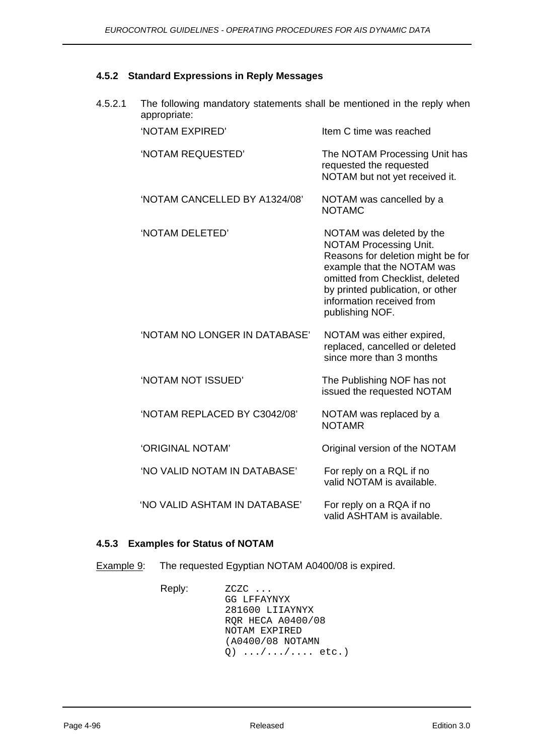### **4.5.2 Standard Expressions in Reply Messages**

4.5.2.1 The following mandatory statements shall be mentioned in the reply when appropriate:

| 'NOTAM EXPIRED'               | Item C time was reached                                                                                                                                                                                                                             |
|-------------------------------|-----------------------------------------------------------------------------------------------------------------------------------------------------------------------------------------------------------------------------------------------------|
| 'NOTAM REQUESTED'             | The NOTAM Processing Unit has<br>requested the requested<br>NOTAM but not yet received it.                                                                                                                                                          |
| 'NOTAM CANCELLED BY A1324/08' | NOTAM was cancelled by a<br><b>NOTAMC</b>                                                                                                                                                                                                           |
| 'NOTAM DELETED'               | NOTAM was deleted by the<br><b>NOTAM Processing Unit.</b><br>Reasons for deletion might be for<br>example that the NOTAM was<br>omitted from Checklist, deleted<br>by printed publication, or other<br>information received from<br>publishing NOF. |
| 'NOTAM NO LONGER IN DATABASE' | NOTAM was either expired,<br>replaced, cancelled or deleted<br>since more than 3 months                                                                                                                                                             |
| 'NOTAM NOT ISSUED'            | The Publishing NOF has not<br>issued the requested NOTAM                                                                                                                                                                                            |
| 'NOTAM REPLACED BY C3042/08'  | NOTAM was replaced by a<br><b>NOTAMR</b>                                                                                                                                                                                                            |
| 'ORIGINAL NOTAM'              | Original version of the NOTAM                                                                                                                                                                                                                       |
| 'NO VALID NOTAM IN DATABASE'  | For reply on a RQL if no<br>valid NOTAM is available.                                                                                                                                                                                               |
| 'NO VALID ASHTAM IN DATABASE' | For reply on a RQA if no<br>valid ASHTAM is available.                                                                                                                                                                                              |

#### **4.5.3 Examples for Status of NOTAM**

Example 9: The requested Egyptian NOTAM A0400/08 is expired.

Reply: **ZCZC** ... GG LFFAYNYX 281600 LIIAYNYX RQR HECA A0400/08 NOTAM EXPIRED (A0400/08 NOTAMN Q) .../.../.... etc.)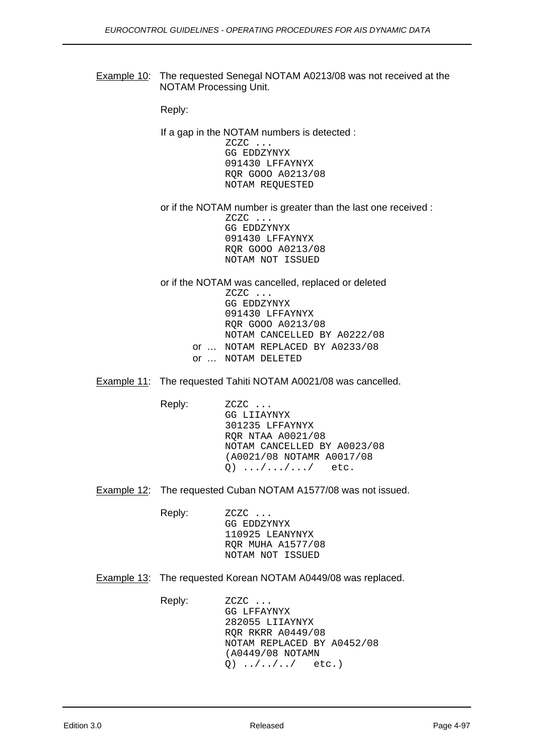Example 10: The requested Senegal NOTAM A0213/08 was not received at the NOTAM Processing Unit.

Reply:

If a gap in the NOTAM numbers is detected :

ZCZC ... GG EDDZYNYX 091430 LFFAYNYX RQR GOOO A0213/08 NOTAM REQUESTED

or if the NOTAM number is greater than the last one received :

ZCZC ... GG EDDZYNYX 091430 LFFAYNYX RQR GOOO A0213/08 NOTAM NOT ISSUED

or if the NOTAM was cancelled, replaced or deleted

ZCZC ... GG EDDZYNYX 091430 LFFAYNYX RQR GOOO A0213/08 NOTAM CANCELLED BY A0222/08 or … NOTAM REPLACED BY A0233/08 or … NOTAM DELETED

Example 11: The requested Tahiti NOTAM A0021/08 was cancelled.

Reply: ZCZC ... GG LIIAYNYX 301235 LFFAYNYX RQR NTAA A0021/08 NOTAM CANCELLED BY A0023/08 (A0021/08 NOTAMR A0017/08 0)  $\dots/$ .../.../ etc.

Example 12: The requested Cuban NOTAM A1577/08 was not issued.

Reply:  $ZCZC$  ... GG EDDZYNYX 110925 LEANYNYX RQR MUHA A1577/08 NOTAM NOT ISSUED

Example 13: The requested Korean NOTAM A0449/08 was replaced.

Reply: ZCZC ... GG LFFAYNYX 282055 LIIAYNYX RQR RKRR A0449/08 NOTAM REPLACED BY A0452/08 (A0449/08 NOTAMN  $0)$  ../../../ etc.)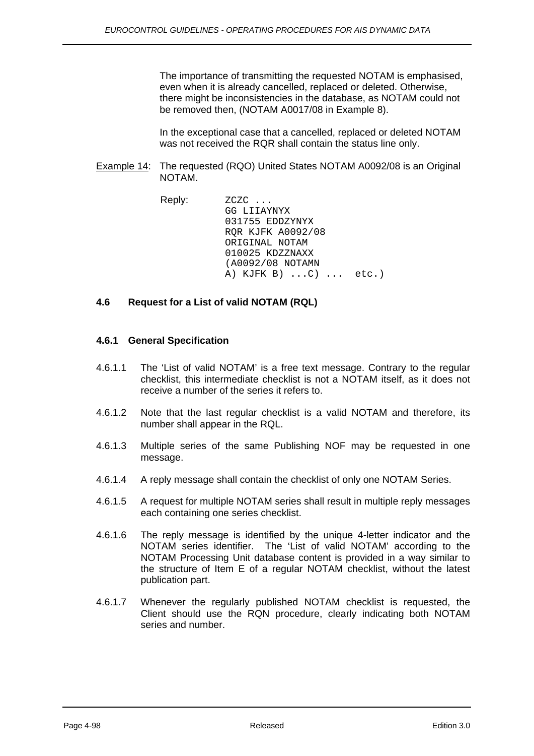The importance of transmitting the requested NOTAM is emphasised, even when it is already cancelled, replaced or deleted. Otherwise, there might be inconsistencies in the database, as NOTAM could not be removed then, (NOTAM A0017/08 in Example 8).

In the exceptional case that a cancelled, replaced or deleted NOTAM was not received the RQR shall contain the status line only.

- Example 14: The requested (RQO) United States NOTAM A0092/08 is an Original NOTAM.
	- Reply:  $ZCZC$  ... GG LIIAYNYX 031755 EDDZYNYX RQR KJFK A0092/08 ORIGINAL NOTAM 010025 KDZZNAXX (A0092/08 NOTAMN A) KJFK B) ...C) ... etc.)

### **4.6 Request for a List of valid NOTAM (RQL)**

#### **4.6.1 General Specification**

- 4.6.1.1 The 'List of valid NOTAM' is a free text message. Contrary to the regular checklist, this intermediate checklist is not a NOTAM itself, as it does not receive a number of the series it refers to.
- 4.6.1.2 Note that the last regular checklist is a valid NOTAM and therefore, its number shall appear in the RQL.
- 4.6.1.3 Multiple series of the same Publishing NOF may be requested in one message.
- 4.6.1.4 A reply message shall contain the checklist of only one NOTAM Series.
- 4.6.1.5 A request for multiple NOTAM series shall result in multiple reply messages each containing one series checklist.
- 4.6.1.6 The reply message is identified by the unique 4-letter indicator and the NOTAM series identifier. The 'List of valid NOTAM' according to the NOTAM Processing Unit database content is provided in a way similar to the structure of Item E of a regular NOTAM checklist, without the latest publication part.
- 4.6.1.7 Whenever the regularly published NOTAM checklist is requested, the Client should use the RQN procedure, clearly indicating both NOTAM series and number.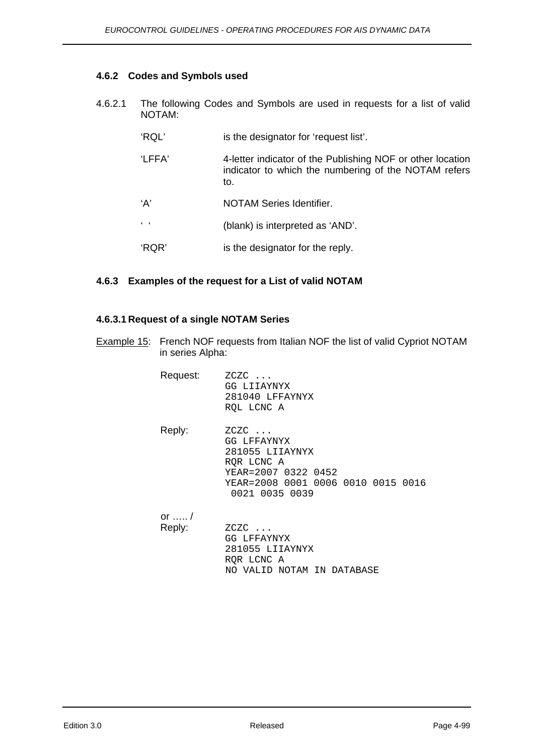#### **4.6.2 Codes and Symbols used**

- 4.6.2.1 The following Codes and Symbols are used in requests for a list of valid NOTAM:
	- 'RQL' is the designator for 'request list'.
	- 'LFFA' 4-letter indicator of the Publishing NOF or other location indicator to which the numbering of the NOTAM refers to.
	- 'A' NOTAM Series Identifier.

' ' (blank) is interpreted as 'AND'.

'RQR' is the designator for the reply.

### **4.6.3 Examples of the request for a List of valid NOTAM**

#### **4.6.3.1 Request of a single NOTAM Series**

Example 15: French NOF requests from Italian NOF the list of valid Cypriot NOTAM in series Alpha:

| Request:               | $ZCZC$<br>GG LIIAYNYX<br>281040 LFFAYNYX<br>ROL LCNC A                                                                                |
|------------------------|---------------------------------------------------------------------------------------------------------------------------------------|
| Reply:                 | $ZCZC$<br>GG LFFAYNYX<br>281055 LIIAYNYX<br>ROR LCNC A<br>YEAR=2007 0322 0452<br>YEAR=2008 0001 0006 0010 0015 0016<br>0021 0035 0039 |
| or $\dots$ /<br>Reply: | $ZCZC$                                                                                                                                |

 GG LFFAYNYX 281055 LIIAYNYX RQR LCNC A NO VALID NOTAM IN DATABASE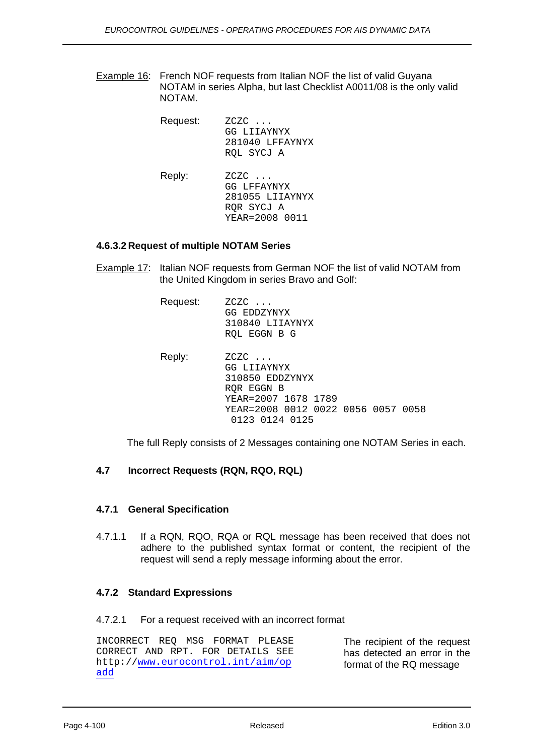Example 16: French NOF requests from Italian NOF the list of valid Guyana NOTAM in series Alpha, but last Checklist A0011/08 is the only valid NOTAM.

| Request: | ZCZC<br>GG LIIAYNYX<br>281040 LFFAYNYX<br>ROL SYCJ A                     |
|----------|--------------------------------------------------------------------------|
| Reply:   | $ZCZC$<br>GG LFFAYNYX<br>281055 LIIAYNYX<br>RQR SYCJ A<br>YEAR=2008 0011 |

#### **4.6.3.2 Request of multiple NOTAM Series**

Example 17: Italian NOF requests from German NOF the list of valid NOTAM from the United Kingdom in series Bravo and Golf:

| Request:<br>ZCZC |
|------------------|
| GG EDDZYNYX      |
| 310840 LIIAYNYX  |
| ROL EGGN B G     |
|                  |

Reply: **ZCZC** ... GG LIIAYNYX 310850 EDDZYNYX RQR EGGN B YEAR=2007 1678 1789 YEAR=2008 0012 0022 0056 0057 0058 0123 0124 0125

The full Reply consists of 2 Messages containing one NOTAM Series in each.

### **4.7 Incorrect Requests (RQN, RQO, RQL)**

#### **4.7.1 General Specification**

4.7.1.1 If a RQN, RQO, RQA or RQL message has been received that does not adhere to the published syntax format or content, the recipient of the request will send a reply message informing about the error.

#### **4.7.2 Standard Expressions**

4.7.2.1 For a request received with an incorrect format

INCORRECT REQ MSG FORMAT PLEASE CORRECT AND RPT. FOR DETAILS SEE http://[www.eurocontrol.int/aim/op](http://www.eurocontrol.int/aim/opadd) [add](http://www.eurocontrol.int/aim/opadd)

The recipient of the request has detected an error in the format of the RQ message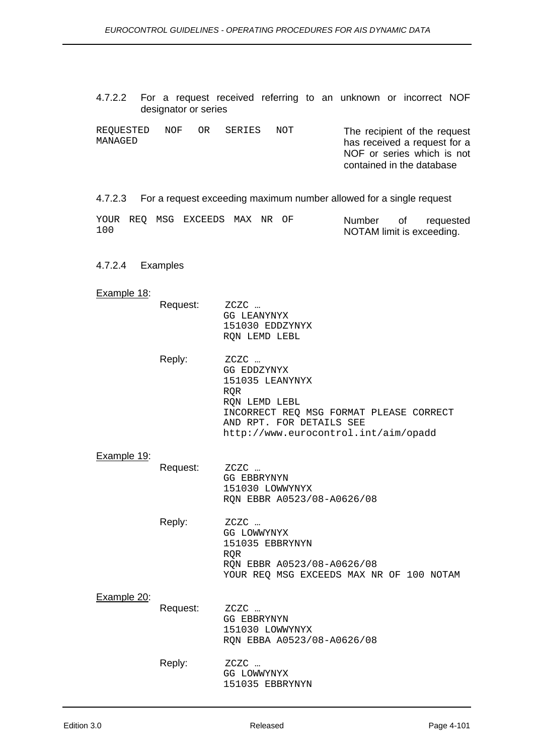### 4.7.2.2 For a request received referring to an unknown or incorrect NOF designator or series

| REOUESTED | NOF | OR DR | SERIES | NOT | The recipient of the request                               |
|-----------|-----|-------|--------|-----|------------------------------------------------------------|
| MANAGED   |     |       |        |     | has received a request for a<br>NOF or series which is not |
|           |     |       |        |     | contained in the database                                  |

4.7.2.3 For a request exceeding maximum number allowed for a single request

|     |  | YOUR REO MSG EXCEEDS MAX NR OF |  | requested<br>Number<br>of of |
|-----|--|--------------------------------|--|------------------------------|
| 100 |  |                                |  | NOTAM limit is exceeding.    |

### 4.7.2.4 Examples

# Example 18:

|             | Request: | ZCZC<br><b>GG LEANYNYX</b><br>151030 EDDZYNYX<br>RQN LEMD LEBL                                                                                                                         |
|-------------|----------|----------------------------------------------------------------------------------------------------------------------------------------------------------------------------------------|
|             | Reply:   | $ZCZC$<br>GG EDDZYNYX<br>151035 LEANYNYX<br><b>RQR</b><br>RQN LEMD LEBL<br>INCORRECT REQ MSG FORMAT PLEASE CORRECT<br>AND RPT. FOR DETAILS SEE<br>http://www.eurocontrol.int/aim/opadd |
| Example 19: | Request: | ZCZC<br><b>GG EBBRYNYN</b><br>151030 LOWWYNYX<br>RQN EBBR A0523/08-A0626/08                                                                                                            |
|             | Reply:   | $ZCZC$<br>GG LOWWYNYX<br>151035 EBBRYNYN<br><b>RQR</b><br>RQN EBBR A0523/08-A0626/08<br>YOUR REQ MSG EXCEEDS MAX NR OF 100 NOTAM                                                       |
| Example 20: | Request: | ZCZC<br><b>GG EBBRYNYN</b><br>151030 LOWWYNYX<br>RQN EBBA A0523/08-A0626/08                                                                                                            |
|             | Reply:   | ZCZC<br>GG LOWWYNYX                                                                                                                                                                    |

151035 EBBRYNYN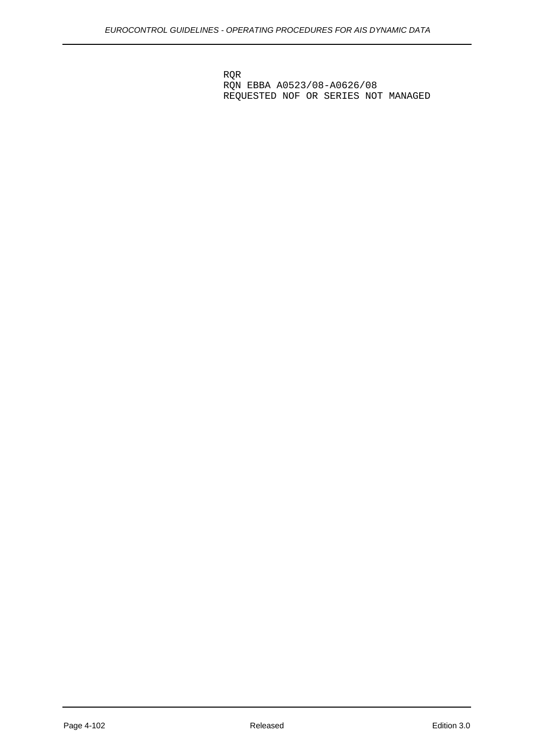RQR RQN EBBA A0523/08-A0626/08 REQUESTED NOF OR SERIES NOT MANAGED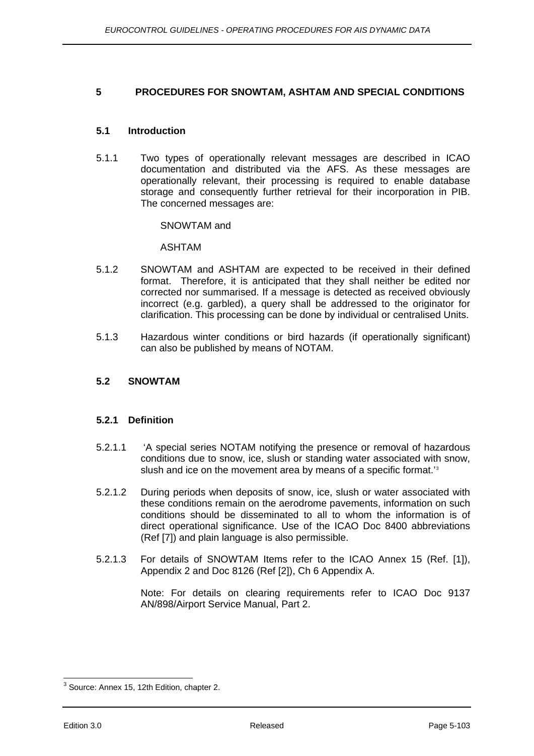### **5 PROCEDURES FOR SNOWTAM, ASHTAM AND SPECIAL CONDITIONS**

### **5.1 Introduction**

5.1.1 Two types of operationally relevant messages are described in ICAO documentation and distributed via the AFS. As these messages are operationally relevant, their processing is required to enable database storage and consequently further retrieval for their incorporation in PIB. The concerned messages are:

SNOWTAM and

ASHTAM

- 5.1.2 SNOWTAM and ASHTAM are expected to be received in their defined format. Therefore, it is anticipated that they shall neither be edited nor corrected nor summarised. If a message is detected as received obviously incorrect (e.g. garbled), a query shall be addressed to the originator for clarification. This processing can be done by individual or centralised Units.
- 5.1.3 Hazardous winter conditions or bird hazards (if operationally significant) can also be published by means of NOTAM.

#### **5.2 SNOWTAM**

### **5.2.1 Definition**

- 5.2.1.1 'A special series NOTAM notifying the presence or removal of hazardous conditions due to snow, ice, slush or standing water associated with snow, slush and ice on the movement area by means of a specific format.<sup>[3](#page-118-0)</sup>
- 5.2.1.2 During periods when deposits of snow, ice, slush or water associated with these conditions remain on the aerodrome pavements, information on such conditions should be disseminated to all to whom the information is of direct operational significance. Use of the ICAO Doc 8400 abbreviations (Ref [[7\]](#page-19-0)) and plain language is also permissible.
- 5.2.1.3 For details of SNOWTAM Items refer to the ICAO Annex 15 (Ref. [[1\]](#page-19-1)), Appendix 2 and Doc 8126 (Ref [\[2\]](#page-19-2)), Ch 6 Appendix A.

 Note: For details on clearing requirements refer to ICAO Doc 9137 AN/898/Airport Service Manual, Part 2.

<span id="page-118-0"></span> 3 Source: Annex 15, 12th Edition, chapter 2.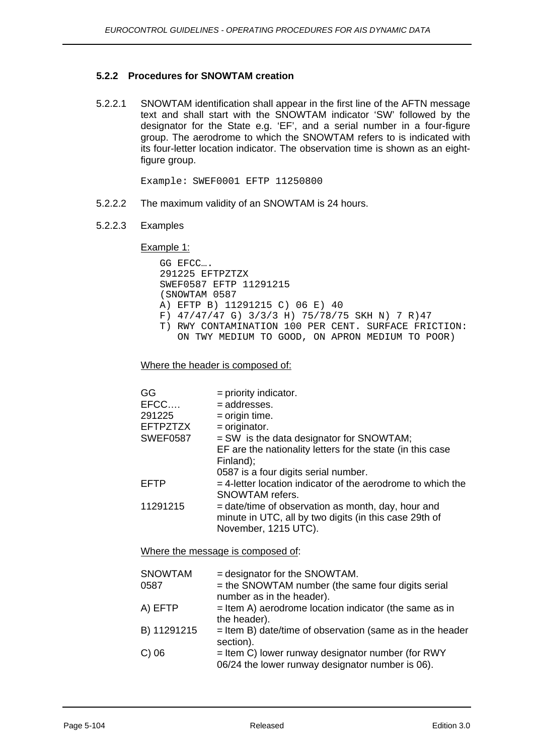### **5.2.2 Procedures for SNOWTAM creation**

5.2.2.1 SNOWTAM identification shall appear in the first line of the AFTN message text and shall start with the SNOWTAM indicator 'SW' followed by the designator for the State e.g. 'EF', and a serial number in a four-figure group. The aerodrome to which the SNOWTAM refers to is indicated with its four-letter location indicator. The observation time is shown as an eightfigure group.

Example: SWEF0001 EFTP 11250800

- 5.2.2.2 The maximum validity of an SNOWTAM is 24 hours.
- 5.2.2.3 Examples

#### Example 1:

GG EFCC…. 291225 EFTPZTZX SWEF0587 EFTP 11291215 (SNOWTAM 0587

- A) EFTP B) 11291215 C) 06 E) 40
- F) 47/47/47 G) 3/3/3 H) 75/78/75 SKH N) 7 R)47
- T) RWY CONTAMINATION 100 PER CENT. SURFACE FRICTION: ON TWY MEDIUM TO GOOD, ON APRON MEDIUM TO POOR)

Where the header is composed of:

| GG                     | $=$ priority indicator.                                                                                                              |
|------------------------|--------------------------------------------------------------------------------------------------------------------------------------|
| EFCC                   | = addresses.                                                                                                                         |
| 291225                 | $=$ origin time.                                                                                                                     |
| <b>EFTPZTZX</b>        | $=$ originator.                                                                                                                      |
| <b>SWEF0587</b>        | $=$ SW is the data designator for SNOWTAM;                                                                                           |
|                        | EF are the nationality letters for the state (in this case<br>Finland);                                                              |
|                        | 0587 is a four digits serial number.                                                                                                 |
| EFTP                   | $=$ 4-letter location indicator of the aerodrome to which the<br>SNOWTAM refers.                                                     |
| 11291215               | = date/time of observation as month, day, hour and<br>minute in UTC, all by two digits (in this case 29th of<br>November, 1215 UTC). |
|                        | Where the message is composed of:                                                                                                    |
| <b>SNOWTAM</b><br>0587 | = designator for the SNOWTAM.<br>= the SNOWTAM number (the same four digits serial                                                   |

- number as in the header). A) EFTP  $=$  Item A) aerodrome location indicator (the same as in the header). B) 11291215  $=$  Item B) date/time of observation (same as in the header
- section).  $C$ ) 06 = Item C) lower runway designator number (for RWY
	- 06/24 the lower runway designator number is 06).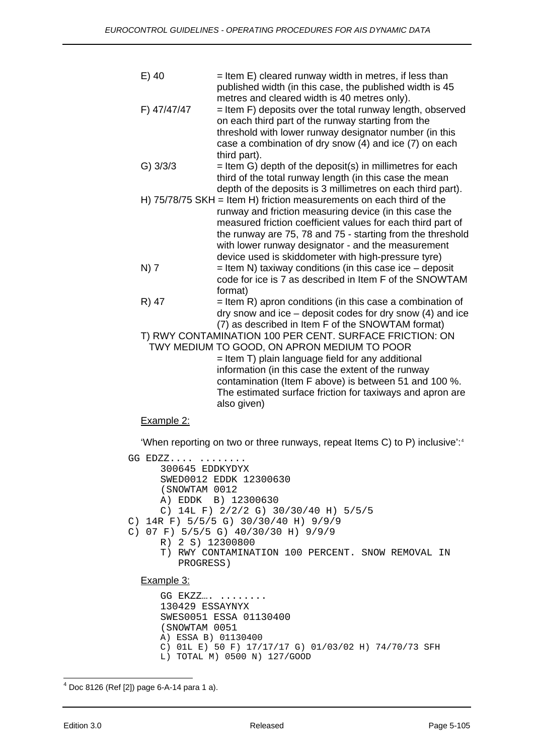- $E$ ) 40 = Item E) cleared runway width in metres, if less than published width (in this case, the published width is 45 metres and cleared width is 40 metres only).
- F)  $47/47/47$  = Item F) deposits over the total runway length, observed on each third part of the runway starting from the threshold with lower runway designator number (in this case a combination of dry snow  $(4)$  and ice  $(7)$  on each third part).
- G)  $3/3/3$  = Item G) depth of the deposit(s) in millimetres for each third of the total runway length (in this case the mean depth of the deposits is 3 millimetres on each third part).
- H) 75/78/75 SKH = Item H) friction measurements on each third of the runway and friction measuring device (in this case the measured friction coefficient values for each third part of the runway are 75, 78 and 75 - starting from the threshold with lower runway designator - and the measurement device used is skiddometer with high-pressure tyre)
- N)  $7 =$  Item N) taxiway conditions (in this case ice deposit code for ice is 7 as described in Item F of the SNOWTAM format)
- $R$ ) 47  $=$  Item R) apron conditions (in this case a combination of dry snow and ice – deposit codes for dry snow (4) and ice (7) as described in Item F of the SNOWTAM format)

T) RWY CONTAMINATION 100 PER CENT. SURFACE FRICTION: ON TWY MEDIUM TO GOOD, ON APRON MEDIUM TO POOR = Item T) plain language field for any additional information (in this case the extent of the runway contamination (Item F above) is between 51 and 100 %.

The estimated surface friction for taxiways and apron are also given)

# Example 2:

'When reporting on two or three runways, repeat Items C) to P) inclusive':[4](#page-120-0)

GG EDZZ.... ........ 300645 EDDKYDYX SWED0012 EDDK 12300630 (SNOWTAM 0012 A) EDDK B) 12300630 C) 14L F) 2/2/2 G) 30/30/40 H) 5/5/5 C) 14R F) 5/5/5 G) 30/30/40 H) 9/9/9 C) 07 F) 5/5/5 G) 40/30/30 H) 9/9/9 R) 2 S) 12300800 T) RWY CONTAMINATION 100 PERCENT. SNOW REMOVAL IN PROGRESS) Example 3: GG EKZZ…. ........ 130429 ESSAYNYX SWES0051 ESSA 01130400 (SNOWTAM 0051 A) ESSA B) 01130400 C) 01L E) 50 F) 17/17/17 G) 01/03/02 H) 74/70/73 SFH L) TOTAL M) 0500 N) 127/GOOD

<span id="page-120-0"></span> 4 Doc 8126 (Ref [2]) page 6-A-14 para 1 a).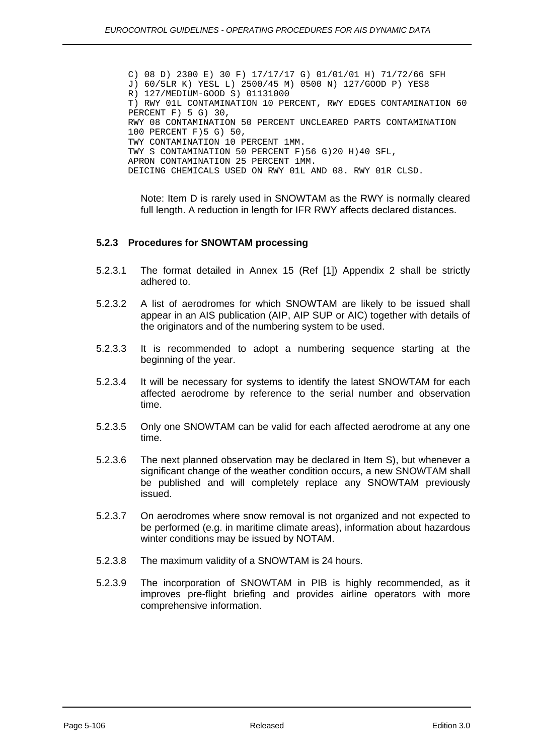C) 08 D) 2300 E) 30 F) 17/17/17 G) 01/01/01 H) 71/72/66 SFH J) 60/5LR K) YESL L) 2500/45 M) 0500 N) 127/GOOD P) YES8 R) 127/MEDIUM-GOOD S) 01131000 T) RWY 01L CONTAMINATION 10 PERCENT, RWY EDGES CONTAMINATION 60 PERCENT F) 5 G) 30, RWY 08 CONTAMINATION 50 PERCENT UNCLEARED PARTS CONTAMINATION 100 PERCENT F)5 G) 50, TWY CONTAMINATION 10 PERCENT 1MM. TWY S CONTAMINATION 50 PERCENT F)56 G)20 H)40 SFL, APRON CONTAMINATION 25 PERCENT 1MM. DEICING CHEMICALS USED ON RWY 01L AND 08. RWY 01R CLSD.

Note: Item D is rarely used in SNOWTAM as the RWY is normally cleared full length. A reduction in length for IFR RWY affects declared distances.

#### **5.2.3 Procedures for SNOWTAM processing**

- 5.2.3.1 The format detailed in Annex 15 (Ref [[1\]](#page-19-1)) Appendix 2 shall be strictly adhered to.
- 5.2.3.2 A list of aerodromes for which SNOWTAM are likely to be issued shall appear in an AIS publication (AIP, AIP SUP or AIC) together with details of the originators and of the numbering system to be used.
- 5.2.3.3 It is recommended to adopt a numbering sequence starting at the beginning of the year.
- 5.2.3.4 It will be necessary for systems to identify the latest SNOWTAM for each affected aerodrome by reference to the serial number and observation time.
- 5.2.3.5 Only one SNOWTAM can be valid for each affected aerodrome at any one time.
- 5.2.3.6 The next planned observation may be declared in Item S), but whenever a significant change of the weather condition occurs, a new SNOWTAM shall be published and will completely replace any SNOWTAM previously issued.
- 5.2.3.7 On aerodromes where snow removal is not organized and not expected to be performed (e.g. in maritime climate areas), information about hazardous winter conditions may be issued by NOTAM.
- 5.2.3.8 The maximum validity of a SNOWTAM is 24 hours.
- 5.2.3.9 The incorporation of SNOWTAM in PIB is highly recommended, as it improves pre-flight briefing and provides airline operators with more comprehensive information.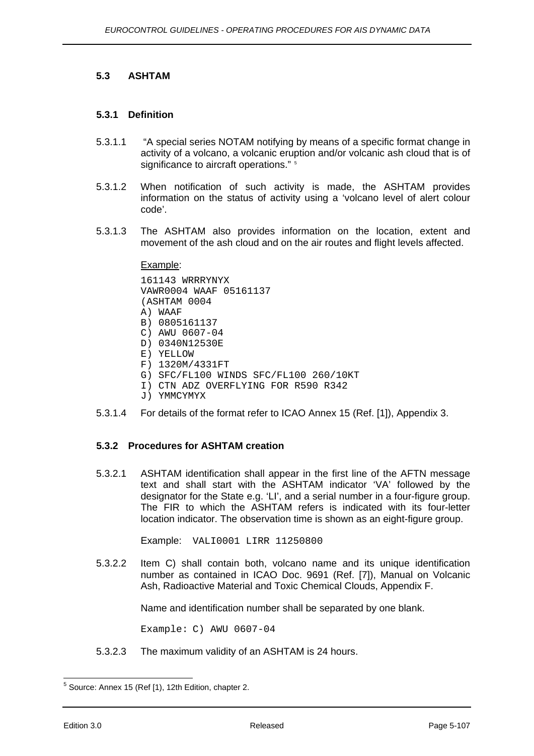# **5.3 ASHTAM**

#### **5.3.1 Definition**

- 5.3.1.1 "A special series NOTAM notifying by means of a specific format change in activity of a volcano, a volcanic eruption and/or volcanic ash cloud that is of significance to aircraft operations." [5](#page-122-0)
- 5.3.1.2 When notification of such activity is made, the ASHTAM provides information on the status of activity using a 'volcano level of alert colour code'.
- 5.3.1.3 The ASHTAM also provides information on the location, extent and movement of the ash cloud and on the air routes and flight levels affected.

#### Example:

 161143 WRRRYNYX VAWR0004 WAAF 05161137 (ASHTAM 0004 A) WAAF B) 0805161137  $C)$  AWII 0607-04 D) 0340N12530E E) YELLOW F) 1320M/4331FT G) SFC/FL100 WINDS SFC/FL100 260/10KT I) CTN ADZ OVERFLYING FOR R590 R342 J) YMMCYMYX

5.3.1.4 For details of the format refer to ICAO Annex 15 (Ref. [\[1\]](#page-19-1)), Appendix 3.

#### **5.3.2 Procedures for ASHTAM creation**

5.3.2.1 ASHTAM identification shall appear in the first line of the AFTN message text and shall start with the ASHTAM indicator 'VA' followed by the designator for the State e.g. 'LI', and a serial number in a four-figure group. The FIR to which the ASHTAM refers is indicated with its four-letter location indicator. The observation time is shown as an eight-figure group.

Example: VALI0001 LIRR 11250800

5.3.2.2 Item C) shall contain both, volcano name and its unique identification number as contained in ICAO Doc. 9691 (Ref. [[7\]](#page-19-0)), Manual on Volcanic Ash, Radioactive Material and Toxic Chemical Clouds, Appendix F.

Name and identification number shall be separated by one blank.

Example: C) AWU 0607-04

5.3.2.3 The maximum validity of an ASHTAM is 24 hours.

<span id="page-122-0"></span> 5 Source: Annex 15 (Ref [1), 12th Edition, chapter 2.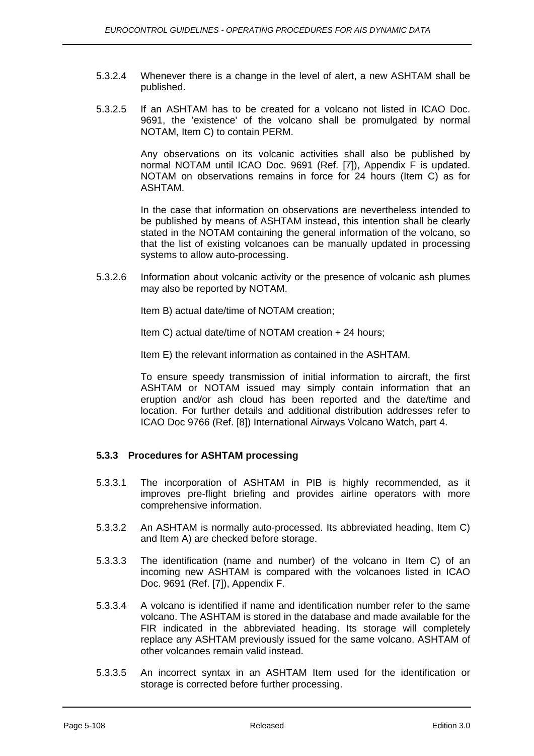- 5.3.2.4 Whenever there is a change in the level of alert, a new ASHTAM shall be published.
- 5.3.2.5 If an ASHTAM has to be created for a volcano not listed in ICAO Doc. 9691, the 'existence' of the volcano shall be promulgated by normal NOTAM, Item C) to contain PERM.

 Any observations on its volcanic activities shall also be published by normal NOTAM until ICAO Doc. 9691 (Ref. [[7\]](#page-19-0)), Appendix F is updated. NOTAM on observations remains in force for 24 hours (Item C) as for ASHTAM.

 In the case that information on observations are nevertheless intended to be published by means of ASHTAM instead, this intention shall be clearly stated in the NOTAM containing the general information of the volcano, so that the list of existing volcanoes can be manually updated in processing systems to allow auto-processing.

5.3.2.6 Information about volcanic activity or the presence of volcanic ash plumes may also be reported by NOTAM.

Item B) actual date/time of NOTAM creation;

Item C) actual date/time of NOTAM creation + 24 hours;

Item E) the relevant information as contained in the ASHTAM.

 To ensure speedy transmission of initial information to aircraft, the first ASHTAM or NOTAM issued may simply contain information that an eruption and/or ash cloud has been reported and the date/time and location. For further details and additional distribution addresses refer to ICAO Doc 9766 (Ref. [[8](#page-19-3)]) International Airways Volcano Watch, part 4.

#### **5.3.3 Procedures for ASHTAM processing**

- 5.3.3.1 The incorporation of ASHTAM in PIB is highly recommended, as it improves pre-flight briefing and provides airline operators with more comprehensive information.
- 5.3.3.2 An ASHTAM is normally auto-processed. Its abbreviated heading, Item C) and Item A) are checked before storage.
- 5.3.3.3 The identification (name and number) of the volcano in Item C) of an incoming new ASHTAM is compared with the volcanoes listed in ICAO Doc. 9691 (Ref. [\[7](#page-19-0)]), Appendix F.
- 5.3.3.4 A volcano is identified if name and identification number refer to the same volcano. The ASHTAM is stored in the database and made available for the FIR indicated in the abbreviated heading. Its storage will completely replace any ASHTAM previously issued for the same volcano. ASHTAM of other volcanoes remain valid instead.
- 5.3.3.5 An incorrect syntax in an ASHTAM Item used for the identification or storage is corrected before further processing.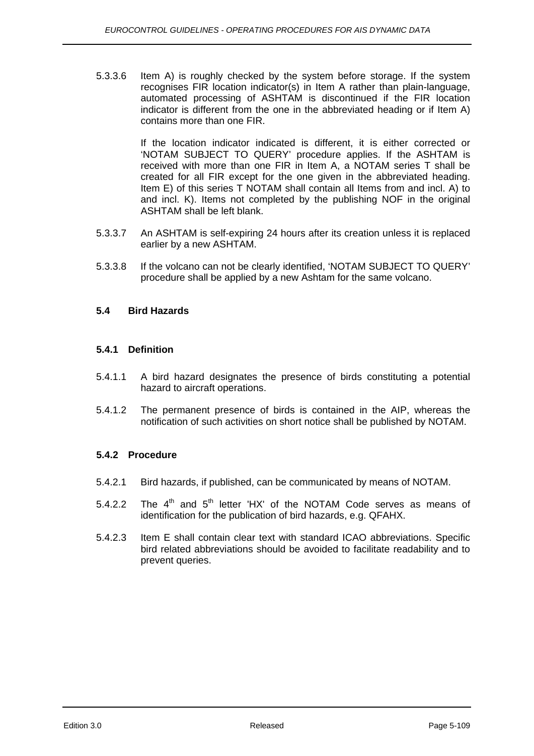5.3.3.6 Item A) is roughly checked by the system before storage. If the system recognises FIR location indicator(s) in Item A rather than plain-language, automated processing of ASHTAM is discontinued if the FIR location indicator is different from the one in the abbreviated heading or if Item A) contains more than one FIR.

> If the location indicator indicated is different, it is either corrected or 'NOTAM SUBJECT TO QUERY' procedure applies. If the ASHTAM is received with more than one FIR in Item A, a NOTAM series T shall be created for all FIR except for the one given in the abbreviated heading. Item E) of this series T NOTAM shall contain all Items from and incl. A) to and incl. K). Items not completed by the publishing NOF in the original ASHTAM shall be left blank.

- 5.3.3.7 An ASHTAM is self-expiring 24 hours after its creation unless it is replaced earlier by a new ASHTAM.
- 5.3.3.8 If the volcano can not be clearly identified, 'NOTAM SUBJECT TO QUERY' procedure shall be applied by a new Ashtam for the same volcano.

### **5.4 Bird Hazards**

### **5.4.1 Definition**

- 5.4.1.1 A bird hazard designates the presence of birds constituting a potential hazard to aircraft operations.
- 5.4.1.2 The permanent presence of birds is contained in the AIP, whereas the notification of such activities on short notice shall be published by NOTAM.

# **5.4.2 Procedure**

- 5.4.2.1 Bird hazards, if published, can be communicated by means of NOTAM.
- 5.4.2.2 The  $4<sup>th</sup>$  and  $5<sup>th</sup>$  letter 'HX' of the NOTAM Code serves as means of identification for the publication of bird hazards, e.g. QFAHX.
- 5.4.2.3 Item E shall contain clear text with standard ICAO abbreviations. Specific bird related abbreviations should be avoided to facilitate readability and to prevent queries.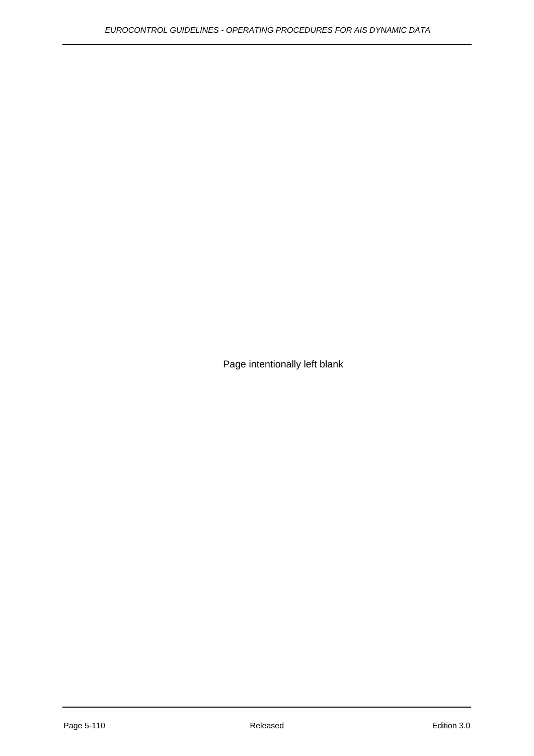Page intentionally left blank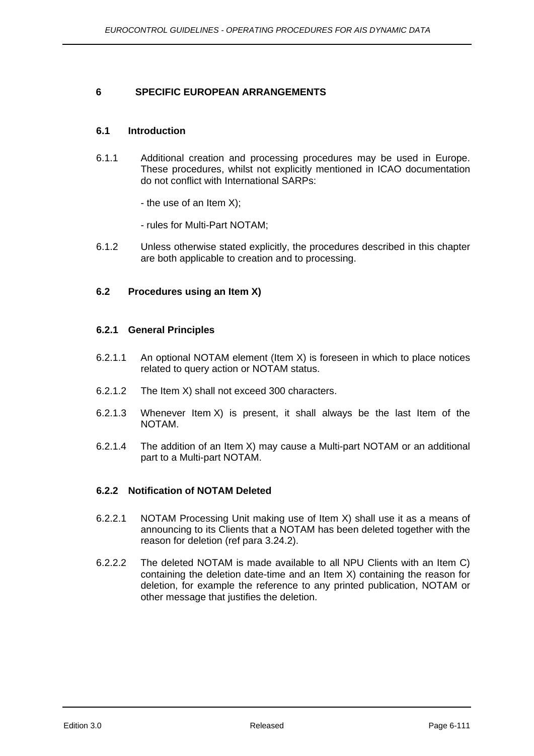# **6 SPECIFIC EUROPEAN ARRANGEMENTS**

### **6.1 Introduction**

- 6.1.1 Additional creation and processing procedures may be used in Europe. These procedures, whilst not explicitly mentioned in ICAO documentation do not conflict with International SARPs:
	- the use of an Item X);
	- rules for Multi-Part NOTAM;
- 6.1.2 Unless otherwise stated explicitly, the procedures described in this chapter are both applicable to creation and to processing.

# **6.2 Procedures using an Item X)**

### **6.2.1 General Principles**

- 6.2.1.1 An optional NOTAM element (Item X) is foreseen in which to place notices related to query action or NOTAM status.
- 6.2.1.2 The Item X) shall not exceed 300 characters.
- 6.2.1.3 Whenever Item X) is present, it shall always be the last Item of the NOTAM.
- 6.2.1.4 The addition of an Item X) may cause a Multi-part NOTAM or an additional part to a Multi-part NOTAM.

# **6.2.2 Notification of NOTAM Deleted**

- 6.2.2.1 NOTAM Processing Unit making use of Item X) shall use it as a means of announcing to its Clients that a NOTAM has been deleted together with the reason for deletion (ref para [3.24.2](#page-103-0)).
- 6.2.2.2 The deleted NOTAM is made available to all NPU Clients with an Item C) containing the deletion date-time and an Item X) containing the reason for deletion, for example the reference to any printed publication, NOTAM or other message that justifies the deletion.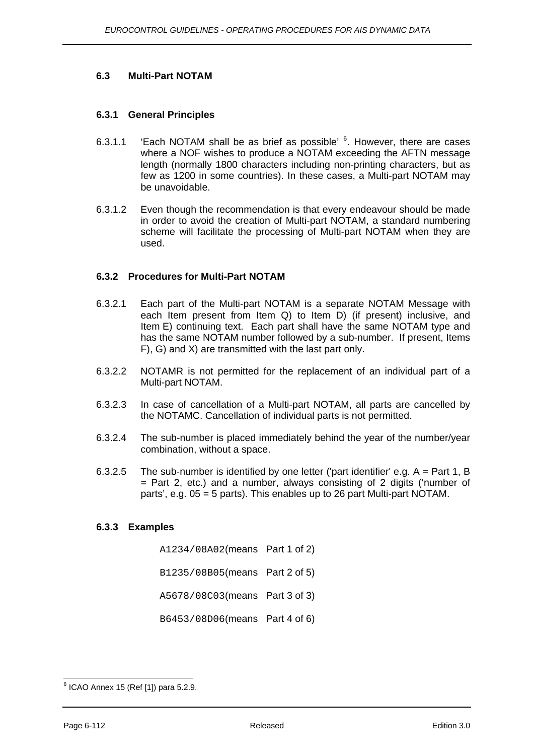# **6.3 Multi-Part NOTAM**

#### **6.3.1 General Principles**

- [6](#page-127-0).3.1.1 'Each NOTAM shall be as brief as possible'  $6$ . However, there are cases where a NOF wishes to produce a NOTAM exceeding the AFTN message length (normally 1800 characters including non-printing characters, but as few as 1200 in some countries). In these cases, a Multi-part NOTAM may be unavoidable.
- 6.3.1.2 Even though the recommendation is that every endeavour should be made in order to avoid the creation of Multi-part NOTAM, a standard numbering scheme will facilitate the processing of Multi-part NOTAM when they are used.

### **6.3.2 Procedures for Multi-Part NOTAM**

- 6.3.2.1 Each part of the Multi-part NOTAM is a separate NOTAM Message with each Item present from Item Q) to Item D) (if present) inclusive, and Item E) continuing text. Each part shall have the same NOTAM type and has the same NOTAM number followed by a sub-number. If present, Items F), G) and X) are transmitted with the last part only.
- 6.3.2.2 NOTAMR is not permitted for the replacement of an individual part of a Multi-part NOTAM.
- 6.3.2.3 In case of cancellation of a Multi-part NOTAM, all parts are cancelled by the NOTAMC. Cancellation of individual parts is not permitted.
- 6.3.2.4 The sub-number is placed immediately behind the year of the number/year combination, without a space.
- 6.3.2.5 The sub-number is identified by one letter ('part identifier' e.g.  $A = Part 1$ . B  $=$  Part 2, etc.) and a number, always consisting of 2 digits ('number of parts', e.g. 05 = 5 parts). This enables up to 26 part Multi-part NOTAM.

# **6.3.3 Examples**

| A1234/08A02(means Part 1 of 2) |  |
|--------------------------------|--|
| B1235/08B05(means Part 2 of 5) |  |
| A5678/08C03(means Part 3 of 3) |  |
| B6453/08D06(means Part 4 of 6) |  |

<span id="page-127-0"></span> 6 ICAO Annex 15 (Ref [1]) para 5.2.9.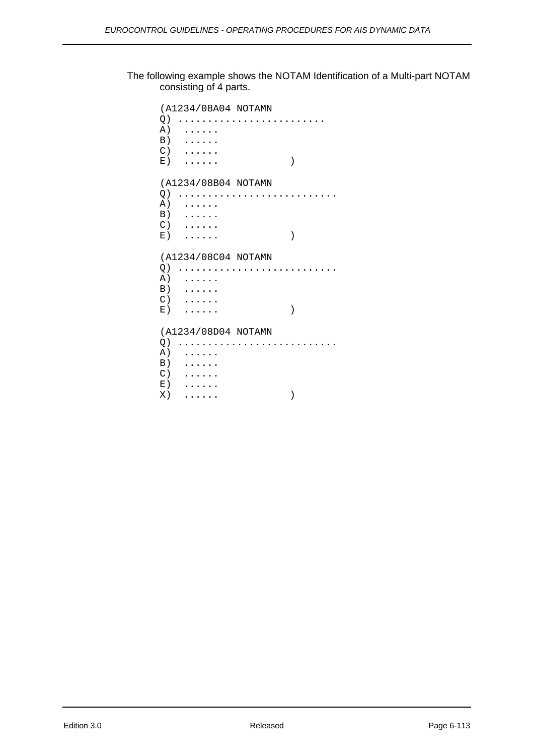#### The following example shows the NOTAM Identification of a Multi-part NOTAM consisting of 4 parts.

|                      | (A1234/08A04 NOTAMN                                                        |               |
|----------------------|----------------------------------------------------------------------------|---------------|
| Q)                   |                                                                            |               |
| A)                   | .                                                                          |               |
| B)<br>$\mathsf{C}$ ) | $\cdots$<br>.                                                              |               |
| $E$ )                |                                                                            | $\mathcal{C}$ |
|                      |                                                                            |               |
|                      | (A1234/08B04 NOTAMN                                                        |               |
| Q)                   | $\overline{a}$                                                             |               |
| A)                   | 1.1.1.1                                                                    |               |
| B)                   | .                                                                          |               |
| $\mathsf{C}$ )       |                                                                            |               |
| $E$ )<br>1.111       |                                                                            | $\mathcal{C}$ |
|                      | (A1234/08C04 NOTAMN                                                        |               |
| Q)                   | . <b>.</b>                                                                 |               |
| A)                   | .                                                                          |               |
| B)                   | .                                                                          |               |
| $\mathsf{C}$ )       | $\overline{a}$ $\overline{a}$ $\overline{a}$ $\overline{a}$ $\overline{a}$ |               |
| $E$ )                |                                                                            | $\big)$       |
|                      |                                                                            |               |
|                      | (A1234/08D04 NOTAMN                                                        |               |
| Q)                   |                                                                            |               |
| A)                   | $\overline{a}$ $\overline{a}$ $\overline{a}$ $\overline{a}$ $\overline{a}$ |               |
| B)                   | .                                                                          |               |
| $\mathsf{C}$ )       | $\ddot{\phantom{0}}$                                                       |               |
| $E$ )                |                                                                            | $\big)$       |
| X)                   | .                                                                          |               |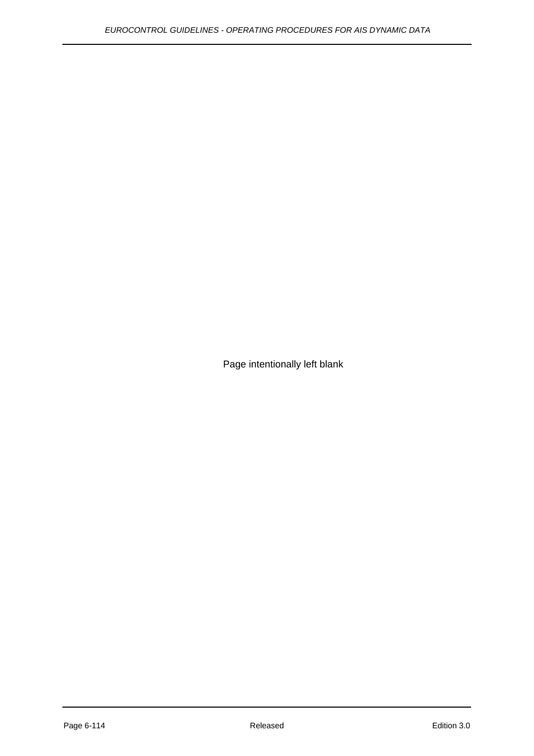Page intentionally left blank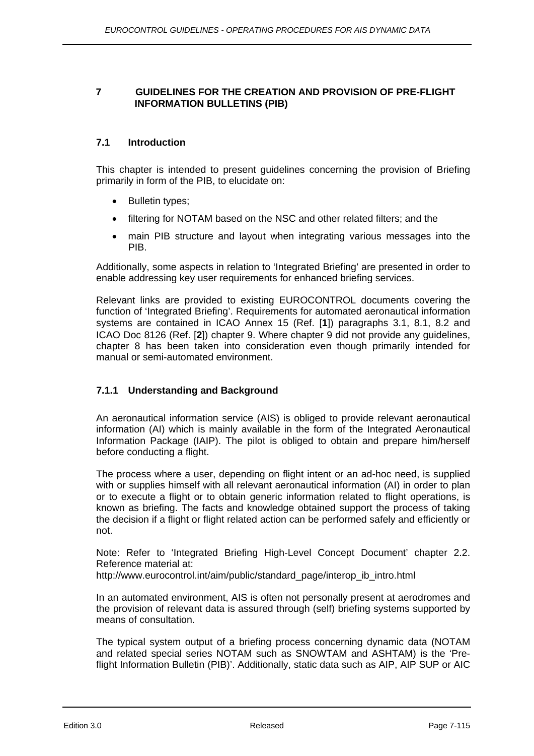# **7 GUIDELINES FOR THE CREATION AND PROVISION OF PRE-FLIGHT INFORMATION BULLETINS (PIB)**

### **7.1 Introduction**

This chapter is intended to present guidelines concerning the provision of Briefing primarily in form of the PIB, to elucidate on:

- Bulletin types;
- filtering for NOTAM based on the NSC and other related filters; and the
- main PIB structure and layout when integrating various messages into the PIB.

Additionally, some aspects in relation to 'Integrated Briefing' are presented in order to enable addressing key user requirements for enhanced briefing services.

Relevant links are provided to existing EUROCONTROL documents covering the function of 'Integrated Briefing'. Requirements for automated aeronautical information systems are contained in ICAO Annex 15 (Ref. [**[1](#page-19-1)**]) paragraphs 3.1, 8.1, 8.2 and ICAO Doc 8126 (Ref. [**[2](#page-19-2)**]) chapter 9. Where chapter 9 did not provide any guidelines, chapter 8 has been taken into consideration even though primarily intended for manual or semi-automated environment.

# **7.1.1 Understanding and Background**

An aeronautical information service (AIS) is obliged to provide relevant aeronautical information (AI) which is mainly available in the form of the Integrated Aeronautical Information Package (IAIP). The pilot is obliged to obtain and prepare him/herself before conducting a flight.

The process where a user, depending on flight intent or an ad-hoc need, is supplied with or supplies himself with all relevant aeronautical information (AI) in order to plan or to execute a flight or to obtain generic information related to flight operations, is known as briefing. The facts and knowledge obtained support the process of taking the decision if a flight or flight related action can be performed safely and efficiently or not.

Note: Refer to 'Integrated Briefing High-Level Concept Document' chapter 2.2. Reference material at:

[http://www.eurocontrol.int/aim/public/standard\\_page/interop\\_ib\\_intro.html](http://www.eurocontrol.int/aim/public/standard_page/interop_ib_intro.html)

In an automated environment, AIS is often not personally present at aerodromes and the provision of relevant data is assured through (self) briefing systems supported by means of consultation.

The typical system output of a briefing process concerning dynamic data (NOTAM and related special series NOTAM such as SNOWTAM and ASHTAM) is the 'Preflight Information Bulletin (PIB)'. Additionally, static data such as AIP, AIP SUP or AIC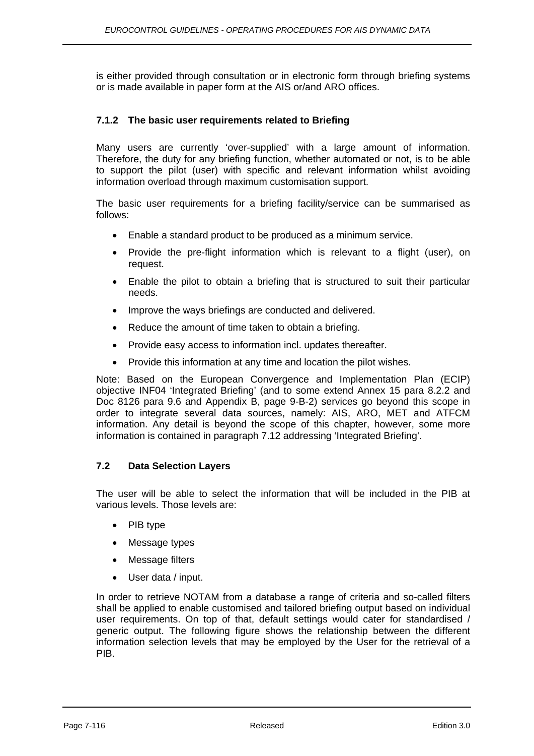is either provided through consultation or in electronic form through briefing systems or is made available in paper form at the AIS or/and ARO offices.

# **7.1.2 The basic user requirements related to Briefing**

Many users are currently 'over-supplied' with a large amount of information. Therefore, the duty for any briefing function, whether automated or not, is to be able to support the pilot (user) with specific and relevant information whilst avoiding information overload through maximum customisation support.

The basic user requirements for a briefing facility/service can be summarised as follows:

- Enable a standard product to be produced as a minimum service.
- Provide the pre-flight information which is relevant to a flight (user), on request.
- Enable the pilot to obtain a briefing that is structured to suit their particular needs.
- Improve the ways briefings are conducted and delivered.
- Reduce the amount of time taken to obtain a briefing.
- Provide easy access to information incl. updates thereafter.
- Provide this information at any time and location the pilot wishes.

Note: Based on the European Convergence and Implementation Plan (ECIP) objective INF04 'Integrated Briefing' (and to some extend Annex 15 para 8.2.2 and Doc 8126 para 9.6 and Appendix B, page 9-B-2) services go beyond this scope in order to integrate several data sources, namely: AIS, ARO, MET and ATFCM information. Any detail is beyond the scope of this chapter, however, some more information is contained in paragraph [7.12](#page-144-0) addressing 'Integrated Briefing'.

#### **7.2 Data Selection Layers**

The user will be able to select the information that will be included in the PIB at various levels. Those levels are:

- PIB type
- Message types
- Message filters
- User data / input.

In order to retrieve NOTAM from a database a range of criteria and so-called filters shall be applied to enable customised and tailored briefing output based on individual user requirements. On top of that, default settings would cater for standardised / generic output. The following figure shows the relationship between the different information selection levels that may be employed by the User for the retrieval of a PIB.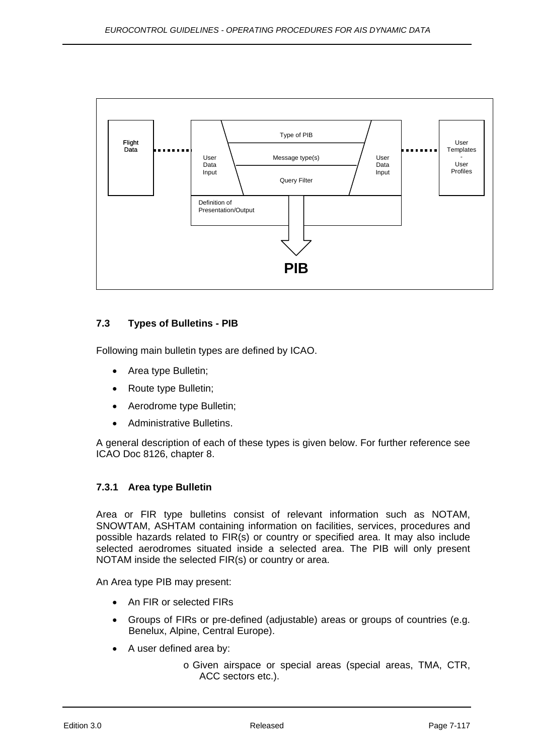

# **7.3 Types of Bulletins - PIB**

Following main bulletin types are defined by ICAO.

- Area type Bulletin;
- Route type Bulletin;
- Aerodrome type Bulletin;
- Administrative Bulletins.

A general description of each of these types is given below. For further reference see ICAO Doc 8126, chapter 8.

# <span id="page-132-0"></span>**7.3.1 Area type Bulletin**

Area or FIR type bulletins consist of relevant information such as NOTAM, SNOWTAM, ASHTAM containing information on facilities, services, procedures and possible hazards related to FIR(s) or country or specified area. It may also include selected aerodromes situated inside a selected area. The PIB will only present NOTAM inside the selected FIR(s) or country or area.

An Area type PIB may present:

- An FIR or selected FIRs
- Groups of FIRs or pre-defined (adjustable) areas or groups of countries (e.g. Benelux, Alpine, Central Europe).
- A user defined area by:
	- o Given airspace or special areas (special areas, TMA, CTR, ACC sectors etc.).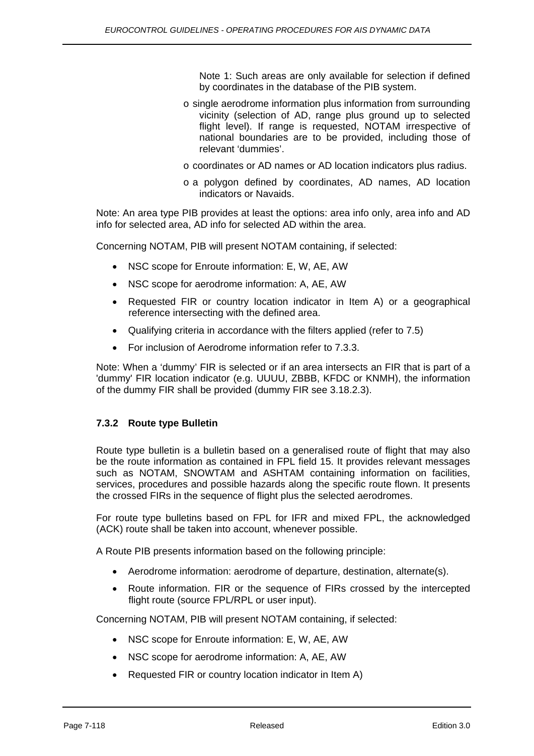Note 1: Such areas are only available for selection if defined by coordinates in the database of the PIB system.

- o single aerodrome information plus information from surrounding vicinity (selection of AD, range plus ground up to selected flight level). If range is requested, NOTAM irrespective of national boundaries are to be provided, including those of relevant 'dummies'.
- o coordinates or AD names or AD location indicators plus radius.
- o a polygon defined by coordinates, AD names, AD location indicators or Navaids.

Note: An area type PIB provides at least the options: area info only, area info and AD info for selected area, AD info for selected AD within the area.

Concerning NOTAM, PIB will present NOTAM containing, if selected:

- NSC scope for Enroute information: E, W, AE, AW
- NSC scope for aerodrome information: A, AE, AW
- Requested FIR or country location indicator in Item A) or a geographical reference intersecting with the defined area.
- Qualifying criteria in accordance with the filters applied (refer to [7.5](#page-136-0))
- For inclusion of Aerodrome information refer to [7.3.3.](#page-134-0)

Note: When a 'dummy' FIR is selected or if an area intersects an FIR that is part of a 'dummy' FIR location indicator (e.g. UUUU, ZBBB, KFDC or KNMH), the information of the dummy FIR shall be provided (dummy FIR see [3.18.2.3](#page-86-0)).

#### **7.3.2 Route type Bulletin**

Route type bulletin is a bulletin based on a generalised route of flight that may also be the route information as contained in FPL field 15. It provides relevant messages such as NOTAM, SNOWTAM and ASHTAM containing information on facilities, services, procedures and possible hazards along the specific route flown. It presents the crossed FIRs in the sequence of flight plus the selected aerodromes.

For route type bulletins based on FPL for IFR and mixed FPL, the acknowledged (ACK) route shall be taken into account, whenever possible.

A Route PIB presents information based on the following principle:

- Aerodrome information: aerodrome of departure, destination, alternate(s).
- Route information. FIR or the sequence of FIRs crossed by the intercepted flight route (source FPL/RPL or user input).

Concerning NOTAM, PIB will present NOTAM containing, if selected:

- NSC scope for Enroute information: E, W, AE, AW
- NSC scope for aerodrome information: A, AE, AW
- Requested FIR or country location indicator in Item A)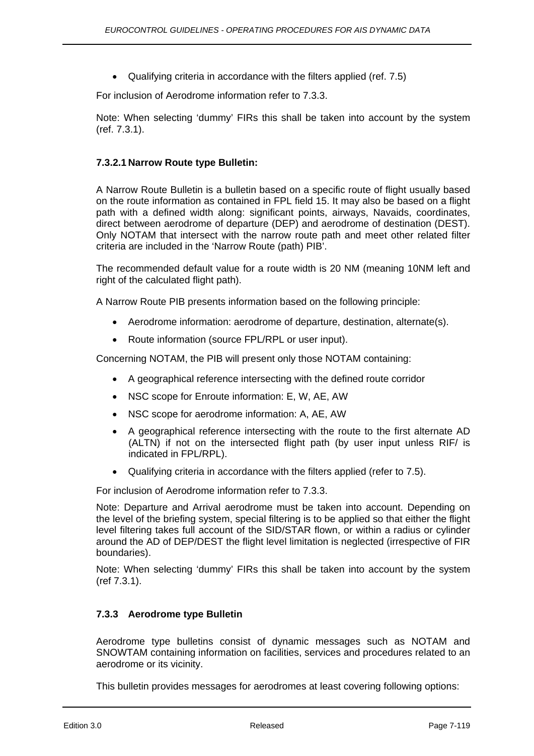• Qualifying criteria in accordance with the filters applied (ref. [7.5\)](#page-136-0)

For inclusion of Aerodrome information refer to [7.3.3](#page-134-0).

Note: When selecting 'dummy' FIRs this shall be taken into account by the system (ref. [7.3.1](#page-132-0)).

# **7.3.2.1 Narrow Route type Bulletin:**

A Narrow Route Bulletin is a bulletin based on a specific route of flight usually based on the route information as contained in FPL field 15. It may also be based on a flight path with a defined width along: significant points, airways, Navaids, coordinates, direct between aerodrome of departure (DEP) and aerodrome of destination (DEST). Only NOTAM that intersect with the narrow route path and meet other related filter criteria are included in the 'Narrow Route (path) PIB'.

The recommended default value for a route width is 20 NM (meaning 10NM left and right of the calculated flight path).

A Narrow Route PIB presents information based on the following principle:

- Aerodrome information: aerodrome of departure, destination, alternate(s).
- Route information (source FPL/RPL or user input).

Concerning NOTAM, the PIB will present only those NOTAM containing:

- A geographical reference intersecting with the defined route corridor
- NSC scope for Enroute information: E, W, AE, AW
- NSC scope for aerodrome information: A, AE, AW
- A geographical reference intersecting with the route to the first alternate AD (ALTN) if not on the intersected flight path (by user input unless RIF/ is indicated in FPL/RPL).
- Qualifying criteria in accordance with the filters applied (refer to [7.5](#page-136-0)).

For inclusion of Aerodrome information refer to [7.3.3](#page-134-0).

Note: Departure and Arrival aerodrome must be taken into account. Depending on the level of the briefing system, special filtering is to be applied so that either the flight level filtering takes full account of the SID/STAR flown, or within a radius or cylinder around the AD of DEP/DEST the flight level limitation is neglected (irrespective of FIR boundaries).

Note: When selecting 'dummy' FIRs this shall be taken into account by the system (ref [7.3.1](#page-132-0)).

# <span id="page-134-0"></span>**7.3.3 Aerodrome type Bulletin**

Aerodrome type bulletins consist of dynamic messages such as NOTAM and SNOWTAM containing information on facilities, services and procedures related to an aerodrome or its vicinity.

This bulletin provides messages for aerodromes at least covering following options: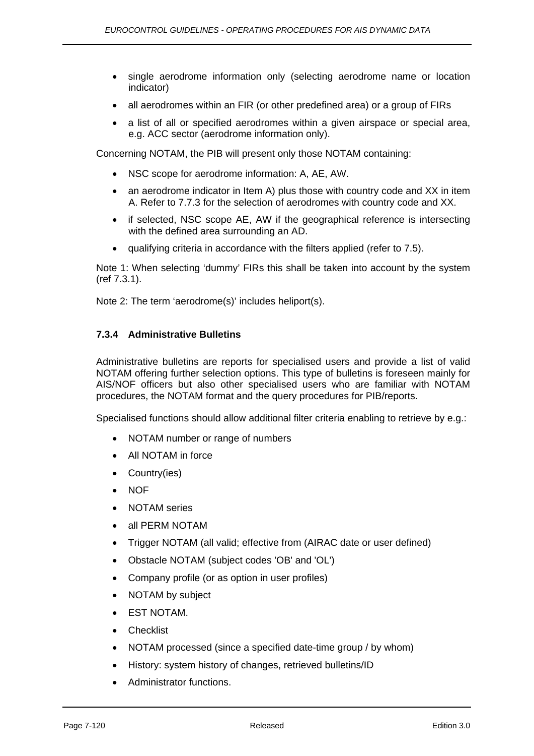- single aerodrome information only (selecting aerodrome name or location indicator)
- all aerodromes within an FIR (or other predefined area) or a group of FIRs
- a list of all or specified aerodromes within a given airspace or special area, e.g. ACC sector (aerodrome information only).

Concerning NOTAM, the PIB will present only those NOTAM containing:

- NSC scope for aerodrome information: A, AE, AW.
- an aerodrome indicator in Item A) plus those with country code and XX in item A. Refer to [7.7.3](#page-141-0) for the selection of aerodromes with country code and XX.
- if selected, NSC scope AE, AW if the geographical reference is intersecting with the defined area surrounding an AD.
- qualifying criteria in accordance with the filters applied (refer to [7.5](#page-136-0)).

Note 1: When selecting 'dummy' FIRs this shall be taken into account by the system (ref [7.3.1](#page-132-0)).

Note 2: The term 'aerodrome(s)' includes heliport(s).

### **7.3.4 Administrative Bulletins**

Administrative bulletins are reports for specialised users and provide a list of valid NOTAM offering further selection options. This type of bulletins is foreseen mainly for AIS/NOF officers but also other specialised users who are familiar with NOTAM procedures, the NOTAM format and the query procedures for PIB/reports.

Specialised functions should allow additional filter criteria enabling to retrieve by e.g.:

- NOTAM number or range of numbers
- All NOTAM in force
- Country(ies)
- NOF
- NOTAM series
- all PERM NOTAM
- Trigger NOTAM (all valid; effective from (AIRAC date or user defined)
- Obstacle NOTAM (subject codes 'OB' and 'OL')
- Company profile (or as option in user profiles)
- NOTAM by subject
- **EST NOTAM.**
- **Checklist**
- NOTAM processed (since a specified date-time group / by whom)
- History: system history of changes, retrieved bulletins/ID
- Administrator functions.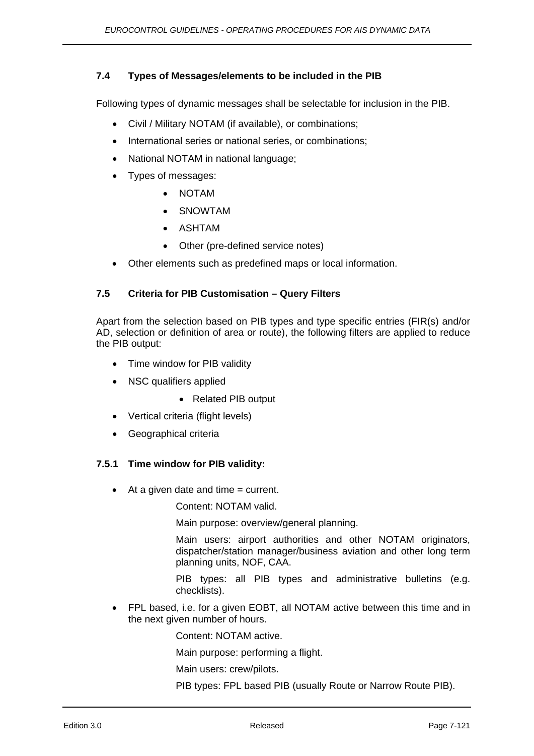# **7.4 Types of Messages/elements to be included in the PIB**

Following types of dynamic messages shall be selectable for inclusion in the PIB.

- Civil / Military NOTAM (if available), or combinations;
- International series or national series, or combinations;
- National NOTAM in national language;
- Types of messages:
	- NOTAM
	- SNOWTAM
	- ASHTAM
	- Other (pre-defined service notes)
- Other elements such as predefined maps or local information.

### <span id="page-136-0"></span>**7.5 Criteria for PIB Customisation – Query Filters**

Apart from the selection based on PIB types and type specific entries (FIR(s) and/or AD, selection or definition of area or route), the following filters are applied to reduce the PIB output:

- Time window for PIB validity
- NSC qualifiers applied
	- Related PIB output
- Vertical criteria (flight levels)
- Geographical criteria

#### **7.5.1 Time window for PIB validity:**

 $\bullet$  At a given date and time = current.

Content: NOTAM valid.

Main purpose: overview/general planning.

Main users: airport authorities and other NOTAM originators, dispatcher/station manager/business aviation and other long term planning units, NOF, CAA.

PIB types: all PIB types and administrative bulletins (e.g. checklists).

• FPL based, i.e. for a given EOBT, all NOTAM active between this time and in the next given number of hours.

Content: NOTAM active.

Main purpose: performing a flight.

Main users: crew/pilots.

PIB types: FPL based PIB (usually Route or Narrow Route PIB).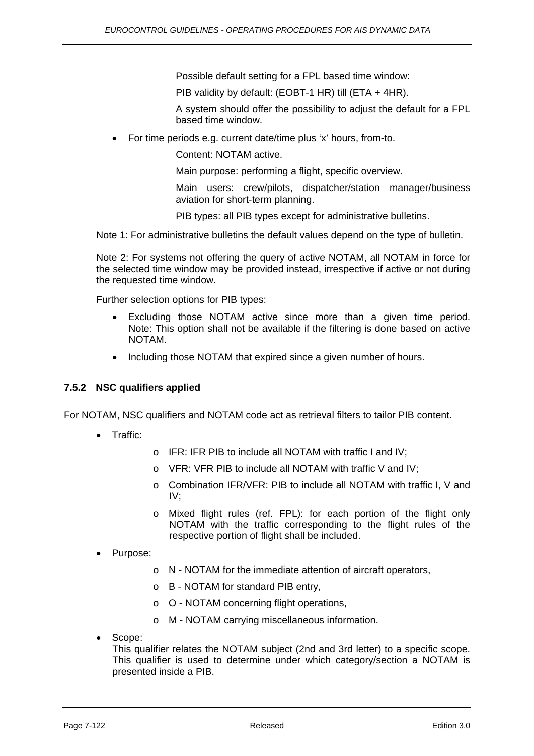Possible default setting for a FPL based time window:

PIB validity by default: (EOBT-1 HR) till (ETA + 4HR).

A system should offer the possibility to adjust the default for a FPL based time window.

• For time periods e.g. current date/time plus 'x' hours, from-to.

Content: NOTAM active.

Main purpose: performing a flight, specific overview.

Main users: crew/pilots, dispatcher/station manager/business aviation for short-term planning.

PIB types: all PIB types except for administrative bulletins.

Note 1: For administrative bulletins the default values depend on the type of bulletin.

Note 2: For systems not offering the query of active NOTAM, all NOTAM in force for the selected time window may be provided instead, irrespective if active or not during the requested time window.

Further selection options for PIB types:

- Excluding those NOTAM active since more than a given time period. Note: This option shall not be available if the filtering is done based on active NOTAM.
- Including those NOTAM that expired since a given number of hours.

#### **7.5.2 NSC qualifiers applied**

For NOTAM, NSC qualifiers and NOTAM code act as retrieval filters to tailor PIB content.

- Traffic:
- o IFR: IFR PIB to include all NOTAM with traffic I and IV;
- o VFR: VFR PIB to include all NOTAM with traffic V and IV;
- o Combination IFR/VFR: PIB to include all NOTAM with traffic I, V and IV;
- o Mixed flight rules (ref. FPL): for each portion of the flight only NOTAM with the traffic corresponding to the flight rules of the respective portion of flight shall be included.
- Purpose:
	- o N NOTAM for the immediate attention of aircraft operators,
	- o B NOTAM for standard PIB entry,
	- o O NOTAM concerning flight operations,
	- o M NOTAM carrying miscellaneous information.
- Scope:

This qualifier relates the NOTAM subject (2nd and 3rd letter) to a specific scope. This qualifier is used to determine under which category/section a NOTAM is presented inside a PIB.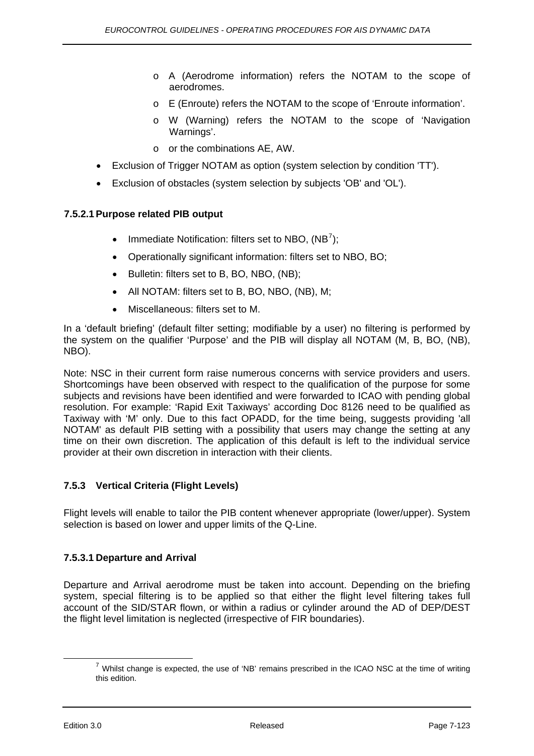- o A (Aerodrome information) refers the NOTAM to the scope of aerodromes.
- o E (Enroute) refers the NOTAM to the scope of 'Enroute information'.
- o W (Warning) refers the NOTAM to the scope of 'Navigation Warnings'.
- o or the combinations AE, AW.
- Exclusion of Trigger NOTAM as option (system selection by condition 'TT').
- Exclusion of obstacles (system selection by subjects 'OB' and 'OL').

### **7.5.2.1 Purpose related PIB output**

- Immediate Notification: filters set to NBO,  $(NB<sup>7</sup>)$  $(NB<sup>7</sup>)$  $(NB<sup>7</sup>)$ ;
- Operationally significant information: filters set to NBO, BO;
- Bulletin: filters set to B, BO, NBO, (NB);
- All NOTAM: filters set to B, BO, NBO, (NB), M;
- Miscellaneous: filters set to M.

In a 'default briefing' (default filter setting; modifiable by a user) no filtering is performed by the system on the qualifier 'Purpose' and the PIB will display all NOTAM (M, B, BO, (NB), NBO).

Note: NSC in their current form raise numerous concerns with service providers and users. Shortcomings have been observed with respect to the qualification of the purpose for some subjects and revisions have been identified and were forwarded to ICAO with pending global resolution. For example: 'Rapid Exit Taxiways' according Doc 8126 need to be qualified as Taxiway with 'M' only. Due to this fact OPADD, for the time being, suggests providing 'all NOTAM' as default PIB setting with a possibility that users may change the setting at any time on their own discretion. The application of this default is left to the individual service provider at their own discretion in interaction with their clients.

# **7.5.3 Vertical Criteria (Flight Levels)**

Flight levels will enable to tailor the PIB content whenever appropriate (lower/upper). System selection is based on lower and upper limits of the Q-Line.

#### **7.5.3.1 Departure and Arrival**

Departure and Arrival aerodrome must be taken into account. Depending on the briefing system, special filtering is to be applied so that either the flight level filtering takes full account of the SID/STAR flown, or within a radius or cylinder around the AD of DEP/DEST the flight level limitation is neglected (irrespective of FIR boundaries).

<span id="page-138-0"></span>-

 $7$  Whilst change is expected, the use of 'NB' remains prescribed in the ICAO NSC at the time of writing this edition.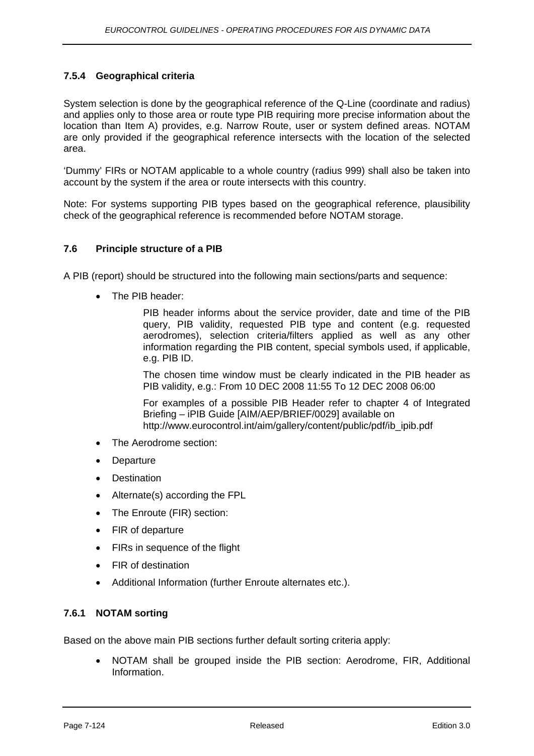# **7.5.4 Geographical criteria**

System selection is done by the geographical reference of the Q-Line (coordinate and radius) and applies only to those area or route type PIB requiring more precise information about the location than Item A) provides, e.g. Narrow Route, user or system defined areas. NOTAM are only provided if the geographical reference intersects with the location of the selected area.

'Dummy' FIRs or NOTAM applicable to a whole country (radius 999) shall also be taken into account by the system if the area or route intersects with this country.

Note: For systems supporting PIB types based on the geographical reference, plausibility check of the geographical reference is recommended before NOTAM storage.

### **7.6 Principle structure of a PIB**

A PIB (report) should be structured into the following main sections/parts and sequence:

The PIB header:

PIB header informs about the service provider, date and time of the PIB query, PIB validity, requested PIB type and content (e.g. requested aerodromes), selection criteria/filters applied as well as any other information regarding the PIB content, special symbols used, if applicable, e.g. PIB ID.

The chosen time window must be clearly indicated in the PIB header as PIB validity, e.g.: From 10 DEC 2008 11:55 To 12 DEC 2008 06:00

For examples of a possible PIB Header refer to chapter 4 of Integrated Briefing – iPIB Guide [AIM/AEP/BRIEF/0029] available on [http://www.eurocontrol.int/aim/gallery/content/public/pdf/ib\\_ipib.pdf](http://www.eurocontrol.int/aim/gallery/content/public/pdf/ib_ipib.pdf)

- The Aerodrome section:
- Departure
- Destination
- Alternate(s) according the FPL
- The Enroute (FIR) section:
- FIR of departure
- FIRs in sequence of the flight
- FIR of destination
- Additional Information (further Enroute alternates etc.).

#### **7.6.1 NOTAM sorting**

Based on the above main PIB sections further default sorting criteria apply:

• NOTAM shall be grouped inside the PIB section: Aerodrome, FIR, Additional Information.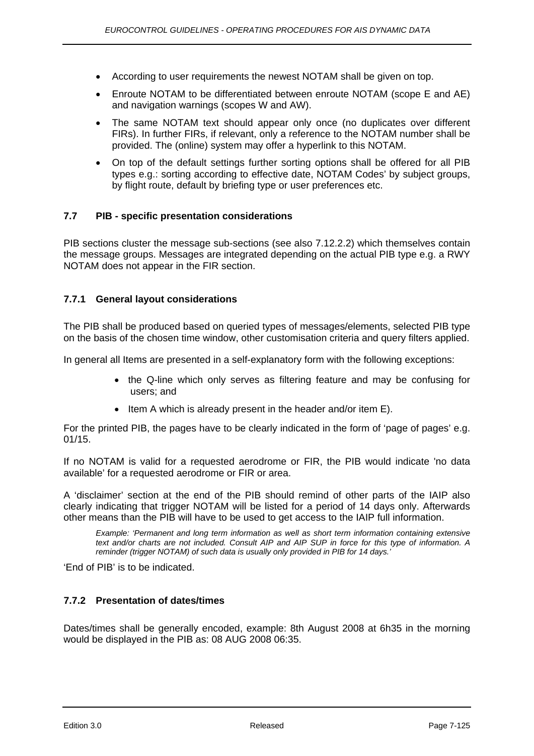- According to user requirements the newest NOTAM shall be given on top.
- Enroute NOTAM to be differentiated between enroute NOTAM (scope E and AE) and navigation warnings (scopes W and AW).
- The same NOTAM text should appear only once (no duplicates over different FIRs). In further FIRs, if relevant, only a reference to the NOTAM number shall be provided. The (online) system may offer a hyperlink to this NOTAM.
- On top of the default settings further sorting options shall be offered for all PIB types e.g.: sorting according to effective date, NOTAM Codes' by subject groups, by flight route, default by briefing type or user preferences etc.

# **7.7 PIB - specific presentation considerations**

PIB sections cluster the message sub-sections (see also [7.12.2.2\)](#page-145-0) which themselves contain the message groups. Messages are integrated depending on the actual PIB type e.g. a RWY NOTAM does not appear in the FIR section.

### **7.7.1 General layout considerations**

The PIB shall be produced based on queried types of messages/elements, selected PIB type on the basis of the chosen time window, other customisation criteria and query filters applied.

In general all Items are presented in a self-explanatory form with the following exceptions:

- the Q-line which only serves as filtering feature and may be confusing for users; and
- Item A which is already present in the header and/or item E).

For the printed PIB, the pages have to be clearly indicated in the form of 'page of pages' e.g. 01/15.

If no NOTAM is valid for a requested aerodrome or FIR, the PIB would indicate 'no data available' for a requested aerodrome or FIR or area.

A 'disclaimer' section at the end of the PIB should remind of other parts of the IAIP also clearly indicating that trigger NOTAM will be listed for a period of 14 days only. Afterwards other means than the PIB will have to be used to get access to the IAIP full information.

*Example: 'Permanent and long term information as well as short term information containing extensive text and/or charts are not included. Consult AIP and AIP SUP in force for this type of information. A reminder (trigger NOTAM) of such data is usually only provided in PIB for 14 days.'* 

'End of PIB' is to be indicated.

#### **7.7.2 Presentation of dates/times**

Dates/times shall be generally encoded, example: 8th August 2008 at 6h35 in the morning would be displayed in the PIB as: 08 AUG 2008 06:35.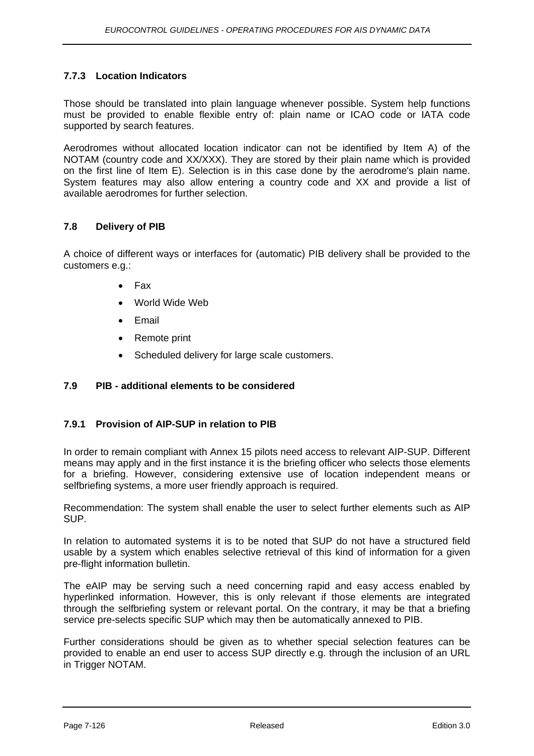# <span id="page-141-0"></span>**7.7.3 Location Indicators**

Those should be translated into plain language whenever possible. System help functions must be provided to enable flexible entry of: plain name or ICAO code or IATA code supported by search features.

Aerodromes without allocated location indicator can not be identified by Item A) of the NOTAM (country code and XX/XXX). They are stored by their plain name which is provided on the first line of Item E). Selection is in this case done by the aerodrome's plain name. System features may also allow entering a country code and XX and provide a list of available aerodromes for further selection.

### **7.8 Delivery of PIB**

A choice of different ways or interfaces for (automatic) PIB delivery shall be provided to the customers e.g.:

- Fax
- World Wide Web
- **Email**
- Remote print
- Scheduled delivery for large scale customers.

# **7.9 PIB - additional elements to be considered**

# **7.9.1 Provision of AIP-SUP in relation to PIB**

In order to remain compliant with Annex 15 pilots need access to relevant AIP-SUP. Different means may apply and in the first instance it is the briefing officer who selects those elements for a briefing. However, considering extensive use of location independent means or selfbriefing systems, a more user friendly approach is required.

Recommendation: The system shall enable the user to select further elements such as AIP SUP.

In relation to automated systems it is to be noted that SUP do not have a structured field usable by a system which enables selective retrieval of this kind of information for a given pre-flight information bulletin.

The eAIP may be serving such a need concerning rapid and easy access enabled by hyperlinked information. However, this is only relevant if those elements are integrated through the selfbriefing system or relevant portal. On the contrary, it may be that a briefing service pre-selects specific SUP which may then be automatically annexed to PIB.

Further considerations should be given as to whether special selection features can be provided to enable an end user to access SUP directly e.g. through the inclusion of an URL in Trigger NOTAM.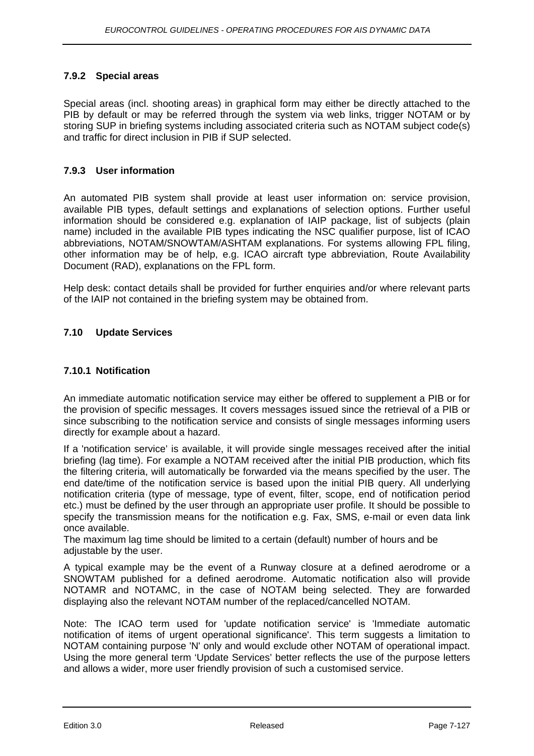### **7.9.2 Special areas**

Special areas (incl. shooting areas) in graphical form may either be directly attached to the PIB by default or may be referred through the system via web links, trigger NOTAM or by storing SUP in briefing systems including associated criteria such as NOTAM subject code(s) and traffic for direct inclusion in PIB if SUP selected.

### **7.9.3 User information**

An automated PIB system shall provide at least user information on: service provision, available PIB types, default settings and explanations of selection options. Further useful information should be considered e.g. explanation of IAIP package, list of subjects (plain name) included in the available PIB types indicating the NSC qualifier purpose, list of ICAO abbreviations, NOTAM/SNOWTAM/ASHTAM explanations. For systems allowing FPL filing, other information may be of help, e.g. ICAO aircraft type abbreviation, Route Availability Document (RAD), explanations on the FPL form.

Help desk: contact details shall be provided for further enquiries and/or where relevant parts of the IAIP not contained in the briefing system may be obtained from.

### **7.10 Update Services**

### **7.10.1 Notification**

An immediate automatic notification service may either be offered to supplement a PIB or for the provision of specific messages. It covers messages issued since the retrieval of a PIB or since subscribing to the notification service and consists of single messages informing users directly for example about a hazard.

If a 'notification service' is available, it will provide single messages received after the initial briefing (lag time). For example a NOTAM received after the initial PIB production, which fits the filtering criteria, will automatically be forwarded via the means specified by the user. The end date/time of the notification service is based upon the initial PIB query. All underlying notification criteria (type of message, type of event, filter, scope, end of notification period etc.) must be defined by the user through an appropriate user profile. It should be possible to specify the transmission means for the notification e.g. Fax, SMS, e-mail or even data link once available.

The maximum lag time should be limited to a certain (default) number of hours and be adiustable by the user.

A typical example may be the event of a Runway closure at a defined aerodrome or a SNOWTAM published for a defined aerodrome. Automatic notification also will provide NOTAMR and NOTAMC, in the case of NOTAM being selected. They are forwarded displaying also the relevant NOTAM number of the replaced/cancelled NOTAM.

Note: The ICAO term used for 'update notification service' is 'Immediate automatic notification of items of urgent operational significance'. This term suggests a limitation to NOTAM containing purpose 'N' only and would exclude other NOTAM of operational impact. Using the more general term 'Update Services' better reflects the use of the purpose letters and allows a wider, more user friendly provision of such a customised service.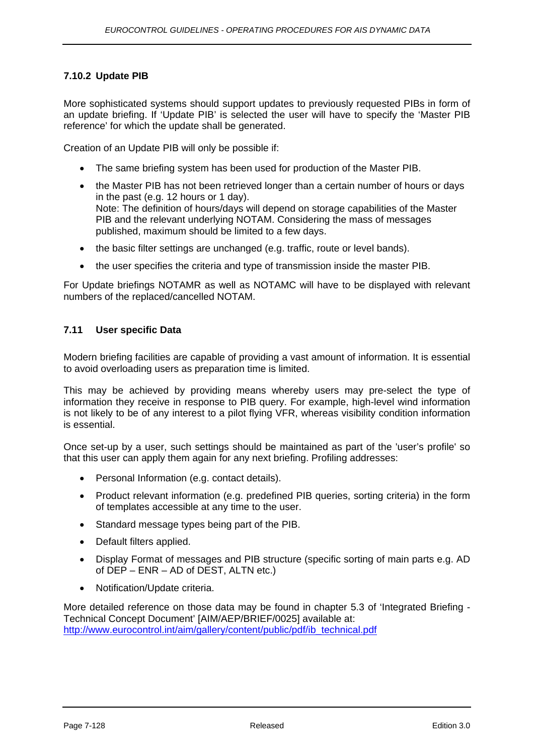# **7.10.2 Update PIB**

More sophisticated systems should support updates to previously requested PIBs in form of an update briefing. If 'Update PIB' is selected the user will have to specify the 'Master PIB reference' for which the update shall be generated.

Creation of an Update PIB will only be possible if:

- The same briefing system has been used for production of the Master PIB.
- the Master PIB has not been retrieved longer than a certain number of hours or days in the past (e.g. 12 hours or 1 day). Note: The definition of hours/days will depend on storage capabilities of the Master PIB and the relevant underlying NOTAM. Considering the mass of messages published, maximum should be limited to a few days.
- the basic filter settings are unchanged (e.g. traffic, route or level bands).
- the user specifies the criteria and type of transmission inside the master PIB.

For Update briefings NOTAMR as well as NOTAMC will have to be displayed with relevant numbers of the replaced/cancelled NOTAM.

# **7.11 User specific Data**

Modern briefing facilities are capable of providing a vast amount of information. It is essential to avoid overloading users as preparation time is limited.

This may be achieved by providing means whereby users may pre-select the type of information they receive in response to PIB query. For example, high-level wind information is not likely to be of any interest to a pilot flying VFR, whereas visibility condition information is essential.

Once set-up by a user, such settings should be maintained as part of the 'user's profile' so that this user can apply them again for any next briefing. Profiling addresses:

- Personal Information (e.g. contact details).
- Product relevant information (e.g. predefined PIB queries, sorting criteria) in the form of templates accessible at any time to the user.
- Standard message types being part of the PIB.
- Default filters applied.
- Display Format of messages and PIB structure (specific sorting of main parts e.g. AD of DEP – ENR – AD of DEST, ALTN etc.)
- Notification/Update criteria.

More detailed reference on those data may be found in chapter 5.3 of 'Integrated Briefing - Technical Concept Document' [AIM/AEP/BRIEF/0025] available at: [http://www.eurocontrol.int/aim/gallery/content/public/pdf/ib\\_technical.pdf](http://www.eurocontrol.int/aim/gallery/content/public/pdf/ib_technical.pdf)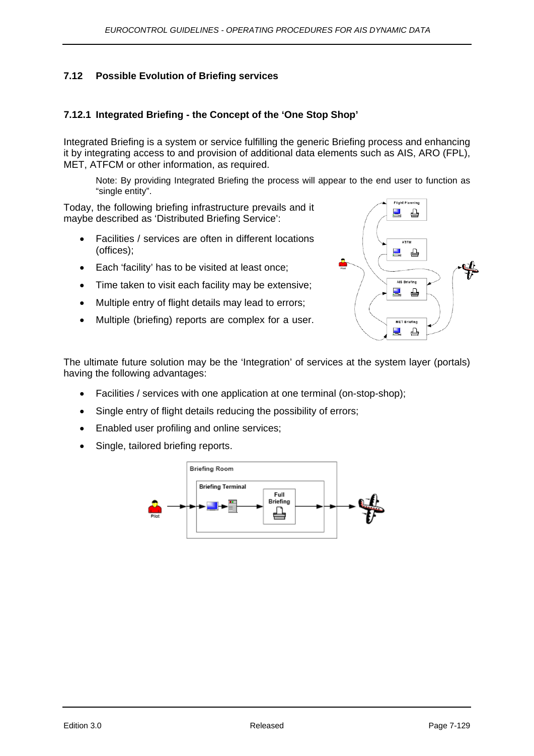# **7.12 Possible Evolution of Briefing services**

# **7.12.1 Integrated Briefing - the Concept of the 'One Stop Shop'**

Integrated Briefing is a system or service fulfilling the generic Briefing process and enhancing it by integrating access to and provision of additional data elements such as AIS, ARO (FPL), MET, ATFCM or other information, as required.

Note: By providing Integrated Briefing the process will appear to the end user to function as "single entity".

Today, the following briefing infrastructure prevails and it maybe described as 'Distributed Briefing Service':

- Facilities / services are often in different locations (offices);
- Each 'facility' has to be visited at least once;
- Time taken to visit each facility may be extensive;
- Multiple entry of flight details may lead to errors;
- Multiple (briefing) reports are complex for a user.



The ultimate future solution may be the 'Integration' of services at the system layer (portals) having the following advantages:

- Facilities / services with one application at one terminal (on-stop-shop);
- Single entry of flight details reducing the possibility of errors:
- Enabled user profiling and online services;
- Single, tailored briefing reports.

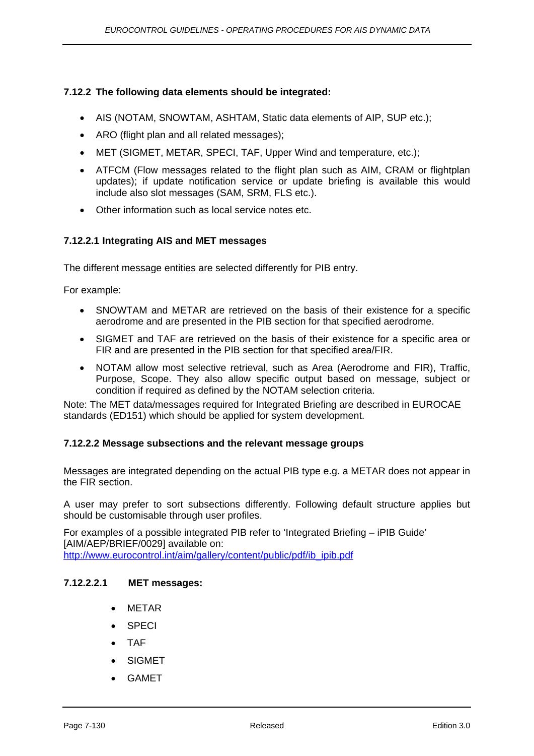# **7.12.2 The following data elements should be integrated:**

- AIS (NOTAM, SNOWTAM, ASHTAM, Static data elements of AIP, SUP etc.);
- ARO (flight plan and all related messages);
- MET (SIGMET, METAR, SPECI, TAF, Upper Wind and temperature, etc.);
- ATFCM (Flow messages related to the flight plan such as AIM, CRAM or flightplan updates); if update notification service or update briefing is available this would include also slot messages (SAM, SRM, FLS etc.).
- Other information such as local service notes etc.

# **7.12.2.1 Integrating AIS and MET messages**

The different message entities are selected differently for PIB entry.

For example:

- SNOWTAM and METAR are retrieved on the basis of their existence for a specific aerodrome and are presented in the PIB section for that specified aerodrome.
- SIGMET and TAF are retrieved on the basis of their existence for a specific area or FIR and are presented in the PIB section for that specified area/FIR.
- NOTAM allow most selective retrieval, such as Area (Aerodrome and FIR), Traffic, Purpose, Scope. They also allow specific output based on message, subject or condition if required as defined by the NOTAM selection criteria.

Note: The MET data/messages required for Integrated Briefing are described in EUROCAE standards (ED151) which should be applied for system development.

#### **7.12.2.2 Message subsections and the relevant message groups**

Messages are integrated depending on the actual PIB type e.g. a METAR does not appear in the FIR section.

A user may prefer to sort subsections differently. Following default structure applies but should be customisable through user profiles.

For examples of a possible integrated PIB refer to 'Integrated Briefing – iPIB Guide' [AIM/AEP/BRIEF/0029] available on: [http://www.eurocontrol.int/aim/gallery/content/public/pdf/ib\\_ipib.pdf](http://www.eurocontrol.int/aim/gallery/content/public/pdf/ib_ipib.pdf) 

# **7.12.2.2.1 MET messages:**

- METAR
- **SPECI**
- TAF
- **SIGMET**
- **GAMET**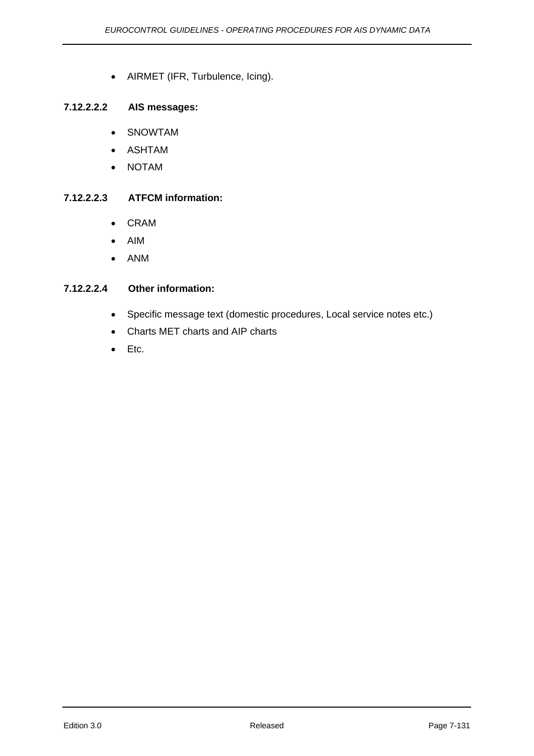• AIRMET (IFR, Turbulence, Icing).

# **7.12.2.2.2 AIS messages:**

- SNOWTAM
- ASHTAM
- NOTAM

# **7.12.2.2.3 ATFCM information:**

- CRAM
- AIM
- ANM

# **7.12.2.2.4 Other information:**

- Specific message text (domestic procedures, Local service notes etc.)
- Charts MET charts and AIP charts
- Etc.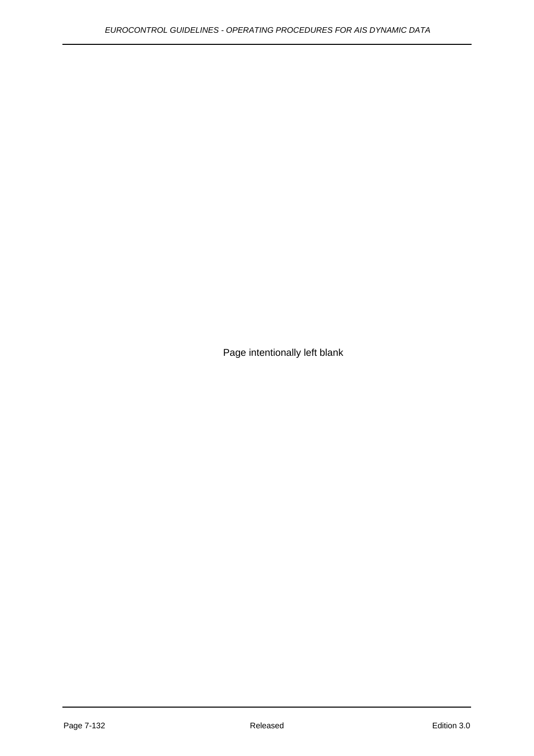Page intentionally left blank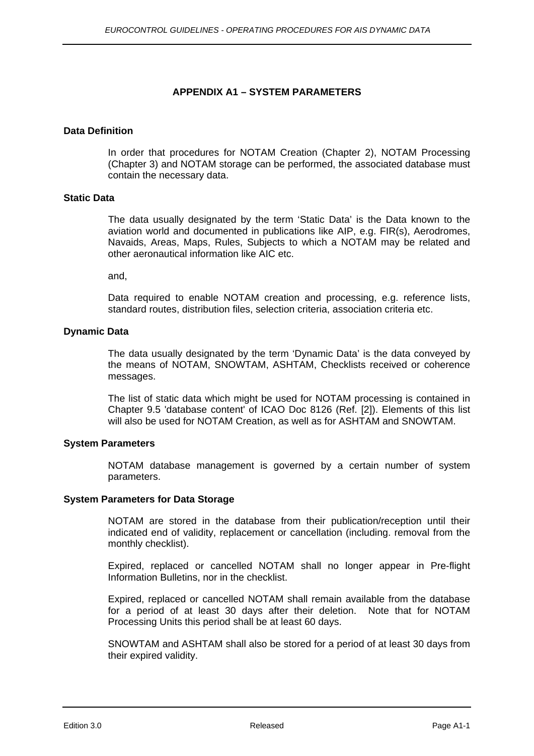# **APPENDIX A1 – SYSTEM PARAMETERS**

## **Data Definition**

 In order that procedures for NOTAM Creation (Chapter [2](#page-20-0)), NOTAM Processing (Chapter [3\)](#page-74-0) and NOTAM storage can be performed, the associated database must contain the necessary data.

#### **Static Data**

 The data usually designated by the term 'Static Data' is the Data known to the aviation world and documented in publications like AIP, e.g. FIR(s), Aerodromes, Navaids, Areas, Maps, Rules, Subjects to which a NOTAM may be related and other aeronautical information like AIC etc.

and,

 Data required to enable NOTAM creation and processing, e.g. reference lists, standard routes, distribution files, selection criteria, association criteria etc.

# **Dynamic Data**

 The data usually designated by the term 'Dynamic Data' is the data conveyed by the means of NOTAM, SNOWTAM, ASHTAM, Checklists received or coherence messages.

 The list of static data which might be used for NOTAM processing is contained in Chapter 9.5 'database content' of ICAO Doc 8126 (Ref. [[2\]](#page-20-0)). Elements of this list will also be used for NOTAM Creation, as well as for ASHTAM and SNOWTAM.

#### **System Parameters**

 NOTAM database management is governed by a certain number of system parameters.

#### **System Parameters for Data Storage**

 NOTAM are stored in the database from their publication/reception until their indicated end of validity, replacement or cancellation (including. removal from the monthly checklist).

 Expired, replaced or cancelled NOTAM shall no longer appear in Pre-flight Information Bulletins, nor in the checklist.

 Expired, replaced or cancelled NOTAM shall remain available from the database for a period of at least 30 days after their deletion. Note that for NOTAM Processing Units this period shall be at least 60 days.

 SNOWTAM and ASHTAM shall also be stored for a period of at least 30 days from their expired validity.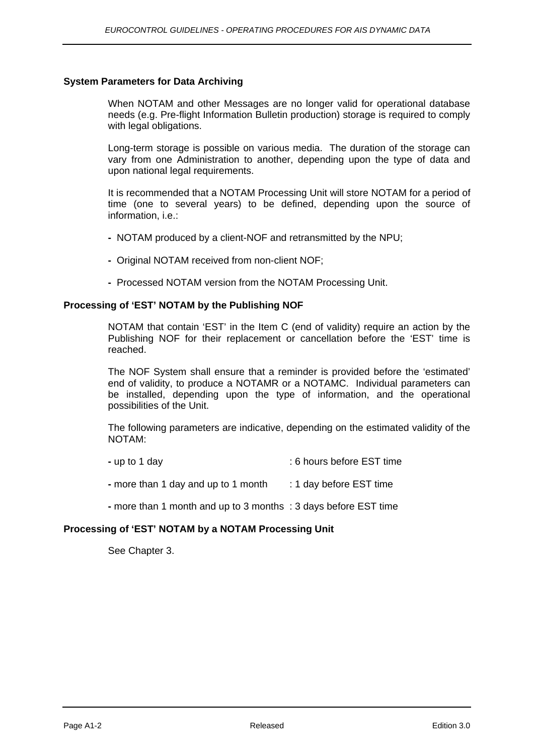# **System Parameters for Data Archiving**

 When NOTAM and other Messages are no longer valid for operational database needs (e.g. Pre-flight Information Bulletin production) storage is required to comply with legal obligations.

 Long-term storage is possible on various media. The duration of the storage can vary from one Administration to another, depending upon the type of data and upon national legal requirements.

 It is recommended that a NOTAM Processing Unit will store NOTAM for a period of time (one to several years) to be defined, depending upon the source of information, i.e.:

- **-** NOTAM produced by a client-NOF and retransmitted by the NPU;
- **-** Original NOTAM received from non-client NOF;
- **-** Processed NOTAM version from the NOTAM Processing Unit.

# **Processing of 'EST' NOTAM by the Publishing NOF**

 NOTAM that contain 'EST' in the Item C (end of validity) require an action by the Publishing NOF for their replacement or cancellation before the 'EST' time is reached.

 The NOF System shall ensure that a reminder is provided before the 'estimated' end of validity, to produce a NOTAMR or a NOTAMC. Individual parameters can be installed, depending upon the type of information, and the operational possibilities of the Unit.

 The following parameters are indicative, depending on the estimated validity of the NOTAM:

**-** up to 1 day : 6 hours before EST time

**-** more than 1 day and up to 1 month : 1 day before EST time

**-** more than 1 month and up to 3 months : 3 days before EST time

## **Processing of 'EST' NOTAM by a NOTAM Processing Unit**

See [Chapter](#page-74-1) [3](#page-74-0).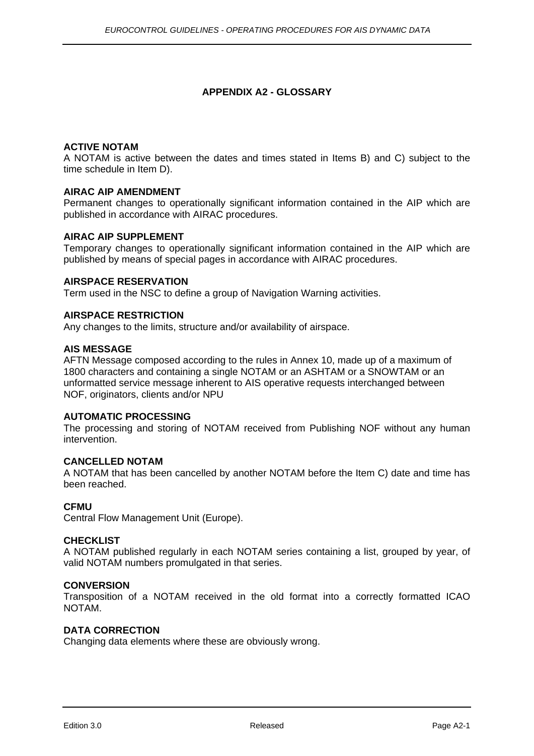# **APPENDIX A2 - GLOSSARY**

## **ACTIVE NOTAM**

A NOTAM is active between the dates and times stated in Items B) and C) subject to the time schedule in Item D).

## **AIRAC AIP AMENDMENT**

Permanent changes to operationally significant information contained in the AIP which are published in accordance with AIRAC procedures.

#### **AIRAC AIP SUPPLEMENT**

Temporary changes to operationally significant information contained in the AIP which are published by means of special pages in accordance with AIRAC procedures.

#### **AIRSPACE RESERVATION**

Term used in the NSC to define a group of Navigation Warning activities.

#### **AIRSPACE RESTRICTION**

Any changes to the limits, structure and/or availability of airspace.

## **AIS MESSAGE**

AFTN Message composed according to the rules in Annex 10, made up of a maximum of 1800 characters and containing a single NOTAM or an ASHTAM or a SNOWTAM or an unformatted service message inherent to AIS operative requests interchanged between NOF, originators, clients and/or NPU

#### **AUTOMATIC PROCESSING**

The processing and storing of NOTAM received from Publishing NOF without any human intervention.

## **CANCELLED NOTAM**

A NOTAM that has been cancelled by another NOTAM before the Item C) date and time has been reached.

#### **CFMU**

Central Flow Management Unit (Europe).

#### **CHECKLIST**

A NOTAM published regularly in each NOTAM series containing a list, grouped by year, of valid NOTAM numbers promulgated in that series.

#### **CONVERSION**

Transposition of a NOTAM received in the old format into a correctly formatted ICAO NOTAM.

## **DATA CORRECTION**

Changing data elements where these are obviously wrong.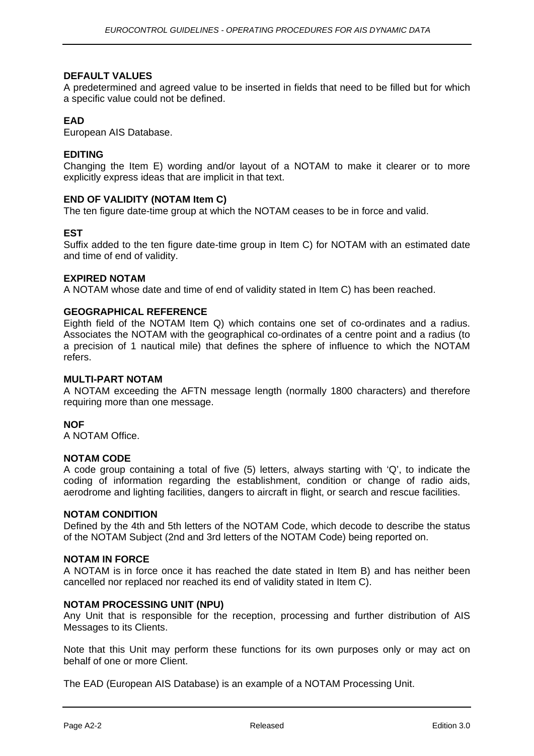## **DEFAULT VALUES**

A predetermined and agreed value to be inserted in fields that need to be filled but for which a specific value could not be defined.

# **EAD**

European AIS Database.

## **EDITING**

Changing the Item E) wording and/or layout of a NOTAM to make it clearer or to more explicitly express ideas that are implicit in that text.

# **END OF VALIDITY (NOTAM Item C)**

The ten figure date-time group at which the NOTAM ceases to be in force and valid.

# **EST**

Suffix added to the ten figure date-time group in Item C) for NOTAM with an estimated date and time of end of validity.

#### **EXPIRED NOTAM**

A NOTAM whose date and time of end of validity stated in Item C) has been reached.

# **GEOGRAPHICAL REFERENCE**

Eighth field of the NOTAM Item Q) which contains one set of co-ordinates and a radius. Associates the NOTAM with the geographical co-ordinates of a centre point and a radius (to a precision of 1 nautical mile) that defines the sphere of influence to which the NOTAM refers.

#### **MULTI-PART NOTAM**

A NOTAM exceeding the AFTN message length (normally 1800 characters) and therefore requiring more than one message.

#### **NOF**

A NOTAM Office.

#### **NOTAM CODE**

A code group containing a total of five (5) letters, always starting with 'Q', to indicate the coding of information regarding the establishment, condition or change of radio aids, aerodrome and lighting facilities, dangers to aircraft in flight, or search and rescue facilities.

#### **NOTAM CONDITION**

Defined by the 4th and 5th letters of the NOTAM Code, which decode to describe the status of the NOTAM Subject (2nd and 3rd letters of the NOTAM Code) being reported on.

# **NOTAM IN FORCE**

A NOTAM is in force once it has reached the date stated in Item B) and has neither been cancelled nor replaced nor reached its end of validity stated in Item C).

#### **NOTAM PROCESSING UNIT (NPU)**

Any Unit that is responsible for the reception, processing and further distribution of AIS Messages to its Clients.

Note that this Unit may perform these functions for its own purposes only or may act on behalf of one or more Client.

The EAD (European AIS Database) is an example of a NOTAM Processing Unit.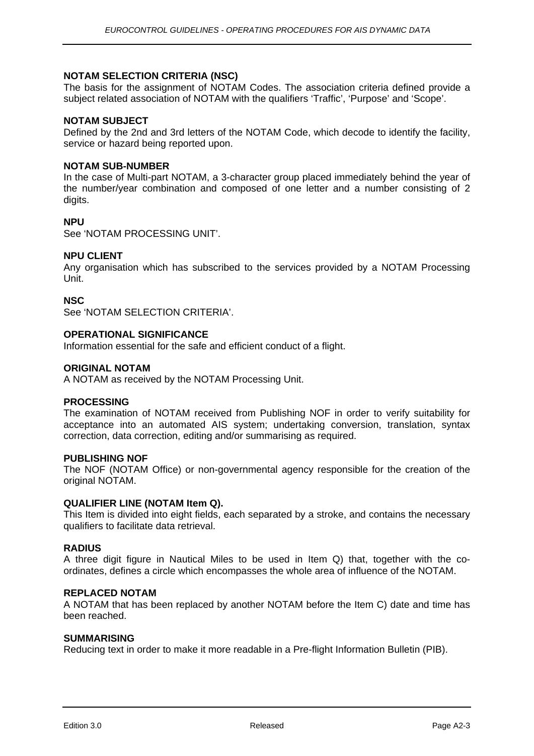## **NOTAM SELECTION CRITERIA (NSC)**

The basis for the assignment of NOTAM Codes. The association criteria defined provide a subject related association of NOTAM with the qualifiers 'Traffic', 'Purpose' and 'Scope'.

#### **NOTAM SUBJECT**

Defined by the 2nd and 3rd letters of the NOTAM Code, which decode to identify the facility, service or hazard being reported upon.

#### **NOTAM SUB-NUMBER**

In the case of Multi-part NOTAM, a 3-character group placed immediately behind the year of the number/year combination and composed of one letter and a number consisting of 2 digits.

#### **NPU**

See 'NOTAM PROCESSING UNIT'.

#### **NPU CLIENT**

Any organisation which has subscribed to the services provided by a NOTAM Processing Unit.

#### **NSC**

See 'NOTAM SELECTION CRITERIA'.

#### **OPERATIONAL SIGNIFICANCE**

Information essential for the safe and efficient conduct of a flight.

#### **ORIGINAL NOTAM**

A NOTAM as received by the NOTAM Processing Unit.

#### **PROCESSING**

The examination of NOTAM received from Publishing NOF in order to verify suitability for acceptance into an automated AIS system; undertaking conversion, translation, syntax correction, data correction, editing and/or summarising as required.

#### **PUBLISHING NOF**

The NOF (NOTAM Office) or non-governmental agency responsible for the creation of the original NOTAM.

#### **QUALIFIER LINE (NOTAM Item Q).**

This Item is divided into eight fields, each separated by a stroke, and contains the necessary qualifiers to facilitate data retrieval.

#### **RADIUS**

A three digit figure in Nautical Miles to be used in Item Q) that, together with the coordinates, defines a circle which encompasses the whole area of influence of the NOTAM.

#### **REPLACED NOTAM**

A NOTAM that has been replaced by another NOTAM before the Item C) date and time has been reached.

#### **SUMMARISING**

Reducing text in order to make it more readable in a Pre-flight Information Bulletin (PIB).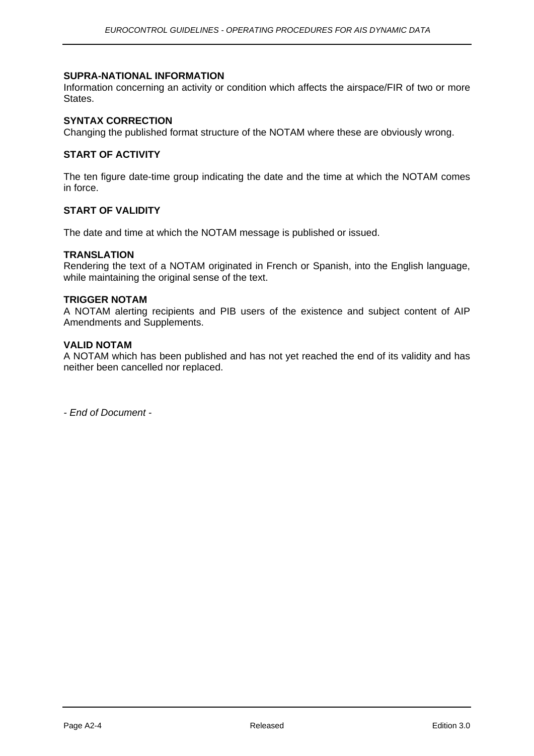## **SUPRA-NATIONAL INFORMATION**

Information concerning an activity or condition which affects the airspace/FIR of two or more States.

#### **SYNTAX CORRECTION**

Changing the published format structure of the NOTAM where these are obviously wrong.

# **START OF ACTIVITY**

The ten figure date-time group indicating the date and the time at which the NOTAM comes in force.

## **START OF VALIDITY**

The date and time at which the NOTAM message is published or issued.

#### **TRANSLATION**

Rendering the text of a NOTAM originated in French or Spanish, into the English language, while maintaining the original sense of the text.

#### **TRIGGER NOTAM**

A NOTAM alerting recipients and PIB users of the existence and subject content of AIP Amendments and Supplements.

#### **VALID NOTAM**

A NOTAM which has been published and has not yet reached the end of its validity and has neither been cancelled nor replaced.

*- End of Document -*